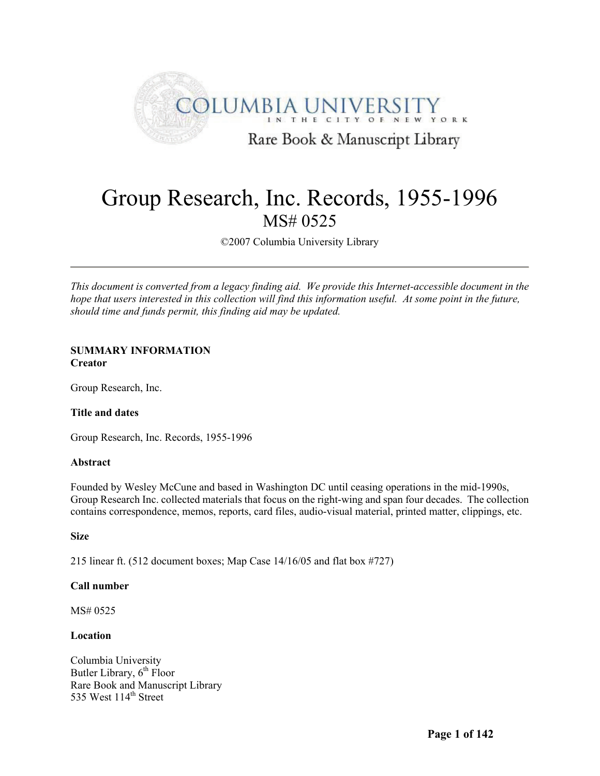

# Group Research, Inc. Records, 1955-1996 MS# 0525

©2007 Columbia University Library

*This document is converted from a legacy finding aid. We provide this Internet-accessible document in the hope that users interested in this collection will find this information useful. At some point in the future, should time and funds permit, this finding aid may be updated.*

# **SUMMARY INFORMATION Creator**

Group Research, Inc.

# **Title and dates**

Group Research, Inc. Records, 1955-1996

# **Abstract**

Founded by Wesley McCune and based in Washington DC until ceasing operations in the mid-1990s, Group Research Inc. collected materials that focus on the right-wing and span four decades. The collection contains correspondence, memos, reports, card files, audio-visual material, printed matter, clippings, etc.

# **Size**

215 linear ft. (512 document boxes; Map Case 14/16/05 and flat box #727)

# **Call number**

MS# 0525

# **Location**

Columbia University Butler Library, 6<sup>th</sup> Floor Rare Book and Manuscript Library  $535$  West  $114<sup>th</sup>$  Street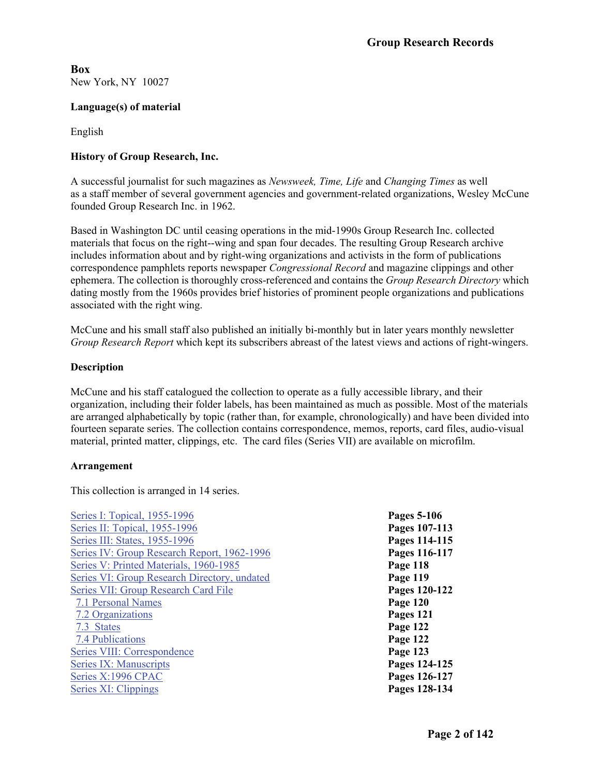<span id="page-1-0"></span>**Box**  New York, NY 10027

# **Language(s) of material**

English

# **History of Group Research, Inc.**

A successful journalist for such magazines as *Newsweek, Time, Life* and *Changing Times* as well as a staff member of several government agencies and government-related organizations, Wesley McCune founded Group Research Inc. in 1962.

Based in Washington DC until ceasing operations in the mid-1990s Group Research Inc. collected materials that focus on the right--wing and span four decades. The resulting Group Research archive includes information about and by right-wing organizations and activists in the form of publications correspondence pamphlets reports newspaper *Congressional Record* and magazine clippings and other ephemera. The collection is thoroughly cross-referenced and contains the *Group Research Directory* which dating mostly from the 1960s provides brief histories of prominent people organizations and publications associated with the right wing.

McCune and his small staff also published an initially bi-monthly but in later years monthly newsletter *Group Research Report* which kept its subscribers abreast of the latest views and actions of right-wingers.

# **Description**

McCune and his staff catalogued the collection to operate as a fully accessible library, and their organization, including their folder labels, has been maintained as much as possible. Most of the materials are arranged alphabetically by topic (rather than, for example, chronologically) and have been divided into fourteen separate series. The collection contains correspondence, memos, reports, card files, audio-visual material, printed matter, clippings, etc. The card files (Series VII) are available on microfilm.

# **Arrangement**

This collection is arranged in 14 series.

| Series I: Topical, 1955-1996                        | Pages 5-106   |
|-----------------------------------------------------|---------------|
| Series II: Topical, 1955-1996                       | Pages 107-113 |
| Series III: States, 1955-1996                       | Pages 114-115 |
| Series IV: Group Research Report, 1962-1996         | Pages 116-117 |
| Series V: Printed Materials, 1960-1985              | Page 118      |
| <b>Series VI: Group Research Directory, undated</b> | Page 119      |
| Series VII: Group Research Card File                | Pages 120-122 |
| 7.1 Personal Names                                  | Page 120      |
| 7.2 Organizations                                   | Pages 121     |
| 7.3 States                                          | Page 122      |
| 7.4 Publications                                    | Page 122      |
| Series VIII: Correspondence                         | Page 123      |
| Series IX: Manuscripts                              | Pages 124-125 |
| Series X:1996 CPAC                                  | Pages 126-127 |
| Series XI: Clippings                                | Pages 128-134 |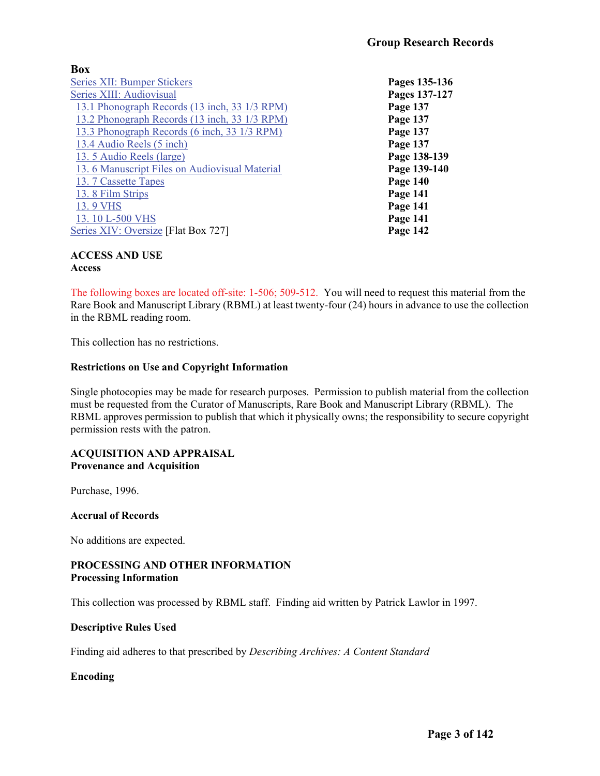# **Box**

| <b>Series XII: Bumper Stickers</b>            | Pages 135-136 |
|-----------------------------------------------|---------------|
| Series XIII: Audiovisual                      | Pages 137-127 |
| 13.1 Phonograph Records (13 inch, 33 1/3 RPM) | Page 137      |
| 13.2 Phonograph Records (13 inch, 33 1/3 RPM) | Page 137      |
| 13.3 Phonograph Records (6 inch, 33 1/3 RPM)  | Page 137      |
| 13.4 Audio Reels (5 inch)                     | Page 137      |
| 13.5 Audio Reels (large)                      | Page 138-139  |
| 13.6 Manuscript Files on Audiovisual Material | Page 139-140  |
| 13.7 Cassette Tapes                           | Page 140      |
| 13.8 Film Strips                              | Page 141      |
| 13.9 VHS                                      | Page 141      |
| 13.10 L-500 VHS                               | Page 141      |
| Series XIV: Oversize [Flat Box 727]           | Page 142      |

#### **ACCESS AND USE Access**

The following boxes are located off-site: 1-506; 509-512. You will need to request this material from the Rare Book and Manuscript Library (RBML) at least twenty-four (24) hours in advance to use the collection in the RBML reading room.

This collection has no restrictions.

# **Restrictions on Use and Copyright Information**

Single photocopies may be made for research purposes. Permission to publish material from the collection must be requested from the Curator of Manuscripts, Rare Book and Manuscript Library (RBML). The RBML approves permission to publish that which it physically owns; the responsibility to secure copyright permission rests with the patron.

# **ACQUISITION AND APPRAISAL Provenance and Acquisition**

Purchase, 1996.

# **Accrual of Records**

No additions are expected.

# **PROCESSING AND OTHER INFORMATION Processing Information**

This collection was processed by RBML staff. Finding aid written by Patrick Lawlor in 1997.

# **Descriptive Rules Used**

Finding aid adheres to that prescribed by *Describing Archives: A Content Standard*

# **Encoding**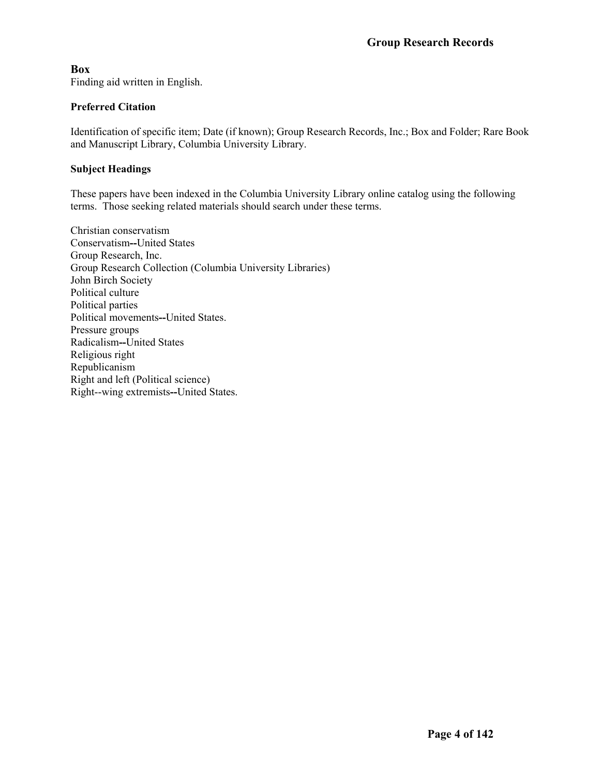**Box**  Finding aid written in English.

# **Preferred Citation**

Identification of specific item; Date (if known); Group Research Records, Inc.; Box and Folder; Rare Book and Manuscript Library, Columbia University Library.

# **Subject Headings**

These papers have been indexed in the Columbia University Library online catalog using the following terms. Those seeking related materials should search under these terms.

Christian conservatism Conservatism**--**United States Group Research, Inc. Group Research Collection (Columbia University Libraries) John Birch Society Political culture Political parties Political movements**--**United States. Pressure groups Radicalism**--**United States Religious right Republicanism Right and left (Political science) Right--wing extremists**--**United States.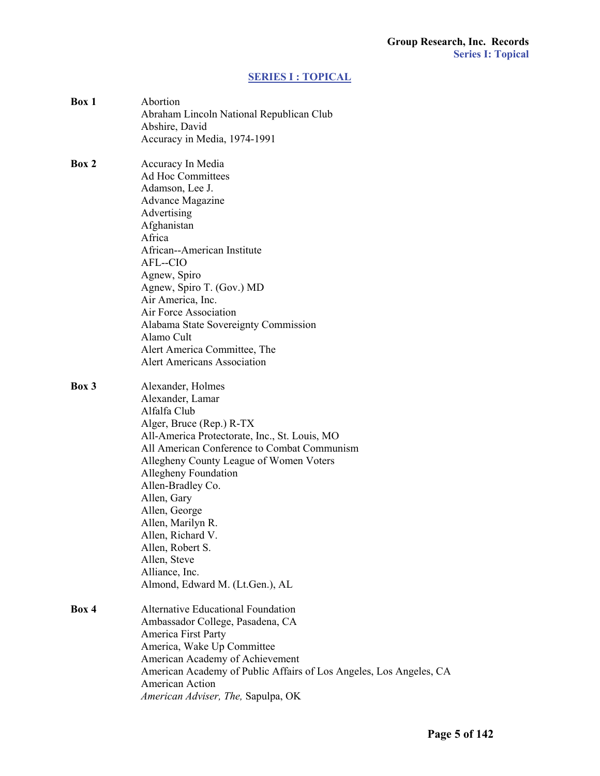# **[SERIES I : TOPICAL](#page-1-0)**

<span id="page-4-0"></span>

| Box 1 | Abortion<br>Abraham Lincoln National Republican Club<br>Abshire, David<br>Accuracy in Media, 1974-1991                                                                                                                                                                                                                                                                                                                                       |
|-------|----------------------------------------------------------------------------------------------------------------------------------------------------------------------------------------------------------------------------------------------------------------------------------------------------------------------------------------------------------------------------------------------------------------------------------------------|
| Box 2 | Accuracy In Media<br><b>Ad Hoc Committees</b><br>Adamson, Lee J.<br><b>Advance Magazine</b><br>Advertising<br>Afghanistan<br>Africa<br>African--American Institute<br>AFL--CIO<br>Agnew, Spiro<br>Agnew, Spiro T. (Gov.) MD<br>Air America, Inc.<br>Air Force Association<br>Alabama State Sovereignty Commission<br>Alamo Cult<br>Alert America Committee, The<br><b>Alert Americans Association</b>                                        |
| Box 3 | Alexander, Holmes<br>Alexander, Lamar<br>Alfalfa Club<br>Alger, Bruce (Rep.) R-TX<br>All-America Protectorate, Inc., St. Louis, MO<br>All American Conference to Combat Communism<br>Allegheny County League of Women Voters<br>Allegheny Foundation<br>Allen-Bradley Co.<br>Allen, Gary<br>Allen, George<br>Allen, Marilyn R.<br>Allen, Richard V.<br>Allen, Robert S.<br>Allen, Steve<br>Alliance, Inc.<br>Almond, Edward M. (Lt.Gen.), AL |
| Box 4 | <b>Alternative Educational Foundation</b><br>Ambassador College, Pasadena, CA<br>America First Party<br>America, Wake Up Committee<br>American Academy of Achievement<br>American Academy of Public Affairs of Los Angeles, Los Angeles, CA<br>American Action<br>American Adviser, The, Sapulpa, OK                                                                                                                                         |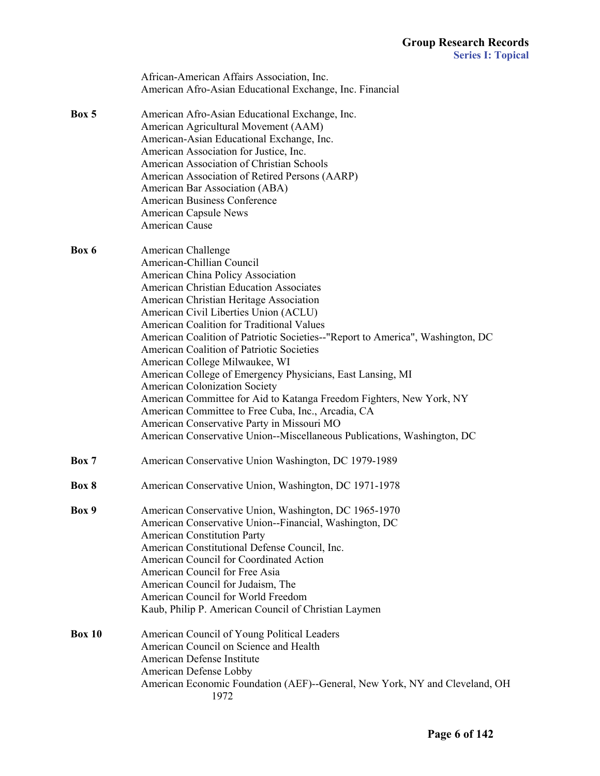|               | African-American Affairs Association, Inc.                                     |
|---------------|--------------------------------------------------------------------------------|
|               | American Afro-Asian Educational Exchange, Inc. Financial                       |
| Box 5         | American Afro-Asian Educational Exchange, Inc.                                 |
|               | American Agricultural Movement (AAM)                                           |
|               | American-Asian Educational Exchange, Inc.                                      |
|               | American Association for Justice, Inc.                                         |
|               | American Association of Christian Schools                                      |
|               | American Association of Retired Persons (AARP)                                 |
|               | American Bar Association (ABA)                                                 |
|               | <b>American Business Conference</b>                                            |
|               | <b>American Capsule News</b>                                                   |
|               | American Cause                                                                 |
| Box 6         | American Challenge                                                             |
|               | American-Chillian Council                                                      |
|               | American China Policy Association                                              |
|               | <b>American Christian Education Associates</b>                                 |
|               | American Christian Heritage Association                                        |
|               | American Civil Liberties Union (ACLU)                                          |
|               | American Coalition for Traditional Values                                      |
|               | American Coalition of Patriotic Societies--"Report to America", Washington, DC |
|               | American Coalition of Patriotic Societies                                      |
|               | American College Milwaukee, WI                                                 |
|               | American College of Emergency Physicians, East Lansing, MI                     |
|               | American Colonization Society                                                  |
|               | American Committee for Aid to Katanga Freedom Fighters, New York, NY           |
|               | American Committee to Free Cuba, Inc., Arcadia, CA                             |
|               | American Conservative Party in Missouri MO                                     |
|               | American Conservative Union--Miscellaneous Publications, Washington, DC        |
| Box 7         | American Conservative Union Washington, DC 1979-1989                           |
| Box 8         | American Conservative Union, Washington, DC 1971-1978                          |
| Box 9         | American Conservative Union, Washington, DC 1965-1970                          |
|               | American Conservative Union--Financial, Washington, DC                         |
|               | <b>American Constitution Party</b>                                             |
|               | American Constitutional Defense Council, Inc.                                  |
|               | American Council for Coordinated Action                                        |
|               | American Council for Free Asia                                                 |
|               | American Council for Judaism, The                                              |
|               | American Council for World Freedom                                             |
|               | Kaub, Philip P. American Council of Christian Laymen                           |
| <b>Box 10</b> | American Council of Young Political Leaders                                    |
|               | American Council on Science and Health                                         |
|               | American Defense Institute                                                     |
|               | American Defense Lobby                                                         |
|               | American Economic Foundation (AEF)--General, New York, NY and Cleveland, OH    |
|               | 1972                                                                           |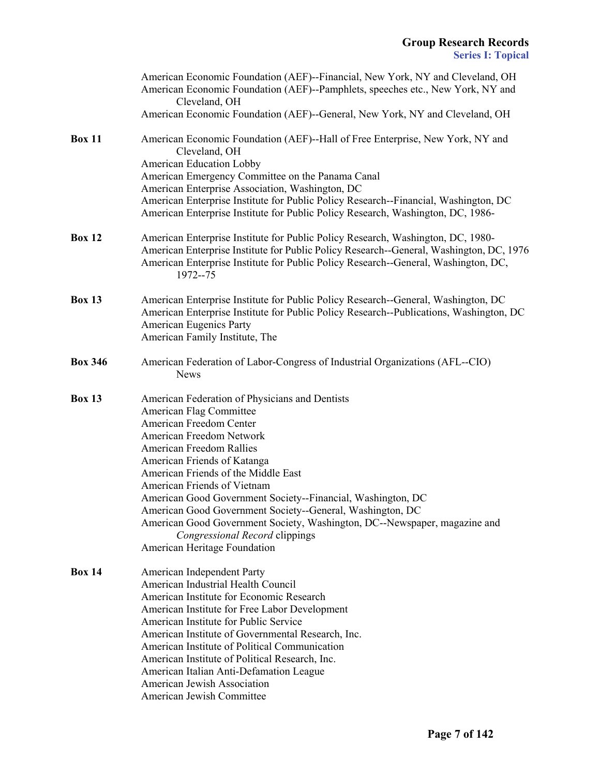|                | American Economic Foundation (AEF)--Financial, New York, NY and Cleveland, OH<br>American Economic Foundation (AEF)--Pamphlets, speeches etc., New York, NY and<br>Cleveland, OH<br>American Economic Foundation (AEF)--General, New York, NY and Cleveland, OH                                                                                                                                                                                                                                                                              |
|----------------|----------------------------------------------------------------------------------------------------------------------------------------------------------------------------------------------------------------------------------------------------------------------------------------------------------------------------------------------------------------------------------------------------------------------------------------------------------------------------------------------------------------------------------------------|
| <b>Box 11</b>  | American Economic Foundation (AEF)--Hall of Free Enterprise, New York, NY and<br>Cleveland, OH<br>American Education Lobby<br>American Emergency Committee on the Panama Canal<br>American Enterprise Association, Washington, DC<br>American Enterprise Institute for Public Policy Research--Financial, Washington, DC                                                                                                                                                                                                                     |
|                | American Enterprise Institute for Public Policy Research, Washington, DC, 1986-                                                                                                                                                                                                                                                                                                                                                                                                                                                              |
| <b>Box 12</b>  | American Enterprise Institute for Public Policy Research, Washington, DC, 1980-<br>American Enterprise Institute for Public Policy Research--General, Washington, DC, 1976<br>American Enterprise Institute for Public Policy Research--General, Washington, DC,<br>1972--75                                                                                                                                                                                                                                                                 |
| <b>Box 13</b>  | American Enterprise Institute for Public Policy Research--General, Washington, DC<br>American Enterprise Institute for Public Policy Research--Publications, Washington, DC<br><b>American Eugenics Party</b><br>American Family Institute, The                                                                                                                                                                                                                                                                                              |
| <b>Box 346</b> | American Federation of Labor-Congress of Industrial Organizations (AFL--CIO)<br><b>News</b>                                                                                                                                                                                                                                                                                                                                                                                                                                                  |
| <b>Box 13</b>  | American Federation of Physicians and Dentists<br>American Flag Committee<br>American Freedom Center<br>American Freedom Network<br>American Freedom Rallies<br>American Friends of Katanga<br>American Friends of the Middle East<br>American Friends of Vietnam<br>American Good Government Society--Financial, Washington, DC<br>American Good Government Society--General, Washington, DC<br>American Good Government Society, Washington, DC--Newspaper, magazine and<br>Congressional Record clippings<br>American Heritage Foundation |
| <b>Box 14</b>  | American Independent Party<br>American Industrial Health Council<br>American Institute for Economic Research<br>American Institute for Free Labor Development<br>American Institute for Public Service<br>American Institute of Governmental Research, Inc.<br>American Institute of Political Communication<br>American Institute of Political Research, Inc.<br>American Italian Anti-Defamation League<br>American Jewish Association<br>American Jewish Committee                                                                        |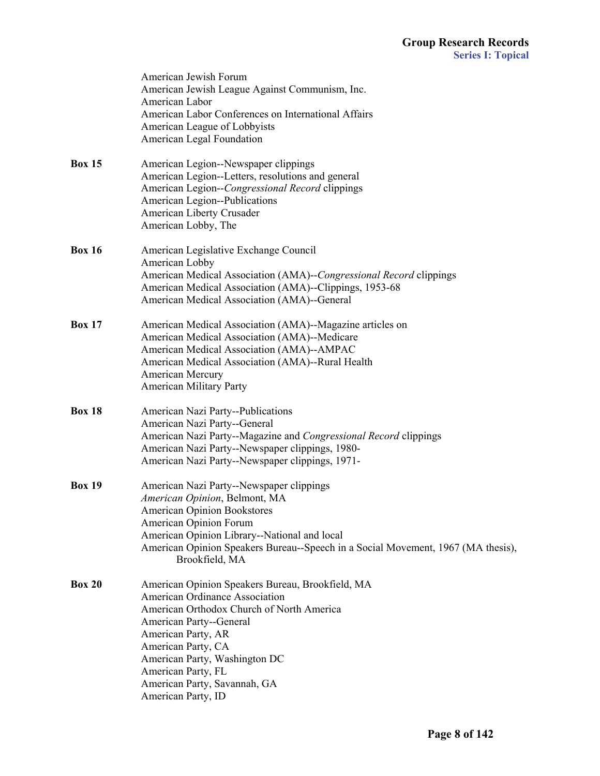|               | American Jewish Forum<br>American Jewish League Against Communism, Inc.<br>American Labor<br>American Labor Conferences on International Affairs                                                                                                                                                                    |
|---------------|---------------------------------------------------------------------------------------------------------------------------------------------------------------------------------------------------------------------------------------------------------------------------------------------------------------------|
|               | American League of Lobbyists<br>American Legal Foundation                                                                                                                                                                                                                                                           |
| <b>Box 15</b> | American Legion--Newspaper clippings<br>American Legion--Letters, resolutions and general<br>American Legion--Congressional Record clippings<br>American Legion--Publications<br>American Liberty Crusader<br>American Lobby, The                                                                                   |
| <b>Box 16</b> | American Legislative Exchange Council<br>American Lobby<br>American Medical Association (AMA)--Congressional Record clippings<br>American Medical Association (AMA)--Clippings, 1953-68<br>American Medical Association (AMA)--General                                                                              |
| <b>Box 17</b> | American Medical Association (AMA)--Magazine articles on<br>American Medical Association (AMA)--Medicare<br>American Medical Association (AMA)--AMPAC<br>American Medical Association (AMA)--Rural Health<br>American Mercury<br><b>American Military Party</b>                                                     |
| <b>Box 18</b> | American Nazi Party--Publications<br>American Nazi Party--General<br>American Nazi Party--Magazine and Congressional Record clippings<br>American Nazi Party--Newspaper clippings, 1980-<br>American Nazi Party--Newspaper clippings, 1971-                                                                         |
| <b>Box 19</b> | American Nazi Party--Newspaper clippings<br>American Opinion, Belmont, MA<br><b>American Opinion Bookstores</b><br>American Opinion Forum<br>American Opinion Library--National and local<br>American Opinion Speakers Bureau--Speech in a Social Movement, 1967 (MA thesis),<br>Brookfield, MA                     |
| <b>Box 20</b> | American Opinion Speakers Bureau, Brookfield, MA<br>American Ordinance Association<br>American Orthodox Church of North America<br>American Party--General<br>American Party, AR<br>American Party, CA<br>American Party, Washington DC<br>American Party, FL<br>American Party, Savannah, GA<br>American Party, ID |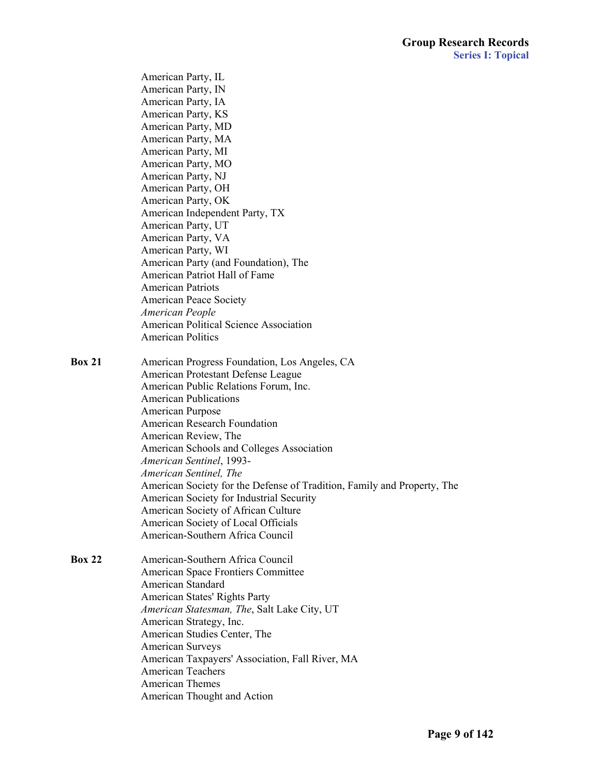|               | American Party, IL                                                      |
|---------------|-------------------------------------------------------------------------|
|               | American Party, IN                                                      |
|               | American Party, IA                                                      |
|               | American Party, KS                                                      |
|               | American Party, MD                                                      |
|               | American Party, MA                                                      |
|               | American Party, MI                                                      |
|               | American Party, MO                                                      |
|               | American Party, NJ                                                      |
|               | American Party, OH                                                      |
|               | American Party, OK                                                      |
|               | American Independent Party, TX                                          |
|               | American Party, UT                                                      |
|               | American Party, VA                                                      |
|               | American Party, WI                                                      |
|               | American Party (and Foundation), The                                    |
|               | American Patriot Hall of Fame                                           |
|               | <b>American Patriots</b>                                                |
|               | <b>American Peace Society</b>                                           |
|               | American People                                                         |
|               | American Political Science Association                                  |
|               | <b>American Politics</b>                                                |
| <b>Box 21</b> | American Progress Foundation, Los Angeles, CA                           |
|               | American Protestant Defense League                                      |
|               | American Public Relations Forum, Inc.                                   |
|               | <b>American Publications</b>                                            |
|               | American Purpose                                                        |
|               | <b>American Research Foundation</b>                                     |
|               | American Review, The                                                    |
|               | American Schools and Colleges Association                               |
|               | American Sentinel, 1993-                                                |
|               | American Sentinel, The                                                  |
|               | American Society for the Defense of Tradition, Family and Property, The |
|               | American Society for Industrial Security                                |
|               | American Society of African Culture                                     |
|               | American Society of Local Officials                                     |
|               | American-Southern Africa Council                                        |
| <b>Box 22</b> | American-Southern Africa Council                                        |
|               | American Space Frontiers Committee                                      |
|               | American Standard                                                       |
|               | American States' Rights Party                                           |
|               | American Statesman, The, Salt Lake City, UT                             |
|               | American Strategy, Inc.                                                 |
|               | American Studies Center, The                                            |
|               | <b>American Surveys</b>                                                 |
|               | American Taxpayers' Association, Fall River, MA                         |
|               | <b>American Teachers</b>                                                |
|               | American Themes                                                         |
|               | American Thought and Action                                             |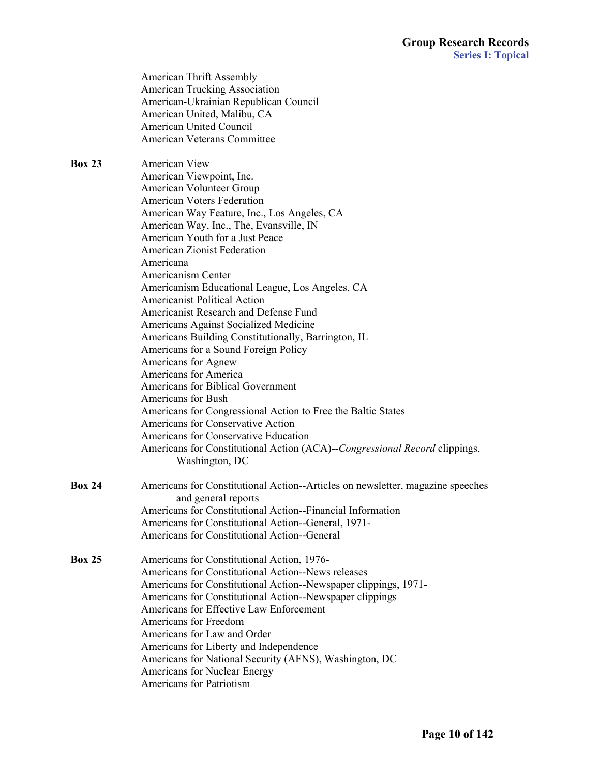|               | American Thrift Assembly<br>American Trucking Association<br>American-Ukrainian Republican Council<br>American United, Malibu, CA<br>American United Council<br>American Veterans Committee                                                                                                                                                                                                                                                                                                                                                                                                                                         |
|---------------|-------------------------------------------------------------------------------------------------------------------------------------------------------------------------------------------------------------------------------------------------------------------------------------------------------------------------------------------------------------------------------------------------------------------------------------------------------------------------------------------------------------------------------------------------------------------------------------------------------------------------------------|
| <b>Box 23</b> | American View<br>American Viewpoint, Inc.<br>American Volunteer Group<br><b>American Voters Federation</b><br>American Way Feature, Inc., Los Angeles, CA<br>American Way, Inc., The, Evansville, IN<br>American Youth for a Just Peace<br><b>American Zionist Federation</b><br>Americana                                                                                                                                                                                                                                                                                                                                          |
|               | Americanism Center<br>Americanism Educational League, Los Angeles, CA<br><b>Americanist Political Action</b><br>Americanist Research and Defense Fund<br>Americans Against Socialized Medicine<br>Americans Building Constitutionally, Barrington, IL<br>Americans for a Sound Foreign Policy<br>Americans for Agnew<br>Americans for America<br>Americans for Biblical Government<br>Americans for Bush<br>Americans for Congressional Action to Free the Baltic States<br>Americans for Conservative Action<br>Americans for Conservative Education<br>Americans for Constitutional Action (ACA)--Congressional Record clippings, |
| <b>Box 24</b> | Washington, DC<br>Americans for Constitutional Action--Articles on newsletter, magazine speeches<br>and general reports<br>Americans for Constitutional Action--Financial Information<br>Americans for Constitutional Action--General, 1971-<br>Americans for Constitutional Action--General                                                                                                                                                                                                                                                                                                                                        |
| <b>Box 25</b> | Americans for Constitutional Action, 1976-<br>Americans for Constitutional Action--News releases<br>Americans for Constitutional Action--Newspaper clippings, 1971-<br>Americans for Constitutional Action--Newspaper clippings<br>Americans for Effective Law Enforcement<br>Americans for Freedom<br>Americans for Law and Order<br>Americans for Liberty and Independence<br>Americans for National Security (AFNS), Washington, DC<br>Americans for Nuclear Energy<br>Americans for Patriotism                                                                                                                                  |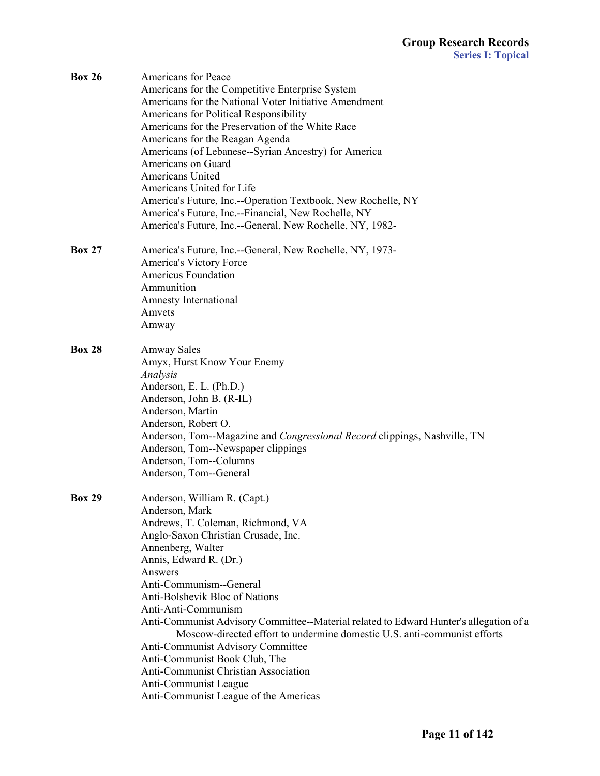| <b>Box 26</b> | Americans for Peace                                                                    |
|---------------|----------------------------------------------------------------------------------------|
|               | Americans for the Competitive Enterprise System                                        |
|               | Americans for the National Voter Initiative Amendment                                  |
|               | Americans for Political Responsibility                                                 |
|               | Americans for the Preservation of the White Race                                       |
|               | Americans for the Reagan Agenda                                                        |
|               | Americans (of Lebanese--Syrian Ancestry) for America                                   |
|               | Americans on Guard                                                                     |
|               | Americans United                                                                       |
|               | Americans United for Life                                                              |
|               | America's Future, Inc.--Operation Textbook, New Rochelle, NY                           |
|               | America's Future, Inc.--Financial, New Rochelle, NY                                    |
|               | America's Future, Inc.--General, New Rochelle, NY, 1982-                               |
| <b>Box 27</b> | America's Future, Inc.--General, New Rochelle, NY, 1973-                               |
|               | America's Victory Force                                                                |
|               | <b>Americus Foundation</b>                                                             |
|               | Ammunition                                                                             |
|               | Amnesty International                                                                  |
|               | Amvets                                                                                 |
|               | Amway                                                                                  |
| <b>Box 28</b> | <b>Amway Sales</b>                                                                     |
|               | Amyx, Hurst Know Your Enemy                                                            |
|               | Analysis                                                                               |
|               | Anderson, E. L. (Ph.D.)                                                                |
|               | Anderson, John B. (R-IL)                                                               |
|               | Anderson, Martin                                                                       |
|               | Anderson, Robert O.                                                                    |
|               | Anderson, Tom--Magazine and <i>Congressional Record</i> clippings, Nashville, TN       |
|               | Anderson, Tom--Newspaper clippings                                                     |
|               | Anderson, Tom--Columns                                                                 |
|               | Anderson, Tom--General                                                                 |
|               |                                                                                        |
| <b>Box 29</b> | Anderson, William R. (Capt.)                                                           |
|               | Anderson, Mark                                                                         |
|               | Andrews, T. Coleman, Richmond, VA                                                      |
|               | Anglo-Saxon Christian Crusade, Inc.                                                    |
|               | Annenberg, Walter                                                                      |
|               | Annis, Edward R. (Dr.)                                                                 |
|               | Answers                                                                                |
|               | Anti-Communism--General                                                                |
|               | Anti-Bolshevik Bloc of Nations                                                         |
|               | Anti-Anti-Communism                                                                    |
|               | Anti-Communist Advisory Committee--Material related to Edward Hunter's allegation of a |
|               | Moscow-directed effort to undermine domestic U.S. anti-communist efforts               |
|               | Anti-Communist Advisory Committee                                                      |
|               | Anti-Communist Book Club, The                                                          |
|               | Anti-Communist Christian Association                                                   |
|               | Anti-Communist League                                                                  |
|               | Anti-Communist League of the Americas                                                  |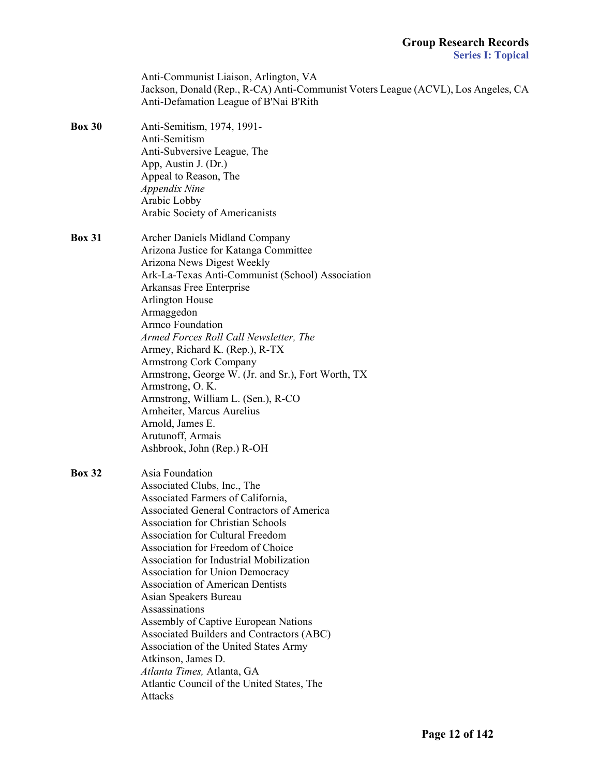|               | Anti-Communist Liaison, Arlington, VA<br>Jackson, Donald (Rep., R-CA) Anti-Communist Voters League (ACVL), Los Angeles, CA<br>Anti-Defamation League of B'Nai B'Rith                                                                                                                                                                                                                                                                                                                                                                                                                                                                                                        |
|---------------|-----------------------------------------------------------------------------------------------------------------------------------------------------------------------------------------------------------------------------------------------------------------------------------------------------------------------------------------------------------------------------------------------------------------------------------------------------------------------------------------------------------------------------------------------------------------------------------------------------------------------------------------------------------------------------|
| <b>Box 30</b> | Anti-Semitism, 1974, 1991-<br>Anti-Semitism<br>Anti-Subversive League, The<br>App, Austin J. (Dr.)<br>Appeal to Reason, The<br>Appendix Nine<br>Arabic Lobby<br>Arabic Society of Americanists                                                                                                                                                                                                                                                                                                                                                                                                                                                                              |
| <b>Box 31</b> | Archer Daniels Midland Company<br>Arizona Justice for Katanga Committee<br>Arizona News Digest Weekly<br>Ark-La-Texas Anti-Communist (School) Association<br>Arkansas Free Enterprise<br><b>Arlington House</b><br>Armaggedon<br><b>Armco Foundation</b><br>Armed Forces Roll Call Newsletter, The<br>Armey, Richard K. (Rep.), R-TX<br><b>Armstrong Cork Company</b><br>Armstrong, George W. (Jr. and Sr.), Fort Worth, TX<br>Armstrong, O.K.<br>Armstrong, William L. (Sen.), R-CO<br>Arnheiter, Marcus Aurelius<br>Arnold, James E.<br>Arutunoff, Armais<br>Ashbrook, John (Rep.) R-OH                                                                                   |
| <b>Box 32</b> | Asia Foundation<br>Associated Clubs, Inc., The<br>Associated Farmers of California,<br>Associated General Contractors of America<br><b>Association for Christian Schools</b><br><b>Association for Cultural Freedom</b><br>Association for Freedom of Choice<br>Association for Industrial Mobilization<br>Association for Union Democracy<br><b>Association of American Dentists</b><br>Asian Speakers Bureau<br>Assassinations<br>Assembly of Captive European Nations<br>Associated Builders and Contractors (ABC)<br>Association of the United States Army<br>Atkinson, James D.<br>Atlanta Times, Atlanta, GA<br>Atlantic Council of the United States, The<br>Attacks |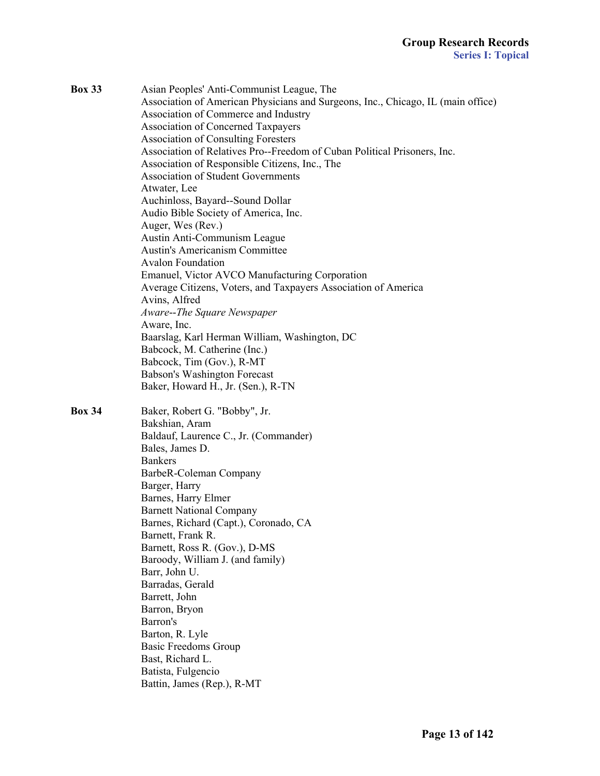| <b>Box 33</b> | Asian Peoples' Anti-Communist League, The<br>Association of American Physicians and Surgeons, Inc., Chicago, IL (main office)<br>Association of Commerce and Industry<br><b>Association of Concerned Taxpayers</b><br><b>Association of Consulting Foresters</b><br>Association of Relatives Pro--Freedom of Cuban Political Prisoners, Inc.<br>Association of Responsible Citizens, Inc., The<br><b>Association of Student Governments</b><br>Atwater, Lee<br>Auchinloss, Bayard--Sound Dollar<br>Audio Bible Society of America, Inc.<br>Auger, Wes (Rev.)<br>Austin Anti-Communism League<br><b>Austin's Americanism Committee</b><br><b>Avalon Foundation</b><br>Emanuel, Victor AVCO Manufacturing Corporation<br>Average Citizens, Voters, and Taxpayers Association of America<br>Avins, Alfred<br>Aware--The Square Newspaper<br>Aware, Inc.<br>Baarslag, Karl Herman William, Washington, DC<br>Babcock, M. Catherine (Inc.)<br>Babcock, Tim (Gov.), R-MT<br>Babson's Washington Forecast<br>Baker, Howard H., Jr. (Sen.), R-TN |
|---------------|------------------------------------------------------------------------------------------------------------------------------------------------------------------------------------------------------------------------------------------------------------------------------------------------------------------------------------------------------------------------------------------------------------------------------------------------------------------------------------------------------------------------------------------------------------------------------------------------------------------------------------------------------------------------------------------------------------------------------------------------------------------------------------------------------------------------------------------------------------------------------------------------------------------------------------------------------------------------------------------------------------------------------------------|
| <b>Box 34</b> | Baker, Robert G. "Bobby", Jr.<br>Bakshian, Aram<br>Baldauf, Laurence C., Jr. (Commander)<br>Bales, James D.<br><b>Bankers</b><br>BarbeR-Coleman Company<br>Barger, Harry<br>Barnes, Harry Elmer<br><b>Barnett National Company</b><br>Barnes, Richard (Capt.), Coronado, CA<br>Barnett, Frank R.<br>Barnett, Ross R. (Gov.), D-MS<br>Baroody, William J. (and family)<br>Barr, John U.<br>Barradas, Gerald<br>Barrett, John<br>Barron, Bryon<br>Barron's<br>Barton, R. Lyle<br><b>Basic Freedoms Group</b><br>Bast, Richard L.<br>Batista, Fulgencio<br>Battin, James (Rep.), R-MT                                                                                                                                                                                                                                                                                                                                                                                                                                                       |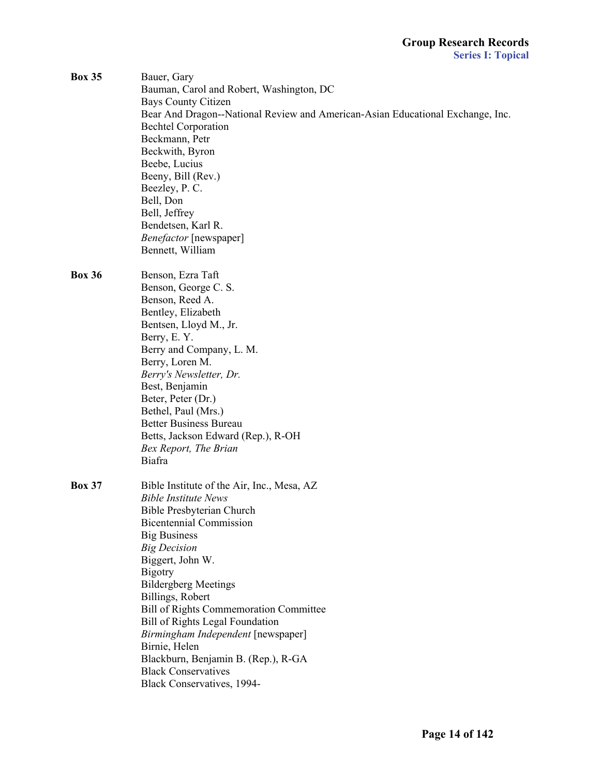| <b>Box 35</b> | Bauer, Gary                                                                    |
|---------------|--------------------------------------------------------------------------------|
|               | Bauman, Carol and Robert, Washington, DC                                       |
|               | <b>Bays County Citizen</b>                                                     |
|               | Bear And Dragon--National Review and American-Asian Educational Exchange, Inc. |
|               | <b>Bechtel Corporation</b>                                                     |
|               | Beckmann, Petr                                                                 |
|               | Beckwith, Byron                                                                |
|               | Beebe, Lucius                                                                  |
|               | Beeny, Bill (Rev.)                                                             |
|               | Beezley, P. C.                                                                 |
|               | Bell, Don                                                                      |
|               | Bell, Jeffrey                                                                  |
|               | Bendetsen, Karl R.                                                             |
|               | Benefactor [newspaper]                                                         |
|               | Bennett, William                                                               |
|               |                                                                                |
| <b>Box 36</b> | Benson, Ezra Taft                                                              |
|               | Benson, George C. S.                                                           |
|               | Benson, Reed A.                                                                |
|               | Bentley, Elizabeth                                                             |
|               | Bentsen, Lloyd M., Jr.                                                         |
|               | Berry, E.Y.                                                                    |
|               | Berry and Company, L. M.                                                       |
|               |                                                                                |
|               | Berry, Loren M.                                                                |
|               | Berry's Newsletter, Dr.                                                        |
|               | Best, Benjamin                                                                 |
|               | Beter, Peter (Dr.)                                                             |
|               | Bethel, Paul (Mrs.)                                                            |
|               | <b>Better Business Bureau</b>                                                  |
|               | Betts, Jackson Edward (Rep.), R-OH                                             |
|               | Bex Report, The Brian                                                          |
|               | Biafra                                                                         |
|               |                                                                                |
| <b>Box 37</b> | Bible Institute of the Air, Inc., Mesa, AZ                                     |
|               | <b>Bible Institute News</b>                                                    |
|               | Bible Presbyterian Church                                                      |
|               | <b>Bicentennial Commission</b>                                                 |
|               | <b>Big Business</b>                                                            |
|               | <b>Big Decision</b>                                                            |
|               | Biggert, John W.                                                               |
|               | <b>Bigotry</b>                                                                 |
|               | <b>Bildergberg Meetings</b>                                                    |
|               | Billings, Robert                                                               |
|               | <b>Bill of Rights Commemoration Committee</b>                                  |
|               | <b>Bill of Rights Legal Foundation</b>                                         |
|               | Birmingham Independent [newspaper]                                             |
|               | Birnie, Helen                                                                  |
|               | Blackburn, Benjamin B. (Rep.), R-GA                                            |
|               | <b>Black Conservatives</b>                                                     |
|               | Black Conservatives, 1994-                                                     |
|               |                                                                                |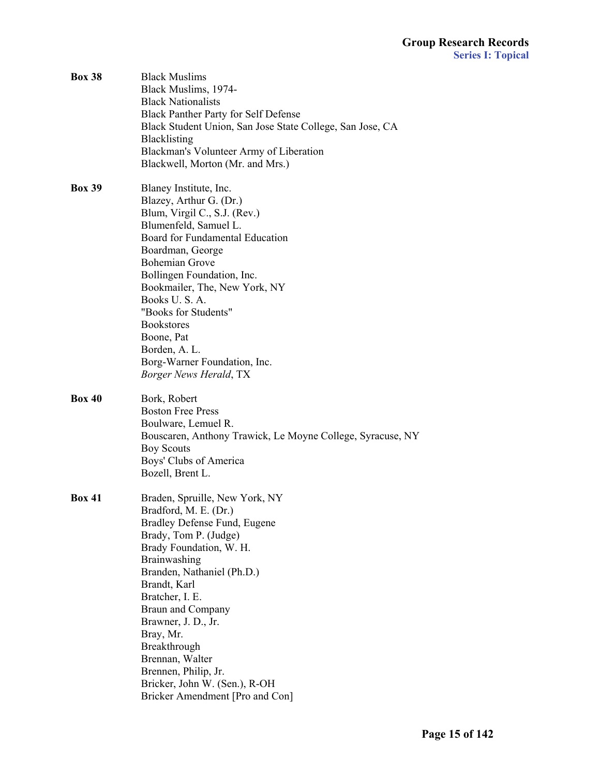| <b>Box 38</b> | <b>Black Muslims</b><br>Black Muslims, 1974-<br><b>Black Nationalists</b><br><b>Black Panther Party for Self Defense</b><br>Black Student Union, San Jose State College, San Jose, CA<br><b>Blacklisting</b><br>Blackman's Volunteer Army of Liberation<br>Blackwell, Morton (Mr. and Mrs.)                                                                                                                                 |
|---------------|-----------------------------------------------------------------------------------------------------------------------------------------------------------------------------------------------------------------------------------------------------------------------------------------------------------------------------------------------------------------------------------------------------------------------------|
| <b>Box 39</b> | Blaney Institute, Inc.<br>Blazey, Arthur G. (Dr.)<br>Blum, Virgil C., S.J. (Rev.)<br>Blumenfeld, Samuel L.<br>Board for Fundamental Education<br>Boardman, George<br><b>Bohemian Grove</b><br>Bollingen Foundation, Inc.<br>Bookmailer, The, New York, NY<br>Books U.S.A.<br>"Books for Students"<br><b>Bookstores</b><br>Boone, Pat<br>Borden, A. L.<br>Borg-Warner Foundation, Inc.<br><b>Borger News Herald, TX</b>      |
| <b>Box 40</b> | Bork, Robert<br><b>Boston Free Press</b><br>Boulware, Lemuel R.<br>Bouscaren, Anthony Trawick, Le Moyne College, Syracuse, NY<br><b>Boy Scouts</b><br>Boys' Clubs of America<br>Bozell, Brent L.                                                                                                                                                                                                                            |
| <b>Box 41</b> | Braden, Spruille, New York, NY<br>Bradford, M. E. (Dr.)<br>Bradley Defense Fund, Eugene<br>Brady, Tom P. (Judge)<br>Brady Foundation, W. H.<br>Brainwashing<br>Branden, Nathaniel (Ph.D.)<br>Brandt, Karl<br>Bratcher, I. E.<br><b>Braun and Company</b><br>Brawner, J. D., Jr.<br>Bray, Mr.<br>Breakthrough<br>Brennan, Walter<br>Brennen, Philip, Jr.<br>Bricker, John W. (Sen.), R-OH<br>Bricker Amendment [Pro and Con] |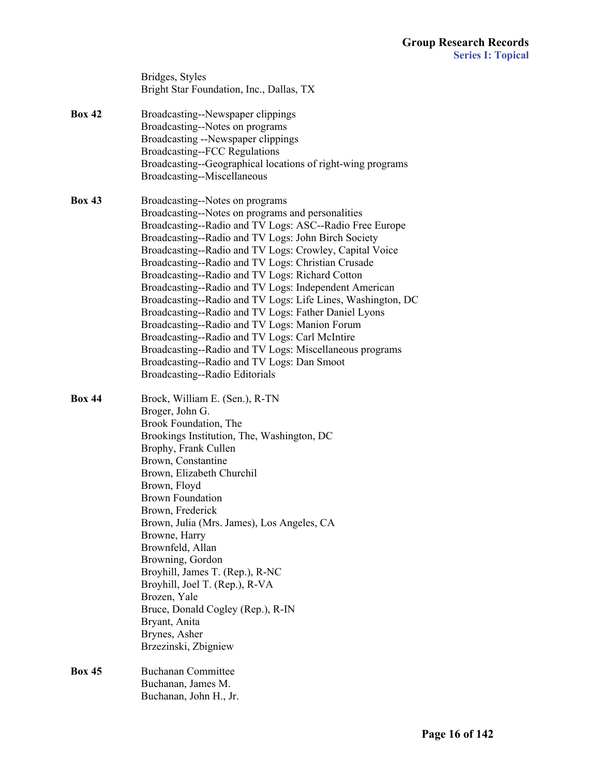|               | Bridges, Styles<br>Bright Star Foundation, Inc., Dallas, TX                                                                                                                                                                                                                                                                                                                                                                                                                                                                                                                                                                                                                                                                                                                                              |
|---------------|----------------------------------------------------------------------------------------------------------------------------------------------------------------------------------------------------------------------------------------------------------------------------------------------------------------------------------------------------------------------------------------------------------------------------------------------------------------------------------------------------------------------------------------------------------------------------------------------------------------------------------------------------------------------------------------------------------------------------------------------------------------------------------------------------------|
| <b>Box 42</b> | Broadcasting--Newspaper clippings<br>Broadcasting--Notes on programs<br>Broadcasting --Newspaper clippings<br><b>Broadcasting--FCC Regulations</b><br>Broadcasting--Geographical locations of right-wing programs<br>Broadcasting--Miscellaneous                                                                                                                                                                                                                                                                                                                                                                                                                                                                                                                                                         |
| <b>Box 43</b> | Broadcasting--Notes on programs<br>Broadcasting--Notes on programs and personalities<br>Broadcasting--Radio and TV Logs: ASC--Radio Free Europe<br>Broadcasting--Radio and TV Logs: John Birch Society<br>Broadcasting--Radio and TV Logs: Crowley, Capital Voice<br>Broadcasting--Radio and TV Logs: Christian Crusade<br>Broadcasting--Radio and TV Logs: Richard Cotton<br>Broadcasting--Radio and TV Logs: Independent American<br>Broadcasting--Radio and TV Logs: Life Lines, Washington, DC<br>Broadcasting--Radio and TV Logs: Father Daniel Lyons<br>Broadcasting--Radio and TV Logs: Manion Forum<br>Broadcasting--Radio and TV Logs: Carl McIntire<br>Broadcasting--Radio and TV Logs: Miscellaneous programs<br>Broadcasting--Radio and TV Logs: Dan Smoot<br>Broadcasting--Radio Editorials |
| <b>Box 44</b> | Brock, William E. (Sen.), R-TN<br>Broger, John G.<br>Brook Foundation, The<br>Brookings Institution, The, Washington, DC<br>Brophy, Frank Cullen<br>Brown, Constantine<br>Brown, Elizabeth Churchil<br>Brown, Floyd<br><b>Brown Foundation</b><br>Brown, Frederick<br>Brown, Julia (Mrs. James), Los Angeles, CA<br>Browne, Harry<br>Brownfeld, Allan<br>Browning, Gordon<br>Broyhill, James T. (Rep.), R-NC<br>Broyhill, Joel T. (Rep.), R-VA<br>Brozen, Yale<br>Bruce, Donald Cogley (Rep.), R-IN<br>Bryant, Anita<br>Brynes, Asher<br>Brzezinski, Zbigniew                                                                                                                                                                                                                                            |
| <b>Box 45</b> | <b>Buchanan Committee</b><br>Buchanan, James M.<br>Buchanan, John H., Jr.                                                                                                                                                                                                                                                                                                                                                                                                                                                                                                                                                                                                                                                                                                                                |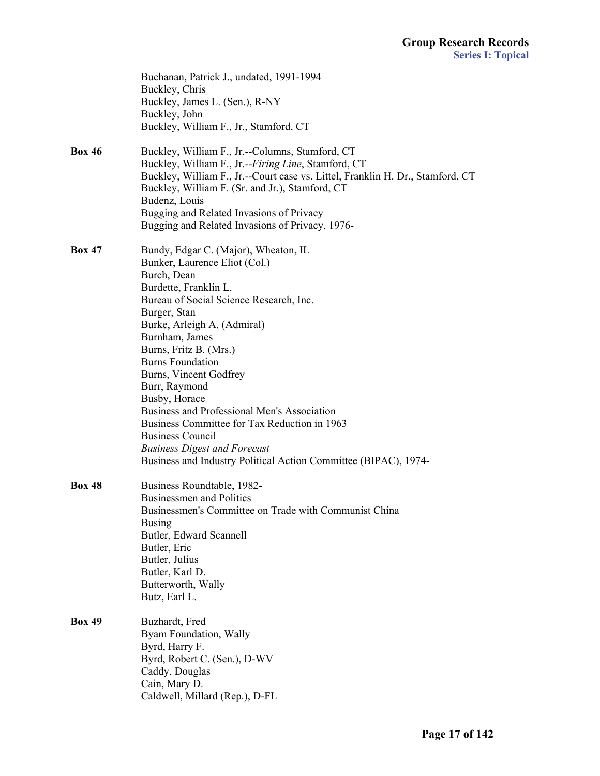|               | Buchanan, Patrick J., undated, 1991-1994<br>Buckley, Chris<br>Buckley, James L. (Sen.), R-NY<br>Buckley, John<br>Buckley, William F., Jr., Stamford, CT                                                                                                                                                                                                                                                                                                                                                                                                                        |
|---------------|--------------------------------------------------------------------------------------------------------------------------------------------------------------------------------------------------------------------------------------------------------------------------------------------------------------------------------------------------------------------------------------------------------------------------------------------------------------------------------------------------------------------------------------------------------------------------------|
| <b>Box 46</b> | Buckley, William F., Jr.--Columns, Stamford, CT<br>Buckley, William F., Jr.--Firing Line, Stamford, CT<br>Buckley, William F., Jr.--Court case vs. Littel, Franklin H. Dr., Stamford, CT<br>Buckley, William F. (Sr. and Jr.), Stamford, CT<br>Budenz, Louis<br>Bugging and Related Invasions of Privacy<br>Bugging and Related Invasions of Privacy, 1976-                                                                                                                                                                                                                    |
| <b>Box 47</b> | Bundy, Edgar C. (Major), Wheaton, IL<br>Bunker, Laurence Eliot (Col.)<br>Burch, Dean<br>Burdette, Franklin L.<br>Bureau of Social Science Research, Inc.<br>Burger, Stan<br>Burke, Arleigh A. (Admiral)<br>Burnham, James<br>Burns, Fritz B. (Mrs.)<br><b>Burns Foundation</b><br>Burns, Vincent Godfrey<br>Burr, Raymond<br>Busby, Horace<br>Business and Professional Men's Association<br>Business Committee for Tax Reduction in 1963<br><b>Business Council</b><br><b>Business Digest and Forecast</b><br>Business and Industry Political Action Committee (BIPAC), 1974- |
| <b>Box 48</b> | Business Roundtable, 1982-<br><b>Businessmen and Politics</b><br>Businessmen's Committee on Trade with Communist China<br><b>Busing</b><br>Butler, Edward Scannell<br>Butler, Eric<br>Butler, Julius<br>Butler, Karl D.<br>Butterworth, Wally<br>Butz, Earl L.                                                                                                                                                                                                                                                                                                                 |
| <b>Box 49</b> | Buzhardt, Fred<br>Byam Foundation, Wally<br>Byrd, Harry F.<br>Byrd, Robert C. (Sen.), D-WV<br>Caddy, Douglas<br>Cain, Mary D.<br>Caldwell, Millard (Rep.), D-FL                                                                                                                                                                                                                                                                                                                                                                                                                |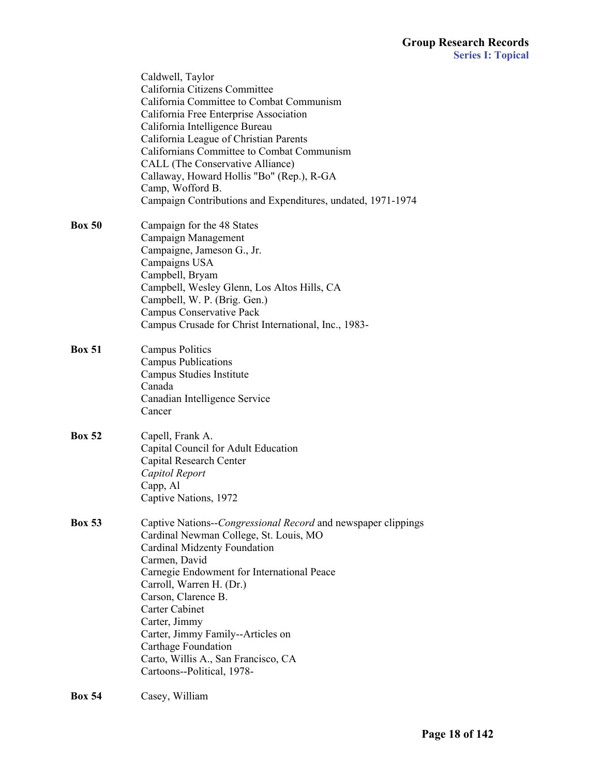|               | Caldwell, Taylor<br>California Citizens Committee<br>California Committee to Combat Communism<br>California Free Enterprise Association<br>California Intelligence Bureau<br>California League of Christian Parents<br>Californians Committee to Combat Communism<br>CALL (The Conservative Alliance)<br>Callaway, Howard Hollis "Bo" (Rep.), R-GA<br>Camp, Wofford B.<br>Campaign Contributions and Expenditures, undated, 1971-1974 |
|---------------|---------------------------------------------------------------------------------------------------------------------------------------------------------------------------------------------------------------------------------------------------------------------------------------------------------------------------------------------------------------------------------------------------------------------------------------|
| <b>Box 50</b> | Campaign for the 48 States<br>Campaign Management<br>Campaigne, Jameson G., Jr.<br>Campaigns USA<br>Campbell, Bryam<br>Campbell, Wesley Glenn, Los Altos Hills, CA<br>Campbell, W. P. (Brig. Gen.)<br>Campus Conservative Pack<br>Campus Crusade for Christ International, Inc., 1983-                                                                                                                                                |
| <b>Box 51</b> | <b>Campus Politics</b><br><b>Campus Publications</b><br>Campus Studies Institute<br>Canada<br>Canadian Intelligence Service<br>Cancer                                                                                                                                                                                                                                                                                                 |
| <b>Box 52</b> | Capell, Frank A.<br>Capital Council for Adult Education<br>Capital Research Center<br>Capitol Report<br>Capp, Al<br>Captive Nations, 1972                                                                                                                                                                                                                                                                                             |
| <b>Box 53</b> | Captive Nations--Congressional Record and newspaper clippings<br>Cardinal Newman College, St. Louis, MO<br>Cardinal Midzenty Foundation<br>Carmen, David<br>Carnegie Endowment for International Peace<br>Carroll, Warren H. (Dr.)<br>Carson, Clarence B.<br><b>Carter Cabinet</b><br>Carter, Jimmy<br>Carter, Jimmy Family--Articles on<br>Carthage Foundation<br>Carto, Willis A., San Francisco, CA<br>Cartoons--Political, 1978-  |

# **Box 54** Casey, William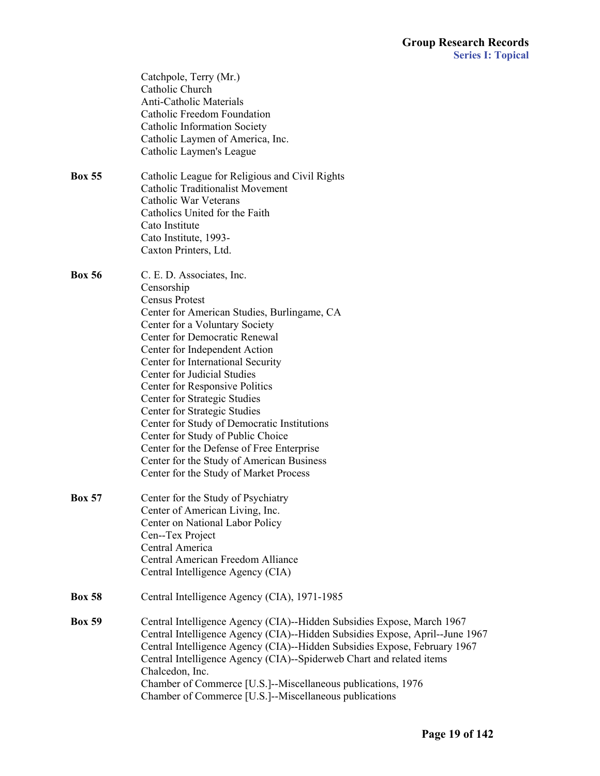|               | Catchpole, Terry (Mr.)<br>Catholic Church<br><b>Anti-Catholic Materials</b><br>Catholic Freedom Foundation<br><b>Catholic Information Society</b><br>Catholic Laymen of America, Inc.<br>Catholic Laymen's League                                                                                                                                                                                                                                                                                                                                                                                                        |
|---------------|--------------------------------------------------------------------------------------------------------------------------------------------------------------------------------------------------------------------------------------------------------------------------------------------------------------------------------------------------------------------------------------------------------------------------------------------------------------------------------------------------------------------------------------------------------------------------------------------------------------------------|
| <b>Box 55</b> | Catholic League for Religious and Civil Rights<br><b>Catholic Traditionalist Movement</b><br>Catholic War Veterans<br>Catholics United for the Faith<br>Cato Institute<br>Cato Institute, 1993-<br>Caxton Printers, Ltd.                                                                                                                                                                                                                                                                                                                                                                                                 |
| <b>Box 56</b> | C. E. D. Associates, Inc.<br>Censorship<br><b>Census Protest</b><br>Center for American Studies, Burlingame, CA<br>Center for a Voluntary Society<br><b>Center for Democratic Renewal</b><br>Center for Independent Action<br>Center for International Security<br>Center for Judicial Studies<br>Center for Responsive Politics<br>Center for Strategic Studies<br>Center for Strategic Studies<br>Center for Study of Democratic Institutions<br>Center for Study of Public Choice<br>Center for the Defense of Free Enterprise<br>Center for the Study of American Business<br>Center for the Study of Market Process |
| <b>Box 57</b> | Center for the Study of Psychiatry<br>Center of American Living, Inc.<br>Center on National Labor Policy<br>Cen--Tex Project<br>Central America<br>Central American Freedom Alliance<br>Central Intelligence Agency (CIA)                                                                                                                                                                                                                                                                                                                                                                                                |
| <b>Box 58</b> | Central Intelligence Agency (CIA), 1971-1985                                                                                                                                                                                                                                                                                                                                                                                                                                                                                                                                                                             |
| <b>Box 59</b> | Central Intelligence Agency (CIA)--Hidden Subsidies Expose, March 1967<br>Central Intelligence Agency (CIA)--Hidden Subsidies Expose, April--June 1967<br>Central Intelligence Agency (CIA)--Hidden Subsidies Expose, February 1967<br>Central Intelligence Agency (CIA)--Spiderweb Chart and related items<br>Chalcedon, Inc.<br>Chamber of Commerce [U.S.]--Miscellaneous publications, 1976<br>Chamber of Commerce [U.S.]--Miscellaneous publications                                                                                                                                                                 |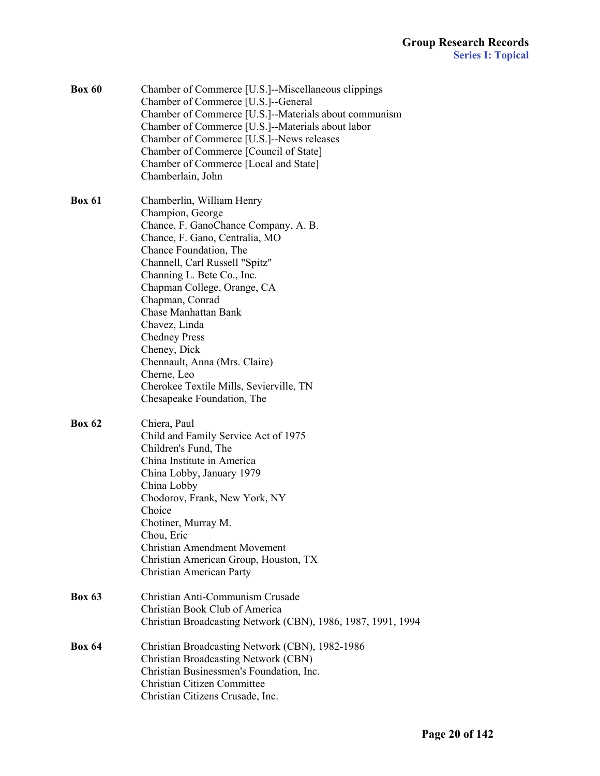| <b>Box 60</b> | Chamber of Commerce [U.S.]--Miscellaneous clippings<br>Chamber of Commerce [U.S.]--General<br>Chamber of Commerce [U.S.]--Materials about communism<br>Chamber of Commerce [U.S.]--Materials about labor<br>Chamber of Commerce [U.S.]--News releases<br>Chamber of Commerce [Council of State]<br>Chamber of Commerce [Local and State]<br>Chamberlain, John                                                                                                                        |  |
|---------------|--------------------------------------------------------------------------------------------------------------------------------------------------------------------------------------------------------------------------------------------------------------------------------------------------------------------------------------------------------------------------------------------------------------------------------------------------------------------------------------|--|
| <b>Box 61</b> | Chamberlin, William Henry<br>Champion, George<br>Chance, F. GanoChance Company, A. B.<br>Chance, F. Gano, Centralia, MO<br>Chance Foundation, The<br>Channell, Carl Russell "Spitz"<br>Channing L. Bete Co., Inc.<br>Chapman College, Orange, CA<br>Chapman, Conrad<br><b>Chase Manhattan Bank</b><br>Chavez, Linda<br><b>Chedney Press</b><br>Cheney, Dick<br>Chennault, Anna (Mrs. Claire)<br>Cherne, Leo<br>Cherokee Textile Mills, Sevierville, TN<br>Chesapeake Foundation, The |  |
| <b>Box 62</b> | Chiera, Paul<br>Child and Family Service Act of 1975<br>Children's Fund, The<br>China Institute in America<br>China Lobby, January 1979<br>China Lobby<br>Chodorov, Frank, New York, NY<br>Choice<br>Chotiner, Murray M.<br>Chou, Eric<br><b>Christian Amendment Movement</b><br>Christian American Group, Houston, TX<br>Christian American Party                                                                                                                                   |  |
| <b>Box 63</b> | Christian Anti-Communism Crusade<br>Christian Book Club of America<br>Christian Broadcasting Network (CBN), 1986, 1987, 1991, 1994                                                                                                                                                                                                                                                                                                                                                   |  |
| <b>Box 64</b> | Christian Broadcasting Network (CBN), 1982-1986<br><b>Christian Broadcasting Network (CBN)</b><br>Christian Businessmen's Foundation, Inc.<br>Christian Citizen Committee<br>Christian Citizens Crusade, Inc.                                                                                                                                                                                                                                                                        |  |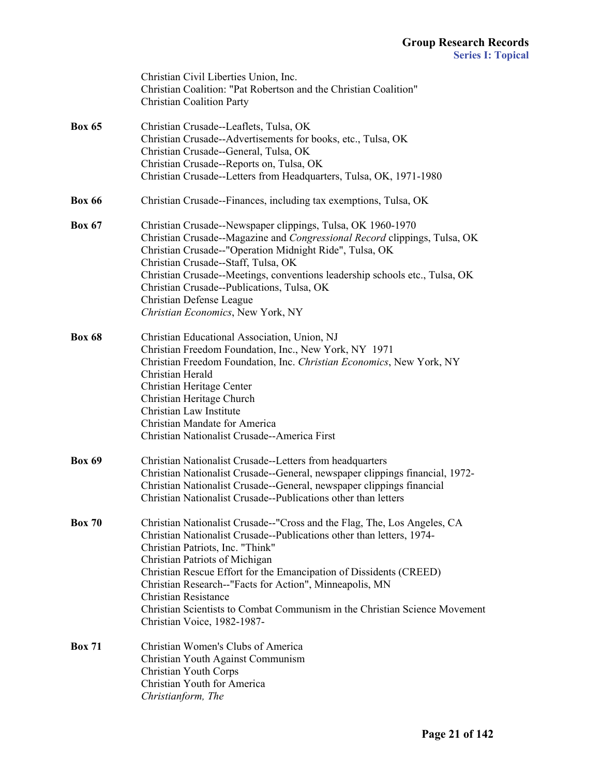|               | Christian Civil Liberties Union, Inc.<br>Christian Coalition: "Pat Robertson and the Christian Coalition"<br><b>Christian Coalition Party</b>                                                                                                                                                                                                                                                                                                                                                        |
|---------------|------------------------------------------------------------------------------------------------------------------------------------------------------------------------------------------------------------------------------------------------------------------------------------------------------------------------------------------------------------------------------------------------------------------------------------------------------------------------------------------------------|
| <b>Box 65</b> | Christian Crusade--Leaflets, Tulsa, OK<br>Christian Crusade--Advertisements for books, etc., Tulsa, OK<br>Christian Crusade--General, Tulsa, OK<br>Christian Crusade--Reports on, Tulsa, OK<br>Christian Crusade--Letters from Headquarters, Tulsa, OK, 1971-1980                                                                                                                                                                                                                                    |
| <b>Box 66</b> | Christian Crusade--Finances, including tax exemptions, Tulsa, OK                                                                                                                                                                                                                                                                                                                                                                                                                                     |
| <b>Box 67</b> | Christian Crusade--Newspaper clippings, Tulsa, OK 1960-1970<br>Christian Crusade--Magazine and Congressional Record clippings, Tulsa, OK<br>Christian Crusade--"Operation Midnight Ride", Tulsa, OK<br>Christian Crusade--Staff, Tulsa, OK<br>Christian Crusade--Meetings, conventions leadership schools etc., Tulsa, OK<br>Christian Crusade--Publications, Tulsa, OK<br>Christian Defense League<br>Christian Economics, New York, NY                                                             |
| <b>Box 68</b> | Christian Educational Association, Union, NJ<br>Christian Freedom Foundation, Inc., New York, NY 1971<br>Christian Freedom Foundation, Inc. Christian Economics, New York, NY<br>Christian Herald<br>Christian Heritage Center<br>Christian Heritage Church<br>Christian Law Institute<br>Christian Mandate for America<br>Christian Nationalist Crusade--America First                                                                                                                              |
| <b>Box 69</b> | Christian Nationalist Crusade--Letters from headquarters<br>Christian Nationalist Crusade--General, newspaper clippings financial, 1972-<br>Christian Nationalist Crusade--General, newspaper clippings financial<br>Christian Nationalist Crusade--Publications other than letters                                                                                                                                                                                                                  |
| <b>Box 70</b> | Christian Nationalist Crusade--"Cross and the Flag, The, Los Angeles, CA<br>Christian Nationalist Crusade--Publications other than letters, 1974-<br>Christian Patriots, Inc. "Think"<br>Christian Patriots of Michigan<br>Christian Rescue Effort for the Emancipation of Dissidents (CREED)<br>Christian Research--"Facts for Action", Minneapolis, MN<br><b>Christian Resistance</b><br>Christian Scientists to Combat Communism in the Christian Science Movement<br>Christian Voice, 1982-1987- |
| <b>Box 71</b> | Christian Women's Clubs of America<br>Christian Youth Against Communism<br>Christian Youth Corps<br>Christian Youth for America<br>Christianform, The                                                                                                                                                                                                                                                                                                                                                |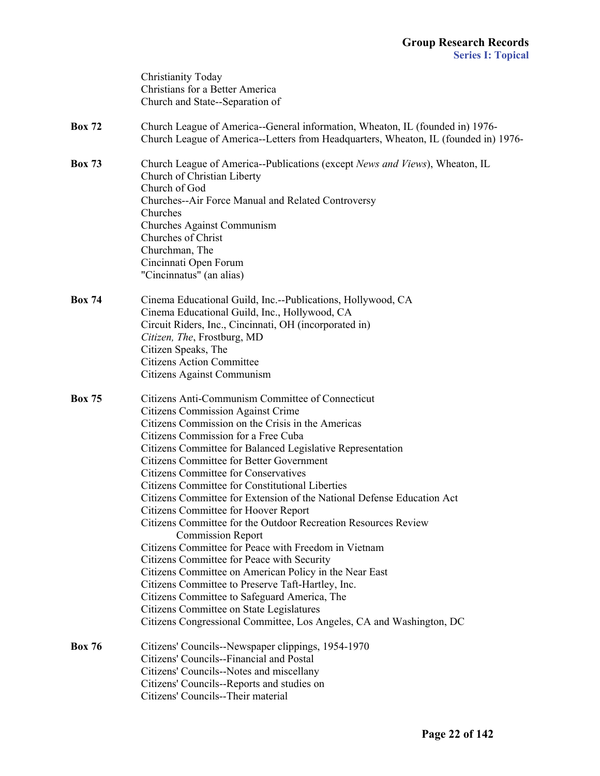|               | Christianity Today<br>Christians for a Better America<br>Church and State--Separation of                                                                             |
|---------------|----------------------------------------------------------------------------------------------------------------------------------------------------------------------|
| <b>Box 72</b> | Church League of America--General information, Wheaton, IL (founded in) 1976-<br>Church League of America--Letters from Headquarters, Wheaton, IL (founded in) 1976- |
| <b>Box 73</b> | Church League of America--Publications (except News and Views), Wheaton, IL<br>Church of Christian Liberty<br>Church of God                                          |
|               | Churches--Air Force Manual and Related Controversy<br>Churches                                                                                                       |
|               | Churches Against Communism                                                                                                                                           |
|               | Churches of Christ                                                                                                                                                   |
|               | Churchman, The                                                                                                                                                       |
|               | Cincinnati Open Forum<br>"Cincinnatus" (an alias)                                                                                                                    |
| <b>Box 74</b> | Cinema Educational Guild, Inc.--Publications, Hollywood, CA                                                                                                          |
|               | Cinema Educational Guild, Inc., Hollywood, CA                                                                                                                        |
|               | Circuit Riders, Inc., Cincinnati, OH (incorporated in)                                                                                                               |
|               | Citizen, The, Frostburg, MD<br>Citizen Speaks, The                                                                                                                   |
|               | <b>Citizens Action Committee</b>                                                                                                                                     |
|               | Citizens Against Communism                                                                                                                                           |
| <b>Box 75</b> | Citizens Anti-Communism Committee of Connecticut                                                                                                                     |
|               | <b>Citizens Commission Against Crime</b>                                                                                                                             |
|               | Citizens Commission on the Crisis in the Americas                                                                                                                    |
|               | Citizens Commission for a Free Cuba<br>Citizens Committee for Balanced Legislative Representation                                                                    |
|               | <b>Citizens Committee for Better Government</b>                                                                                                                      |
|               | <b>Citizens Committee for Conservatives</b>                                                                                                                          |
|               | <b>Citizens Committee for Constitutional Liberties</b>                                                                                                               |
|               | Citizens Committee for Extension of the National Defense Education Act                                                                                               |
|               | <b>Citizens Committee for Hoover Report</b>                                                                                                                          |
|               | Citizens Committee for the Outdoor Recreation Resources Review                                                                                                       |
|               | <b>Commission Report</b>                                                                                                                                             |
|               | Citizens Committee for Peace with Freedom in Vietnam<br>Citizens Committee for Peace with Security                                                                   |
|               | Citizens Committee on American Policy in the Near East                                                                                                               |
|               | Citizens Committee to Preserve Taft-Hartley, Inc.                                                                                                                    |
|               | Citizens Committee to Safeguard America, The                                                                                                                         |
|               | Citizens Committee on State Legislatures                                                                                                                             |
|               | Citizens Congressional Committee, Los Angeles, CA and Washington, DC                                                                                                 |
| <b>Box 76</b> | Citizens' Councils--Newspaper clippings, 1954-1970                                                                                                                   |
|               | Citizens' Councils--Financial and Postal                                                                                                                             |
|               | Citizens' Councils--Notes and miscellany<br>Citizens' Councils--Reports and studies on                                                                               |
|               | Citizens' Councils--Their material                                                                                                                                   |
|               |                                                                                                                                                                      |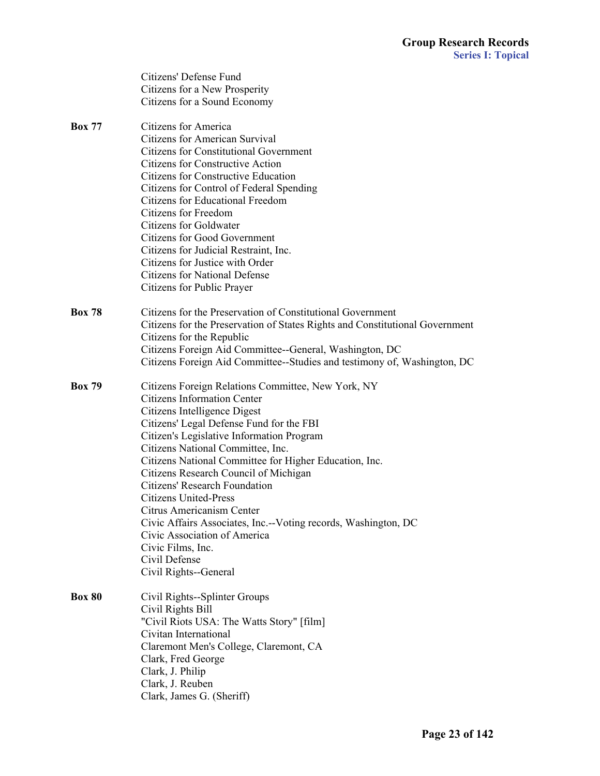|               | Citizens' Defense Fund                                                       |
|---------------|------------------------------------------------------------------------------|
|               | Citizens for a New Prosperity                                                |
|               | Citizens for a Sound Economy                                                 |
| <b>Box 77</b> | <b>Citizens for America</b>                                                  |
|               | <b>Citizens for American Survival</b>                                        |
|               | <b>Citizens for Constitutional Government</b>                                |
|               | <b>Citizens for Constructive Action</b>                                      |
|               | <b>Citizens for Constructive Education</b>                                   |
|               | Citizens for Control of Federal Spending                                     |
|               | <b>Citizens for Educational Freedom</b>                                      |
|               | Citizens for Freedom                                                         |
|               | <b>Citizens for Goldwater</b>                                                |
|               | <b>Citizens for Good Government</b>                                          |
|               | Citizens for Judicial Restraint, Inc.                                        |
|               | Citizens for Justice with Order                                              |
|               | <b>Citizens for National Defense</b>                                         |
|               | Citizens for Public Prayer                                                   |
| <b>Box 78</b> | Citizens for the Preservation of Constitutional Government                   |
|               | Citizens for the Preservation of States Rights and Constitutional Government |
|               | Citizens for the Republic                                                    |
|               | Citizens Foreign Aid Committee--General, Washington, DC                      |
|               | Citizens Foreign Aid Committee--Studies and testimony of, Washington, DC     |
| <b>Box 79</b> | Citizens Foreign Relations Committee, New York, NY                           |
|               | <b>Citizens Information Center</b>                                           |
|               | Citizens Intelligence Digest                                                 |
|               | Citizens' Legal Defense Fund for the FBI                                     |
|               | Citizen's Legislative Information Program                                    |
|               | Citizens National Committee, Inc.                                            |
|               | Citizens National Committee for Higher Education, Inc.                       |
|               | Citizens Research Council of Michigan                                        |
|               | Citizens' Research Foundation                                                |
|               | <b>Citizens United-Press</b>                                                 |
|               | Citrus Americanism Center                                                    |
|               | Civic Affairs Associates, Inc.--Voting records, Washington, DC               |
|               | Civic Association of America                                                 |
|               | Civic Films, Inc.                                                            |
|               | Civil Defense                                                                |
|               | Civil Rights--General                                                        |
| <b>Box 80</b> | Civil Rights--Splinter Groups                                                |
|               | Civil Rights Bill                                                            |
|               | "Civil Riots USA: The Watts Story" [film]                                    |
|               | Civitan International                                                        |
|               | Claremont Men's College, Claremont, CA                                       |
|               | Clark, Fred George                                                           |
|               | Clark, J. Philip                                                             |
|               | Clark, J. Reuben                                                             |
|               | Clark, James G. (Sheriff)                                                    |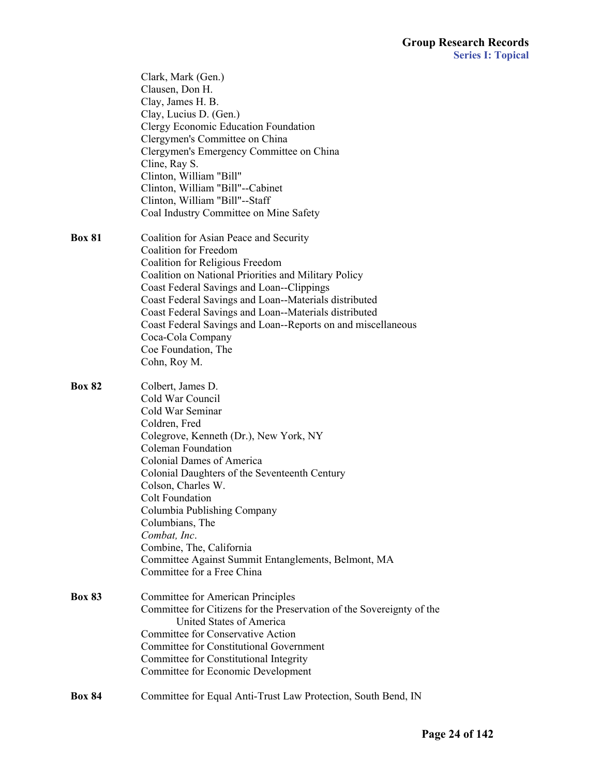|               | Clark, Mark (Gen.)<br>Clausen, Don H.<br>Clay, James H. B.<br>Clay, Lucius D. (Gen.)<br>Clergy Economic Education Foundation<br>Clergymen's Committee on China<br>Clergymen's Emergency Committee on China<br>Cline, Ray S.<br>Clinton, William "Bill"<br>Clinton, William "Bill"--Cabinet<br>Clinton, William "Bill"--Staff<br>Coal Industry Committee on Mine Safety                                                                                                    |
|---------------|---------------------------------------------------------------------------------------------------------------------------------------------------------------------------------------------------------------------------------------------------------------------------------------------------------------------------------------------------------------------------------------------------------------------------------------------------------------------------|
| <b>Box 81</b> | Coalition for Asian Peace and Security<br><b>Coalition for Freedom</b><br>Coalition for Religious Freedom<br>Coalition on National Priorities and Military Policy<br>Coast Federal Savings and Loan--Clippings<br>Coast Federal Savings and Loan--Materials distributed<br>Coast Federal Savings and Loan--Materials distributed<br>Coast Federal Savings and Loan--Reports on and miscellaneous<br>Coca-Cola Company<br>Coe Foundation, The<br>Cohn, Roy M.              |
| <b>Box 82</b> | Colbert, James D.<br>Cold War Council<br>Cold War Seminar<br>Coldren, Fred<br>Colegrove, Kenneth (Dr.), New York, NY<br><b>Coleman Foundation</b><br><b>Colonial Dames of America</b><br>Colonial Daughters of the Seventeenth Century<br>Colson, Charles W.<br><b>Colt Foundation</b><br>Columbia Publishing Company<br>Columbians, The<br>Combat, Inc.<br>Combine, The, California<br>Committee Against Summit Entanglements, Belmont, MA<br>Committee for a Free China |
| <b>Box 83</b> | Committee for American Principles<br>Committee for Citizens for the Preservation of the Sovereignty of the<br>United States of America<br>Committee for Conservative Action<br><b>Committee for Constitutional Government</b><br>Committee for Constitutional Integrity<br>Committee for Economic Development                                                                                                                                                             |
| <b>Box 84</b> | Committee for Equal Anti-Trust Law Protection, South Bend, IN                                                                                                                                                                                                                                                                                                                                                                                                             |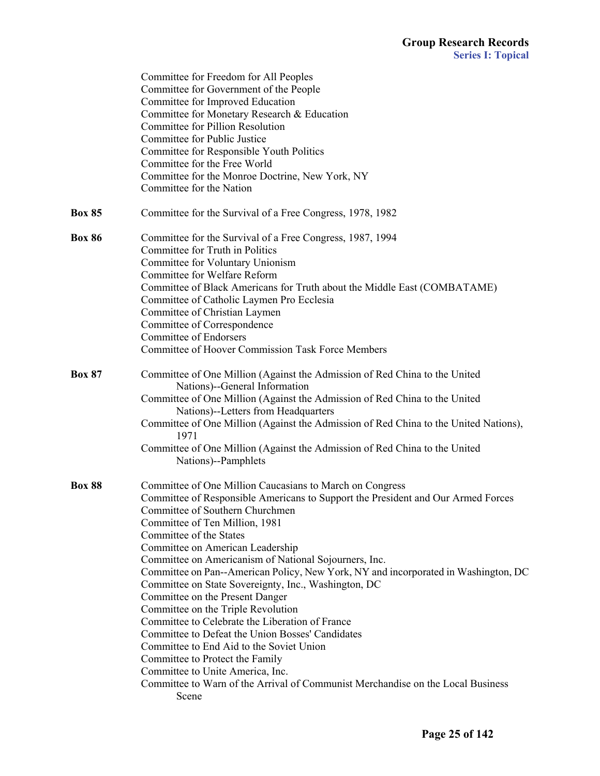|               | Committee for Freedom for All Peoples<br>Committee for Government of the People<br>Committee for Improved Education<br>Committee for Monetary Research & Education<br>Committee for Pillion Resolution<br>Committee for Public Justice<br>Committee for Responsible Youth Politics<br>Committee for the Free World<br>Committee for the Monroe Doctrine, New York, NY<br>Committee for the Nation                                                                                                                                                                                                                                                                                                                                                                                                                                                                                      |
|---------------|----------------------------------------------------------------------------------------------------------------------------------------------------------------------------------------------------------------------------------------------------------------------------------------------------------------------------------------------------------------------------------------------------------------------------------------------------------------------------------------------------------------------------------------------------------------------------------------------------------------------------------------------------------------------------------------------------------------------------------------------------------------------------------------------------------------------------------------------------------------------------------------|
| <b>Box 85</b> | Committee for the Survival of a Free Congress, 1978, 1982                                                                                                                                                                                                                                                                                                                                                                                                                                                                                                                                                                                                                                                                                                                                                                                                                              |
| <b>Box 86</b> | Committee for the Survival of a Free Congress, 1987, 1994<br>Committee for Truth in Politics<br>Committee for Voluntary Unionism<br>Committee for Welfare Reform<br>Committee of Black Americans for Truth about the Middle East (COMBATAME)<br>Committee of Catholic Laymen Pro Ecclesia<br>Committee of Christian Laymen<br>Committee of Correspondence<br><b>Committee of Endorsers</b><br><b>Committee of Hoover Commission Task Force Members</b>                                                                                                                                                                                                                                                                                                                                                                                                                                 |
| <b>Box 87</b> | Committee of One Million (Against the Admission of Red China to the United<br>Nations)--General Information<br>Committee of One Million (Against the Admission of Red China to the United<br>Nations)--Letters from Headquarters<br>Committee of One Million (Against the Admission of Red China to the United Nations),<br>1971<br>Committee of One Million (Against the Admission of Red China to the United<br>Nations)--Pamphlets                                                                                                                                                                                                                                                                                                                                                                                                                                                  |
| <b>Box 88</b> | Committee of One Million Caucasians to March on Congress<br>Committee of Responsible Americans to Support the President and Our Armed Forces<br>Committee of Southern Churchmen<br>Committee of Ten Million, 1981<br>Committee of the States<br>Committee on American Leadership<br>Committee on Americanism of National Sojourners, Inc.<br>Committee on Pan--American Policy, New York, NY and incorporated in Washington, DC<br>Committee on State Sovereignty, Inc., Washington, DC<br>Committee on the Present Danger<br>Committee on the Triple Revolution<br>Committee to Celebrate the Liberation of France<br>Committee to Defeat the Union Bosses' Candidates<br>Committee to End Aid to the Soviet Union<br>Committee to Protect the Family<br>Committee to Unite America, Inc.<br>Committee to Warn of the Arrival of Communist Merchandise on the Local Business<br>Scene |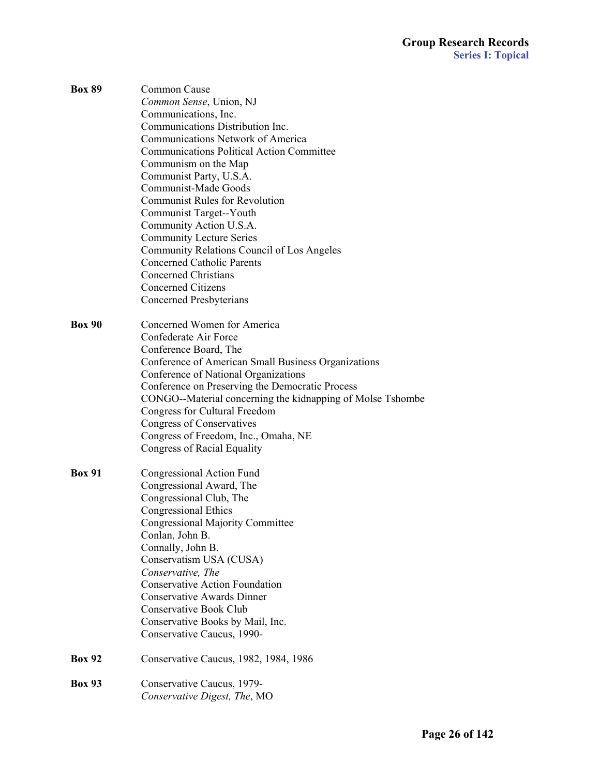| <b>Box 89</b> | Common Cause                                               |
|---------------|------------------------------------------------------------|
|               | Common Sense, Union, NJ                                    |
|               | Communications, Inc.                                       |
|               | Communications Distribution Inc.                           |
|               | <b>Communications Network of America</b>                   |
|               | <b>Communications Political Action Committee</b>           |
|               | Communism on the Map                                       |
|               | Communist Party, U.S.A.                                    |
|               | Communist-Made Goods                                       |
|               | <b>Communist Rules for Revolution</b>                      |
|               | Communist Target--Youth                                    |
|               | Community Action U.S.A.                                    |
|               | <b>Community Lecture Series</b>                            |
|               | Community Relations Council of Los Angeles                 |
|               | <b>Concerned Catholic Parents</b>                          |
|               | <b>Concerned Christians</b>                                |
|               | <b>Concerned Citizens</b>                                  |
|               |                                                            |
|               | Concerned Presbyterians                                    |
| <b>Box 90</b> | Concerned Women for America                                |
|               | Confederate Air Force                                      |
|               | Conference Board, The                                      |
|               | Conference of American Small Business Organizations        |
|               | Conference of National Organizations                       |
|               | Conference on Preserving the Democratic Process            |
|               |                                                            |
|               | CONGO--Material concerning the kidnapping of Molse Tshombe |
|               | <b>Congress for Cultural Freedom</b>                       |
|               | Congress of Conservatives                                  |
|               | Congress of Freedom, Inc., Omaha, NE                       |
|               | Congress of Racial Equality                                |
| <b>Box 91</b> | Congressional Action Fund                                  |
|               | Congressional Award, The                                   |
|               | Congressional Club, The                                    |
|               | <b>Congressional Ethics</b>                                |
|               | <b>Congressional Majority Committee</b>                    |
|               | Conlan, John B.                                            |
|               | Connally, John B.                                          |
|               | Conservatism USA (CUSA)                                    |
|               | Conservative, The                                          |
|               | <b>Conservative Action Foundation</b>                      |
|               | <b>Conservative Awards Dinner</b>                          |
|               | <b>Conservative Book Club</b>                              |
|               |                                                            |
|               | Conservative Books by Mail, Inc.                           |
|               | Conservative Caucus, 1990-                                 |
| <b>Box 92</b> | Conservative Caucus, 1982, 1984, 1986                      |
| <b>Box 93</b> | Conservative Caucus, 1979-                                 |
|               | Conservative Digest, The, MO                               |
|               |                                                            |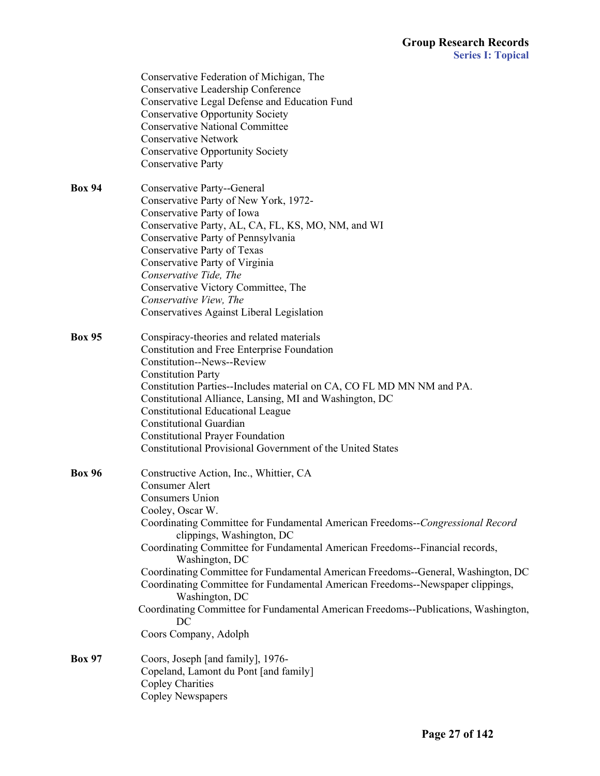|               | Conservative Federation of Michigan, The                                            |
|---------------|-------------------------------------------------------------------------------------|
|               | Conservative Leadership Conference                                                  |
|               | Conservative Legal Defense and Education Fund                                       |
|               | <b>Conservative Opportunity Society</b>                                             |
|               | <b>Conservative National Committee</b>                                              |
|               | <b>Conservative Network</b>                                                         |
|               | <b>Conservative Opportunity Society</b>                                             |
|               | <b>Conservative Party</b>                                                           |
|               |                                                                                     |
| <b>Box 94</b> | Conservative Party--General                                                         |
|               | Conservative Party of New York, 1972-                                               |
|               | Conservative Party of Iowa                                                          |
|               | Conservative Party, AL, CA, FL, KS, MO, NM, and WI                                  |
|               | Conservative Party of Pennsylvania                                                  |
|               | Conservative Party of Texas                                                         |
|               | Conservative Party of Virginia                                                      |
|               | Conservative Tide, The                                                              |
|               | Conservative Victory Committee, The                                                 |
|               | Conservative View, The                                                              |
|               | Conservatives Against Liberal Legislation                                           |
|               |                                                                                     |
| <b>Box 95</b> | Conspiracy-theories and related materials                                           |
|               | Constitution and Free Enterprise Foundation                                         |
|               | Constitution--News--Review                                                          |
|               | <b>Constitution Party</b>                                                           |
|               | Constitution Parties--Includes material on CA, CO FL MD MN NM and PA.               |
|               | Constitutional Alliance, Lansing, MI and Washington, DC                             |
|               | <b>Constitutional Educational League</b>                                            |
|               | <b>Constitutional Guardian</b>                                                      |
|               | <b>Constitutional Prayer Foundation</b>                                             |
|               | Constitutional Provisional Government of the United States                          |
|               |                                                                                     |
| <b>Box 96</b> | Constructive Action, Inc., Whittier, CA                                             |
|               | <b>Consumer Alert</b>                                                               |
|               | <b>Consumers Union</b>                                                              |
|               | Cooley, Oscar W.                                                                    |
|               | Coordinating Committee for Fundamental American Freedoms--Congressional Record      |
|               | clippings, Washington, DC                                                           |
|               | Coordinating Committee for Fundamental American Freedoms--Financial records,        |
|               | Washington, DC                                                                      |
|               | Coordinating Committee for Fundamental American Freedoms--General, Washington, DC   |
|               | Coordinating Committee for Fundamental American Freedoms--Newspaper clippings,      |
|               | Washington, DC                                                                      |
|               | Coordinating Committee for Fundamental American Freedoms--Publications, Washington, |
|               | DC                                                                                  |
|               | Coors Company, Adolph                                                               |
| <b>Box 97</b> |                                                                                     |
|               | Coors, Joseph [and family], 1976-                                                   |
|               | Copeland, Lamont du Pont [and family]                                               |
|               | <b>Copley Charities</b>                                                             |
|               | Copley Newspapers                                                                   |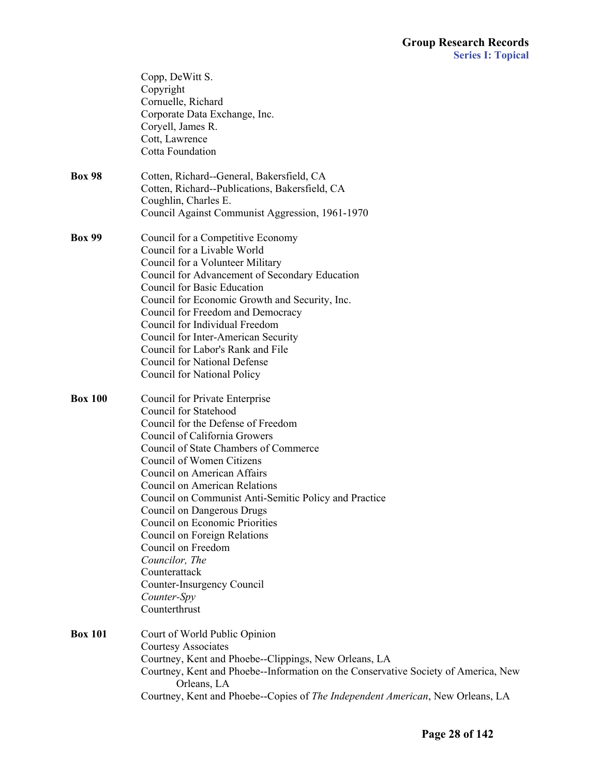|                | Copp, DeWitt S.<br>Copyright<br>Cornuelle, Richard<br>Corporate Data Exchange, Inc.<br>Coryell, James R.<br>Cott, Lawrence<br>Cotta Foundation                                                                                                                                                                                                                                                                                                                                                                                                       |
|----------------|------------------------------------------------------------------------------------------------------------------------------------------------------------------------------------------------------------------------------------------------------------------------------------------------------------------------------------------------------------------------------------------------------------------------------------------------------------------------------------------------------------------------------------------------------|
| <b>Box 98</b>  | Cotten, Richard--General, Bakersfield, CA<br>Cotten, Richard--Publications, Bakersfield, CA<br>Coughlin, Charles E.<br>Council Against Communist Aggression, 1961-1970                                                                                                                                                                                                                                                                                                                                                                               |
| <b>Box 99</b>  | Council for a Competitive Economy<br>Council for a Livable World<br>Council for a Volunteer Military<br>Council for Advancement of Secondary Education<br>Council for Basic Education<br>Council for Economic Growth and Security, Inc.<br>Council for Freedom and Democracy<br>Council for Individual Freedom<br>Council for Inter-American Security<br>Council for Labor's Rank and File<br><b>Council for National Defense</b><br>Council for National Policy                                                                                     |
| <b>Box 100</b> | Council for Private Enterprise<br>Council for Statehood<br>Council for the Defense of Freedom<br>Council of California Growers<br>Council of State Chambers of Commerce<br>Council of Women Citizens<br>Council on American Affairs<br>Council on American Relations<br>Council on Communist Anti-Semitic Policy and Practice<br>Council on Dangerous Drugs<br>Council on Economic Priorities<br>Council on Foreign Relations<br>Council on Freedom<br>Councilor, The<br>Counterattack<br>Counter-Insurgency Council<br>Counter-Spy<br>Counterthrust |
| <b>Box 101</b> | Court of World Public Opinion<br><b>Courtesy Associates</b><br>Courtney, Kent and Phoebe--Clippings, New Orleans, LA<br>Courtney, Kent and Phoebe--Information on the Conservative Society of America, New<br>Orleans, LA<br>Courtney, Kent and Phoebe--Copies of The Independent American, New Orleans, LA                                                                                                                                                                                                                                          |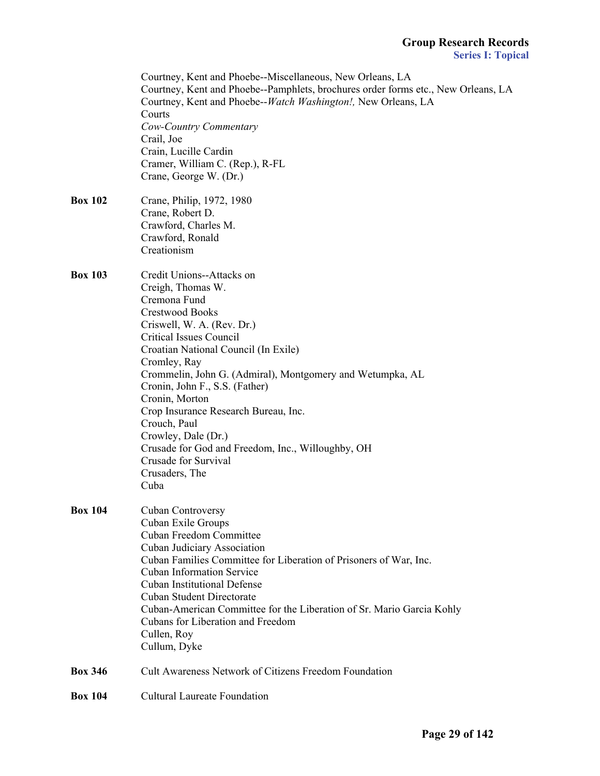|                | Courtney, Kent and Phoebe--Miscellaneous, New Orleans, LA<br>Courtney, Kent and Phoebe--Pamphlets, brochures order forms etc., New Orleans, LA<br>Courtney, Kent and Phoebe--Watch Washington!, New Orleans, LA<br>Courts<br>Cow-Country Commentary<br>Crail, Joe<br>Crain, Lucille Cardin<br>Cramer, William C. (Rep.), R-FL<br>Crane, George W. (Dr.)                                                                                                                                                                 |
|----------------|-------------------------------------------------------------------------------------------------------------------------------------------------------------------------------------------------------------------------------------------------------------------------------------------------------------------------------------------------------------------------------------------------------------------------------------------------------------------------------------------------------------------------|
| <b>Box 102</b> | Crane, Philip, 1972, 1980<br>Crane, Robert D.<br>Crawford, Charles M.<br>Crawford, Ronald<br>Creationism                                                                                                                                                                                                                                                                                                                                                                                                                |
| <b>Box 103</b> | Credit Unions--Attacks on<br>Creigh, Thomas W.<br>Cremona Fund<br><b>Crestwood Books</b><br>Criswell, W. A. (Rev. Dr.)<br><b>Critical Issues Council</b><br>Croatian National Council (In Exile)<br>Cromley, Ray<br>Crommelin, John G. (Admiral), Montgomery and Wetumpka, AL<br>Cronin, John F., S.S. (Father)<br>Cronin, Morton<br>Crop Insurance Research Bureau, Inc.<br>Crouch, Paul<br>Crowley, Dale (Dr.)<br>Crusade for God and Freedom, Inc., Willoughby, OH<br>Crusade for Survival<br>Crusaders, The<br>Cuba |
| <b>Box 104</b> | Cuban Controversy<br>Cuban Exile Groups<br><b>Cuban Freedom Committee</b><br>Cuban Judiciary Association<br>Cuban Families Committee for Liberation of Prisoners of War, Inc.<br><b>Cuban Information Service</b><br><b>Cuban Institutional Defense</b><br><b>Cuban Student Directorate</b><br>Cuban-American Committee for the Liberation of Sr. Mario Garcia Kohly<br>Cubans for Liberation and Freedom<br>Cullen, Roy<br>Cullum, Dyke                                                                                |
| <b>Box 346</b> | <b>Cult Awareness Network of Citizens Freedom Foundation</b>                                                                                                                                                                                                                                                                                                                                                                                                                                                            |
| <b>Box 104</b> | <b>Cultural Laureate Foundation</b>                                                                                                                                                                                                                                                                                                                                                                                                                                                                                     |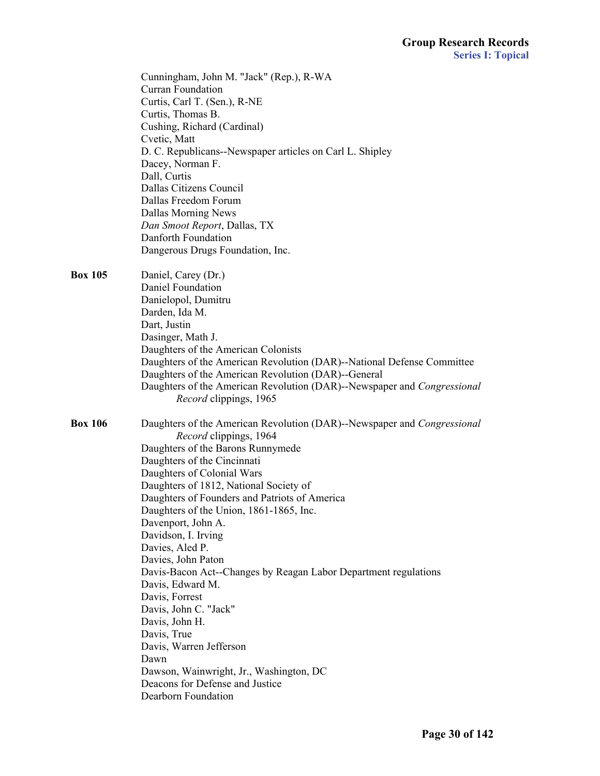|                | Cunningham, John M. "Jack" (Rep.), R-WA<br>Curran Foundation<br>Curtis, Carl T. (Sen.), R-NE<br>Curtis, Thomas B.<br>Cushing, Richard (Cardinal)<br>Cvetic, Matt<br>D. C. Republicans--Newspaper articles on Carl L. Shipley<br>Dacey, Norman F.<br>Dall, Curtis<br>Dallas Citizens Council<br>Dallas Freedom Forum<br><b>Dallas Morning News</b><br>Dan Smoot Report, Dallas, TX<br>Danforth Foundation<br>Dangerous Drugs Foundation, Inc.                                                                                                                                                                                                                                                                                               |
|----------------|--------------------------------------------------------------------------------------------------------------------------------------------------------------------------------------------------------------------------------------------------------------------------------------------------------------------------------------------------------------------------------------------------------------------------------------------------------------------------------------------------------------------------------------------------------------------------------------------------------------------------------------------------------------------------------------------------------------------------------------------|
| <b>Box 105</b> | Daniel, Carey (Dr.)<br>Daniel Foundation<br>Danielopol, Dumitru<br>Darden, Ida M.<br>Dart, Justin<br>Dasinger, Math J.<br>Daughters of the American Colonists<br>Daughters of the American Revolution (DAR)--National Defense Committee<br>Daughters of the American Revolution (DAR)--General<br>Daughters of the American Revolution (DAR)--Newspaper and Congressional<br>Record clippings, 1965                                                                                                                                                                                                                                                                                                                                        |
| <b>Box 106</b> | Daughters of the American Revolution (DAR)--Newspaper and Congressional<br>Record clippings, 1964<br>Daughters of the Barons Runnymede<br>Daughters of the Cincinnati<br>Daughters of Colonial Wars<br>Daughters of 1812, National Society of<br>Daughters of Founders and Patriots of America<br>Daughters of the Union, 1861-1865, Inc.<br>Davenport, John A.<br>Davidson, I. Irving<br>Davies, Aled P.<br>Davies, John Paton<br>Davis-Bacon Act--Changes by Reagan Labor Department regulations<br>Davis, Edward M.<br>Davis, Forrest<br>Davis, John C. "Jack"<br>Davis, John H.<br>Davis, True<br>Davis, Warren Jefferson<br>Dawn<br>Dawson, Wainwright, Jr., Washington, DC<br>Deacons for Defense and Justice<br>Dearborn Foundation |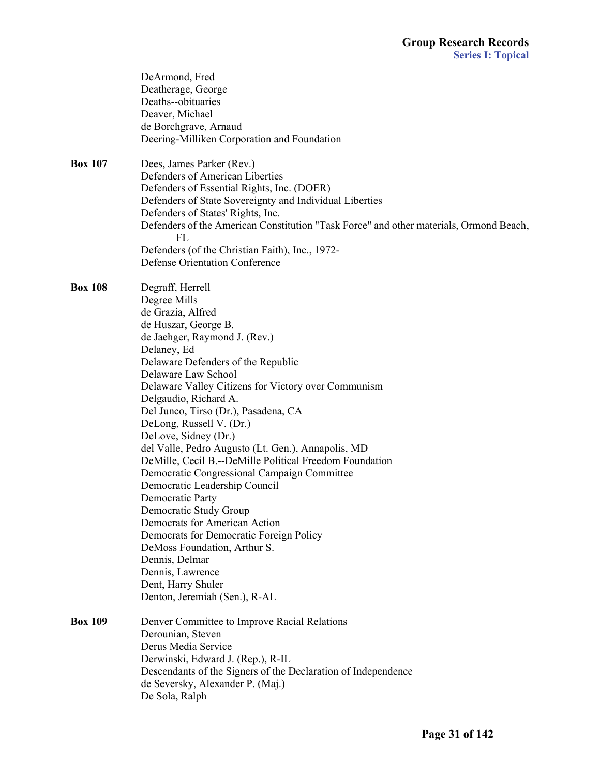|                | DeArmond, Fred<br>Deatherage, George<br>Deaths--obituaries<br>Deaver, Michael<br>de Borchgrave, Arnaud<br>Deering-Milliken Corporation and Foundation                                                                                                                                                                                                                                                                                                                                                                                                                                                                                                                                                                                                                                                                          |
|----------------|--------------------------------------------------------------------------------------------------------------------------------------------------------------------------------------------------------------------------------------------------------------------------------------------------------------------------------------------------------------------------------------------------------------------------------------------------------------------------------------------------------------------------------------------------------------------------------------------------------------------------------------------------------------------------------------------------------------------------------------------------------------------------------------------------------------------------------|
| <b>Box 107</b> | Dees, James Parker (Rev.)<br>Defenders of American Liberties<br>Defenders of Essential Rights, Inc. (DOER)<br>Defenders of State Sovereignty and Individual Liberties<br>Defenders of States' Rights, Inc.<br>Defenders of the American Constitution "Task Force" and other materials, Ormond Beach,<br>FL<br>Defenders (of the Christian Faith), Inc., 1972-<br><b>Defense Orientation Conference</b>                                                                                                                                                                                                                                                                                                                                                                                                                         |
| <b>Box 108</b> | Degraff, Herrell<br>Degree Mills<br>de Grazia, Alfred<br>de Huszar, George B.<br>de Jaehger, Raymond J. (Rev.)<br>Delaney, Ed<br>Delaware Defenders of the Republic<br>Delaware Law School<br>Delaware Valley Citizens for Victory over Communism<br>Delgaudio, Richard A.<br>Del Junco, Tirso (Dr.), Pasadena, CA<br>DeLong, Russell V. (Dr.)<br>DeLove, Sidney (Dr.)<br>del Valle, Pedro Augusto (Lt. Gen.), Annapolis, MD<br>DeMille, Cecil B.--DeMille Political Freedom Foundation<br>Democratic Congressional Campaign Committee<br>Democratic Leadership Council<br>Democratic Party<br>Democratic Study Group<br>Democrats for American Action<br>Democrats for Democratic Foreign Policy<br>DeMoss Foundation, Arthur S.<br>Dennis, Delmar<br>Dennis, Lawrence<br>Dent, Harry Shuler<br>Denton, Jeremiah (Sen.), R-AL |
| <b>Box 109</b> | Denver Committee to Improve Racial Relations<br>Derounian, Steven<br>Derus Media Service<br>Derwinski, Edward J. (Rep.), R-IL<br>Descendants of the Signers of the Declaration of Independence<br>de Seversky, Alexander P. (Maj.)<br>De Sola, Ralph                                                                                                                                                                                                                                                                                                                                                                                                                                                                                                                                                                           |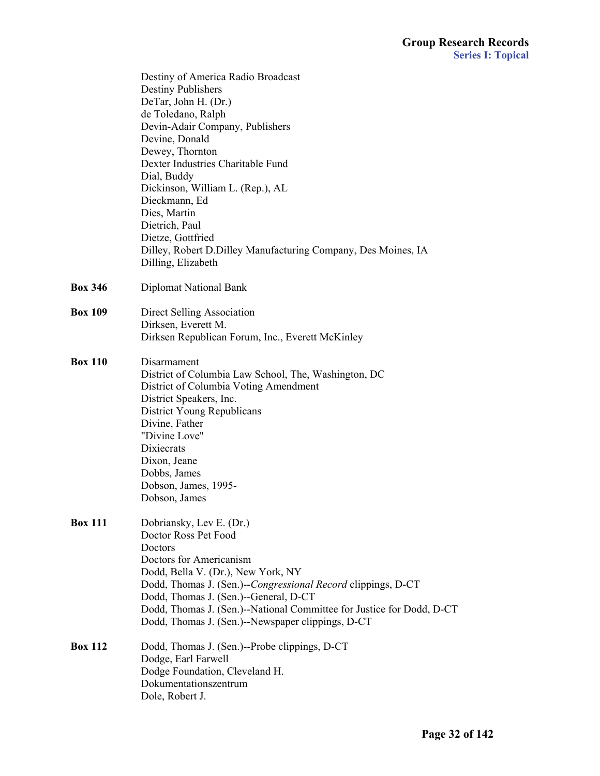|                | Destiny of America Radio Broadcast<br><b>Destiny Publishers</b><br>DeTar, John H. (Dr.) |
|----------------|-----------------------------------------------------------------------------------------|
|                | de Toledano, Ralph                                                                      |
|                | Devin-Adair Company, Publishers                                                         |
|                | Devine, Donald                                                                          |
|                | Dewey, Thornton                                                                         |
|                | Dexter Industries Charitable Fund                                                       |
|                | Dial, Buddy                                                                             |
|                | Dickinson, William L. (Rep.), AL                                                        |
|                | Dieckmann, Ed                                                                           |
|                | Dies, Martin                                                                            |
|                | Dietrich, Paul                                                                          |
|                | Dietze, Gottfried<br>Dilley, Robert D.Dilley Manufacturing Company, Des Moines, IA      |
|                | Dilling, Elizabeth                                                                      |
|                |                                                                                         |
| <b>Box 346</b> | <b>Diplomat National Bank</b>                                                           |
| <b>Box 109</b> | Direct Selling Association                                                              |
|                | Dirksen, Everett M.                                                                     |
|                | Dirksen Republican Forum, Inc., Everett McKinley                                        |
| <b>Box 110</b> | Disarmament                                                                             |
|                | District of Columbia Law School, The, Washington, DC                                    |
|                | District of Columbia Voting Amendment                                                   |
|                | District Speakers, Inc.                                                                 |
|                | District Young Republicans                                                              |
|                | Divine, Father                                                                          |
|                | "Divine Love"                                                                           |
|                | Dixiecrats                                                                              |
|                | Dixon, Jeane                                                                            |
|                | Dobbs, James                                                                            |
|                | Dobson, James, 1995-                                                                    |
|                | Dobson, James                                                                           |
| <b>Box 111</b> | Dobriansky, Lev E. (Dr.)                                                                |
|                | Doctor Ross Pet Food                                                                    |
|                | Doctors                                                                                 |
|                | Doctors for Americanism                                                                 |
|                | Dodd, Bella V. (Dr.), New York, NY                                                      |
|                | Dodd, Thomas J. (Sen.)--Congressional Record clippings, D-CT                            |
|                | Dodd, Thomas J. (Sen.)--General, D-CT                                                   |
|                | Dodd, Thomas J. (Sen.)--National Committee for Justice for Dodd, D-CT                   |
|                | Dodd, Thomas J. (Sen.)--Newspaper clippings, D-CT                                       |
| <b>Box 112</b> | Dodd, Thomas J. (Sen.)--Probe clippings, D-CT                                           |
|                | Dodge, Earl Farwell                                                                     |
|                | Dodge Foundation, Cleveland H.                                                          |
|                | Dokumentationszentrum                                                                   |
|                | Dole, Robert J.                                                                         |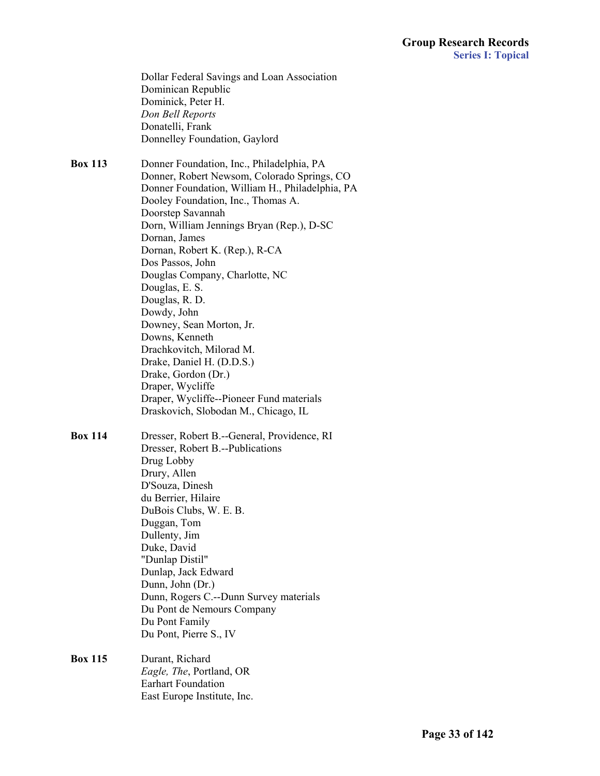|                | Dollar Federal Savings and Loan Association<br>Dominican Republic<br>Dominick, Peter H.<br>Don Bell Reports<br>Donatelli, Frank<br>Donnelley Foundation, Gaylord                                                                                                                                                                                                                                                                                                                                                                                                                                                                                      |
|----------------|-------------------------------------------------------------------------------------------------------------------------------------------------------------------------------------------------------------------------------------------------------------------------------------------------------------------------------------------------------------------------------------------------------------------------------------------------------------------------------------------------------------------------------------------------------------------------------------------------------------------------------------------------------|
| <b>Box 113</b> | Donner Foundation, Inc., Philadelphia, PA<br>Donner, Robert Newsom, Colorado Springs, CO<br>Donner Foundation, William H., Philadelphia, PA<br>Dooley Foundation, Inc., Thomas A.<br>Doorstep Savannah<br>Dorn, William Jennings Bryan (Rep.), D-SC<br>Dornan, James<br>Dornan, Robert K. (Rep.), R-CA<br>Dos Passos, John<br>Douglas Company, Charlotte, NC<br>Douglas, E. S.<br>Douglas, R. D.<br>Dowdy, John<br>Downey, Sean Morton, Jr.<br>Downs, Kenneth<br>Drachkovitch, Milorad M.<br>Drake, Daniel H. (D.D.S.)<br>Drake, Gordon (Dr.)<br>Draper, Wycliffe<br>Draper, Wycliffe--Pioneer Fund materials<br>Draskovich, Slobodan M., Chicago, IL |
| <b>Box 114</b> | Dresser, Robert B.--General, Providence, RI<br>Dresser, Robert B.--Publications<br>Drug Lobby<br>Drury, Allen<br>D'Souza, Dinesh<br>du Berrier, Hilaire<br>DuBois Clubs, W. E. B.<br>Duggan, Tom<br>Dullenty, Jim<br>Duke, David<br>"Dunlap Distil"<br>Dunlap, Jack Edward<br>Dunn, John (Dr.)<br>Dunn, Rogers C.--Dunn Survey materials<br>Du Pont de Nemours Company<br>Du Pont Family<br>Du Pont, Pierre S., IV                                                                                                                                                                                                                                    |
| <b>Box 115</b> | Durant, Richard<br><i>Eagle, The</i> , Portland, OR<br><b>Earhart Foundation</b><br>East Europe Institute, Inc.                                                                                                                                                                                                                                                                                                                                                                                                                                                                                                                                       |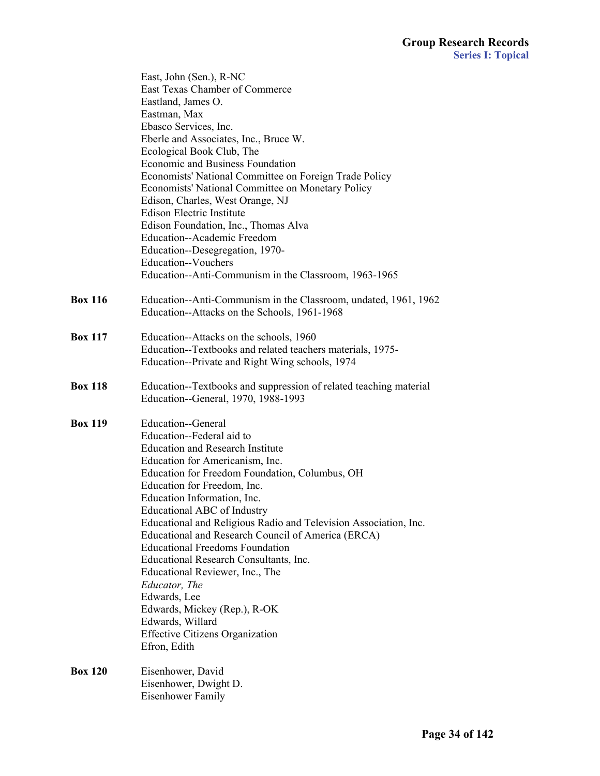|                | East, John (Sen.), R-NC                                           |
|----------------|-------------------------------------------------------------------|
|                | East Texas Chamber of Commerce                                    |
|                | Eastland, James O.                                                |
|                | Eastman, Max                                                      |
|                | Ebasco Services, Inc.                                             |
|                | Eberle and Associates, Inc., Bruce W.                             |
|                | Ecological Book Club, The                                         |
|                | Economic and Business Foundation                                  |
|                | Economists' National Committee on Foreign Trade Policy            |
|                | Economists' National Committee on Monetary Policy                 |
|                | Edison, Charles, West Orange, NJ                                  |
|                | <b>Edison Electric Institute</b>                                  |
|                | Edison Foundation, Inc., Thomas Alva                              |
|                | Education--Academic Freedom                                       |
|                | Education--Desegregation, 1970-                                   |
|                | Education--Vouchers                                               |
|                | Education--Anti-Communism in the Classroom, 1963-1965             |
| <b>Box 116</b> | Education--Anti-Communism in the Classroom, undated, 1961, 1962   |
|                | Education--Attacks on the Schools, 1961-1968                      |
| <b>Box 117</b> | Education--Attacks on the schools, 1960                           |
|                | Education--Textbooks and related teachers materials, 1975-        |
|                | Education--Private and Right Wing schools, 1974                   |
| <b>Box 118</b> | Education--Textbooks and suppression of related teaching material |
|                | Education--General, 1970, 1988-1993                               |
| <b>Box 119</b> | Education--General                                                |
|                | Education--Federal aid to                                         |
|                | <b>Education and Research Institute</b>                           |
|                | Education for Americanism, Inc.                                   |
|                | Education for Freedom Foundation, Columbus, OH                    |
|                | Education for Freedom, Inc.                                       |
|                | Education Information, Inc.                                       |
|                | Educational ABC of Industry                                       |
|                | Educational and Religious Radio and Television Association, Inc.  |
|                | Educational and Research Council of America (ERCA)                |
|                | <b>Educational Freedoms Foundation</b>                            |
|                | Educational Research Consultants, Inc.                            |
|                | Educational Reviewer, Inc., The                                   |
|                | Educator, The                                                     |
|                | Edwards, Lee                                                      |
|                | Edwards, Mickey (Rep.), R-OK<br>Edwards, Willard                  |
|                |                                                                   |
|                | <b>Effective Citizens Organization</b><br>Efron, Edith            |
| <b>Box 120</b> | Eisenhower, David                                                 |
|                | Eisenhower, Dwight D.                                             |
|                | Eisenhower Family                                                 |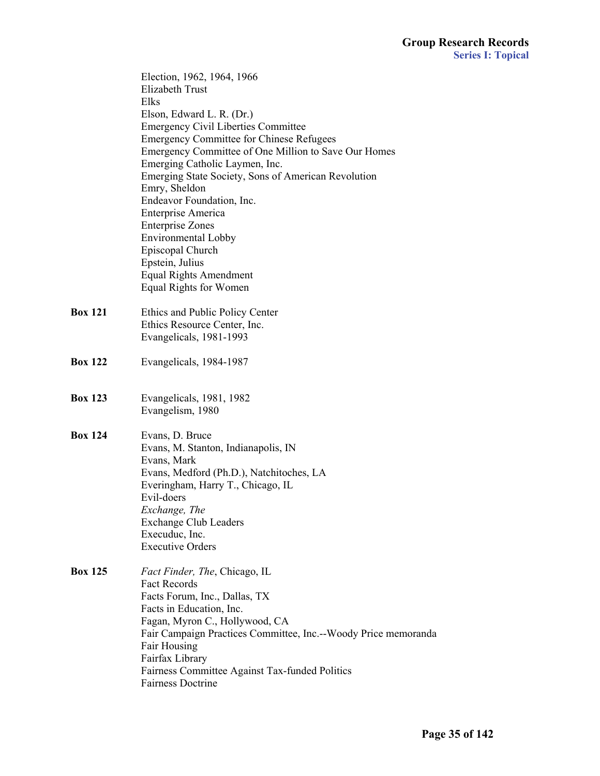Election, 1962, 1964, 1966 Elizabeth Trust Elks Elson, Edward L. R. (Dr.) Emergency Civil Liberties Committee Emergency Committee for Chinese Refugees Emergency Committee of One Million to Save Our Homes Emerging Catholic Laymen, Inc. Emerging State Society, Sons of American Revolution Emry, Sheldon Endeavor Foundation, Inc. Enterprise America Enterprise Zones Environmental Lobby Episcopal Church Epstein, Julius Equal Rights Amendment Equal Rights for Women **Box 121** Ethics and Public Policy Center Ethics Resource Center, Inc. Evangelicals, 1981-1993 **Box 122** Evangelicals, 1984-1987 **Box 123** Evangelicals, 1981, 1982 Evangelism, 1980 **Box 124** Evans, D. Bruce Evans, M. Stanton, Indianapolis, IN Evans, Mark Evans, Medford (Ph.D.), Natchitoches, LA Everingham, Harry T., Chicago, IL Evil-doers *Exchange, The* Exchange Club Leaders Execuduc, Inc. Executive Orders **Box 125** *Fact Finder, The*, Chicago, IL Fact Records Facts Forum, Inc., Dallas, TX Facts in Education, Inc. Fagan, Myron C., Hollywood, CA Fair Campaign Practices Committee, Inc.--Woody Price memoranda Fair Housing Fairfax Library Fairness Committee Against Tax-funded Politics Fairness Doctrine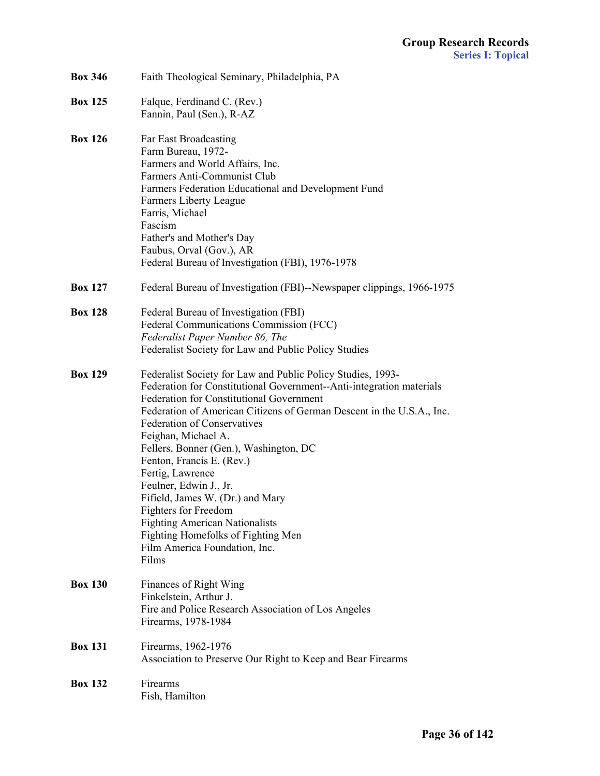| <b>Box 346</b> | Faith Theological Seminary, Philadelphia, PA                                                                                                                                                                                                                                                                                                                                                                                                                                                                                                                                                                                                  |
|----------------|-----------------------------------------------------------------------------------------------------------------------------------------------------------------------------------------------------------------------------------------------------------------------------------------------------------------------------------------------------------------------------------------------------------------------------------------------------------------------------------------------------------------------------------------------------------------------------------------------------------------------------------------------|
| <b>Box 125</b> | Falque, Ferdinand C. (Rev.)<br>Fannin, Paul (Sen.), R-AZ                                                                                                                                                                                                                                                                                                                                                                                                                                                                                                                                                                                      |
| <b>Box 126</b> | Far East Broadcasting<br>Farm Bureau, 1972-<br>Farmers and World Affairs, Inc.<br>Farmers Anti-Communist Club<br>Farmers Federation Educational and Development Fund<br>Farmers Liberty League<br>Farris, Michael<br>Fascism<br>Father's and Mother's Day<br>Faubus, Orval (Gov.), AR<br>Federal Bureau of Investigation (FBI), 1976-1978                                                                                                                                                                                                                                                                                                     |
| <b>Box 127</b> | Federal Bureau of Investigation (FBI)--Newspaper clippings, 1966-1975                                                                                                                                                                                                                                                                                                                                                                                                                                                                                                                                                                         |
| <b>Box 128</b> | Federal Bureau of Investigation (FBI)<br>Federal Communications Commission (FCC)<br>Federalist Paper Number 86, The<br>Federalist Society for Law and Public Policy Studies                                                                                                                                                                                                                                                                                                                                                                                                                                                                   |
| <b>Box 129</b> | Federalist Society for Law and Public Policy Studies, 1993-<br>Federation for Constitutional Government--Anti-integration materials<br><b>Federation for Constitutional Government</b><br>Federation of American Citizens of German Descent in the U.S.A., Inc.<br><b>Federation of Conservatives</b><br>Feighan, Michael A.<br>Fellers, Bonner (Gen.), Washington, DC<br>Fenton, Francis E. (Rev.)<br>Fertig, Lawrence<br>Feulner, Edwin J., Jr.<br>Fifield, James W. (Dr.) and Mary<br><b>Fighters for Freedom</b><br><b>Fighting American Nationalists</b><br>Fighting Homefolks of Fighting Men<br>Film America Foundation, Inc.<br>Films |
| <b>Box 130</b> | Finances of Right Wing<br>Finkelstein, Arthur J.<br>Fire and Police Research Association of Los Angeles<br>Firearms, 1978-1984                                                                                                                                                                                                                                                                                                                                                                                                                                                                                                                |
| <b>Box 131</b> | Firearms, 1962-1976<br>Association to Preserve Our Right to Keep and Bear Firearms                                                                                                                                                                                                                                                                                                                                                                                                                                                                                                                                                            |
| <b>Box 132</b> | Firearms<br>Fish, Hamilton                                                                                                                                                                                                                                                                                                                                                                                                                                                                                                                                                                                                                    |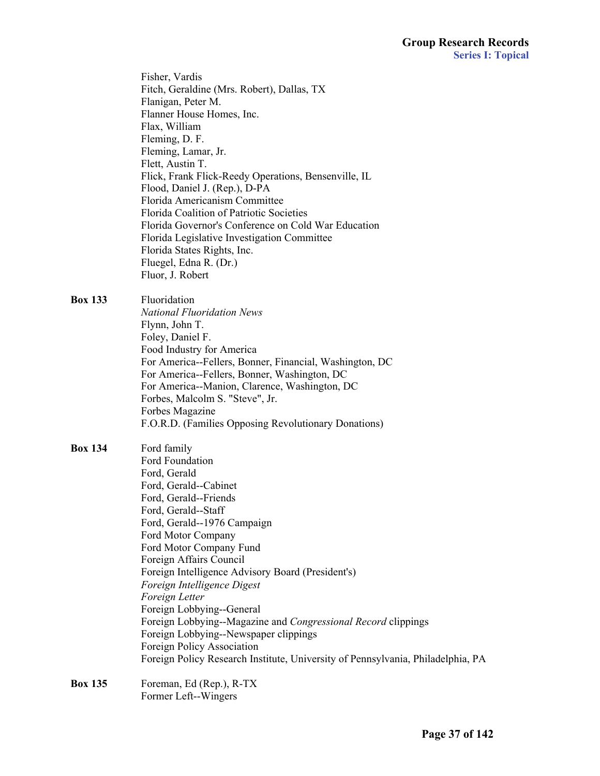Fisher, Vardis Fitch, Geraldine (Mrs. Robert), Dallas, TX Flanigan, Peter M. Flanner House Homes, Inc. Flax, William Fleming, D. F. Fleming, Lamar, Jr. Flett, Austin T. Flick, Frank Flick-Reedy Operations, Bensenville, IL Flood, Daniel J. (Rep.), D-PA Florida Americanism Committee Florida Coalition of Patriotic Societies Florida Governor's Conference on Cold War Education Florida Legislative Investigation Committee Florida States Rights, Inc. Fluegel, Edna R. (Dr.) Fluor, J. Robert

**Box 133** Fluoridation

 *National Fluoridation News* Flynn, John T. Foley, Daniel F. Food Industry for America For America--Fellers, Bonner, Financial, Washington, DC For America--Fellers, Bonner, Washington, DC For America--Manion, Clarence, Washington, DC Forbes, Malcolm S. "Steve", Jr. Forbes Magazine F.O.R.D. (Families Opposing Revolutionary Donations)

**Box 134** Ford family Ford Foundation Ford, Gerald Ford, Gerald--Cabinet Ford, Gerald--Friends Ford, Gerald--Staff Ford, Gerald--1976 Campaign Ford Motor Company Ford Motor Company Fund Foreign Affairs Council Foreign Intelligence Advisory Board (President's) *Foreign Intelligence Digest Foreign Letter* Foreign Lobbying--General Foreign Lobbying--Magazine and *Congressional Record* clippings Foreign Lobbying--Newspaper clippings Foreign Policy Association Foreign Policy Research Institute, University of Pennsylvania, Philadelphia, PA

**Box 135** Foreman, Ed (Rep.), R-TX Former Left--Wingers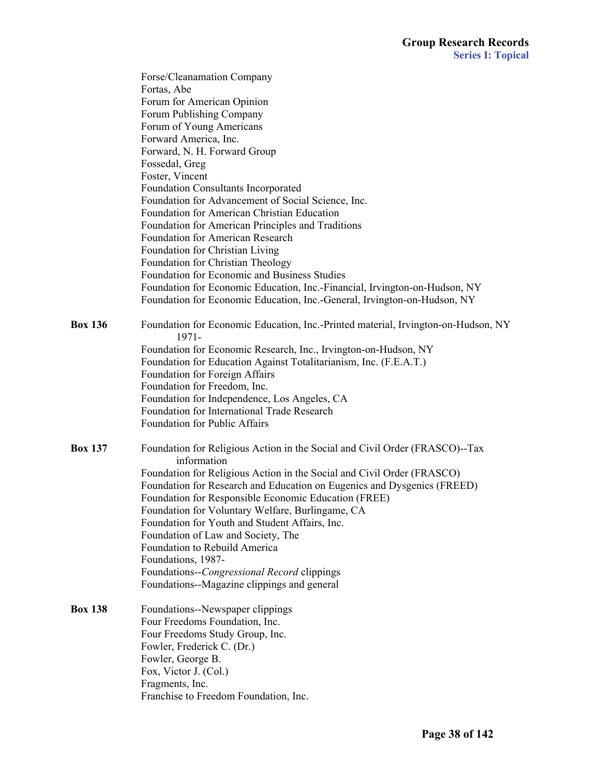|                | Forse/Cleanamation Company                                                                    |
|----------------|-----------------------------------------------------------------------------------------------|
|                | Fortas, Abe                                                                                   |
|                | Forum for American Opinion                                                                    |
|                | Forum Publishing Company                                                                      |
|                | Forum of Young Americans                                                                      |
|                | Forward America, Inc.                                                                         |
|                | Forward, N. H. Forward Group                                                                  |
|                | Fossedal, Greg                                                                                |
|                | Foster, Vincent                                                                               |
|                | Foundation Consultants Incorporated                                                           |
|                | Foundation for Advancement of Social Science, Inc.                                            |
|                | Foundation for American Christian Education                                                   |
|                | Foundation for American Principles and Traditions                                             |
|                | <b>Foundation for American Research</b>                                                       |
|                | Foundation for Christian Living                                                               |
|                | Foundation for Christian Theology                                                             |
|                | Foundation for Economic and Business Studies                                                  |
|                | Foundation for Economic Education, Inc.-Financial, Irvington-on-Hudson, NY                    |
|                | Foundation for Economic Education, Inc.-General, Irvington-on-Hudson, NY                      |
|                |                                                                                               |
| <b>Box 136</b> | Foundation for Economic Education, Inc.-Printed material, Irvington-on-Hudson, NY<br>$1971 -$ |
|                | Foundation for Economic Research, Inc., Irvington-on-Hudson, NY                               |
|                | Foundation for Education Against Totalitarianism, Inc. (F.E.A.T.)                             |
|                | Foundation for Foreign Affairs                                                                |
|                | Foundation for Freedom, Inc.                                                                  |
|                | Foundation for Independence, Los Angeles, CA                                                  |
|                | Foundation for International Trade Research                                                   |
|                | Foundation for Public Affairs                                                                 |
| <b>Box 137</b> | Foundation for Religious Action in the Social and Civil Order (FRASCO)--Tax<br>information    |
|                | Foundation for Religious Action in the Social and Civil Order (FRASCO)                        |
|                | Foundation for Research and Education on Eugenics and Dysgenics (FREED)                       |
|                | Foundation for Responsible Economic Education (FREE)                                          |
|                | Foundation for Voluntary Welfare, Burlingame, CA                                              |
|                | Foundation for Youth and Student Affairs, Inc.                                                |
|                | Foundation of Law and Society, The                                                            |
|                | Foundation to Rebuild America                                                                 |
|                | Foundations, 1987-                                                                            |
|                | Foundations--Congressional Record clippings                                                   |
|                | Foundations--Magazine clippings and general                                                   |
| <b>Box 138</b> | Foundations--Newspaper clippings                                                              |
|                | Four Freedoms Foundation, Inc.                                                                |
|                | Four Freedoms Study Group, Inc.                                                               |
|                | Fowler, Frederick C. (Dr.)                                                                    |
|                | Fowler, George B.                                                                             |
|                | Fox, Victor J. (Col.)                                                                         |
|                | Fragments, Inc.                                                                               |
|                | Franchise to Freedom Foundation, Inc.                                                         |
|                |                                                                                               |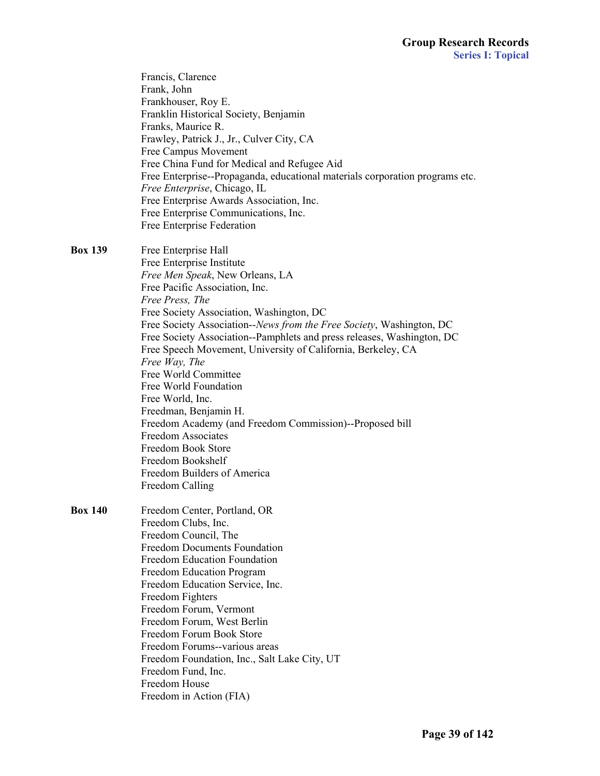|                | Francis, Clarence<br>Frank, John<br>Frankhouser, Roy E.<br>Franklin Historical Society, Benjamin<br>Franks, Maurice R.<br>Frawley, Patrick J., Jr., Culver City, CA<br>Free Campus Movement<br>Free China Fund for Medical and Refugee Aid<br>Free Enterprise--Propaganda, educational materials corporation programs etc.<br>Free Enterprise, Chicago, IL<br>Free Enterprise Awards Association, Inc.<br>Free Enterprise Communications, Inc.<br>Free Enterprise Federation |
|----------------|------------------------------------------------------------------------------------------------------------------------------------------------------------------------------------------------------------------------------------------------------------------------------------------------------------------------------------------------------------------------------------------------------------------------------------------------------------------------------|
| <b>Box 139</b> | Free Enterprise Hall<br>Free Enterprise Institute<br>Free Men Speak, New Orleans, LA<br>Free Pacific Association, Inc.<br>Free Press, The                                                                                                                                                                                                                                                                                                                                    |
|                | Free Society Association, Washington, DC<br>Free Society Association--News from the Free Society, Washington, DC<br>Free Society Association--Pamphlets and press releases, Washington, DC<br>Free Speech Movement, University of California, Berkeley, CA<br>Free Way, The                                                                                                                                                                                                  |
|                | Free World Committee<br>Free World Foundation<br>Free World, Inc.                                                                                                                                                                                                                                                                                                                                                                                                            |
|                | Freedman, Benjamin H.<br>Freedom Academy (and Freedom Commission)--Proposed bill<br><b>Freedom Associates</b><br><b>Freedom Book Store</b><br>Freedom Bookshelf                                                                                                                                                                                                                                                                                                              |
|                | Freedom Builders of America<br>Freedom Calling                                                                                                                                                                                                                                                                                                                                                                                                                               |
| <b>Box 140</b> | Freedom Center, Portland, OR<br>Freedom Clubs, Inc.<br>Freedom Council, The<br><b>Freedom Documents Foundation</b><br>Freedom Education Foundation                                                                                                                                                                                                                                                                                                                           |
|                | Freedom Education Program<br>Freedom Education Service, Inc.<br>Freedom Fighters<br>Freedom Forum, Vermont<br>Freedom Forum, West Berlin                                                                                                                                                                                                                                                                                                                                     |
|                | Freedom Forum Book Store<br>Freedom Forums--various areas<br>Freedom Foundation, Inc., Salt Lake City, UT<br>Freedom Fund, Inc.<br>Freedom House                                                                                                                                                                                                                                                                                                                             |
|                | Freedom in Action (FIA)                                                                                                                                                                                                                                                                                                                                                                                                                                                      |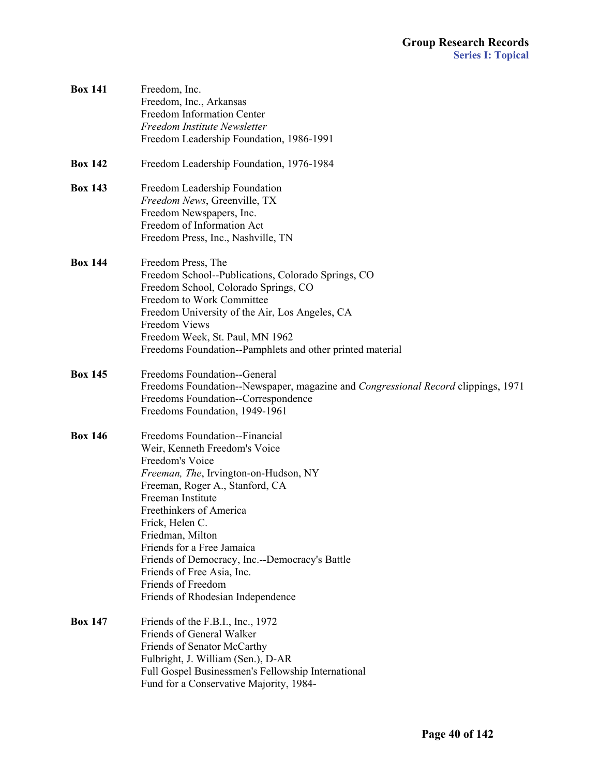| <b>Box 141</b> | Freedom, Inc.<br>Freedom, Inc., Arkansas<br>Freedom Information Center<br>Freedom Institute Newsletter<br>Freedom Leadership Foundation, 1986-1991                                                                                                                                                                                                                                                                             |
|----------------|--------------------------------------------------------------------------------------------------------------------------------------------------------------------------------------------------------------------------------------------------------------------------------------------------------------------------------------------------------------------------------------------------------------------------------|
| <b>Box 142</b> | Freedom Leadership Foundation, 1976-1984                                                                                                                                                                                                                                                                                                                                                                                       |
| <b>Box 143</b> | Freedom Leadership Foundation<br>Freedom News, Greenville, TX<br>Freedom Newspapers, Inc.<br>Freedom of Information Act<br>Freedom Press, Inc., Nashville, TN                                                                                                                                                                                                                                                                  |
| <b>Box 144</b> | Freedom Press, The<br>Freedom School--Publications, Colorado Springs, CO<br>Freedom School, Colorado Springs, CO<br>Freedom to Work Committee<br>Freedom University of the Air, Los Angeles, CA<br>Freedom Views<br>Freedom Week, St. Paul, MN 1962<br>Freedoms Foundation--Pamphlets and other printed material                                                                                                               |
| <b>Box 145</b> | Freedoms Foundation--General<br>Freedoms Foundation--Newspaper, magazine and Congressional Record clippings, 1971<br>Freedoms Foundation--Correspondence<br>Freedoms Foundation, 1949-1961                                                                                                                                                                                                                                     |
| <b>Box 146</b> | Freedoms Foundation--Financial<br>Weir, Kenneth Freedom's Voice<br>Freedom's Voice<br>Freeman, The, Irvington-on-Hudson, NY<br>Freeman, Roger A., Stanford, CA<br>Freeman Institute<br>Freethinkers of America<br>Frick, Helen C.<br>Friedman, Milton<br>Friends for a Free Jamaica<br>Friends of Democracy, Inc.--Democracy's Battle<br>Friends of Free Asia, Inc.<br>Friends of Freedom<br>Friends of Rhodesian Independence |
| <b>Box 147</b> | Friends of the F.B.I., Inc., 1972<br>Friends of General Walker<br>Friends of Senator McCarthy<br>Fulbright, J. William (Sen.), D-AR<br>Full Gospel Businessmen's Fellowship International<br>Fund for a Conservative Majority, 1984-                                                                                                                                                                                           |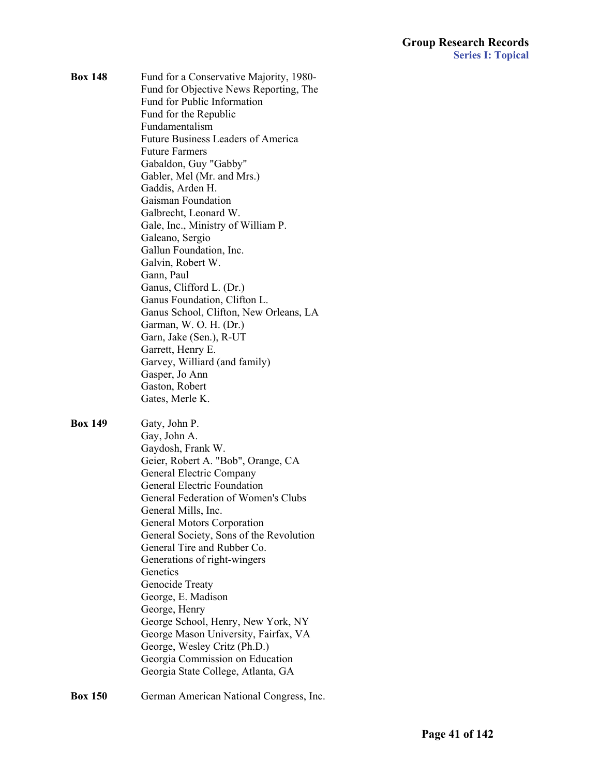**Box 148** Fund for a Conservative Majority, 1980- Fund for Objective News Reporting, The Fund for Public Information Fund for the Republic Fundamentalism Future Business Leaders of America Future Farmers Gabaldon, Guy "Gabby" Gabler, Mel (Mr. and Mrs.) Gaddis, Arden H. Gaisman Foundation Galbrecht, Leonard W. Gale, Inc., Ministry of William P. Galeano, Sergio Gallun Foundation, Inc. Galvin, Robert W. Gann, Paul Ganus, Clifford L. (Dr.) Ganus Foundation, Clifton L. Ganus School, Clifton, New Orleans, LA Garman, W. O. H. (Dr.) Garn, Jake (Sen.), R-UT Garrett, Henry E. Garvey, Williard (and family) Gasper, Jo Ann Gaston, Robert Gates, Merle K. **Box 149** Gaty, John P.

 Gay, John A. Gaydosh, Frank W. Geier, Robert A. "Bob", Orange, CA General Electric Company General Electric Foundation General Federation of Women's Clubs General Mills, Inc. General Motors Corporation General Society, Sons of the Revolution General Tire and Rubber Co. Generations of right-wingers **Genetics**  Genocide Treaty George, E. Madison George, Henry George School, Henry, New York, NY George Mason University, Fairfax, VA George, Wesley Critz (Ph.D.) Georgia Commission on Education Georgia State College, Atlanta, GA

**Box 150** German American National Congress, Inc.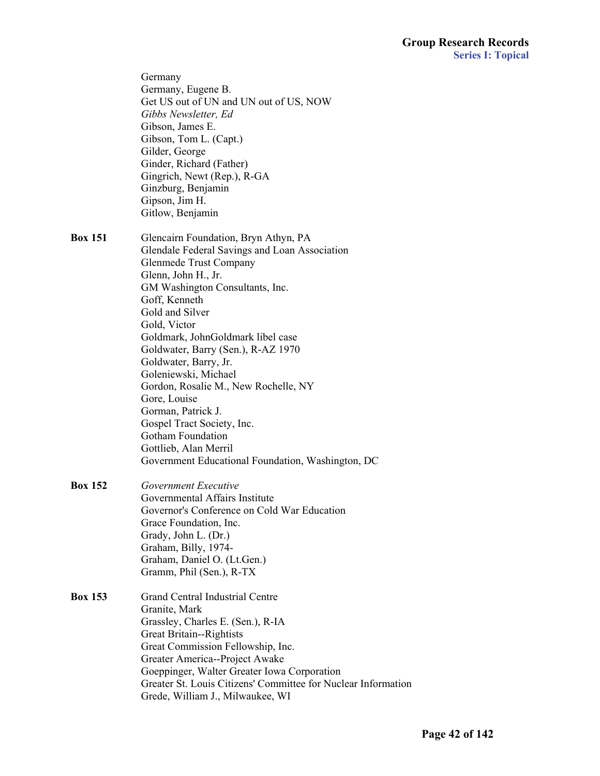|                | Germany<br>Germany, Eugene B.<br>Get US out of UN and UN out of US, NOW<br>Gibbs Newsletter, Ed<br>Gibson, James E.<br>Gibson, Tom L. (Capt.)<br>Gilder, George<br>Ginder, Richard (Father)<br>Gingrich, Newt (Rep.), R-GA<br>Ginzburg, Benjamin<br>Gipson, Jim H.<br>Gitlow, Benjamin                                                                                                                                                                                                                                                                                          |
|----------------|---------------------------------------------------------------------------------------------------------------------------------------------------------------------------------------------------------------------------------------------------------------------------------------------------------------------------------------------------------------------------------------------------------------------------------------------------------------------------------------------------------------------------------------------------------------------------------|
| <b>Box 151</b> | Glencairn Foundation, Bryn Athyn, PA<br>Glendale Federal Savings and Loan Association<br><b>Glenmede Trust Company</b><br>Glenn, John H., Jr.<br>GM Washington Consultants, Inc.<br>Goff, Kenneth<br>Gold and Silver<br>Gold, Victor<br>Goldmark, JohnGoldmark libel case<br>Goldwater, Barry (Sen.), R-AZ 1970<br>Goldwater, Barry, Jr.<br>Goleniewski, Michael<br>Gordon, Rosalie M., New Rochelle, NY<br>Gore, Louise<br>Gorman, Patrick J.<br>Gospel Tract Society, Inc.<br>Gotham Foundation<br>Gottlieb, Alan Merril<br>Government Educational Foundation, Washington, DC |
| <b>Box 152</b> | Government Executive<br>Governmental Affairs Institute<br>Governor's Conference on Cold War Education<br>Grace Foundation, Inc.<br>Grady, John L. (Dr.)<br>Graham, Billy, 1974-<br>Graham, Daniel O. (Lt.Gen.)<br>Gramm, Phil (Sen.), R-TX                                                                                                                                                                                                                                                                                                                                      |
| <b>Box 153</b> | <b>Grand Central Industrial Centre</b><br>Granite, Mark<br>Grassley, Charles E. (Sen.), R-IA<br>Great Britain--Rightists<br>Great Commission Fellowship, Inc.<br>Greater America--Project Awake<br>Goeppinger, Walter Greater Iowa Corporation<br>Greater St. Louis Citizens' Committee for Nuclear Information<br>Grede, William J., Milwaukee, WI                                                                                                                                                                                                                             |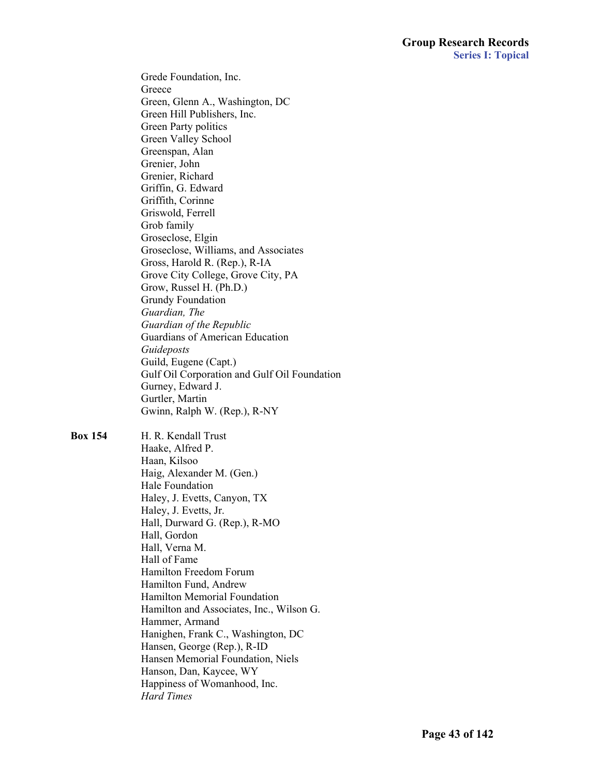Grede Foundation, Inc. **Greece**  Green, Glenn A., Washington, DC Green Hill Publishers, Inc. Green Party politics Green Valley School Greenspan, Alan Grenier, John Grenier, Richard Griffin, G. Edward Griffith, Corinne Griswold, Ferrell Grob family Groseclose, Elgin Groseclose, Williams, and Associates Gross, Harold R. (Rep.), R-IA Grove City College, Grove City, PA Grow, Russel H. (Ph.D.) Grundy Foundation *Guardian, The Guardian of the Republic* Guardians of American Education *Guideposts* Guild, Eugene (Capt.) Gulf Oil Corporation and Gulf Oil Foundation Gurney, Edward J. Gurtler, Martin Gwinn, Ralph W. (Rep.), R-NY

**Box 154** H. R. Kendall Trust Haake, Alfred P. Haan, Kilsoo Haig, Alexander M. (Gen.) Hale Foundation Haley, J. Evetts, Canyon, TX Haley, J. Evetts, Jr. Hall, Durward G. (Rep.), R-MO Hall, Gordon Hall, Verna M. Hall of Fame Hamilton Freedom Forum Hamilton Fund, Andrew Hamilton Memorial Foundation Hamilton and Associates, Inc., Wilson G. Hammer, Armand Hanighen, Frank C., Washington, DC Hansen, George (Rep.), R-ID Hansen Memorial Foundation, Niels Hanson, Dan, Kaycee, WY Happiness of Womanhood, Inc. *Hard Times*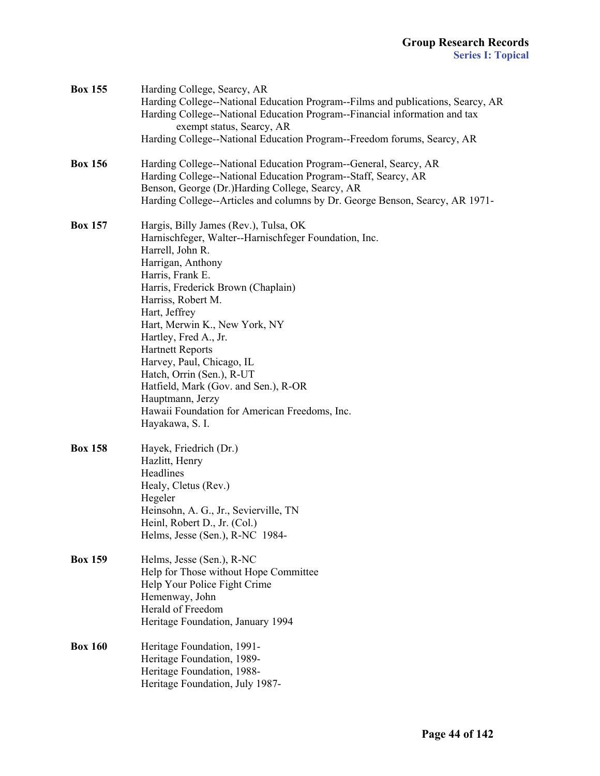| <b>Box 155</b> | Harding College, Searcy, AR<br>Harding College--National Education Program--Films and publications, Searcy, AR<br>Harding College--National Education Program--Financial information and tax<br>exempt status, Searcy, AR<br>Harding College--National Education Program--Freedom forums, Searcy, AR                                                                                                                                                                                                                    |
|----------------|-------------------------------------------------------------------------------------------------------------------------------------------------------------------------------------------------------------------------------------------------------------------------------------------------------------------------------------------------------------------------------------------------------------------------------------------------------------------------------------------------------------------------|
| <b>Box 156</b> | Harding College--National Education Program--General, Searcy, AR<br>Harding College--National Education Program--Staff, Searcy, AR<br>Benson, George (Dr.)Harding College, Searcy, AR<br>Harding College--Articles and columns by Dr. George Benson, Searcy, AR 1971-                                                                                                                                                                                                                                                   |
| <b>Box 157</b> | Hargis, Billy James (Rev.), Tulsa, OK<br>Harnischfeger, Walter--Harnischfeger Foundation, Inc.<br>Harrell, John R.<br>Harrigan, Anthony<br>Harris, Frank E.<br>Harris, Frederick Brown (Chaplain)<br>Harriss, Robert M.<br>Hart, Jeffrey<br>Hart, Merwin K., New York, NY<br>Hartley, Fred A., Jr.<br><b>Hartnett Reports</b><br>Harvey, Paul, Chicago, IL<br>Hatch, Orrin (Sen.), R-UT<br>Hatfield, Mark (Gov. and Sen.), R-OR<br>Hauptmann, Jerzy<br>Hawaii Foundation for American Freedoms, Inc.<br>Hayakawa, S. I. |
| <b>Box 158</b> | Hayek, Friedrich (Dr.)<br>Hazlitt, Henry<br>Headlines<br>Healy, Cletus (Rev.)<br>Hegeler<br>Heinsohn, A. G., Jr., Sevierville, TN<br>Heinl, Robert D., Jr. (Col.)<br>Helms, Jesse (Sen.), R-NC 1984-                                                                                                                                                                                                                                                                                                                    |
| <b>Box 159</b> | Helms, Jesse (Sen.), R-NC<br>Help for Those without Hope Committee<br>Help Your Police Fight Crime<br>Hemenway, John<br>Herald of Freedom<br>Heritage Foundation, January 1994                                                                                                                                                                                                                                                                                                                                          |
| <b>Box 160</b> | Heritage Foundation, 1991-<br>Heritage Foundation, 1989-<br>Heritage Foundation, 1988-<br>Heritage Foundation, July 1987-                                                                                                                                                                                                                                                                                                                                                                                               |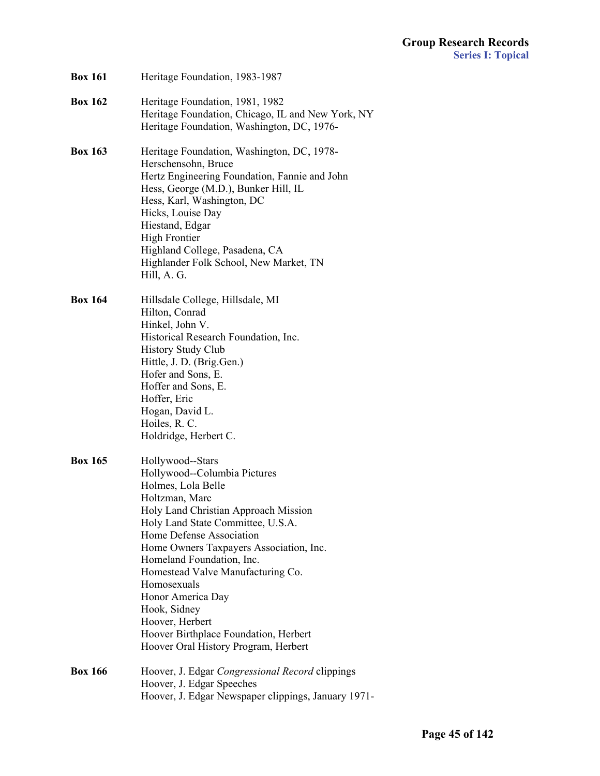| <b>Box 161</b> | Heritage Foundation, 1983-1987                                                                                                                                                                                                                                                                                                                                                                                                                                         |
|----------------|------------------------------------------------------------------------------------------------------------------------------------------------------------------------------------------------------------------------------------------------------------------------------------------------------------------------------------------------------------------------------------------------------------------------------------------------------------------------|
| <b>Box 162</b> | Heritage Foundation, 1981, 1982<br>Heritage Foundation, Chicago, IL and New York, NY<br>Heritage Foundation, Washington, DC, 1976-                                                                                                                                                                                                                                                                                                                                     |
| <b>Box 163</b> | Heritage Foundation, Washington, DC, 1978-<br>Herschensohn, Bruce<br>Hertz Engineering Foundation, Fannie and John<br>Hess, George (M.D.), Bunker Hill, IL<br>Hess, Karl, Washington, DC<br>Hicks, Louise Day<br>Hiestand, Edgar<br><b>High Frontier</b><br>Highland College, Pasadena, CA<br>Highlander Folk School, New Market, TN<br>Hill, A. G.                                                                                                                    |
| <b>Box 164</b> | Hillsdale College, Hillsdale, MI<br>Hilton, Conrad<br>Hinkel, John V.<br>Historical Research Foundation, Inc.<br><b>History Study Club</b><br>Hittle, J. D. (Brig.Gen.)<br>Hofer and Sons, E.<br>Hoffer and Sons, E.<br>Hoffer, Eric<br>Hogan, David L.<br>Hoiles, R. C.<br>Holdridge, Herbert C.                                                                                                                                                                      |
| <b>Box 165</b> | Hollywood--Stars<br>Hollywood--Columbia Pictures<br>Holmes, Lola Belle<br>Holtzman, Marc<br>Holy Land Christian Approach Mission<br>Holy Land State Committee, U.S.A.<br>Home Defense Association<br>Home Owners Taxpayers Association, Inc.<br>Homeland Foundation, Inc.<br>Homestead Valve Manufacturing Co.<br>Homosexuals<br>Honor America Day<br>Hook, Sidney<br>Hoover, Herbert<br>Hoover Birthplace Foundation, Herbert<br>Hoover Oral History Program, Herbert |
| <b>Box 166</b> | Hoover, J. Edgar Congressional Record clippings<br>Hoover, J. Edgar Speeches<br>Hoover, J. Edgar Newspaper clippings, January 1971-                                                                                                                                                                                                                                                                                                                                    |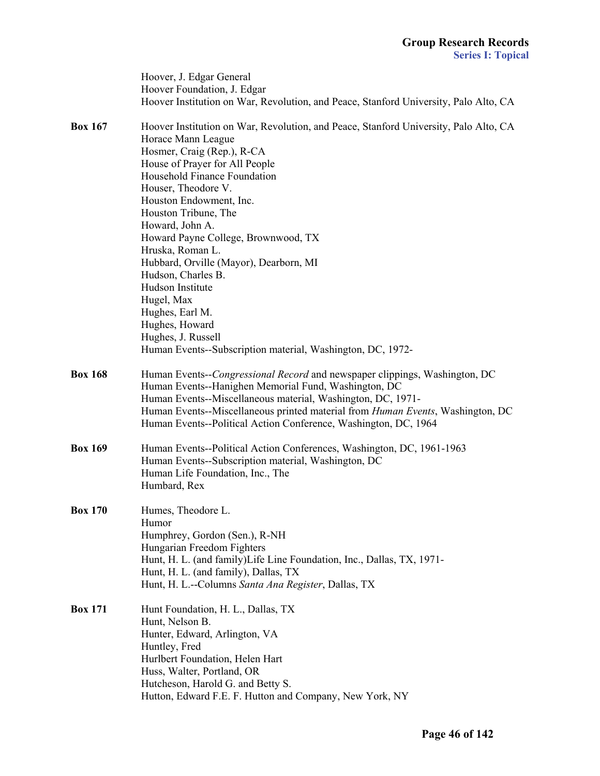|                | Hoover, J. Edgar General<br>Hoover Foundation, J. Edgar<br>Hoover Institution on War, Revolution, and Peace, Stanford University, Palo Alto, CA                                                                                                                                                                                                                                                                                                                                                                                                                                               |
|----------------|-----------------------------------------------------------------------------------------------------------------------------------------------------------------------------------------------------------------------------------------------------------------------------------------------------------------------------------------------------------------------------------------------------------------------------------------------------------------------------------------------------------------------------------------------------------------------------------------------|
| <b>Box 167</b> | Hoover Institution on War, Revolution, and Peace, Stanford University, Palo Alto, CA<br>Horace Mann League<br>Hosmer, Craig (Rep.), R-CA<br>House of Prayer for All People<br>Household Finance Foundation<br>Houser, Theodore V.<br>Houston Endowment, Inc.<br>Houston Tribune, The<br>Howard, John A.<br>Howard Payne College, Brownwood, TX<br>Hruska, Roman L.<br>Hubbard, Orville (Mayor), Dearborn, MI<br>Hudson, Charles B.<br>Hudson Institute<br>Hugel, Max<br>Hughes, Earl M.<br>Hughes, Howard<br>Hughes, J. Russell<br>Human Events--Subscription material, Washington, DC, 1972- |
| <b>Box 168</b> | Human Events--Congressional Record and newspaper clippings, Washington, DC<br>Human Events--Hanighen Memorial Fund, Washington, DC<br>Human Events--Miscellaneous material, Washington, DC, 1971-<br>Human Events--Miscellaneous printed material from <i>Human Events</i> , Washington, DC<br>Human Events--Political Action Conference, Washington, DC, 1964                                                                                                                                                                                                                                |
| <b>Box 169</b> | Human Events--Political Action Conferences, Washington, DC, 1961-1963<br>Human Events--Subscription material, Washington, DC<br>Human Life Foundation, Inc., The<br>Humbard, Rex                                                                                                                                                                                                                                                                                                                                                                                                              |
| <b>Box 170</b> | Humes, Theodore L.<br>Humor<br>Humphrey, Gordon (Sen.), R-NH<br>Hungarian Freedom Fighters<br>Hunt, H. L. (and family) Life Line Foundation, Inc., Dallas, TX, 1971-<br>Hunt, H. L. (and family), Dallas, TX<br>Hunt, H. L.--Columns Santa Ana Register, Dallas, TX                                                                                                                                                                                                                                                                                                                           |
| <b>Box 171</b> | Hunt Foundation, H. L., Dallas, TX<br>Hunt, Nelson B.<br>Hunter, Edward, Arlington, VA<br>Huntley, Fred<br>Hurlbert Foundation, Helen Hart<br>Huss, Walter, Portland, OR<br>Hutcheson, Harold G. and Betty S.<br>Hutton, Edward F.E. F. Hutton and Company, New York, NY                                                                                                                                                                                                                                                                                                                      |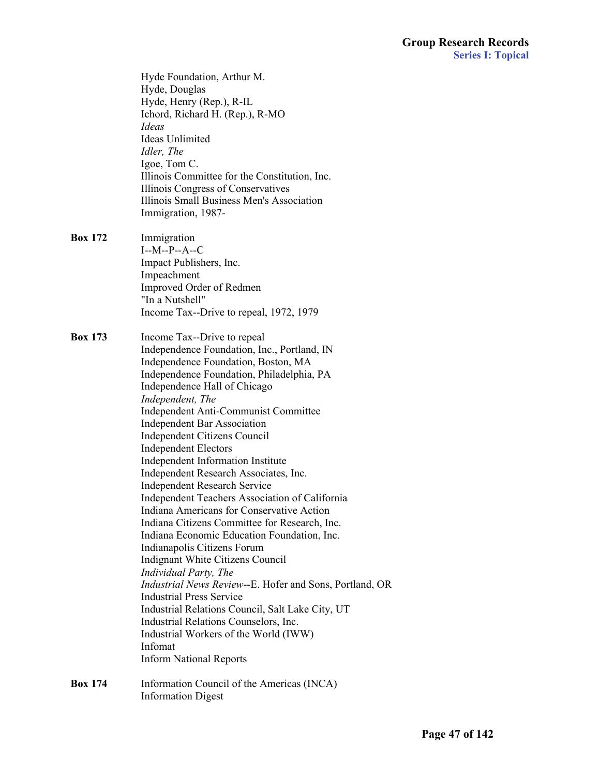| <b>Box 174</b> | Information Council of the Americas (INCA)                  |  |
|----------------|-------------------------------------------------------------|--|
|                | <b>Inform National Reports</b>                              |  |
|                | Infomat                                                     |  |
|                | Industrial Workers of the World (IWW)                       |  |
|                | Industrial Relations Counselors, Inc.                       |  |
|                | Industrial Relations Council, Salt Lake City, UT            |  |
|                | <b>Industrial Press Service</b>                             |  |
|                | Industrial News Review--E. Hofer and Sons, Portland, OR     |  |
|                | Indignant White Citizens Council<br>Individual Party, The   |  |
|                | Indianapolis Citizens Forum                                 |  |
|                | Indiana Economic Education Foundation, Inc.                 |  |
|                | Indiana Citizens Committee for Research, Inc.               |  |
|                | Indiana Americans for Conservative Action                   |  |
|                | Independent Teachers Association of California              |  |
|                | <b>Independent Research Service</b>                         |  |
|                | Independent Research Associates, Inc.                       |  |
|                | Independent Information Institute                           |  |
|                | <b>Independent Electors</b>                                 |  |
|                | Independent Citizens Council                                |  |
|                | <b>Independent Bar Association</b>                          |  |
|                | Independent Anti-Communist Committee                        |  |
|                | Independent, The                                            |  |
|                | Independence Hall of Chicago                                |  |
|                | Independence Foundation, Philadelphia, PA                   |  |
|                | Independence Foundation, Boston, MA                         |  |
|                | Independence Foundation, Inc., Portland, IN                 |  |
| <b>Box 173</b> | Income Tax--Drive to repeal                                 |  |
|                |                                                             |  |
|                | Income Tax--Drive to repeal, 1972, 1979                     |  |
|                | "In a Nutshell"                                             |  |
|                | Improved Order of Redmen                                    |  |
|                | Impeachment                                                 |  |
|                | Impact Publishers, Inc.                                     |  |
|                | $I-M-P-A-C$                                                 |  |
| <b>Box 172</b> | Immigration                                                 |  |
|                |                                                             |  |
|                | Immigration, 1987-                                          |  |
|                | Illinois Small Business Men's Association                   |  |
|                | Illinois Congress of Conservatives                          |  |
|                | Illinois Committee for the Constitution, Inc.               |  |
|                | Igoe, Tom C.                                                |  |
|                | Idler, The                                                  |  |
|                | <b>Ideas Unlimited</b>                                      |  |
|                | Ideas                                                       |  |
|                | Hyde, Henry (Rep.), R-IL<br>Ichord, Richard H. (Rep.), R-MO |  |
|                | Hyde, Douglas                                               |  |
|                | Hyde Foundation, Arthur M.                                  |  |
|                |                                                             |  |

Information Digest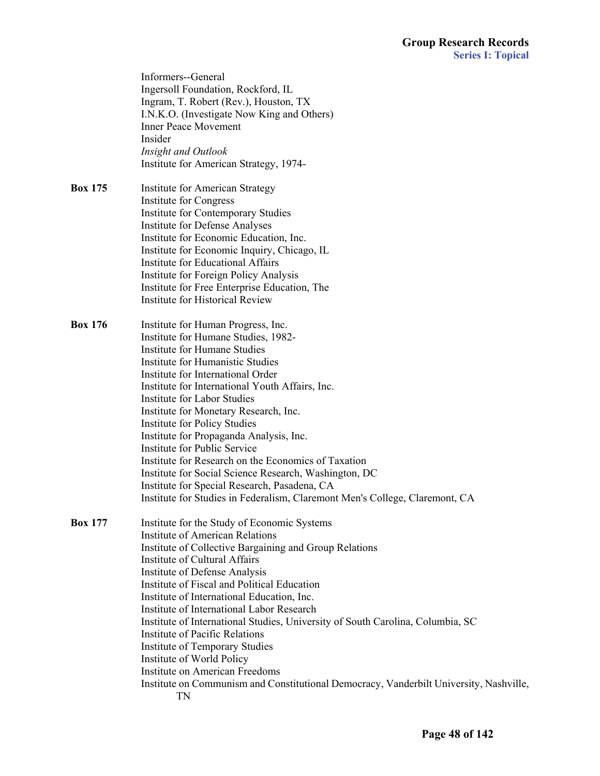Informers--General Ingersoll Foundation, Rockford, IL Ingram, T. Robert (Rev.), Houston, TX I.N.K.O. (Investigate Now King and Others) Inner Peace Movement Insider *Insight and Outlook* Institute for American Strategy, 1974- **Box 175** Institute for American Strategy Institute for Congress Institute for Contemporary Studies Institute for Defense Analyses Institute for Economic Education, Inc. Institute for Economic Inquiry, Chicago, IL Institute for Educational Affairs Institute for Foreign Policy Analysis Institute for Free Enterprise Education, The Institute for Historical Review **Box 176** Institute for Human Progress, Inc. Institute for Humane Studies, 1982- Institute for Humane Studies Institute for Humanistic Studies Institute for International Order Institute for International Youth Affairs, Inc. Institute for Labor Studies Institute for Monetary Research, Inc. Institute for Policy Studies Institute for Propaganda Analysis, Inc. Institute for Public Service Institute for Research on the Economics of Taxation Institute for Social Science Research, Washington, DC Institute for Special Research, Pasadena, CA Institute for Studies in Federalism, Claremont Men's College, Claremont, CA **Box 177** Institute for the Study of Economic Systems Institute of American Relations Institute of Collective Bargaining and Group Relations Institute of Cultural Affairs Institute of Defense Analysis Institute of Fiscal and Political Education Institute of International Education, Inc. Institute of International Labor Research Institute of International Studies, University of South Carolina, Columbia, SC Institute of Pacific Relations Institute of Temporary Studies Institute of World Policy Institute on American Freedoms Institute on Communism and Constitutional Democracy, Vanderbilt University, Nashville,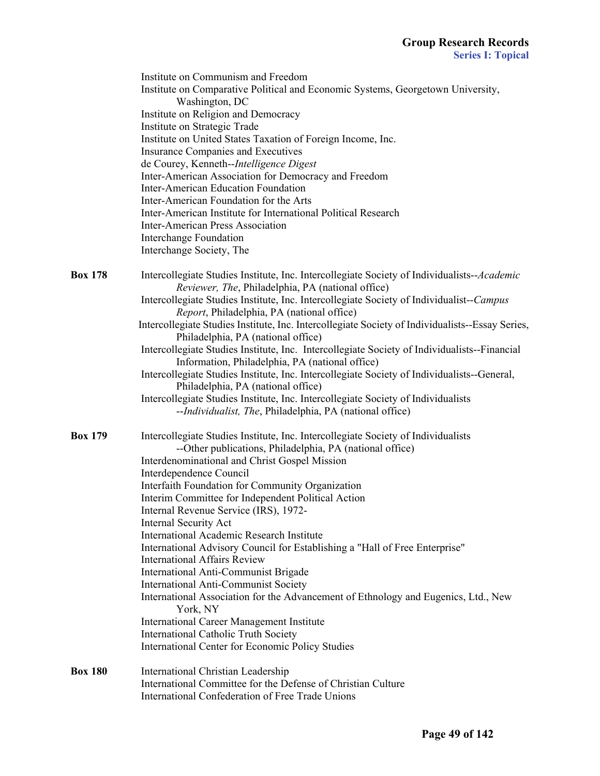|                | Institute on Communism and Freedom<br>Institute on Comparative Political and Economic Systems, Georgetown University,<br>Washington, DC<br>Institute on Religion and Democracy<br>Institute on Strategic Trade<br>Institute on United States Taxation of Foreign Income, Inc.<br>Insurance Companies and Executives<br>de Courey, Kenneth--Intelligence Digest<br>Inter-American Association for Democracy and Freedom<br><b>Inter-American Education Foundation</b><br>Inter-American Foundation for the Arts<br>Inter-American Institute for International Political Research<br><b>Inter-American Press Association</b><br><b>Interchange Foundation</b><br>Interchange Society, The                                                                                                                                                                                                                                                       |
|----------------|-----------------------------------------------------------------------------------------------------------------------------------------------------------------------------------------------------------------------------------------------------------------------------------------------------------------------------------------------------------------------------------------------------------------------------------------------------------------------------------------------------------------------------------------------------------------------------------------------------------------------------------------------------------------------------------------------------------------------------------------------------------------------------------------------------------------------------------------------------------------------------------------------------------------------------------------------|
| <b>Box 178</b> | Intercollegiate Studies Institute, Inc. Intercollegiate Society of Individualists--Academic<br>Reviewer, The, Philadelphia, PA (national office)<br>Intercollegiate Studies Institute, Inc. Intercollegiate Society of Individualist--Campus<br>Report, Philadelphia, PA (national office)<br>Intercollegiate Studies Institute, Inc. Intercollegiate Society of Individualists--Essay Series,<br>Philadelphia, PA (national office)<br>Intercollegiate Studies Institute, Inc. Intercollegiate Society of Individualists--Financial<br>Information, Philadelphia, PA (national office)<br>Intercollegiate Studies Institute, Inc. Intercollegiate Society of Individualists--General,<br>Philadelphia, PA (national office)<br>Intercollegiate Studies Institute, Inc. Intercollegiate Society of Individualists<br>--Individualist, The, Philadelphia, PA (national office)                                                                 |
| <b>Box 179</b> | Intercollegiate Studies Institute, Inc. Intercollegiate Society of Individualists<br>--Other publications, Philadelphia, PA (national office)<br>Interdenominational and Christ Gospel Mission<br>Interdependence Council<br>Interfaith Foundation for Community Organization<br>Interim Committee for Independent Political Action<br>Internal Revenue Service (IRS), 1972-<br><b>Internal Security Act</b><br><b>International Academic Research Institute</b><br>International Advisory Council for Establishing a "Hall of Free Enterprise"<br><b>International Affairs Review</b><br>International Anti-Communist Brigade<br><b>International Anti-Communist Society</b><br>International Association for the Advancement of Ethnology and Eugenics, Ltd., New<br>York, NY<br><b>International Career Management Institute</b><br><b>International Catholic Truth Society</b><br><b>International Center for Economic Policy Studies</b> |
| <b>Box 180</b> | <b>International Christian Leadership</b><br>International Committee for the Defense of Christian Culture<br>International Confederation of Free Trade Unions                                                                                                                                                                                                                                                                                                                                                                                                                                                                                                                                                                                                                                                                                                                                                                                 |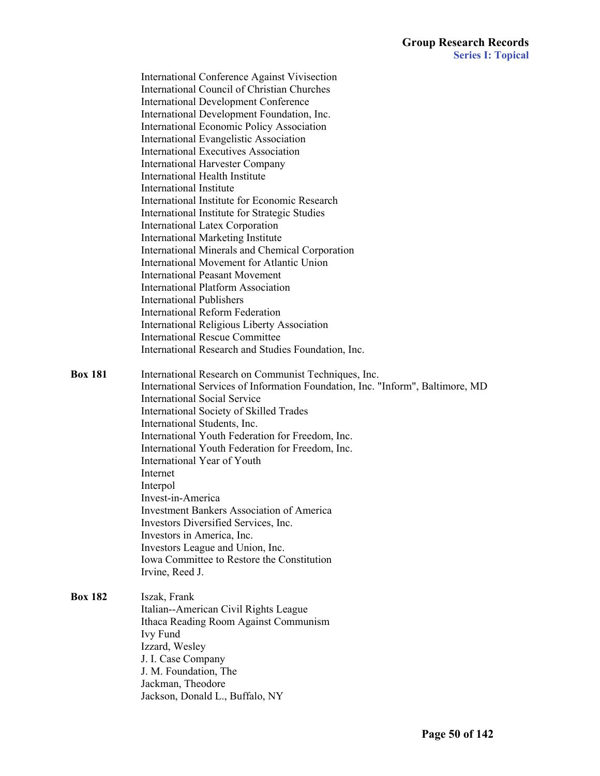International Conference Against Vivisection International Council of Christian Churches International Development Conference International Development Foundation, Inc. International Economic Policy Association International Evangelistic Association International Executives Association International Harvester Company International Health Institute International Institute International Institute for Economic Research International Institute for Strategic Studies International Latex Corporation International Marketing Institute International Minerals and Chemical Corporation International Movement for Atlantic Union International Peasant Movement International Platform Association International Publishers International Reform Federation International Religious Liberty Association International Rescue Committee International Research and Studies Foundation, Inc. **Box 181** International Research on Communist Techniques, Inc. International Services of Information Foundation, Inc. "Inform", Baltimore, MD International Social Service International Society of Skilled Trades International Students, Inc. International Youth Federation for Freedom, Inc. International Youth Federation for Freedom, Inc. International Year of Youth Internet Interpol Invest-in-America Investment Bankers Association of America Investors Diversified Services, Inc. Investors in America, Inc. Investors League and Union, Inc. Iowa Committee to Restore the Constitution Irvine, Reed J. **Box 182** Iszak, Frank Italian--American Civil Rights League Ithaca Reading Room Against Communism Ivy Fund Izzard, Wesley J. I. Case Company J. M. Foundation, The Jackman, Theodore Jackson, Donald L., Buffalo, NY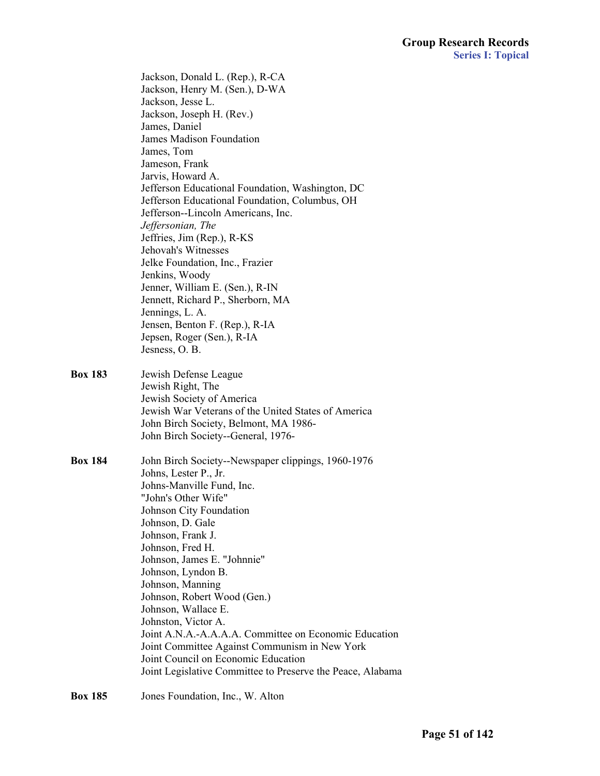|                | Jackson, Donald L. (Rep.), R-CA<br>Jackson, Henry M. (Sen.), D-WA<br>Jackson, Jesse L.<br>Jackson, Joseph H. (Rev.)<br>James, Daniel<br><b>James Madison Foundation</b><br>James, Tom<br>Jameson, Frank<br>Jarvis, Howard A.<br>Jefferson Educational Foundation, Washington, DC<br>Jefferson Educational Foundation, Columbus, OH<br>Jefferson--Lincoln Americans, Inc.<br>Jeffersonian, The<br>Jeffries, Jim (Rep.), R-KS<br>Jehovah's Witnesses<br>Jelke Foundation, Inc., Frazier<br>Jenkins, Woody<br>Jenner, William E. (Sen.), R-IN<br>Jennett, Richard P., Sherborn, MA<br>Jennings, L. A.<br>Jensen, Benton F. (Rep.), R-IA<br>Jepsen, Roger (Sen.), R-IA<br>Jesness, O.B. |
|----------------|-------------------------------------------------------------------------------------------------------------------------------------------------------------------------------------------------------------------------------------------------------------------------------------------------------------------------------------------------------------------------------------------------------------------------------------------------------------------------------------------------------------------------------------------------------------------------------------------------------------------------------------------------------------------------------------|
| <b>Box 183</b> | Jewish Defense League<br>Jewish Right, The<br>Jewish Society of America<br>Jewish War Veterans of the United States of America<br>John Birch Society, Belmont, MA 1986-<br>John Birch Society--General, 1976-                                                                                                                                                                                                                                                                                                                                                                                                                                                                       |
| <b>Box 184</b> | John Birch Society--Newspaper clippings, 1960-1976<br>Johns, Lester P., Jr.<br>Johns-Manville Fund, Inc.<br>"John's Other Wife"<br>Johnson City Foundation<br>Johnson, D. Gale<br>Johnson, Frank J.<br>Johnson, Fred H.<br>Johnson, James E. "Johnnie"<br>Johnson, Lyndon B.<br>Johnson, Manning<br>Johnson, Robert Wood (Gen.)<br>Johnson, Wallace E.<br>Johnston, Victor A.<br>Joint A.N.A.-A.A.A.A. Committee on Economic Education<br>Joint Committee Against Communism in New York<br>Joint Council on Economic Education<br>Joint Legislative Committee to Preserve the Peace, Alabama                                                                                        |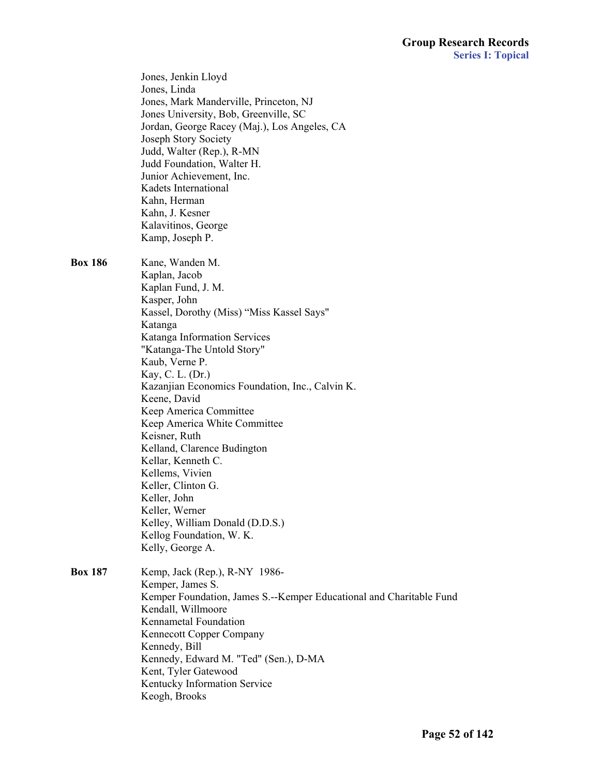|                | Jones, Jenkin Lloyd<br>Jones, Linda<br>Jones, Mark Manderville, Princeton, NJ |
|----------------|-------------------------------------------------------------------------------|
|                | Jones University, Bob, Greenville, SC                                         |
|                | Jordan, George Racey (Maj.), Los Angeles, CA                                  |
|                | Joseph Story Society                                                          |
|                | Judd, Walter (Rep.), R-MN                                                     |
|                | Judd Foundation, Walter H.                                                    |
|                | Junior Achievement, Inc.                                                      |
|                | Kadets International                                                          |
|                | Kahn, Herman                                                                  |
|                | Kahn, J. Kesner                                                               |
|                | Kalavitinos, George<br>Kamp, Joseph P.                                        |
|                |                                                                               |
| <b>Box 186</b> | Kane, Wanden M.                                                               |
|                | Kaplan, Jacob                                                                 |
|                | Kaplan Fund, J. M.                                                            |
|                | Kasper, John                                                                  |
|                | Kassel, Dorothy (Miss) "Miss Kassel Says"                                     |
|                | Katanga                                                                       |
|                | Katanga Information Services<br>"Katanga-The Untold Story"                    |
|                | Kaub, Verne P.                                                                |
|                | Kay, C. L. (Dr.)                                                              |
|                | Kazanjian Economics Foundation, Inc., Calvin K.                               |
|                | Keene, David                                                                  |
|                | Keep America Committee                                                        |
|                | Keep America White Committee                                                  |
|                | Keisner, Ruth                                                                 |
|                | Kelland, Clarence Budington                                                   |
|                | Kellar, Kenneth C.                                                            |
|                | Kellems, Vivien                                                               |
|                | Keller, Clinton G.                                                            |
|                | Keller, John                                                                  |
|                | Keller, Werner                                                                |
|                | Kelley, William Donald (D.D.S.)                                               |
|                | Kellog Foundation, W. K.                                                      |
|                | Kelly, George A.                                                              |
| <b>Box 187</b> | Kemp, Jack (Rep.), R-NY 1986-                                                 |
|                | Kemper, James S.                                                              |
|                | Kemper Foundation, James S.--Kemper Educational and Charitable Fund           |
|                | Kendall, Willmoore                                                            |
|                | <b>Kennametal Foundation</b>                                                  |
|                | Kennecott Copper Company                                                      |
|                | Kennedy, Bill                                                                 |
|                | Kennedy, Edward M. "Ted" (Sen.), D-MA                                         |
|                | Kent, Tyler Gatewood                                                          |
|                | Kentucky Information Service                                                  |
|                | Keogh, Brooks                                                                 |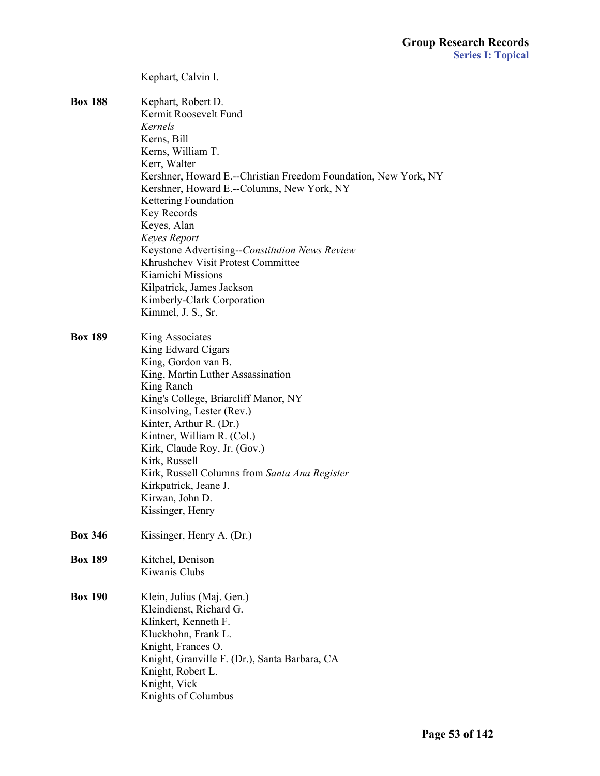|                | Kephart, Calvin I.                                                                                            |
|----------------|---------------------------------------------------------------------------------------------------------------|
| <b>Box 188</b> | Kephart, Robert D.<br>Kermit Roosevelt Fund<br>Kernels                                                        |
|                | Kerns, Bill                                                                                                   |
|                | Kerns, William T.                                                                                             |
|                | Kerr, Walter                                                                                                  |
|                | Kershner, Howard E.--Christian Freedom Foundation, New York, NY<br>Kershner, Howard E.--Columns, New York, NY |
|                | Kettering Foundation                                                                                          |
|                | Key Records                                                                                                   |
|                | Keyes, Alan                                                                                                   |
|                | Keyes Report                                                                                                  |
|                | Keystone Advertising--Constitution News Review                                                                |
|                | Khrushchev Visit Protest Committee                                                                            |
|                | Kiamichi Missions                                                                                             |
|                | Kilpatrick, James Jackson<br>Kimberly-Clark Corporation                                                       |
|                | Kimmel, J. S., Sr.                                                                                            |
|                |                                                                                                               |
| <b>Box 189</b> | King Associates                                                                                               |
|                | King Edward Cigars                                                                                            |
|                | King, Gordon van B.                                                                                           |
|                | King, Martin Luther Assassination                                                                             |
|                | King Ranch                                                                                                    |
|                | King's College, Briarcliff Manor, NY                                                                          |
|                | Kinsolving, Lester (Rev.)                                                                                     |
|                | Kinter, Arthur R. (Dr.)                                                                                       |
|                | Kintner, William R. (Col.)                                                                                    |
|                | Kirk, Claude Roy, Jr. (Gov.)                                                                                  |
|                | Kirk, Russell                                                                                                 |
|                | Kirk, Russell Columns from Santa Ana Register                                                                 |
|                | Kirkpatrick, Jeane J.                                                                                         |
|                | Kirwan, John D.                                                                                               |
|                | Kissinger, Henry                                                                                              |
| <b>Box 346</b> | Kissinger, Henry A. (Dr.)                                                                                     |
| <b>Box 189</b> | Kitchel, Denison                                                                                              |
|                | Kiwanis Clubs                                                                                                 |
| <b>Box 190</b> | Klein, Julius (Maj. Gen.)                                                                                     |
|                | Kleindienst, Richard G.                                                                                       |
|                | Klinkert, Kenneth F.                                                                                          |
|                | Kluckhohn, Frank L.                                                                                           |
|                | Knight, Frances O.                                                                                            |
|                | Knight, Granville F. (Dr.), Santa Barbara, CA                                                                 |
|                | Knight, Robert L.                                                                                             |
|                | Knight, Vick                                                                                                  |
|                | Knights of Columbus                                                                                           |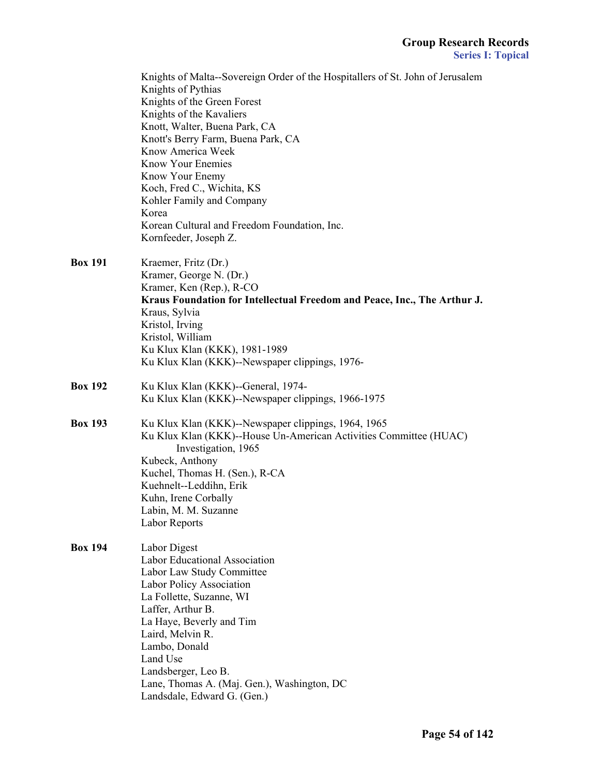|                | Knights of Malta--Sovereign Order of the Hospitallers of St. John of Jerusalem<br>Knights of Pythias<br>Knights of the Green Forest<br>Knights of the Kavaliers<br>Knott, Walter, Buena Park, CA<br>Knott's Berry Farm, Buena Park, CA<br>Know America Week<br><b>Know Your Enemies</b><br>Know Your Enemy<br>Koch, Fred C., Wichita, KS<br>Kohler Family and Company<br>Korea<br>Korean Cultural and Freedom Foundation, Inc. |
|----------------|--------------------------------------------------------------------------------------------------------------------------------------------------------------------------------------------------------------------------------------------------------------------------------------------------------------------------------------------------------------------------------------------------------------------------------|
| <b>Box 191</b> | Kornfeeder, Joseph Z.<br>Kraemer, Fritz (Dr.)<br>Kramer, George N. (Dr.)<br>Kramer, Ken (Rep.), R-CO<br>Kraus Foundation for Intellectual Freedom and Peace, Inc., The Arthur J.<br>Kraus, Sylvia<br>Kristol, Irving<br>Kristol, William<br>Ku Klux Klan (KKK), 1981-1989<br>Ku Klux Klan (KKK)--Newspaper clippings, 1976-                                                                                                    |
| <b>Box 192</b> | Ku Klux Klan (KKK)--General, 1974-<br>Ku Klux Klan (KKK)--Newspaper clippings, 1966-1975                                                                                                                                                                                                                                                                                                                                       |
| <b>Box 193</b> | Ku Klux Klan (KKK)--Newspaper clippings, 1964, 1965<br>Ku Klux Klan (KKK)--House Un-American Activities Committee (HUAC)<br>Investigation, 1965<br>Kubeck, Anthony<br>Kuchel, Thomas H. (Sen.), R-CA<br>Kuehnelt--Leddihn, Erik<br>Kuhn, Irene Corbally<br>Labin, M. M. Suzanne<br>Labor Reports                                                                                                                               |
| <b>Box 194</b> | Labor Digest<br><b>Labor Educational Association</b><br>Labor Law Study Committee<br>Labor Policy Association<br>La Follette, Suzanne, WI<br>Laffer, Arthur B.<br>La Haye, Beverly and Tim<br>Laird, Melvin R.<br>Lambo, Donald<br>Land Use<br>Landsberger, Leo B.<br>Lane, Thomas A. (Maj. Gen.), Washington, DC<br>Landsdale, Edward G. (Gen.)                                                                               |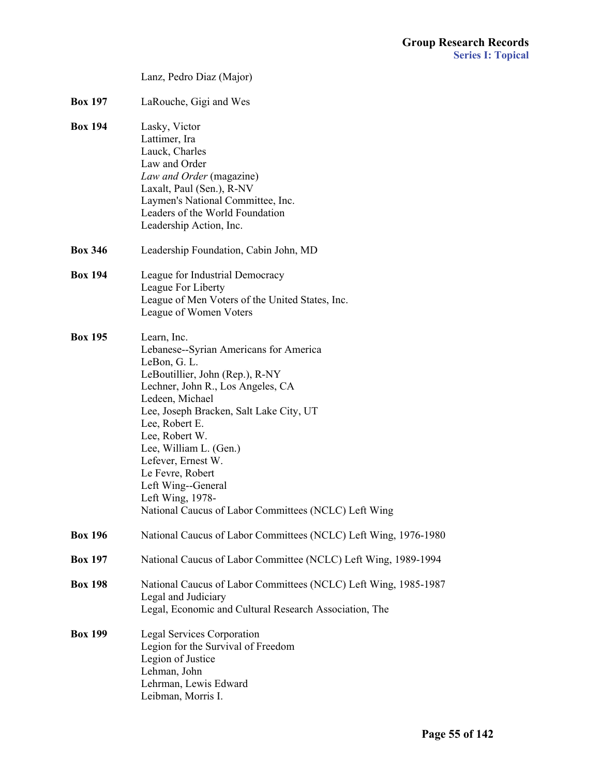|                | Lanz, Pedro Diaz (Major)                                                                                                                                                                                                                                                                                                                                                                                              |
|----------------|-----------------------------------------------------------------------------------------------------------------------------------------------------------------------------------------------------------------------------------------------------------------------------------------------------------------------------------------------------------------------------------------------------------------------|
| <b>Box 197</b> | LaRouche, Gigi and Wes                                                                                                                                                                                                                                                                                                                                                                                                |
| <b>Box 194</b> | Lasky, Victor<br>Lattimer, Ira<br>Lauck, Charles<br>Law and Order<br>Law and Order (magazine)<br>Laxalt, Paul (Sen.), R-NV<br>Laymen's National Committee, Inc.<br>Leaders of the World Foundation<br>Leadership Action, Inc.                                                                                                                                                                                         |
| <b>Box 346</b> | Leadership Foundation, Cabin John, MD                                                                                                                                                                                                                                                                                                                                                                                 |
| <b>Box 194</b> | League for Industrial Democracy<br>League For Liberty<br>League of Men Voters of the United States, Inc.<br>League of Women Voters                                                                                                                                                                                                                                                                                    |
| <b>Box 195</b> | Learn, Inc.<br>Lebanese--Syrian Americans for America<br>LeBon, G. L.<br>LeBoutillier, John (Rep.), R-NY<br>Lechner, John R., Los Angeles, CA<br>Ledeen, Michael<br>Lee, Joseph Bracken, Salt Lake City, UT<br>Lee, Robert E.<br>Lee, Robert W.<br>Lee, William L. (Gen.)<br>Lefever, Ernest W.<br>Le Fevre, Robert<br>Left Wing--General<br>Left Wing, 1978-<br>National Caucus of Labor Committees (NCLC) Left Wing |
| <b>Box 196</b> | National Caucus of Labor Committees (NCLC) Left Wing, 1976-1980                                                                                                                                                                                                                                                                                                                                                       |
| <b>Box 197</b> | National Caucus of Labor Committee (NCLC) Left Wing, 1989-1994                                                                                                                                                                                                                                                                                                                                                        |
| <b>Box 198</b> | National Caucus of Labor Committees (NCLC) Left Wing, 1985-1987<br>Legal and Judiciary<br>Legal, Economic and Cultural Research Association, The                                                                                                                                                                                                                                                                      |
| <b>Box 199</b> | <b>Legal Services Corporation</b><br>Legion for the Survival of Freedom<br>Legion of Justice<br>Lehman, John<br>Lehrman, Lewis Edward<br>Leibman, Morris I.                                                                                                                                                                                                                                                           |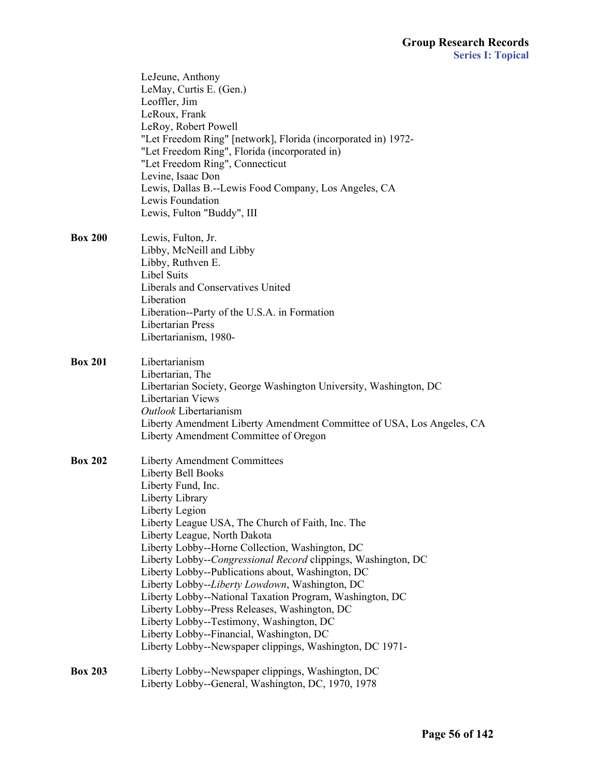|                | LeJeune, Anthony<br>LeMay, Curtis E. (Gen.)<br>Leoffler, Jim<br>LeRoux, Frank<br>LeRoy, Robert Powell<br>"Let Freedom Ring" [network], Florida (incorporated in) 1972-<br>"Let Freedom Ring", Florida (incorporated in)<br>"Let Freedom Ring", Connecticut<br>Levine, Isaac Don<br>Lewis, Dallas B.--Lewis Food Company, Los Angeles, CA<br>Lewis Foundation<br>Lewis, Fulton "Buddy", III                                                                                                                                                                                                                                                                                                            |
|----------------|-------------------------------------------------------------------------------------------------------------------------------------------------------------------------------------------------------------------------------------------------------------------------------------------------------------------------------------------------------------------------------------------------------------------------------------------------------------------------------------------------------------------------------------------------------------------------------------------------------------------------------------------------------------------------------------------------------|
| <b>Box 200</b> | Lewis, Fulton, Jr.<br>Libby, McNeill and Libby<br>Libby, Ruthven E.<br><b>Libel Suits</b><br>Liberals and Conservatives United<br>Liberation<br>Liberation--Party of the U.S.A. in Formation<br>Libertarian Press<br>Libertarianism, 1980-                                                                                                                                                                                                                                                                                                                                                                                                                                                            |
| <b>Box 201</b> | Libertarianism<br>Libertarian, The<br>Libertarian Society, George Washington University, Washington, DC<br>Libertarian Views<br>Outlook Libertarianism<br>Liberty Amendment Liberty Amendment Committee of USA, Los Angeles, CA<br>Liberty Amendment Committee of Oregon                                                                                                                                                                                                                                                                                                                                                                                                                              |
| <b>Box 202</b> | <b>Liberty Amendment Committees</b><br>Liberty Bell Books<br>Liberty Fund, Inc.<br>Liberty Library<br>Liberty Legion<br>Liberty League USA, The Church of Faith, Inc. The<br>Liberty League, North Dakota<br>Liberty Lobby--Horne Collection, Washington, DC<br>Liberty Lobby--Congressional Record clippings, Washington, DC<br>Liberty Lobby--Publications about, Washington, DC<br>Liberty Lobby--Liberty Lowdown, Washington, DC<br>Liberty Lobby--National Taxation Program, Washington, DC<br>Liberty Lobby--Press Releases, Washington, DC<br>Liberty Lobby--Testimony, Washington, DC<br>Liberty Lobby--Financial, Washington, DC<br>Liberty Lobby--Newspaper clippings, Washington, DC 1971- |
| <b>Box 203</b> | Liberty Lobby--Newspaper clippings, Washington, DC<br>Liberty Lobby--General, Washington, DC, 1970, 1978                                                                                                                                                                                                                                                                                                                                                                                                                                                                                                                                                                                              |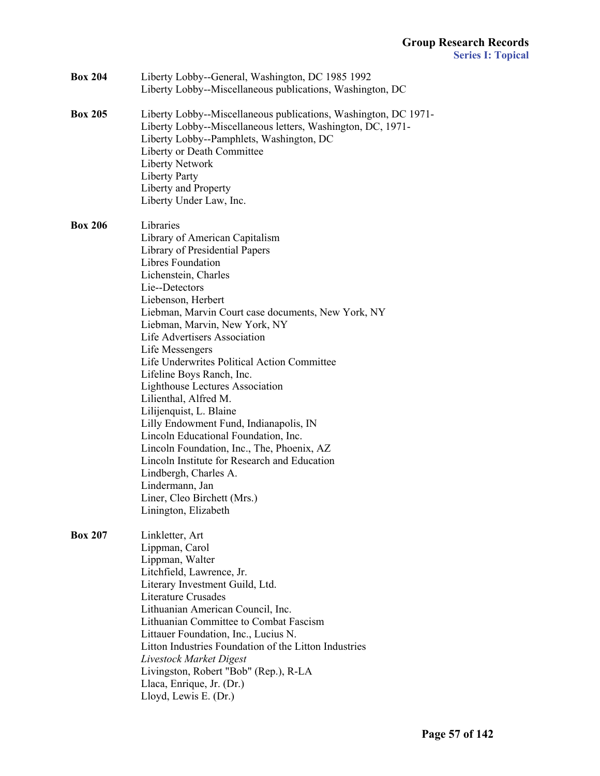| <b>Box 204</b> | Liberty Lobby--General, Washington, DC 1985 1992<br>Liberty Lobby--Miscellaneous publications, Washington, DC                                                                                                                                                                                                                                                                                                                                                                                                                                                                                                                                                                                                                                                                    |
|----------------|----------------------------------------------------------------------------------------------------------------------------------------------------------------------------------------------------------------------------------------------------------------------------------------------------------------------------------------------------------------------------------------------------------------------------------------------------------------------------------------------------------------------------------------------------------------------------------------------------------------------------------------------------------------------------------------------------------------------------------------------------------------------------------|
| <b>Box 205</b> | Liberty Lobby--Miscellaneous publications, Washington, DC 1971-<br>Liberty Lobby--Miscellaneous letters, Washington, DC, 1971-<br>Liberty Lobby--Pamphlets, Washington, DC<br>Liberty or Death Committee<br><b>Liberty Network</b><br>Liberty Party<br>Liberty and Property<br>Liberty Under Law, Inc.                                                                                                                                                                                                                                                                                                                                                                                                                                                                           |
| <b>Box 206</b> | Libraries<br>Library of American Capitalism<br>Library of Presidential Papers<br><b>Libres Foundation</b><br>Lichenstein, Charles<br>Lie--Detectors<br>Liebenson, Herbert<br>Liebman, Marvin Court case documents, New York, NY<br>Liebman, Marvin, New York, NY<br>Life Advertisers Association<br>Life Messengers<br>Life Underwrites Political Action Committee<br>Lifeline Boys Ranch, Inc.<br><b>Lighthouse Lectures Association</b><br>Lilienthal, Alfred M.<br>Lilijenquist, L. Blaine<br>Lilly Endowment Fund, Indianapolis, IN<br>Lincoln Educational Foundation, Inc.<br>Lincoln Foundation, Inc., The, Phoenix, AZ<br>Lincoln Institute for Research and Education<br>Lindbergh, Charles A.<br>Lindermann, Jan<br>Liner, Cleo Birchett (Mrs.)<br>Linington, Elizabeth |
| <b>Box 207</b> | Linkletter, Art<br>Lippman, Carol<br>Lippman, Walter<br>Litchfield, Lawrence, Jr.<br>Literary Investment Guild, Ltd.<br><b>Literature Crusades</b><br>Lithuanian American Council, Inc.<br>Lithuanian Committee to Combat Fascism<br>Littauer Foundation, Inc., Lucius N.<br>Litton Industries Foundation of the Litton Industries<br>Livestock Market Digest<br>Livingston, Robert "Bob" (Rep.), R-LA<br>Llaca, Enrique, Jr. (Dr.)<br>Lloyd, Lewis E. (Dr.)                                                                                                                                                                                                                                                                                                                     |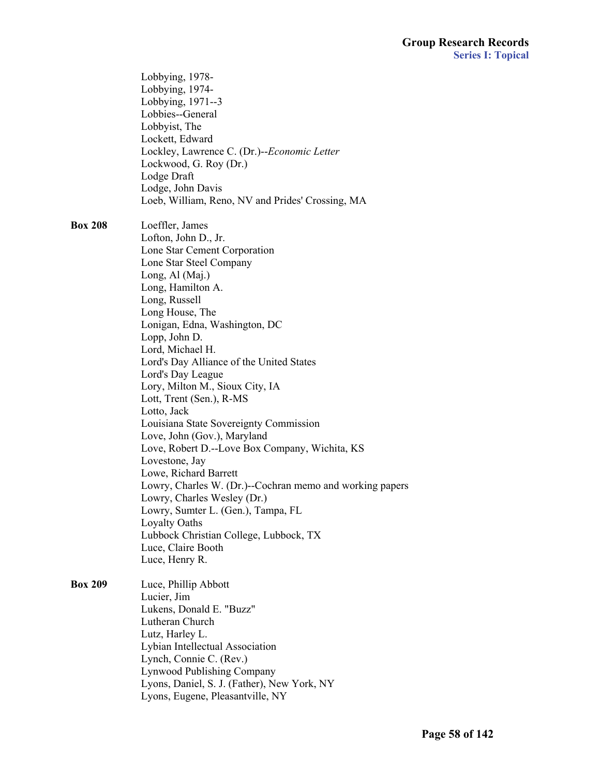|                | Lobbying, 1978-<br>Lobbying, 1974-<br>Lobbying, 1971--3<br>Lobbies--General<br>Lobbyist, The<br>Lockett, Edward<br>Lockley, Lawrence C. (Dr.)--Economic Letter<br>Lockwood, G. Roy (Dr.)<br>Lodge Draft<br>Lodge, John Davis<br>Loeb, William, Reno, NV and Prides' Crossing, MA                                                                                                                                                                                                                                                                                                                                                                                                                                                                                                                                     |
|----------------|----------------------------------------------------------------------------------------------------------------------------------------------------------------------------------------------------------------------------------------------------------------------------------------------------------------------------------------------------------------------------------------------------------------------------------------------------------------------------------------------------------------------------------------------------------------------------------------------------------------------------------------------------------------------------------------------------------------------------------------------------------------------------------------------------------------------|
| <b>Box 208</b> | Loeffler, James<br>Lofton, John D., Jr.<br>Lone Star Cement Corporation<br>Lone Star Steel Company<br>Long, Al (Maj.)<br>Long, Hamilton A.<br>Long, Russell<br>Long House, The<br>Lonigan, Edna, Washington, DC<br>Lopp, John D.<br>Lord, Michael H.<br>Lord's Day Alliance of the United States<br>Lord's Day League<br>Lory, Milton M., Sioux City, IA<br>Lott, Trent (Sen.), R-MS<br>Lotto, Jack<br>Louisiana State Sovereignty Commission<br>Love, John (Gov.), Maryland<br>Love, Robert D.--Love Box Company, Wichita, KS<br>Lovestone, Jay<br>Lowe, Richard Barrett<br>Lowry, Charles W. (Dr.)--Cochran memo and working papers<br>Lowry, Charles Wesley (Dr.)<br>Lowry, Sumter L. (Gen.), Tampa, FL<br><b>Loyalty Oaths</b><br>Lubbock Christian College, Lubbock, TX<br>Luce, Claire Booth<br>Luce, Henry R. |
| <b>Box 209</b> | Luce, Phillip Abbott<br>Lucier, Jim<br>Lukens, Donald E. "Buzz"<br>Lutheran Church<br>Lutz, Harley L.<br>Lybian Intellectual Association<br>Lynch, Connie C. (Rev.)<br><b>Lynwood Publishing Company</b><br>Lyons, Daniel, S. J. (Father), New York, NY<br>Lyons, Eugene, Pleasantville, NY                                                                                                                                                                                                                                                                                                                                                                                                                                                                                                                          |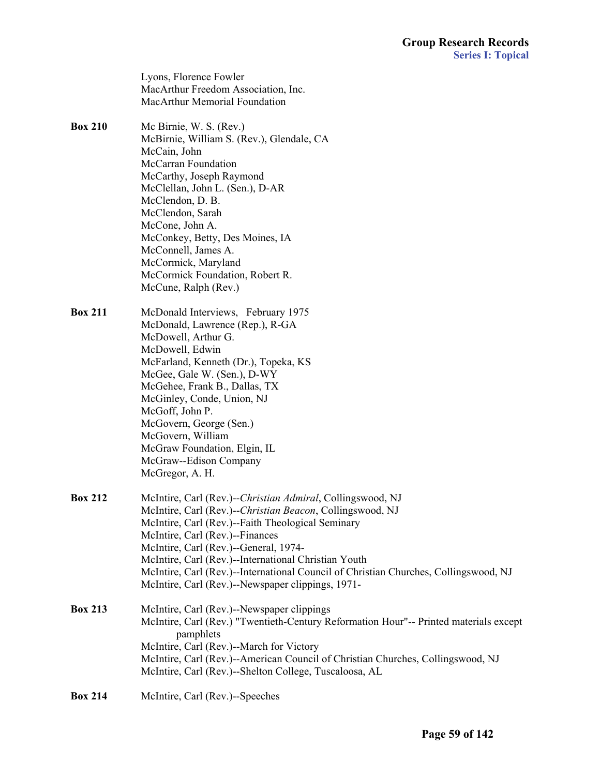Lyons, Florence Fowler MacArthur Freedom Association, Inc. MacArthur Memorial Foundation

- **Box 210** Mc Birnie, W. S. (Rev.) McBirnie, William S. (Rev.), Glendale, CA McCain, John McCarran Foundation McCarthy, Joseph Raymond McClellan, John L. (Sen.), D-AR McClendon, D. B. McClendon, Sarah McCone, John A. McConkey, Betty, Des Moines, IA McConnell, James A. McCormick, Maryland McCormick Foundation, Robert R. McCune, Ralph (Rev.)
- **Box 211** McDonald Interviews, February 1975 McDonald, Lawrence (Rep.), R-GA McDowell, Arthur G. McDowell, Edwin McFarland, Kenneth (Dr.), Topeka, KS McGee, Gale W. (Sen.), D-WY McGehee, Frank B., Dallas, TX McGinley, Conde, Union, NJ McGoff, John P. McGovern, George (Sen.) McGovern, William McGraw Foundation, Elgin, IL McGraw--Edison Company McGregor, A. H.
- **Box 212** McIntire, Carl (Rev.)--*Christian Admiral*, Collingswood, NJ McIntire, Carl (Rev.)--*Christian Beacon*, Collingswood, NJ McIntire, Carl (Rev.)--Faith Theological Seminary McIntire, Carl (Rev.)--Finances McIntire, Carl (Rev.)--General, 1974- McIntire, Carl (Rev.)--International Christian Youth McIntire, Carl (Rev.)--International Council of Christian Churches, Collingswood, NJ McIntire, Carl (Rev.)--Newspaper clippings, 1971-

**Box 213** McIntire, Carl (Rev.)--Newspaper clippings McIntire, Carl (Rev.) "Twentieth-Century Reformation Hour"-- Printed materials except pamphlets McIntire, Carl (Rev.)--March for Victory McIntire, Carl (Rev.)--American Council of Christian Churches, Collingswood, NJ McIntire, Carl (Rev.)--Shelton College, Tuscaloosa, AL

**Box 214** McIntire, Carl (Rev.)--Speeches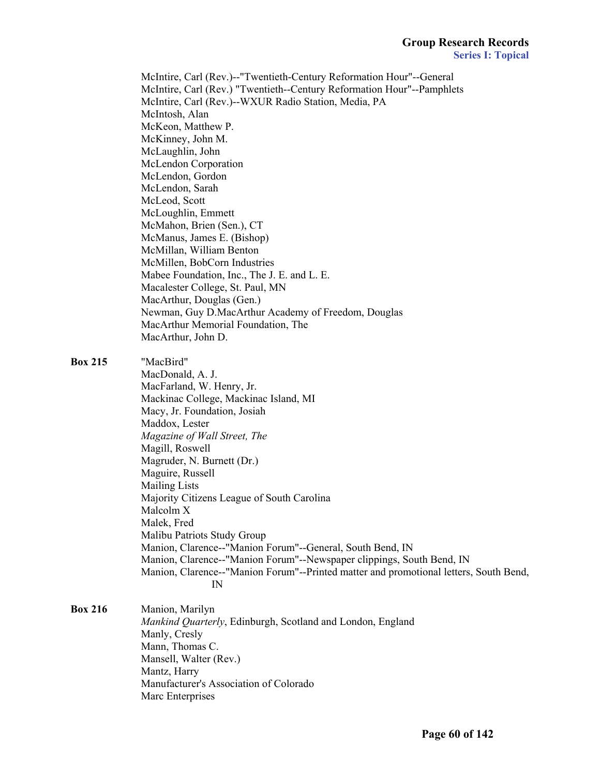McIntire, Carl (Rev.)--"Twentieth-Century Reformation Hour"--General McIntire, Carl (Rev.) "Twentieth--Century Reformation Hour"--Pamphlets McIntire, Carl (Rev.)--WXUR Radio Station, Media, PA McIntosh, Alan McKeon, Matthew P. McKinney, John M. McLaughlin, John McLendon Corporation McLendon, Gordon McLendon, Sarah McLeod, Scott McLoughlin, Emmett McMahon, Brien (Sen.), CT McManus, James E. (Bishop) McMillan, William Benton McMillen, BobCorn Industries Mabee Foundation, Inc., The J. E. and L. E. Macalester College, St. Paul, MN MacArthur, Douglas (Gen.) Newman, Guy D.MacArthur Academy of Freedom, Douglas MacArthur Memorial Foundation, The MacArthur, John D. **Box 215** "MacBird" MacDonald, A. J. MacFarland, W. Henry, Jr. Mackinac College, Mackinac Island, MI Macy, Jr. Foundation, Josiah Maddox, Lester *Magazine of Wall Street, The* Magill, Roswell Magruder, N. Burnett (Dr.) Maguire, Russell Mailing Lists Majority Citizens League of South Carolina Malcolm X Malek, Fred Malibu Patriots Study Group Manion, Clarence--"Manion Forum"--General, South Bend, IN Manion, Clarence--"Manion Forum"--Newspaper clippings, South Bend, IN Manion, Clarence--"Manion Forum"--Printed matter and promotional letters, South Bend, IN **Box 216** Manion, Marilyn *Mankind Quarterly*, Edinburgh, Scotland and London, England Manly, Cresly Mann, Thomas C. Mansell, Walter (Rev.) Mantz, Harry Manufacturer's Association of Colorado Marc Enterprises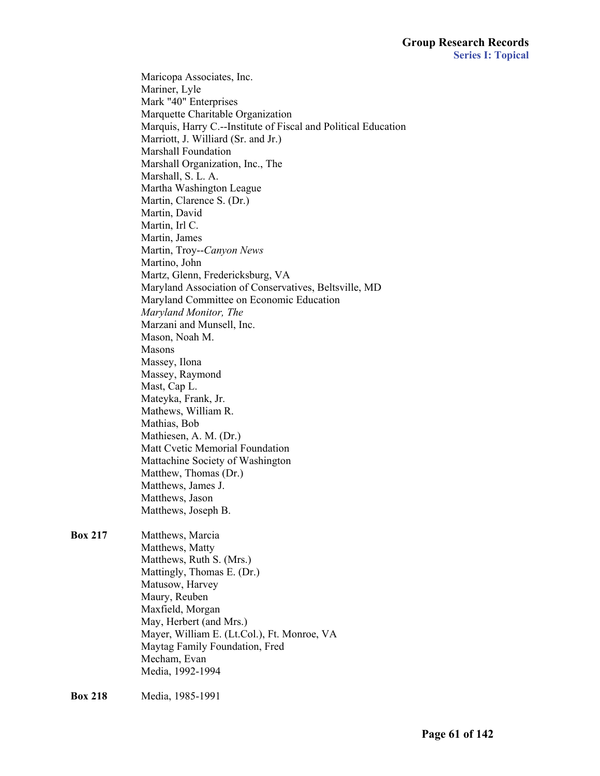Maricopa Associates, Inc. Mariner, Lyle Mark "40" Enterprises Marquette Charitable Organization Marquis, Harry C.--Institute of Fiscal and Political Education Marriott, J. Williard (Sr. and Jr.) Marshall Foundation Marshall Organization, Inc., The Marshall, S. L. A. Martha Washington League Martin, Clarence S. (Dr.) Martin, David Martin, Irl C. Martin, James Martin, Troy--*Canyon News* Martino, John Martz, Glenn, Fredericksburg, VA Maryland Association of Conservatives, Beltsville, MD Maryland Committee on Economic Education *Maryland Monitor, The* Marzani and Munsell, Inc. Mason, Noah M. Masons Massey, Ilona Massey, Raymond Mast, Cap L. Mateyka, Frank, Jr. Mathews, William R. Mathias, Bob Mathiesen, A. M. (Dr.) Matt Cvetic Memorial Foundation Mattachine Society of Washington Matthew, Thomas (Dr.) Matthews, James J. Matthews, Jason Matthews, Joseph B. **Box 217** Matthews, Marcia Matthews, Matty Matthews, Ruth S. (Mrs.) Mattingly, Thomas E. (Dr.) Matusow, Harvey Maury, Reuben Maxfield, Morgan May, Herbert (and Mrs.) Mayer, William E. (Lt.Col.), Ft. Monroe, VA Maytag Family Foundation, Fred Mecham, Evan Media, 1992-1994

**Box 218** Media, 1985-1991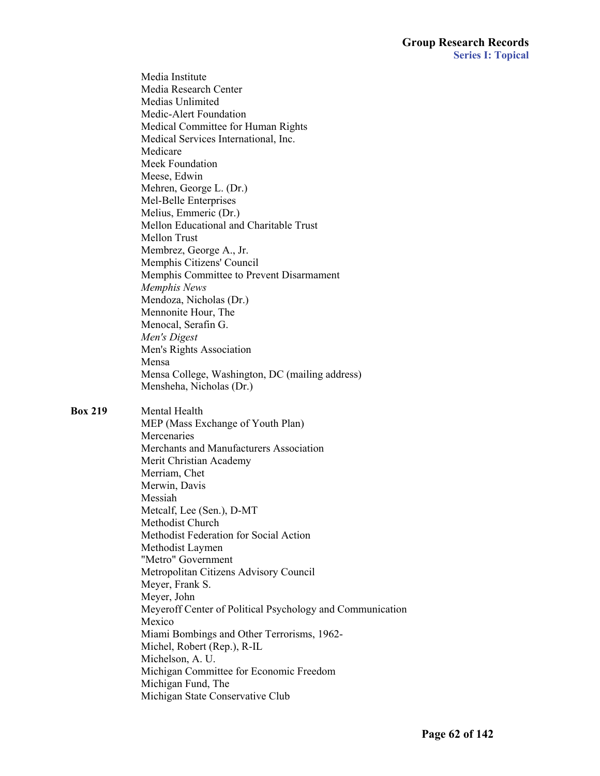Media Institute Media Research Center Medias Unlimited Medic-Alert Foundation Medical Committee for Human Rights Medical Services International, Inc. Medicare Meek Foundation Meese, Edwin Mehren, George L. (Dr.) Mel-Belle Enterprises Melius, Emmeric (Dr.) Mellon Educational and Charitable Trust Mellon Trust Membrez, George A., Jr. Memphis Citizens' Council Memphis Committee to Prevent Disarmament *Memphis News* Mendoza, Nicholas (Dr.) Mennonite Hour, The Menocal, Serafin G. *Men's Digest* Men's Rights Association Mensa Mensa College, Washington, DC (mailing address) Mensheha, Nicholas (Dr.) **Box 219** Mental Health MEP (Mass Exchange of Youth Plan) Mercenaries Merchants and Manufacturers Association Merit Christian Academy Merriam, Chet Merwin, Davis Messiah Metcalf, Lee (Sen.), D-MT Methodist Church

 Methodist Federation for Social Action Methodist Laymen "Metro" Government Metropolitan Citizens Advisory Council Meyer, Frank S. Meyer, John Meyeroff Center of Political Psychology and Communication Mexico Miami Bombings and Other Terrorisms, 1962- Michel, Robert (Rep.), R-IL Michelson, A. U. Michigan Committee for Economic Freedom Michigan Fund, The

Michigan State Conservative Club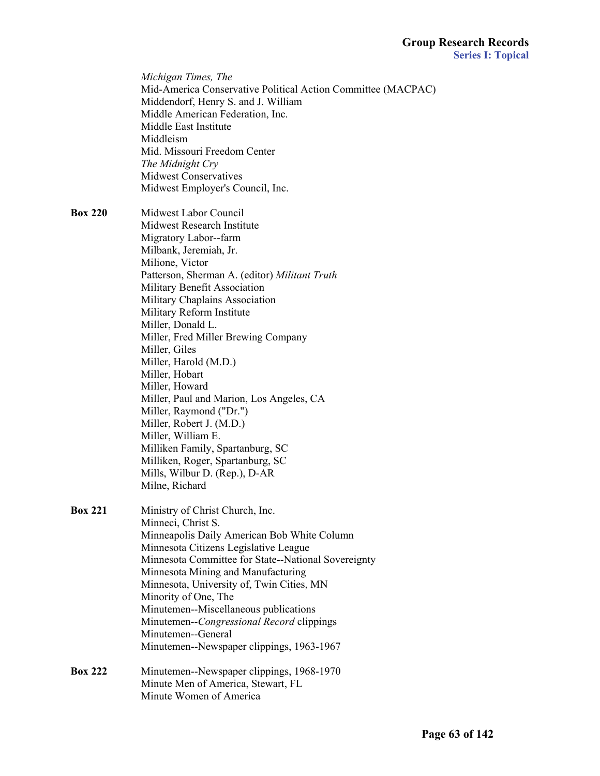|                | Michigan Times, The<br>Mid-America Conservative Political Action Committee (MACPAC)<br>Middendorf, Henry S. and J. William<br>Middle American Federation, Inc.<br>Middle East Institute<br>Middleism<br>Mid. Missouri Freedom Center<br>The Midnight Cry<br><b>Midwest Conservatives</b><br>Midwest Employer's Council, Inc.                                                                                                                                                                                                                                                                                         |  |
|----------------|----------------------------------------------------------------------------------------------------------------------------------------------------------------------------------------------------------------------------------------------------------------------------------------------------------------------------------------------------------------------------------------------------------------------------------------------------------------------------------------------------------------------------------------------------------------------------------------------------------------------|--|
| <b>Box 220</b> | Midwest Labor Council<br>Midwest Research Institute<br>Migratory Labor--farm<br>Milbank, Jeremiah, Jr.<br>Milione, Victor<br>Patterson, Sherman A. (editor) Militant Truth<br>Military Benefit Association<br>Military Chaplains Association<br>Military Reform Institute<br>Miller, Donald L.<br>Miller, Fred Miller Brewing Company<br>Miller, Giles<br>Miller, Harold (M.D.)<br>Miller, Hobart<br>Miller, Howard<br>Miller, Paul and Marion, Los Angeles, CA<br>Miller, Raymond ("Dr.")<br>Miller, Robert J. (M.D.)<br>Miller, William E.<br>Milliken Family, Spartanburg, SC<br>Milliken, Roger, Spartanburg, SC |  |
|                | Mills, Wilbur D. (Rep.), D-AR<br>Milne, Richard                                                                                                                                                                                                                                                                                                                                                                                                                                                                                                                                                                      |  |
| <b>Box 221</b> | Ministry of Christ Church, Inc.<br>Minneci, Christ S.<br>Minneapolis Daily American Bob White Column<br>Minnesota Citizens Legislative League<br>Minnesota Committee for State--National Sovereignty<br>Minnesota Mining and Manufacturing<br>Minnesota, University of, Twin Cities, MN<br>Minority of One, The<br>Minutemen--Miscellaneous publications<br>Minutemen--Congressional Record clippings<br>Minutemen--General<br>Minutemen--Newspaper clippings, 1963-1967                                                                                                                                             |  |
| <b>Box 222</b> | Minutemen--Newspaper clippings, 1968-1970<br>Minute Men of America, Stewart, FL<br>Minute Women of America                                                                                                                                                                                                                                                                                                                                                                                                                                                                                                           |  |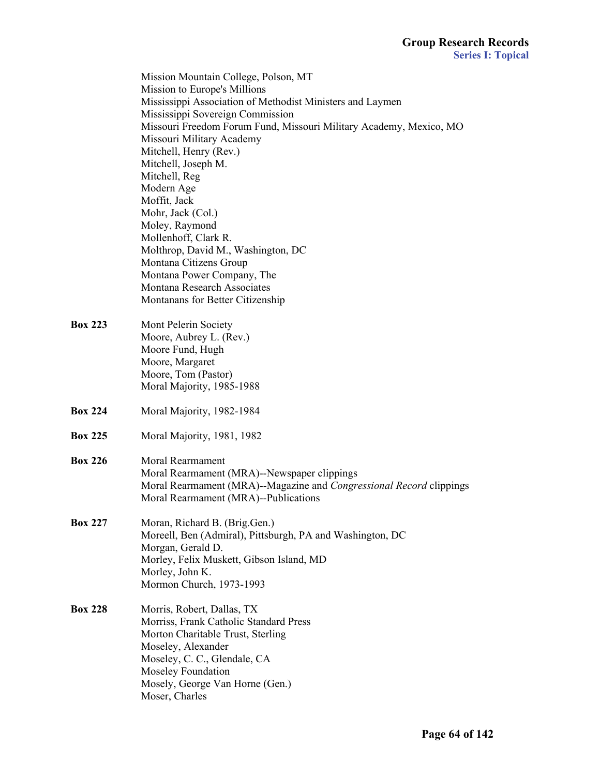Mission Mountain College, Polson, MT Mission to Europe's Millions Mississippi Association of Methodist Ministers and Laymen Mississippi Sovereign Commission Missouri Freedom Forum Fund, Missouri Military Academy, Mexico, MO Missouri Military Academy Mitchell, Henry (Rev.) Mitchell, Joseph M. Mitchell, Reg Modern Age Moffit, Jack Mohr, Jack (Col.) Moley, Raymond Mollenhoff, Clark R. Molthrop, David M., Washington, DC Montana Citizens Group Montana Power Company, The Montana Research Associates Montanans for Better Citizenship **Box 223** Mont Pelerin Society Moore, Aubrey L. (Rev.) Moore Fund, Hugh Moore, Margaret Moore, Tom (Pastor) Moral Majority, 1985-1988 **Box 224** Moral Majority, 1982-1984 **Box 225** Moral Majority, 1981, 1982 **Box 226** Moral Rearmament Moral Rearmament (MRA)--Newspaper clippings Moral Rearmament (MRA)--Magazine and *Congressional Record* clippings Moral Rearmament (MRA)--Publications **Box 227** Moran, Richard B. (Brig.Gen.) Moreell, Ben (Admiral), Pittsburgh, PA and Washington, DC Morgan, Gerald D. Morley, Felix Muskett, Gibson Island, MD Morley, John K. Mormon Church, 1973-1993 **Box 228** Morris, Robert, Dallas, TX Morriss, Frank Catholic Standard Press Morton Charitable Trust, Sterling Moseley, Alexander Moseley, C. C., Glendale, CA Moseley Foundation

Mosely, George Van Horne (Gen.)

Moser, Charles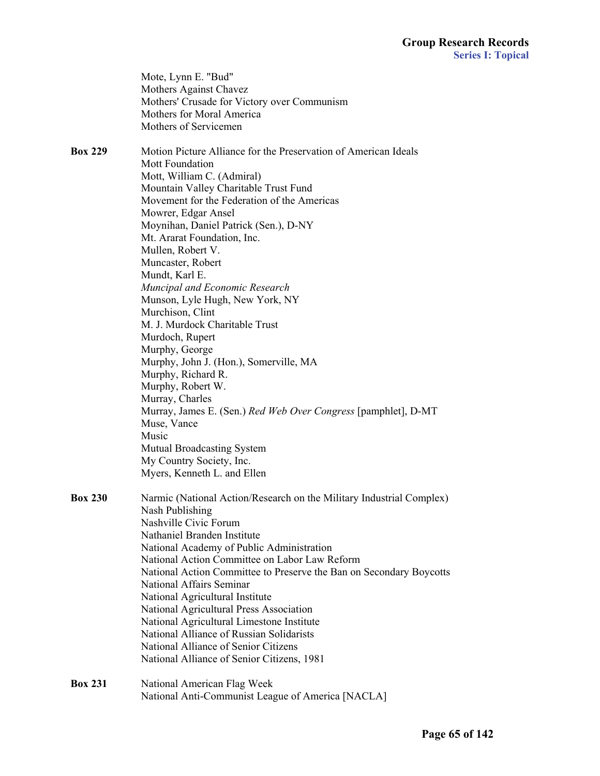|                | Mote, Lynn E. "Bud"<br>Mothers Against Chavez<br>Mothers' Crusade for Victory over Communism<br>Mothers for Moral America<br>Mothers of Servicemen                                                                                                                                                                                                                                                                                                                                                                                                                                                                                                                                                                                                                                                                                    |
|----------------|---------------------------------------------------------------------------------------------------------------------------------------------------------------------------------------------------------------------------------------------------------------------------------------------------------------------------------------------------------------------------------------------------------------------------------------------------------------------------------------------------------------------------------------------------------------------------------------------------------------------------------------------------------------------------------------------------------------------------------------------------------------------------------------------------------------------------------------|
| <b>Box 229</b> | Motion Picture Alliance for the Preservation of American Ideals<br>Mott Foundation<br>Mott, William C. (Admiral)<br>Mountain Valley Charitable Trust Fund<br>Movement for the Federation of the Americas<br>Mowrer, Edgar Ansel<br>Moynihan, Daniel Patrick (Sen.), D-NY<br>Mt. Ararat Foundation, Inc.<br>Mullen, Robert V.<br>Muncaster, Robert<br>Mundt, Karl E.<br>Muncipal and Economic Research<br>Munson, Lyle Hugh, New York, NY<br>Murchison, Clint<br>M. J. Murdock Charitable Trust<br>Murdoch, Rupert<br>Murphy, George<br>Murphy, John J. (Hon.), Somerville, MA<br>Murphy, Richard R.<br>Murphy, Robert W.<br>Murray, Charles<br>Murray, James E. (Sen.) Red Web Over Congress [pamphlet], D-MT<br>Muse, Vance<br>Music<br><b>Mutual Broadcasting System</b><br>My Country Society, Inc.<br>Myers, Kenneth L. and Ellen |
| <b>Box 230</b> | Narmic (National Action/Research on the Military Industrial Complex)<br>Nash Publishing<br>Nashville Civic Forum<br>Nathaniel Branden Institute<br>National Academy of Public Administration<br>National Action Committee on Labor Law Reform<br>National Action Committee to Preserve the Ban on Secondary Boycotts<br>National Affairs Seminar<br>National Agricultural Institute<br>National Agricultural Press Association<br>National Agricultural Limestone Institute<br>National Alliance of Russian Solidarists<br>National Alliance of Senior Citizens<br>National Alliance of Senior Citizens, 1981                                                                                                                                                                                                                         |
| <b>Box 231</b> | National American Flag Week<br>National Anti-Communist League of America [NACLA]                                                                                                                                                                                                                                                                                                                                                                                                                                                                                                                                                                                                                                                                                                                                                      |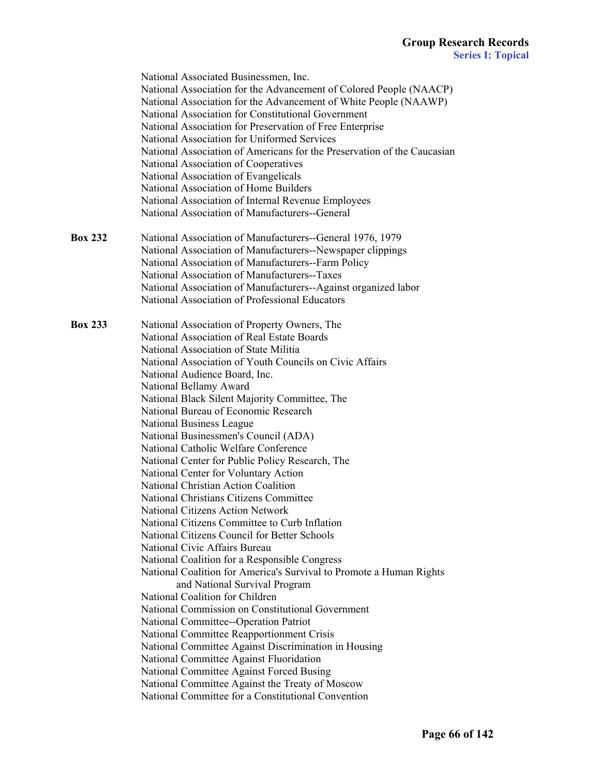|                | National Associated Businessmen, Inc.                                   |
|----------------|-------------------------------------------------------------------------|
|                | National Association for the Advancement of Colored People (NAACP)      |
|                | National Association for the Advancement of White People (NAAWP)        |
|                | National Association for Constitutional Government                      |
|                | National Association for Preservation of Free Enterprise                |
|                | National Association for Uniformed Services                             |
|                | National Association of Americans for the Preservation of the Caucasian |
|                | National Association of Cooperatives                                    |
|                | National Association of Evangelicals                                    |
|                | National Association of Home Builders                                   |
|                | National Association of Internal Revenue Employees                      |
|                | National Association of Manufacturers--General                          |
| <b>Box 232</b> | National Association of Manufacturers--General 1976, 1979               |
|                | National Association of Manufacturers--Newspaper clippings              |
|                | National Association of Manufacturers--Farm Policy                      |
|                | National Association of Manufacturers--Taxes                            |
|                | National Association of Manufacturers--Against organized labor          |
|                | National Association of Professional Educators                          |
|                |                                                                         |
| <b>Box 233</b> | National Association of Property Owners, The                            |
|                | National Association of Real Estate Boards                              |
|                | National Association of State Militia                                   |
|                | National Association of Youth Councils on Civic Affairs                 |
|                | National Audience Board, Inc.                                           |
|                | National Bellamy Award                                                  |
|                | National Black Silent Majority Committee, The                           |
|                | National Bureau of Economic Research                                    |
|                | National Business League                                                |
|                | National Businessmen's Council (ADA)                                    |
|                | National Catholic Welfare Conference                                    |
|                | National Center for Public Policy Research, The                         |
|                | National Center for Voluntary Action                                    |
|                | National Christian Action Coalition                                     |
|                | National Christians Citizens Committee                                  |
|                | National Citizens Action Network                                        |
|                | National Citizens Committee to Curb Inflation                           |
|                | National Citizens Council for Better Schools                            |
|                | National Civic Affairs Bureau                                           |
|                | National Coalition for a Responsible Congress                           |
|                | National Coalition for America's Survival to Promote a Human Rights     |
|                | and National Survival Program                                           |
|                | National Coalition for Children                                         |
|                | National Commission on Constitutional Government                        |
|                | National Committee--Operation Patriot                                   |
|                | National Committee Reapportionment Crisis                               |
|                |                                                                         |
|                | National Committee Against Discrimination in Housing                    |
|                | National Committee Against Fluoridation                                 |
|                | National Committee Against Forced Busing                                |
|                | National Committee Against the Treaty of Moscow                         |
|                | National Committee for a Constitutional Convention                      |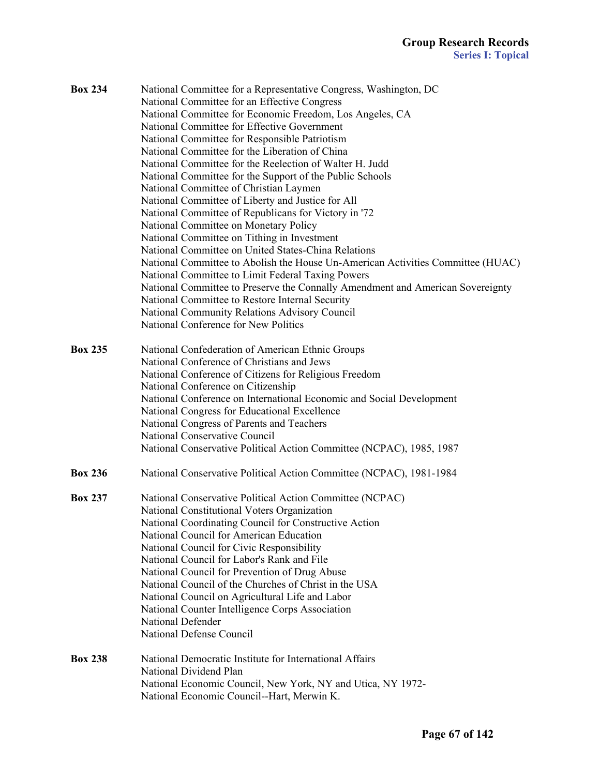| <b>Box 234</b> | National Committee for a Representative Congress, Washington, DC<br>National Committee for an Effective Congress<br>National Committee for Economic Freedom, Los Angeles, CA<br>National Committee for Effective Government<br>National Committee for Responsible Patriotism<br>National Committee for the Liberation of China<br>National Committee for the Reelection of Walter H. Judd<br>National Committee for the Support of the Public Schools<br>National Committee of Christian Laymen<br>National Committee of Liberty and Justice for All<br>National Committee of Republicans for Victory in '72<br>National Committee on Monetary Policy<br>National Committee on Tithing in Investment<br>National Committee on United States-China Relations |
|----------------|-------------------------------------------------------------------------------------------------------------------------------------------------------------------------------------------------------------------------------------------------------------------------------------------------------------------------------------------------------------------------------------------------------------------------------------------------------------------------------------------------------------------------------------------------------------------------------------------------------------------------------------------------------------------------------------------------------------------------------------------------------------|
|                | National Committee to Abolish the House Un-American Activities Committee (HUAC)<br>National Committee to Limit Federal Taxing Powers<br>National Committee to Preserve the Connally Amendment and American Sovereignty<br>National Committee to Restore Internal Security<br>National Community Relations Advisory Council<br>National Conference for New Politics                                                                                                                                                                                                                                                                                                                                                                                          |
| <b>Box 235</b> | National Confederation of American Ethnic Groups<br>National Conference of Christians and Jews<br>National Conference of Citizens for Religious Freedom<br>National Conference on Citizenship<br>National Conference on International Economic and Social Development<br>National Congress for Educational Excellence<br>National Congress of Parents and Teachers<br>National Conservative Council<br>National Conservative Political Action Committee (NCPAC), 1985, 1987                                                                                                                                                                                                                                                                                 |
| <b>Box 236</b> | National Conservative Political Action Committee (NCPAC), 1981-1984                                                                                                                                                                                                                                                                                                                                                                                                                                                                                                                                                                                                                                                                                         |
| <b>Box 237</b> | National Conservative Political Action Committee (NCPAC)<br>National Constitutional Voters Organization<br>National Coordinating Council for Constructive Action<br>National Council for American Education<br>National Council for Civic Responsibility<br>National Council for Labor's Rank and File<br>National Council for Prevention of Drug Abuse<br>National Council of the Churches of Christ in the USA<br>National Council on Agricultural Life and Labor<br>National Counter Intelligence Corps Association<br>National Defender<br>National Defense Council                                                                                                                                                                                     |
| <b>Box 238</b> | National Democratic Institute for International Affairs<br>National Dividend Plan<br>National Economic Council, New York, NY and Utica, NY 1972-<br>National Economic Council--Hart, Merwin K.                                                                                                                                                                                                                                                                                                                                                                                                                                                                                                                                                              |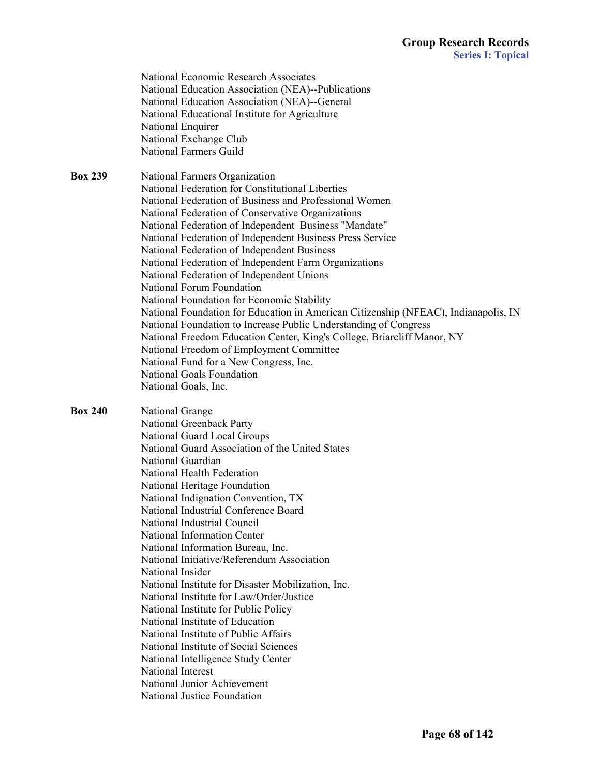| National Education Association (NEA)--Publications<br>National Education Association (NEA)--General<br>National Educational Institute for Agriculture<br>National Enquirer<br>National Exchange Club<br><b>National Farmers Guild</b><br>National Farmers Organization<br>National Federation for Constitutional Liberties<br>National Federation of Business and Professional Women<br>National Federation of Conservative Organizations<br>National Federation of Independent Business "Mandate"<br>National Federation of Independent Business Press Service<br>National Federation of Independent Business<br>National Federation of Independent Farm Organizations<br>National Federation of Independent Unions<br>National Forum Foundation<br>National Foundation for Economic Stability<br>National Foundation for Education in American Citizenship (NFEAC), Indianapolis, IN<br>National Foundation to Increase Public Understanding of Congress<br>National Freedom Education Center, King's College, Briarcliff Manor, NY<br>National Freedom of Employment Committee<br>National Fund for a New Congress, Inc.<br><b>National Goals Foundation</b><br>National Goals, Inc.<br><b>National Grange</b><br>National Greenback Party<br>National Guard Local Groups<br>National Guard Association of the United States<br>National Guardian<br>National Health Federation<br>National Heritage Foundation<br>National Indignation Convention, TX<br>National Industrial Conference Board<br>National Industrial Council<br>National Information Center<br>National Information Bureau, Inc.<br>National Initiative/Referendum Association<br>National Insider<br>National Institute for Disaster Mobilization, Inc.<br>National Institute for Law/Order/Justice<br>National Institute for Public Policy<br>National Institute of Education<br>National Institute of Public Affairs<br>National Institute of Social Sciences | <b>Box 239</b><br><b>Box 240</b> |  |
|--------------------------------------------------------------------------------------------------------------------------------------------------------------------------------------------------------------------------------------------------------------------------------------------------------------------------------------------------------------------------------------------------------------------------------------------------------------------------------------------------------------------------------------------------------------------------------------------------------------------------------------------------------------------------------------------------------------------------------------------------------------------------------------------------------------------------------------------------------------------------------------------------------------------------------------------------------------------------------------------------------------------------------------------------------------------------------------------------------------------------------------------------------------------------------------------------------------------------------------------------------------------------------------------------------------------------------------------------------------------------------------------------------------------------------------------------------------------------------------------------------------------------------------------------------------------------------------------------------------------------------------------------------------------------------------------------------------------------------------------------------------------------------------------------------------------------------------------------------------------------------------------------------------------------------------|----------------------------------|--|
|                                                                                                                                                                                                                                                                                                                                                                                                                                                                                                                                                                                                                                                                                                                                                                                                                                                                                                                                                                                                                                                                                                                                                                                                                                                                                                                                                                                                                                                                                                                                                                                                                                                                                                                                                                                                                                                                                                                                      |                                  |  |
|                                                                                                                                                                                                                                                                                                                                                                                                                                                                                                                                                                                                                                                                                                                                                                                                                                                                                                                                                                                                                                                                                                                                                                                                                                                                                                                                                                                                                                                                                                                                                                                                                                                                                                                                                                                                                                                                                                                                      |                                  |  |
|                                                                                                                                                                                                                                                                                                                                                                                                                                                                                                                                                                                                                                                                                                                                                                                                                                                                                                                                                                                                                                                                                                                                                                                                                                                                                                                                                                                                                                                                                                                                                                                                                                                                                                                                                                                                                                                                                                                                      |                                  |  |
|                                                                                                                                                                                                                                                                                                                                                                                                                                                                                                                                                                                                                                                                                                                                                                                                                                                                                                                                                                                                                                                                                                                                                                                                                                                                                                                                                                                                                                                                                                                                                                                                                                                                                                                                                                                                                                                                                                                                      |                                  |  |
|                                                                                                                                                                                                                                                                                                                                                                                                                                                                                                                                                                                                                                                                                                                                                                                                                                                                                                                                                                                                                                                                                                                                                                                                                                                                                                                                                                                                                                                                                                                                                                                                                                                                                                                                                                                                                                                                                                                                      |                                  |  |
|                                                                                                                                                                                                                                                                                                                                                                                                                                                                                                                                                                                                                                                                                                                                                                                                                                                                                                                                                                                                                                                                                                                                                                                                                                                                                                                                                                                                                                                                                                                                                                                                                                                                                                                                                                                                                                                                                                                                      |                                  |  |
|                                                                                                                                                                                                                                                                                                                                                                                                                                                                                                                                                                                                                                                                                                                                                                                                                                                                                                                                                                                                                                                                                                                                                                                                                                                                                                                                                                                                                                                                                                                                                                                                                                                                                                                                                                                                                                                                                                                                      |                                  |  |
|                                                                                                                                                                                                                                                                                                                                                                                                                                                                                                                                                                                                                                                                                                                                                                                                                                                                                                                                                                                                                                                                                                                                                                                                                                                                                                                                                                                                                                                                                                                                                                                                                                                                                                                                                                                                                                                                                                                                      |                                  |  |
|                                                                                                                                                                                                                                                                                                                                                                                                                                                                                                                                                                                                                                                                                                                                                                                                                                                                                                                                                                                                                                                                                                                                                                                                                                                                                                                                                                                                                                                                                                                                                                                                                                                                                                                                                                                                                                                                                                                                      |                                  |  |
|                                                                                                                                                                                                                                                                                                                                                                                                                                                                                                                                                                                                                                                                                                                                                                                                                                                                                                                                                                                                                                                                                                                                                                                                                                                                                                                                                                                                                                                                                                                                                                                                                                                                                                                                                                                                                                                                                                                                      |                                  |  |
|                                                                                                                                                                                                                                                                                                                                                                                                                                                                                                                                                                                                                                                                                                                                                                                                                                                                                                                                                                                                                                                                                                                                                                                                                                                                                                                                                                                                                                                                                                                                                                                                                                                                                                                                                                                                                                                                                                                                      |                                  |  |
|                                                                                                                                                                                                                                                                                                                                                                                                                                                                                                                                                                                                                                                                                                                                                                                                                                                                                                                                                                                                                                                                                                                                                                                                                                                                                                                                                                                                                                                                                                                                                                                                                                                                                                                                                                                                                                                                                                                                      |                                  |  |
|                                                                                                                                                                                                                                                                                                                                                                                                                                                                                                                                                                                                                                                                                                                                                                                                                                                                                                                                                                                                                                                                                                                                                                                                                                                                                                                                                                                                                                                                                                                                                                                                                                                                                                                                                                                                                                                                                                                                      |                                  |  |
|                                                                                                                                                                                                                                                                                                                                                                                                                                                                                                                                                                                                                                                                                                                                                                                                                                                                                                                                                                                                                                                                                                                                                                                                                                                                                                                                                                                                                                                                                                                                                                                                                                                                                                                                                                                                                                                                                                                                      |                                  |  |
|                                                                                                                                                                                                                                                                                                                                                                                                                                                                                                                                                                                                                                                                                                                                                                                                                                                                                                                                                                                                                                                                                                                                                                                                                                                                                                                                                                                                                                                                                                                                                                                                                                                                                                                                                                                                                                                                                                                                      |                                  |  |
|                                                                                                                                                                                                                                                                                                                                                                                                                                                                                                                                                                                                                                                                                                                                                                                                                                                                                                                                                                                                                                                                                                                                                                                                                                                                                                                                                                                                                                                                                                                                                                                                                                                                                                                                                                                                                                                                                                                                      |                                  |  |
|                                                                                                                                                                                                                                                                                                                                                                                                                                                                                                                                                                                                                                                                                                                                                                                                                                                                                                                                                                                                                                                                                                                                                                                                                                                                                                                                                                                                                                                                                                                                                                                                                                                                                                                                                                                                                                                                                                                                      |                                  |  |
|                                                                                                                                                                                                                                                                                                                                                                                                                                                                                                                                                                                                                                                                                                                                                                                                                                                                                                                                                                                                                                                                                                                                                                                                                                                                                                                                                                                                                                                                                                                                                                                                                                                                                                                                                                                                                                                                                                                                      |                                  |  |
|                                                                                                                                                                                                                                                                                                                                                                                                                                                                                                                                                                                                                                                                                                                                                                                                                                                                                                                                                                                                                                                                                                                                                                                                                                                                                                                                                                                                                                                                                                                                                                                                                                                                                                                                                                                                                                                                                                                                      |                                  |  |
|                                                                                                                                                                                                                                                                                                                                                                                                                                                                                                                                                                                                                                                                                                                                                                                                                                                                                                                                                                                                                                                                                                                                                                                                                                                                                                                                                                                                                                                                                                                                                                                                                                                                                                                                                                                                                                                                                                                                      |                                  |  |
|                                                                                                                                                                                                                                                                                                                                                                                                                                                                                                                                                                                                                                                                                                                                                                                                                                                                                                                                                                                                                                                                                                                                                                                                                                                                                                                                                                                                                                                                                                                                                                                                                                                                                                                                                                                                                                                                                                                                      |                                  |  |
|                                                                                                                                                                                                                                                                                                                                                                                                                                                                                                                                                                                                                                                                                                                                                                                                                                                                                                                                                                                                                                                                                                                                                                                                                                                                                                                                                                                                                                                                                                                                                                                                                                                                                                                                                                                                                                                                                                                                      |                                  |  |
|                                                                                                                                                                                                                                                                                                                                                                                                                                                                                                                                                                                                                                                                                                                                                                                                                                                                                                                                                                                                                                                                                                                                                                                                                                                                                                                                                                                                                                                                                                                                                                                                                                                                                                                                                                                                                                                                                                                                      |                                  |  |
|                                                                                                                                                                                                                                                                                                                                                                                                                                                                                                                                                                                                                                                                                                                                                                                                                                                                                                                                                                                                                                                                                                                                                                                                                                                                                                                                                                                                                                                                                                                                                                                                                                                                                                                                                                                                                                                                                                                                      |                                  |  |
|                                                                                                                                                                                                                                                                                                                                                                                                                                                                                                                                                                                                                                                                                                                                                                                                                                                                                                                                                                                                                                                                                                                                                                                                                                                                                                                                                                                                                                                                                                                                                                                                                                                                                                                                                                                                                                                                                                                                      |                                  |  |
|                                                                                                                                                                                                                                                                                                                                                                                                                                                                                                                                                                                                                                                                                                                                                                                                                                                                                                                                                                                                                                                                                                                                                                                                                                                                                                                                                                                                                                                                                                                                                                                                                                                                                                                                                                                                                                                                                                                                      |                                  |  |
|                                                                                                                                                                                                                                                                                                                                                                                                                                                                                                                                                                                                                                                                                                                                                                                                                                                                                                                                                                                                                                                                                                                                                                                                                                                                                                                                                                                                                                                                                                                                                                                                                                                                                                                                                                                                                                                                                                                                      |                                  |  |
|                                                                                                                                                                                                                                                                                                                                                                                                                                                                                                                                                                                                                                                                                                                                                                                                                                                                                                                                                                                                                                                                                                                                                                                                                                                                                                                                                                                                                                                                                                                                                                                                                                                                                                                                                                                                                                                                                                                                      |                                  |  |
|                                                                                                                                                                                                                                                                                                                                                                                                                                                                                                                                                                                                                                                                                                                                                                                                                                                                                                                                                                                                                                                                                                                                                                                                                                                                                                                                                                                                                                                                                                                                                                                                                                                                                                                                                                                                                                                                                                                                      |                                  |  |
|                                                                                                                                                                                                                                                                                                                                                                                                                                                                                                                                                                                                                                                                                                                                                                                                                                                                                                                                                                                                                                                                                                                                                                                                                                                                                                                                                                                                                                                                                                                                                                                                                                                                                                                                                                                                                                                                                                                                      |                                  |  |
|                                                                                                                                                                                                                                                                                                                                                                                                                                                                                                                                                                                                                                                                                                                                                                                                                                                                                                                                                                                                                                                                                                                                                                                                                                                                                                                                                                                                                                                                                                                                                                                                                                                                                                                                                                                                                                                                                                                                      |                                  |  |
|                                                                                                                                                                                                                                                                                                                                                                                                                                                                                                                                                                                                                                                                                                                                                                                                                                                                                                                                                                                                                                                                                                                                                                                                                                                                                                                                                                                                                                                                                                                                                                                                                                                                                                                                                                                                                                                                                                                                      |                                  |  |
|                                                                                                                                                                                                                                                                                                                                                                                                                                                                                                                                                                                                                                                                                                                                                                                                                                                                                                                                                                                                                                                                                                                                                                                                                                                                                                                                                                                                                                                                                                                                                                                                                                                                                                                                                                                                                                                                                                                                      |                                  |  |
|                                                                                                                                                                                                                                                                                                                                                                                                                                                                                                                                                                                                                                                                                                                                                                                                                                                                                                                                                                                                                                                                                                                                                                                                                                                                                                                                                                                                                                                                                                                                                                                                                                                                                                                                                                                                                                                                                                                                      |                                  |  |
|                                                                                                                                                                                                                                                                                                                                                                                                                                                                                                                                                                                                                                                                                                                                                                                                                                                                                                                                                                                                                                                                                                                                                                                                                                                                                                                                                                                                                                                                                                                                                                                                                                                                                                                                                                                                                                                                                                                                      |                                  |  |
|                                                                                                                                                                                                                                                                                                                                                                                                                                                                                                                                                                                                                                                                                                                                                                                                                                                                                                                                                                                                                                                                                                                                                                                                                                                                                                                                                                                                                                                                                                                                                                                                                                                                                                                                                                                                                                                                                                                                      |                                  |  |
|                                                                                                                                                                                                                                                                                                                                                                                                                                                                                                                                                                                                                                                                                                                                                                                                                                                                                                                                                                                                                                                                                                                                                                                                                                                                                                                                                                                                                                                                                                                                                                                                                                                                                                                                                                                                                                                                                                                                      |                                  |  |
|                                                                                                                                                                                                                                                                                                                                                                                                                                                                                                                                                                                                                                                                                                                                                                                                                                                                                                                                                                                                                                                                                                                                                                                                                                                                                                                                                                                                                                                                                                                                                                                                                                                                                                                                                                                                                                                                                                                                      |                                  |  |
|                                                                                                                                                                                                                                                                                                                                                                                                                                                                                                                                                                                                                                                                                                                                                                                                                                                                                                                                                                                                                                                                                                                                                                                                                                                                                                                                                                                                                                                                                                                                                                                                                                                                                                                                                                                                                                                                                                                                      |                                  |  |
|                                                                                                                                                                                                                                                                                                                                                                                                                                                                                                                                                                                                                                                                                                                                                                                                                                                                                                                                                                                                                                                                                                                                                                                                                                                                                                                                                                                                                                                                                                                                                                                                                                                                                                                                                                                                                                                                                                                                      |                                  |  |
|                                                                                                                                                                                                                                                                                                                                                                                                                                                                                                                                                                                                                                                                                                                                                                                                                                                                                                                                                                                                                                                                                                                                                                                                                                                                                                                                                                                                                                                                                                                                                                                                                                                                                                                                                                                                                                                                                                                                      |                                  |  |
|                                                                                                                                                                                                                                                                                                                                                                                                                                                                                                                                                                                                                                                                                                                                                                                                                                                                                                                                                                                                                                                                                                                                                                                                                                                                                                                                                                                                                                                                                                                                                                                                                                                                                                                                                                                                                                                                                                                                      |                                  |  |
|                                                                                                                                                                                                                                                                                                                                                                                                                                                                                                                                                                                                                                                                                                                                                                                                                                                                                                                                                                                                                                                                                                                                                                                                                                                                                                                                                                                                                                                                                                                                                                                                                                                                                                                                                                                                                                                                                                                                      |                                  |  |
|                                                                                                                                                                                                                                                                                                                                                                                                                                                                                                                                                                                                                                                                                                                                                                                                                                                                                                                                                                                                                                                                                                                                                                                                                                                                                                                                                                                                                                                                                                                                                                                                                                                                                                                                                                                                                                                                                                                                      |                                  |  |
| National Intelligence Study Center                                                                                                                                                                                                                                                                                                                                                                                                                                                                                                                                                                                                                                                                                                                                                                                                                                                                                                                                                                                                                                                                                                                                                                                                                                                                                                                                                                                                                                                                                                                                                                                                                                                                                                                                                                                                                                                                                                   |                                  |  |
| National Interest                                                                                                                                                                                                                                                                                                                                                                                                                                                                                                                                                                                                                                                                                                                                                                                                                                                                                                                                                                                                                                                                                                                                                                                                                                                                                                                                                                                                                                                                                                                                                                                                                                                                                                                                                                                                                                                                                                                    |                                  |  |
| National Junior Achievement                                                                                                                                                                                                                                                                                                                                                                                                                                                                                                                                                                                                                                                                                                                                                                                                                                                                                                                                                                                                                                                                                                                                                                                                                                                                                                                                                                                                                                                                                                                                                                                                                                                                                                                                                                                                                                                                                                          |                                  |  |
|                                                                                                                                                                                                                                                                                                                                                                                                                                                                                                                                                                                                                                                                                                                                                                                                                                                                                                                                                                                                                                                                                                                                                                                                                                                                                                                                                                                                                                                                                                                                                                                                                                                                                                                                                                                                                                                                                                                                      | National Justice Foundation      |  |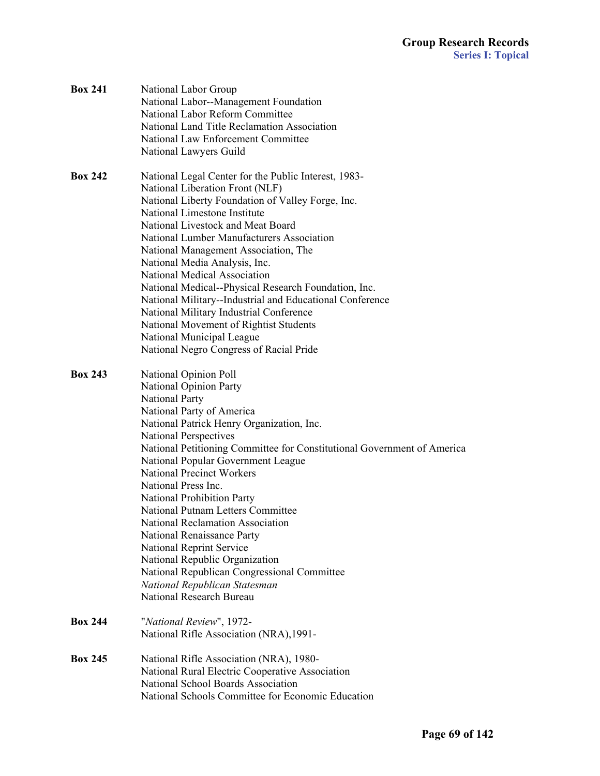| <b>Box 241</b> | National Labor Group<br>National Labor--Management Foundation<br>National Labor Reform Committee<br>National Land Title Reclamation Association<br>National Law Enforcement Committee<br>National Lawyers Guild                                                                                                                                                                                                                                                                                                                                                                                                                                                                      |
|----------------|--------------------------------------------------------------------------------------------------------------------------------------------------------------------------------------------------------------------------------------------------------------------------------------------------------------------------------------------------------------------------------------------------------------------------------------------------------------------------------------------------------------------------------------------------------------------------------------------------------------------------------------------------------------------------------------|
| <b>Box 242</b> | National Legal Center for the Public Interest, 1983-<br>National Liberation Front (NLF)<br>National Liberty Foundation of Valley Forge, Inc.<br>National Limestone Institute<br>National Livestock and Meat Board<br>National Lumber Manufacturers Association<br>National Management Association, The<br>National Media Analysis, Inc.<br>National Medical Association<br>National Medical--Physical Research Foundation, Inc.<br>National Military--Industrial and Educational Conference<br>National Military Industrial Conference<br>National Movement of Rightist Students<br>National Municipal League<br>National Negro Congress of Racial Pride                             |
| <b>Box 243</b> | National Opinion Poll<br>National Opinion Party<br><b>National Party</b><br>National Party of America<br>National Patrick Henry Organization, Inc.<br><b>National Perspectives</b><br>National Petitioning Committee for Constitutional Government of America<br>National Popular Government League<br><b>National Precinct Workers</b><br>National Press Inc.<br>National Prohibition Party<br>National Putnam Letters Committee<br><b>National Reclamation Association</b><br>National Renaissance Party<br>National Reprint Service<br>National Republic Organization<br>National Republican Congressional Committee<br>National Republican Statesman<br>National Research Bureau |
| <b>Box 244</b> | "National Review", 1972-<br>National Rifle Association (NRA), 1991-                                                                                                                                                                                                                                                                                                                                                                                                                                                                                                                                                                                                                  |
| <b>Box 245</b> | National Rifle Association (NRA), 1980-<br>National Rural Electric Cooperative Association<br>National School Boards Association<br>National Schools Committee for Economic Education                                                                                                                                                                                                                                                                                                                                                                                                                                                                                                |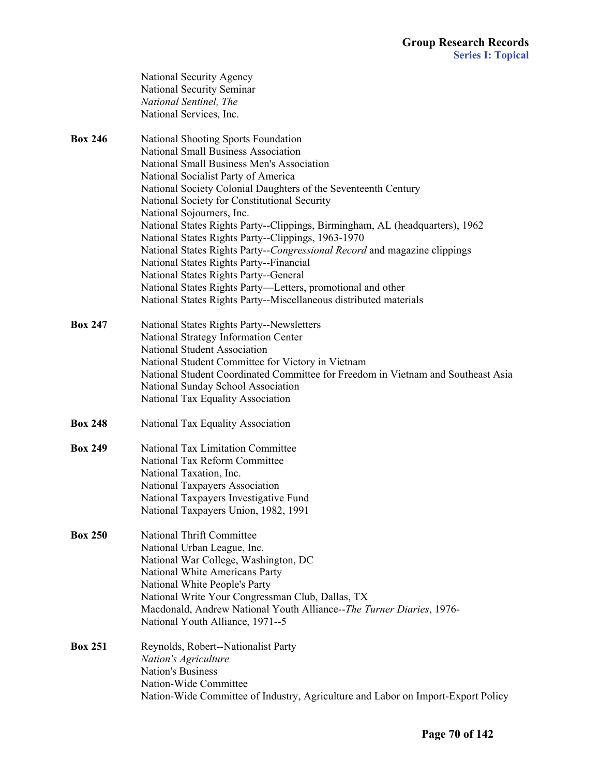|                | National Security Agency                                                         |
|----------------|----------------------------------------------------------------------------------|
|                | National Security Seminar                                                        |
|                | National Sentinel, The                                                           |
|                | National Services, Inc.                                                          |
| <b>Box 246</b> | National Shooting Sports Foundation                                              |
|                | <b>National Small Business Association</b>                                       |
|                | National Small Business Men's Association                                        |
|                | National Socialist Party of America                                              |
|                | National Society Colonial Daughters of the Seventeenth Century                   |
|                | National Society for Constitutional Security                                     |
|                | National Sojourners, Inc.                                                        |
|                | National States Rights Party--Clippings, Birmingham, AL (headquarters), 1962     |
|                | National States Rights Party--Clippings, 1963-1970                               |
|                | National States Rights Party--Congressional Record and magazine clippings        |
|                | National States Rights Party--Financial                                          |
|                | National States Rights Party--General                                            |
|                | National States Rights Party-Letters, promotional and other                      |
|                | National States Rights Party--Miscellaneous distributed materials                |
| <b>Box 247</b> | National States Rights Party--Newsletters                                        |
|                | National Strategy Information Center                                             |
|                | National Student Association                                                     |
|                | National Student Committee for Victory in Vietnam                                |
|                | National Student Coordinated Committee for Freedom in Vietnam and Southeast Asia |
|                | National Sunday School Association                                               |
|                | National Tax Equality Association                                                |
| <b>Box 248</b> | National Tax Equality Association                                                |
| <b>Box 249</b> | <b>National Tax Limitation Committee</b>                                         |
|                | National Tax Reform Committee                                                    |
|                | National Taxation, Inc.                                                          |
|                | National Taxpayers Association                                                   |
|                | National Taxpayers Investigative Fund                                            |
|                | National Taxpayers Union, 1982, 1991                                             |
| <b>Box 250</b> | <b>National Thrift Committee</b>                                                 |
|                | National Urban League, Inc.                                                      |
|                | National War College, Washington, DC                                             |
|                | National White Americans Party                                                   |
|                | National White People's Party                                                    |
|                | National Write Your Congressman Club, Dallas, TX                                 |
|                | Macdonald, Andrew National Youth Alliance--The Turner Diaries, 1976-             |
|                | National Youth Alliance, 1971--5                                                 |
| <b>Box 251</b> | Reynolds, Robert--Nationalist Party                                              |
|                | Nation's Agriculture                                                             |
|                | <b>Nation's Business</b>                                                         |
|                | Nation-Wide Committee                                                            |
|                | Nation-Wide Committee of Industry, Agriculture and Labor on Import-Export Policy |
|                |                                                                                  |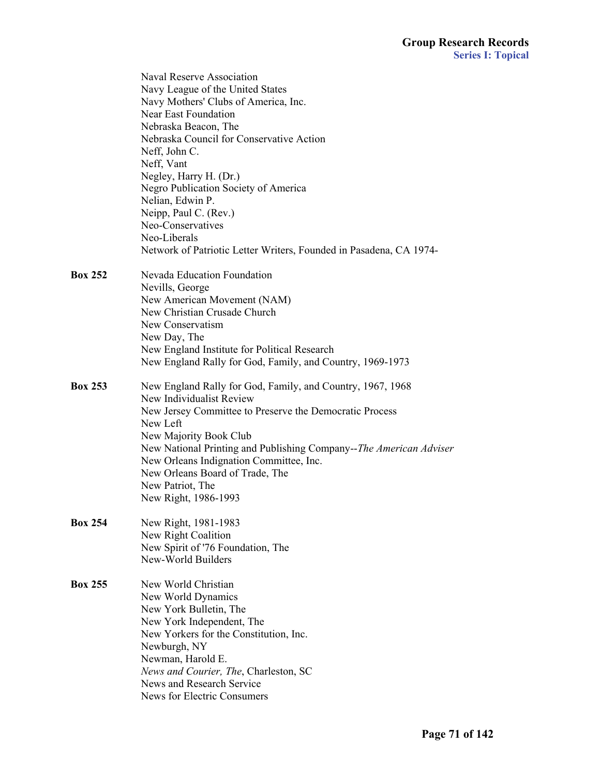|                | <b>Naval Reserve Association</b><br>Navy League of the United States<br>Navy Mothers' Clubs of America, Inc.<br>Near East Foundation<br>Nebraska Beacon, The<br>Nebraska Council for Conservative Action<br>Neff, John C.<br>Neff, Vant<br>Negley, Harry H. (Dr.)<br>Negro Publication Society of America<br>Nelian, Edwin P.<br>Neipp, Paul C. (Rev.)<br>Neo-Conservatives<br>Neo-Liberals<br>Network of Patriotic Letter Writers, Founded in Pasadena, CA 1974- |
|----------------|-------------------------------------------------------------------------------------------------------------------------------------------------------------------------------------------------------------------------------------------------------------------------------------------------------------------------------------------------------------------------------------------------------------------------------------------------------------------|
| <b>Box 252</b> | Nevada Education Foundation<br>Nevills, George<br>New American Movement (NAM)<br>New Christian Crusade Church<br>New Conservatism<br>New Day, The<br>New England Institute for Political Research<br>New England Rally for God, Family, and Country, 1969-1973                                                                                                                                                                                                    |
| <b>Box 253</b> | New England Rally for God, Family, and Country, 1967, 1968<br>New Individualist Review<br>New Jersey Committee to Preserve the Democratic Process<br>New Left<br>New Majority Book Club<br>New National Printing and Publishing Company--The American Adviser<br>New Orleans Indignation Committee, Inc.<br>New Orleans Board of Trade, The<br>New Patriot, The<br>New Right, 1986-1993                                                                           |
| <b>Box 254</b> | New Right, 1981-1983<br>New Right Coalition<br>New Spirit of '76 Foundation, The<br>New-World Builders                                                                                                                                                                                                                                                                                                                                                            |
| <b>Box 255</b> | New World Christian<br>New World Dynamics<br>New York Bulletin, The<br>New York Independent, The<br>New Yorkers for the Constitution, Inc.<br>Newburgh, NY<br>Newman, Harold E.<br>News and Courier, The, Charleston, SC<br>News and Research Service<br>News for Electric Consumers                                                                                                                                                                              |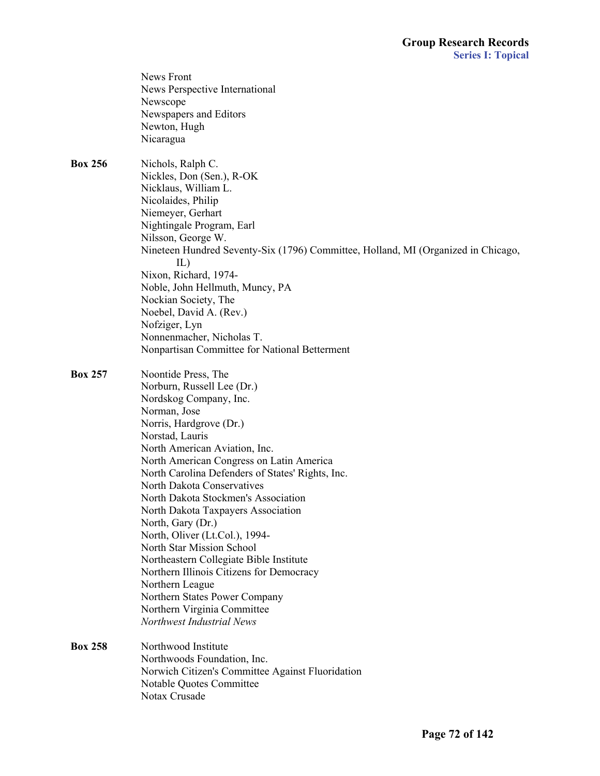|                | <b>News Front</b><br>News Perspective International<br>Newscope<br>Newspapers and Editors<br>Newton, Hugh<br>Nicaragua                                                                                                                                                                                                                                                                                                                                                                                                                                                                                                                                                           |
|----------------|----------------------------------------------------------------------------------------------------------------------------------------------------------------------------------------------------------------------------------------------------------------------------------------------------------------------------------------------------------------------------------------------------------------------------------------------------------------------------------------------------------------------------------------------------------------------------------------------------------------------------------------------------------------------------------|
| <b>Box 256</b> | Nichols, Ralph C.<br>Nickles, Don (Sen.), R-OK<br>Nicklaus, William L.<br>Nicolaides, Philip<br>Niemeyer, Gerhart<br>Nightingale Program, Earl<br>Nilsson, George W.<br>Nineteen Hundred Seventy-Six (1796) Committee, Holland, MI (Organized in Chicago,<br>IL)<br>Nixon, Richard, 1974-<br>Noble, John Hellmuth, Muncy, PA<br>Nockian Society, The<br>Noebel, David A. (Rev.)<br>Nofziger, Lyn<br>Nonnenmacher, Nicholas T.<br>Nonpartisan Committee for National Betterment                                                                                                                                                                                                   |
| <b>Box 257</b> | Noontide Press, The<br>Norburn, Russell Lee (Dr.)<br>Nordskog Company, Inc.<br>Norman, Jose<br>Norris, Hardgrove (Dr.)<br>Norstad, Lauris<br>North American Aviation, Inc.<br>North American Congress on Latin America<br>North Carolina Defenders of States' Rights, Inc.<br>North Dakota Conservatives<br>North Dakota Stockmen's Association<br>North Dakota Taxpayers Association<br>North, Gary (Dr.)<br>North, Oliver (Lt.Col.), 1994-<br>North Star Mission School<br>Northeastern Collegiate Bible Institute<br>Northern Illinois Citizens for Democracy<br>Northern League<br>Northern States Power Company<br>Northern Virginia Committee<br>Northwest Industrial News |
| <b>Box 258</b> | Northwood Institute<br>Northwoods Foundation, Inc.<br>Norwich Citizen's Committee Against Fluoridation<br>Notable Quotes Committee<br>Notax Crusade                                                                                                                                                                                                                                                                                                                                                                                                                                                                                                                              |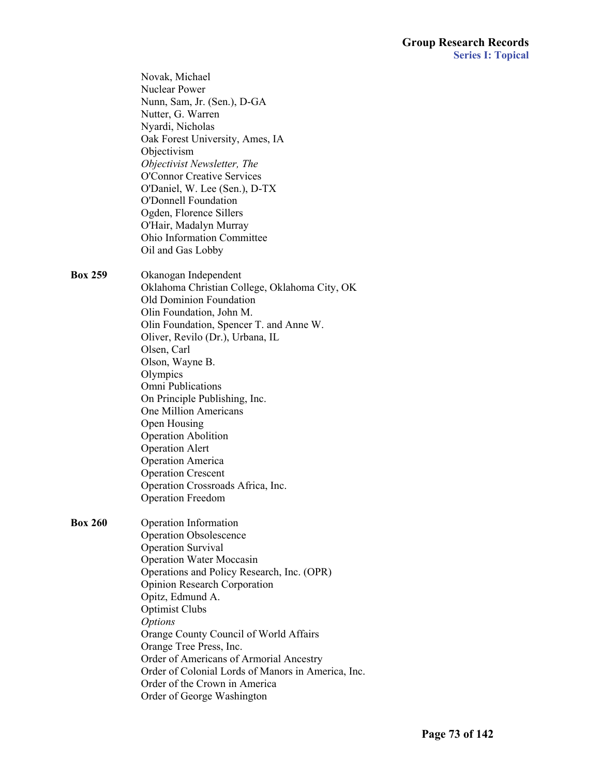|                | Novak, Michael<br><b>Nuclear Power</b><br>Nunn, Sam, Jr. (Sen.), D-GA<br>Nutter, G. Warren<br>Nyardi, Nicholas<br>Oak Forest University, Ames, IA<br>Objectivism<br>Objectivist Newsletter, The<br><b>O'Connor Creative Services</b><br>O'Daniel, W. Lee (Sen.), D-TX<br><b>O'Donnell Foundation</b><br>Ogden, Florence Sillers<br>O'Hair, Madalyn Murray<br><b>Ohio Information Committee</b><br>Oil and Gas Lobby                                                                                                                               |
|----------------|---------------------------------------------------------------------------------------------------------------------------------------------------------------------------------------------------------------------------------------------------------------------------------------------------------------------------------------------------------------------------------------------------------------------------------------------------------------------------------------------------------------------------------------------------|
| <b>Box 259</b> | Okanogan Independent<br>Oklahoma Christian College, Oklahoma City, OK<br><b>Old Dominion Foundation</b><br>Olin Foundation, John M.<br>Olin Foundation, Spencer T. and Anne W.<br>Oliver, Revilo (Dr.), Urbana, IL<br>Olsen, Carl<br>Olson, Wayne B.<br>Olympics<br>Omni Publications<br>On Principle Publishing, Inc.<br>One Million Americans<br>Open Housing<br><b>Operation Abolition</b><br><b>Operation Alert</b><br><b>Operation America</b><br><b>Operation Crescent</b><br>Operation Crossroads Africa, Inc.<br><b>Operation Freedom</b> |
| <b>Box 260</b> | Operation Information<br><b>Operation Obsolescence</b><br><b>Operation Survival</b><br><b>Operation Water Moccasin</b><br>Operations and Policy Research, Inc. (OPR)<br><b>Opinion Research Corporation</b><br>Opitz, Edmund A.<br><b>Optimist Clubs</b><br><b>Options</b><br>Orange County Council of World Affairs<br>Orange Tree Press, Inc.<br>Order of Americans of Armorial Ancestry<br>Order of Colonial Lords of Manors in America, Inc.<br>Order of the Crown in America<br>Order of George Washington                                   |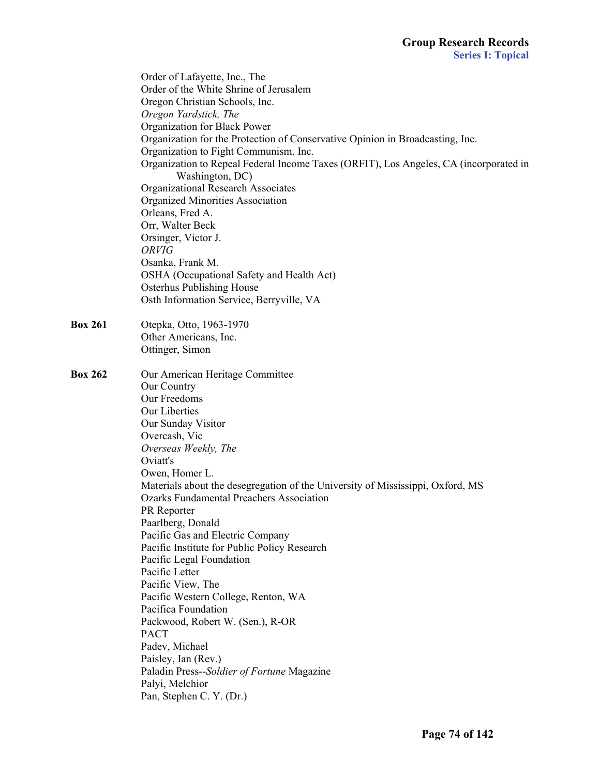|                | Order of Lafayette, Inc., The                                                         |
|----------------|---------------------------------------------------------------------------------------|
|                | Order of the White Shrine of Jerusalem                                                |
|                | Oregon Christian Schools, Inc.                                                        |
|                | Oregon Yardstick, The                                                                 |
|                | Organization for Black Power                                                          |
|                | Organization for the Protection of Conservative Opinion in Broadcasting, Inc.         |
|                | Organization to Fight Communism, Inc.                                                 |
|                | Organization to Repeal Federal Income Taxes (ORFIT), Los Angeles, CA (incorporated in |
|                | Washington, DC)                                                                       |
|                | <b>Organizational Research Associates</b>                                             |
|                | <b>Organized Minorities Association</b>                                               |
|                | Orleans, Fred A.                                                                      |
|                | Orr, Walter Beck                                                                      |
|                | Orsinger, Victor J.                                                                   |
|                | ORVIG                                                                                 |
|                | Osanka, Frank M.                                                                      |
|                | OSHA (Occupational Safety and Health Act)                                             |
|                | <b>Osterhus Publishing House</b>                                                      |
|                | Osth Information Service, Berryville, VA                                              |
| <b>Box 261</b> | Otepka, Otto, 1963-1970                                                               |
|                | Other Americans, Inc.                                                                 |
|                | Ottinger, Simon                                                                       |
| <b>Box 262</b> | Our American Heritage Committee                                                       |
|                | Our Country                                                                           |
|                | Our Freedoms                                                                          |
|                | Our Liberties                                                                         |
|                | Our Sunday Visitor                                                                    |
|                | Overcash, Vic                                                                         |
|                | Overseas Weekly, The                                                                  |
|                | Oviatt's                                                                              |
|                | Owen, Homer L.                                                                        |
|                | Materials about the desegregation of the University of Mississippi, Oxford, MS        |
|                | <b>Ozarks Fundamental Preachers Association</b>                                       |
|                | PR Reporter                                                                           |
|                | Paarlberg, Donald                                                                     |
|                | Pacific Gas and Electric Company                                                      |
|                | Pacific Institute for Public Policy Research                                          |
|                | Pacific Legal Foundation                                                              |
|                | Pacific Letter                                                                        |
|                | Pacific View, The                                                                     |
|                | Pacific Western College, Renton, WA                                                   |
|                | Pacifica Foundation                                                                   |
|                | Packwood, Robert W. (Sen.), R-OR                                                      |
|                | <b>PACT</b>                                                                           |
|                | Padev, Michael                                                                        |
|                | Paisley, Ian (Rev.)                                                                   |
|                | Paladin Press--Soldier of Fortune Magazine                                            |
|                | Palyi, Melchior                                                                       |
|                | Pan, Stephen C. Y. (Dr.)                                                              |
|                |                                                                                       |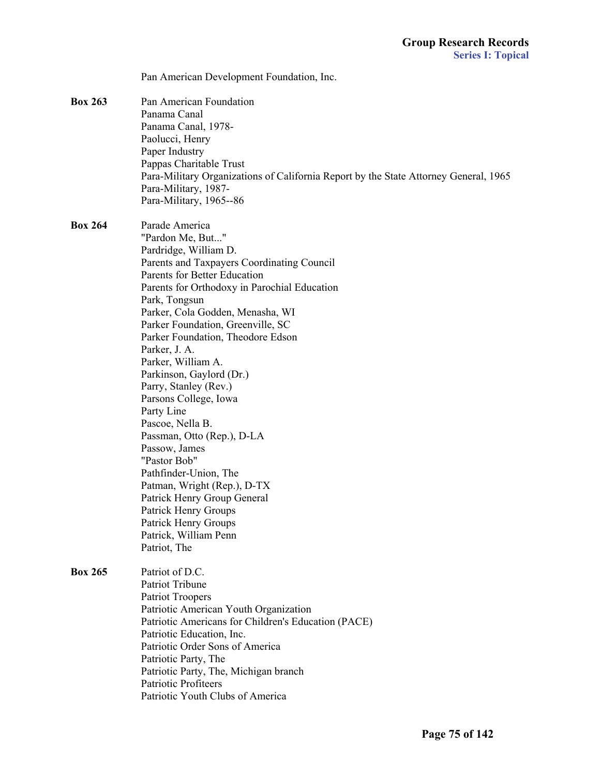|                | Pan American Development Foundation, Inc.                                            |
|----------------|--------------------------------------------------------------------------------------|
|                |                                                                                      |
| <b>Box 263</b> | Pan American Foundation                                                              |
|                | Panama Canal                                                                         |
|                | Panama Canal, 1978-<br>Paolucci, Henry                                               |
|                | Paper Industry                                                                       |
|                | Pappas Charitable Trust                                                              |
|                | Para-Military Organizations of California Report by the State Attorney General, 1965 |
|                | Para-Military, 1987-                                                                 |
|                | Para-Military, 1965--86                                                              |
| <b>Box 264</b> | Parade America                                                                       |
|                | "Pardon Me, But"                                                                     |
|                | Pardridge, William D.                                                                |
|                | Parents and Taxpayers Coordinating Council                                           |
|                | <b>Parents for Better Education</b>                                                  |
|                | Parents for Orthodoxy in Parochial Education                                         |
|                | Park, Tongsun                                                                        |
|                | Parker, Cola Godden, Menasha, WI                                                     |
|                | Parker Foundation, Greenville, SC                                                    |
|                | Parker Foundation, Theodore Edson                                                    |
|                | Parker, J. A.                                                                        |
|                | Parker, William A.                                                                   |
|                | Parkinson, Gaylord (Dr.)<br>Parry, Stanley (Rev.)                                    |
|                | Parsons College, Iowa                                                                |
|                | Party Line                                                                           |
|                | Pascoe, Nella B.                                                                     |
|                | Passman, Otto (Rep.), D-LA                                                           |
|                | Passow, James                                                                        |
|                | "Pastor Bob"                                                                         |
|                | Pathfinder-Union, The                                                                |
|                | Patman, Wright (Rep.), D-TX                                                          |
|                | Patrick Henry Group General                                                          |
|                | Patrick Henry Groups                                                                 |
|                | Patrick Henry Groups                                                                 |
|                | Patrick, William Penn                                                                |
|                | Patriot, The                                                                         |
| <b>Box 265</b> | Patriot of D.C.                                                                      |
|                | Patriot Tribune                                                                      |
|                | <b>Patriot Troopers</b>                                                              |
|                | Patriotic American Youth Organization                                                |
|                | Patriotic Americans for Children's Education (PACE)<br>Patriotic Education, Inc.     |
|                | Patriotic Order Sons of America                                                      |
|                | Patriotic Party, The                                                                 |
|                | Patriotic Party, The, Michigan branch                                                |
|                | Patriotic Profiteers                                                                 |
|                | Patriotic Youth Clubs of America                                                     |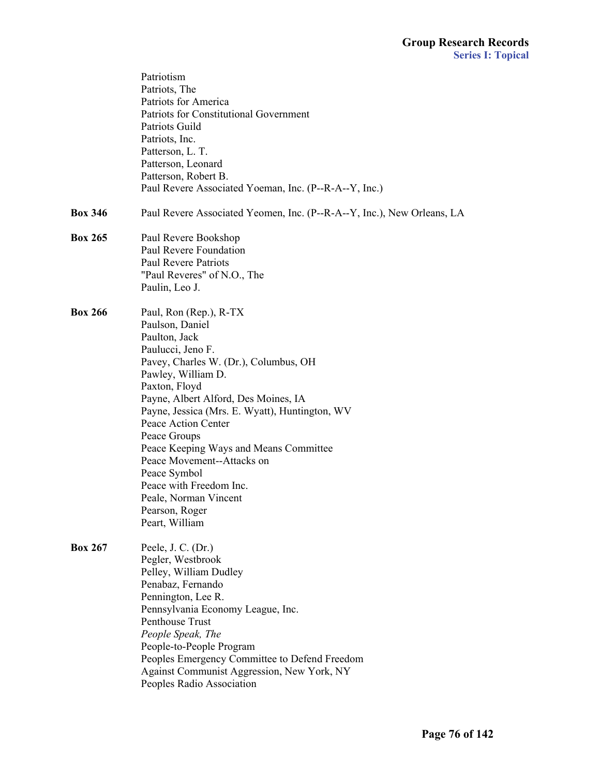|                | Patriotism<br>Patriots, The<br>Patriots for America<br><b>Patriots for Constitutional Government</b><br>Patriots Guild                                                                                                                                                                                                                                                                                                                                                           |
|----------------|----------------------------------------------------------------------------------------------------------------------------------------------------------------------------------------------------------------------------------------------------------------------------------------------------------------------------------------------------------------------------------------------------------------------------------------------------------------------------------|
|                | Patriots, Inc.<br>Patterson, L. T.<br>Patterson, Leonard<br>Patterson, Robert B.<br>Paul Revere Associated Yoeman, Inc. (P--R-A--Y, Inc.)                                                                                                                                                                                                                                                                                                                                        |
| <b>Box 346</b> | Paul Revere Associated Yeomen, Inc. (P--R-A--Y, Inc.), New Orleans, LA                                                                                                                                                                                                                                                                                                                                                                                                           |
| <b>Box 265</b> | Paul Revere Bookshop<br>Paul Revere Foundation<br><b>Paul Revere Patriots</b><br>"Paul Reveres" of N.O., The<br>Paulin, Leo J.                                                                                                                                                                                                                                                                                                                                                   |
| <b>Box 266</b> | Paul, Ron (Rep.), R-TX<br>Paulson, Daniel<br>Paulton, Jack<br>Paulucci, Jeno F.<br>Pavey, Charles W. (Dr.), Columbus, OH<br>Pawley, William D.<br>Paxton, Floyd<br>Payne, Albert Alford, Des Moines, IA<br>Payne, Jessica (Mrs. E. Wyatt), Huntington, WV<br>Peace Action Center<br>Peace Groups<br>Peace Keeping Ways and Means Committee<br>Peace Movement--Attacks on<br>Peace Symbol<br>Peace with Freedom Inc.<br>Peale, Norman Vincent<br>Pearson, Roger<br>Peart, William |
| <b>Box 267</b> | Peele, J. C. $(Dr.)$<br>Pegler, Westbrook<br>Pelley, William Dudley<br>Penabaz, Fernando<br>Pennington, Lee R.<br>Pennsylvania Economy League, Inc.<br>Penthouse Trust<br>People Speak, The<br>People-to-People Program<br>Peoples Emergency Committee to Defend Freedom<br>Against Communist Aggression, New York, NY<br>Peoples Radio Association                                                                                                                              |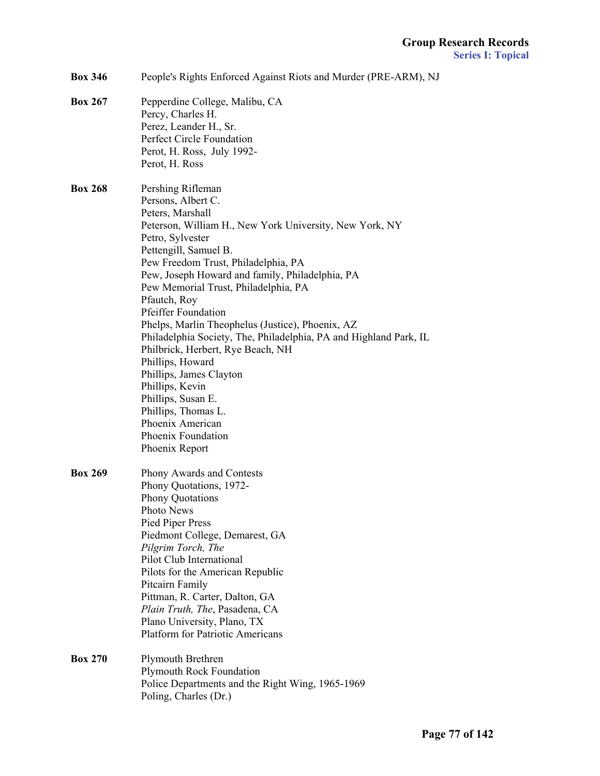| <b>Box 346</b> | People's Rights Enforced Against Riots and Murder (PRE-ARM), NJ |
|----------------|-----------------------------------------------------------------|
|                |                                                                 |

**Box 267** Pepperdine College, Malibu, CA

|                | Percy, Charles H.                                                 |
|----------------|-------------------------------------------------------------------|
|                | Perez, Leander H., Sr.                                            |
|                | Perfect Circle Foundation                                         |
|                | Perot, H. Ross, July 1992-                                        |
|                | Perot, H. Ross                                                    |
|                |                                                                   |
| <b>Box 268</b> | Pershing Rifleman                                                 |
|                | Persons, Albert C.                                                |
|                | Peters, Marshall                                                  |
|                | Peterson, William H., New York University, New York, NY           |
|                | Petro, Sylvester                                                  |
|                | Pettengill, Samuel B.                                             |
|                | Pew Freedom Trust, Philadelphia, PA                               |
|                | Pew, Joseph Howard and family, Philadelphia, PA                   |
|                | Pew Memorial Trust, Philadelphia, PA                              |
|                | Pfautch, Roy                                                      |
|                | <b>Pfeiffer Foundation</b>                                        |
|                | Phelps, Marlin Theophelus (Justice), Phoenix, AZ                  |
|                | Philadelphia Society, The, Philadelphia, PA and Highland Park, IL |
|                | Philbrick, Herbert, Rye Beach, NH                                 |
|                | Phillips, Howard                                                  |
|                | Phillips, James Clayton                                           |
|                | Phillips, Kevin                                                   |
|                | Phillips, Susan E.                                                |
|                | Phillips, Thomas L.                                               |
|                | Phoenix American                                                  |
|                | Phoenix Foundation                                                |
|                | Phoenix Report                                                    |
|                |                                                                   |
| <b>Box 269</b> | Phony Awards and Contests                                         |
|                | Phony Quotations, 1972-                                           |
|                | <b>Phony Quotations</b>                                           |
|                | Photo News                                                        |
|                | Pied Piper Press                                                  |
|                | Piedmont College, Demarest, GA                                    |
|                | Pilgrim Torch, The                                                |
|                | Pilot Club International                                          |
|                | Pilots for the American Republic                                  |
|                | Pitcairn Family                                                   |
|                | Pittman, R. Carter, Dalton, GA                                    |
|                | Plain Truth, The, Pasadena, CA                                    |
|                | Plano University, Plano, TX                                       |
|                | <b>Platform for Patriotic Americans</b>                           |
| <b>Box 270</b> | Plymouth Brethren                                                 |
|                | <b>Plymouth Rock Foundation</b>                                   |
|                | Police Departments and the Right Wing, 1965-1969                  |
|                |                                                                   |
|                | Poling, Charles (Dr.)                                             |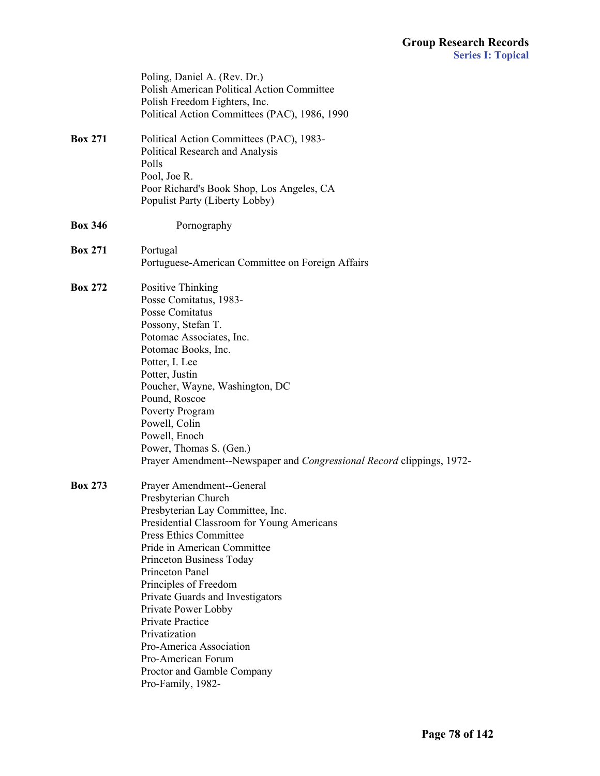|                | Poling, Daniel A. (Rev. Dr.)<br>Polish American Political Action Committee<br>Polish Freedom Fighters, Inc.<br>Political Action Committees (PAC), 1986, 1990                                                                                                                                                                                                                                                                                                                   |
|----------------|--------------------------------------------------------------------------------------------------------------------------------------------------------------------------------------------------------------------------------------------------------------------------------------------------------------------------------------------------------------------------------------------------------------------------------------------------------------------------------|
| <b>Box 271</b> | Political Action Committees (PAC), 1983-<br>Political Research and Analysis<br>Polls<br>Pool, Joe R.<br>Poor Richard's Book Shop, Los Angeles, CA<br>Populist Party (Liberty Lobby)                                                                                                                                                                                                                                                                                            |
| <b>Box 346</b> | Pornography                                                                                                                                                                                                                                                                                                                                                                                                                                                                    |
| <b>Box 271</b> | Portugal<br>Portuguese-American Committee on Foreign Affairs                                                                                                                                                                                                                                                                                                                                                                                                                   |
| <b>Box 272</b> | Positive Thinking<br>Posse Comitatus, 1983-<br>Posse Comitatus<br>Possony, Stefan T.<br>Potomac Associates, Inc.<br>Potomac Books, Inc.<br>Potter, I. Lee<br>Potter, Justin<br>Poucher, Wayne, Washington, DC<br>Pound, Roscoe<br>Poverty Program<br>Powell, Colin<br>Powell, Enoch<br>Power, Thomas S. (Gen.)<br>Prayer Amendment--Newspaper and Congressional Record clippings, 1972-                                                                                        |
| <b>Box 273</b> | Prayer Amendment--General<br>Presbyterian Church<br>Presbyterian Lay Committee, Inc.<br>Presidential Classroom for Young Americans<br><b>Press Ethics Committee</b><br>Pride in American Committee<br>Princeton Business Today<br>Princeton Panel<br>Principles of Freedom<br>Private Guards and Investigators<br>Private Power Lobby<br>Private Practice<br>Privatization<br>Pro-America Association<br>Pro-American Forum<br>Proctor and Gamble Company<br>Pro-Family, 1982- |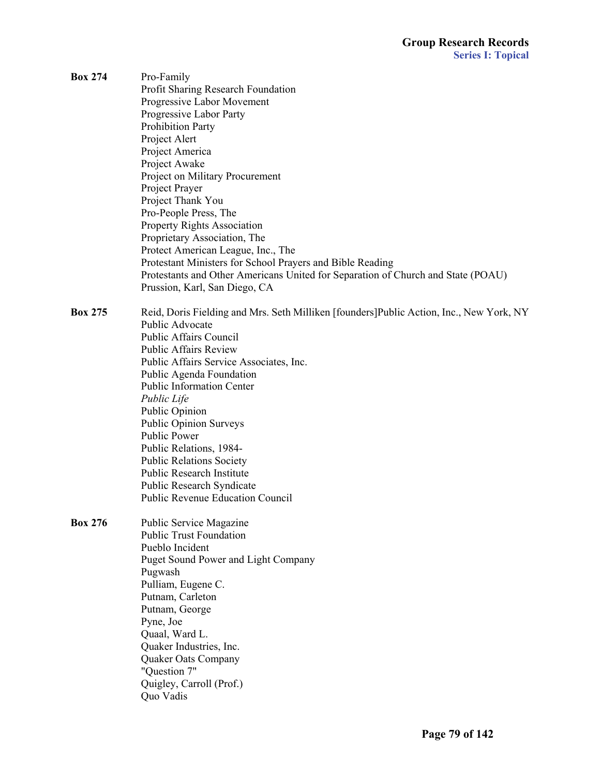| <b>Box 274</b> | Pro-Family<br>Profit Sharing Research Foundation<br>Progressive Labor Movement<br>Progressive Labor Party<br><b>Prohibition Party</b><br>Project Alert<br>Project America<br>Project Awake<br>Project on Military Procurement<br>Project Prayer<br>Project Thank You<br>Pro-People Press, The<br><b>Property Rights Association</b><br>Proprietary Association, The<br>Protect American League, Inc., The<br>Protestant Ministers for School Prayers and Bible Reading                                                                                            |
|----------------|-------------------------------------------------------------------------------------------------------------------------------------------------------------------------------------------------------------------------------------------------------------------------------------------------------------------------------------------------------------------------------------------------------------------------------------------------------------------------------------------------------------------------------------------------------------------|
|                | Protestants and Other Americans United for Separation of Church and State (POAU)<br>Prussion, Karl, San Diego, CA                                                                                                                                                                                                                                                                                                                                                                                                                                                 |
| <b>Box 275</b> | Reid, Doris Fielding and Mrs. Seth Milliken [founders] Public Action, Inc., New York, NY<br>Public Advocate<br><b>Public Affairs Council</b><br><b>Public Affairs Review</b><br>Public Affairs Service Associates, Inc.<br>Public Agenda Foundation<br><b>Public Information Center</b><br>Public Life<br><b>Public Opinion</b><br><b>Public Opinion Surveys</b><br><b>Public Power</b><br>Public Relations, 1984-<br><b>Public Relations Society</b><br>Public Research Institute<br><b>Public Research Syndicate</b><br><b>Public Revenue Education Council</b> |
| <b>Box 276</b> | Public Service Magazine<br><b>Public Trust Foundation</b><br>Pueblo Incident<br><b>Puget Sound Power and Light Company</b><br>Pugwash<br>Pulliam, Eugene C.<br>Putnam, Carleton<br>Putnam, George<br>Pyne, Joe<br>Quaal, Ward L.<br>Quaker Industries, Inc.<br><b>Quaker Oats Company</b><br>"Question 7"<br>Quigley, Carroll (Prof.)<br>Quo Vadis                                                                                                                                                                                                                |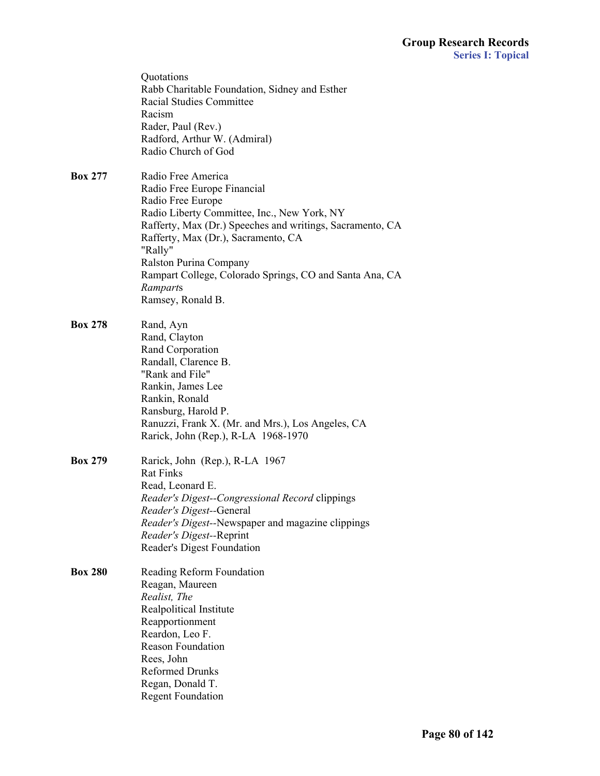|                | Quotations<br>Rabb Charitable Foundation, Sidney and Esther<br><b>Racial Studies Committee</b><br>Racism<br>Rader, Paul (Rev.)<br>Radford, Arthur W. (Admiral)<br>Radio Church of God                                                                                                                                                                      |
|----------------|------------------------------------------------------------------------------------------------------------------------------------------------------------------------------------------------------------------------------------------------------------------------------------------------------------------------------------------------------------|
| <b>Box 277</b> | Radio Free America<br>Radio Free Europe Financial<br>Radio Free Europe<br>Radio Liberty Committee, Inc., New York, NY<br>Rafferty, Max (Dr.) Speeches and writings, Sacramento, CA<br>Rafferty, Max (Dr.), Sacramento, CA<br>"Rally"<br>Ralston Purina Company<br>Rampart College, Colorado Springs, CO and Santa Ana, CA<br>Ramparts<br>Ramsey, Ronald B. |
| <b>Box 278</b> | Rand, Ayn<br>Rand, Clayton<br>Rand Corporation<br>Randall, Clarence B.<br>"Rank and File"<br>Rankin, James Lee<br>Rankin, Ronald<br>Ransburg, Harold P.<br>Ranuzzi, Frank X. (Mr. and Mrs.), Los Angeles, CA<br>Rarick, John (Rep.), R-LA 1968-1970                                                                                                        |
| <b>Box 279</b> | Rarick, John (Rep.), R-LA 1967<br><b>Rat Finks</b><br>Read, Leonard E.<br>Reader's Digest--Congressional Record clippings<br>Reader's Digest--General<br><i>Reader's Digest</i> --Newspaper and magazine clippings<br>Reader's Digest--Reprint<br>Reader's Digest Foundation                                                                               |
| <b>Box 280</b> | Reading Reform Foundation<br>Reagan, Maureen<br>Realist, The<br>Realpolitical Institute<br>Reapportionment<br>Reardon, Leo F.<br><b>Reason Foundation</b><br>Rees, John<br><b>Reformed Drunks</b><br>Regan, Donald T.<br><b>Regent Foundation</b>                                                                                                          |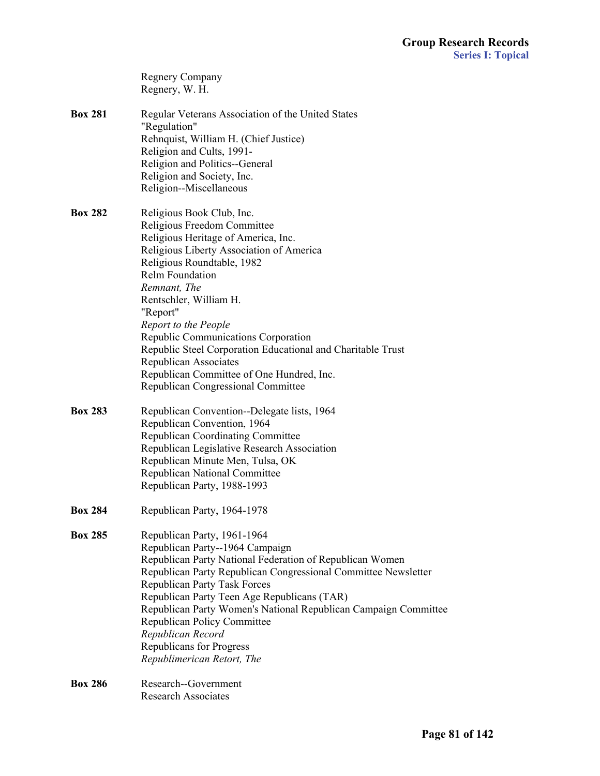|                | <b>Regnery Company</b><br>Regnery, W. H.                               |
|----------------|------------------------------------------------------------------------|
| <b>Box 281</b> | Regular Veterans Association of the United States<br>"Regulation"      |
|                | Rehnquist, William H. (Chief Justice)                                  |
|                | Religion and Cults, 1991-<br>Religion and Politics--General            |
|                | Religion and Society, Inc.                                             |
|                | Religion--Miscellaneous                                                |
| <b>Box 282</b> | Religious Book Club, Inc.                                              |
|                | Religious Freedom Committee                                            |
|                | Religious Heritage of America, Inc.                                    |
|                | Religious Liberty Association of America<br>Religious Roundtable, 1982 |
|                | <b>Relm Foundation</b>                                                 |
|                | Remnant, The                                                           |
|                | Rentschler, William H.                                                 |
|                | "Report"                                                               |
|                | Report to the People                                                   |
|                | Republic Communications Corporation                                    |
|                | Republic Steel Corporation Educational and Charitable Trust            |
|                | Republican Associates                                                  |
|                | Republican Committee of One Hundred, Inc.                              |
|                | Republican Congressional Committee                                     |
| <b>Box 283</b> | Republican Convention--Delegate lists, 1964                            |
|                | Republican Convention, 1964                                            |
|                | <b>Republican Coordinating Committee</b>                               |
|                | Republican Legislative Research Association                            |
|                | Republican Minute Men, Tulsa, OK                                       |
|                | <b>Republican National Committee</b>                                   |
|                | Republican Party, 1988-1993                                            |
| <b>Box 284</b> | Republican Party, 1964-1978                                            |
| <b>Box 285</b> | Republican Party, 1961-1964                                            |
|                | Republican Party--1964 Campaign                                        |
|                | Republican Party National Federation of Republican Women               |
|                | Republican Party Republican Congressional Committee Newsletter         |
|                | <b>Republican Party Task Forces</b>                                    |
|                | Republican Party Teen Age Republicans (TAR)                            |
|                | Republican Party Women's National Republican Campaign Committee        |
|                | <b>Republican Policy Committee</b>                                     |
|                | Republican Record                                                      |
|                | Republicans for Progress                                               |
|                | Republimerican Retort, The                                             |
| <b>Box 286</b> | Research--Government                                                   |
|                | <b>Research Associates</b>                                             |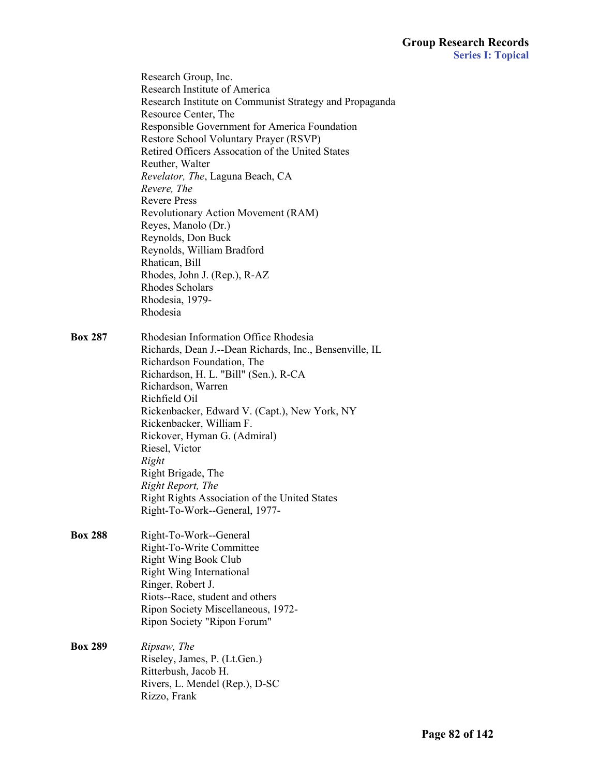|                | Research Group, Inc.<br>Research Institute of America<br>Research Institute on Communist Strategy and Propaganda<br>Resource Center, The<br>Responsible Government for America Foundation<br>Restore School Voluntary Prayer (RSVP)<br>Retired Officers Assocation of the United States<br>Reuther, Walter<br>Revelator, The, Laguna Beach, CA<br>Revere, The<br><b>Revere Press</b><br>Revolutionary Action Movement (RAM)<br>Reyes, Manolo (Dr.)<br>Reynolds, Don Buck<br>Reynolds, William Bradford<br>Rhatican, Bill<br>Rhodes, John J. (Rep.), R-AZ<br>Rhodes Scholars<br>Rhodesia, 1979-<br>Rhodesia |
|----------------|------------------------------------------------------------------------------------------------------------------------------------------------------------------------------------------------------------------------------------------------------------------------------------------------------------------------------------------------------------------------------------------------------------------------------------------------------------------------------------------------------------------------------------------------------------------------------------------------------------|
| <b>Box 287</b> | Rhodesian Information Office Rhodesia<br>Richards, Dean J.--Dean Richards, Inc., Bensenville, IL<br>Richardson Foundation, The<br>Richardson, H. L. "Bill" (Sen.), R-CA<br>Richardson, Warren<br>Richfield Oil<br>Rickenbacker, Edward V. (Capt.), New York, NY<br>Rickenbacker, William F.<br>Rickover, Hyman G. (Admiral)<br>Riesel, Victor<br>Right<br>Right Brigade, The<br>Right Report, The<br>Right Rights Association of the United States<br>Right-To-Work--General, 1977-                                                                                                                        |
| <b>Box 288</b> | Right-To-Work--General<br>Right-To-Write Committee<br><b>Right Wing Book Club</b><br><b>Right Wing International</b><br>Ringer, Robert J.<br>Riots--Race, student and others<br>Ripon Society Miscellaneous, 1972-<br>Ripon Society "Ripon Forum"                                                                                                                                                                                                                                                                                                                                                          |
| <b>Box 289</b> | Ripsaw, The<br>Riseley, James, P. (Lt.Gen.)<br>Ritterbush, Jacob H.<br>Rivers, L. Mendel (Rep.), D-SC<br>Rizzo, Frank                                                                                                                                                                                                                                                                                                                                                                                                                                                                                      |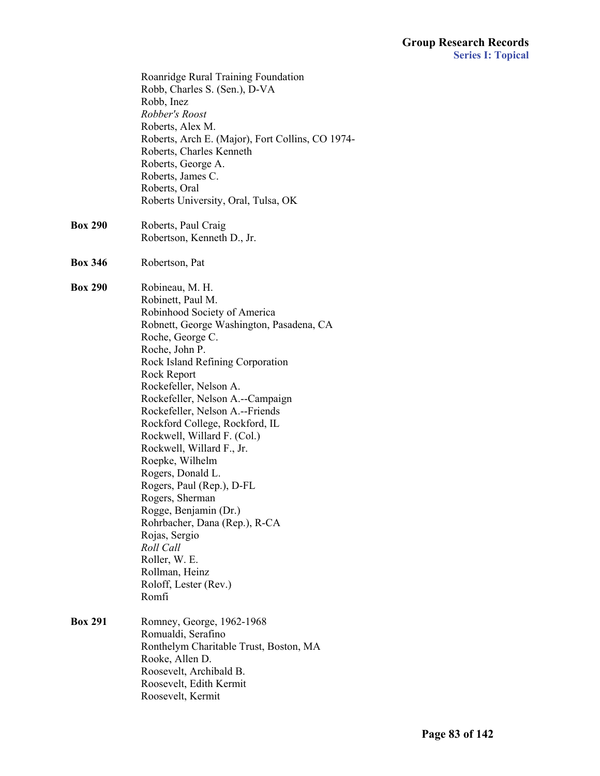|                | Roanridge Rural Training Foundation<br>Robb, Charles S. (Sen.), D-VA<br>Robb, Inez<br>Robber's Roost<br>Roberts, Alex M.<br>Roberts, Arch E. (Major), Fort Collins, CO 1974-<br>Roberts, Charles Kenneth<br>Roberts, George A.<br>Roberts, James C.<br>Roberts, Oral<br>Roberts University, Oral, Tulsa, OK                                                                                                                                                                                                                                                                                                                                                   |
|----------------|---------------------------------------------------------------------------------------------------------------------------------------------------------------------------------------------------------------------------------------------------------------------------------------------------------------------------------------------------------------------------------------------------------------------------------------------------------------------------------------------------------------------------------------------------------------------------------------------------------------------------------------------------------------|
| <b>Box 290</b> | Roberts, Paul Craig<br>Robertson, Kenneth D., Jr.                                                                                                                                                                                                                                                                                                                                                                                                                                                                                                                                                                                                             |
| <b>Box 346</b> | Robertson, Pat                                                                                                                                                                                                                                                                                                                                                                                                                                                                                                                                                                                                                                                |
| <b>Box 290</b> | Robineau, M. H.<br>Robinett, Paul M.<br>Robinhood Society of America<br>Robnett, George Washington, Pasadena, CA<br>Roche, George C.<br>Roche, John P.<br>Rock Island Refining Corporation<br>Rock Report<br>Rockefeller, Nelson A.<br>Rockefeller, Nelson A.--Campaign<br>Rockefeller, Nelson A.--Friends<br>Rockford College, Rockford, IL<br>Rockwell, Willard F. (Col.)<br>Rockwell, Willard F., Jr.<br>Roepke, Wilhelm<br>Rogers, Donald L.<br>Rogers, Paul (Rep.), D-FL<br>Rogers, Sherman<br>Rogge, Benjamin (Dr.)<br>Rohrbacher, Dana (Rep.), R-CA<br>Rojas, Sergio<br>Roll Call<br>Roller, W. E.<br>Rollman, Heinz<br>Roloff, Lester (Rev.)<br>Romfi |
| <b>Box 291</b> | Romney, George, 1962-1968<br>Romualdi, Serafino<br>Ronthelym Charitable Trust, Boston, MA<br>Rooke, Allen D.<br>Roosevelt, Archibald B.<br>Roosevelt, Edith Kermit<br>Roosevelt, Kermit                                                                                                                                                                                                                                                                                                                                                                                                                                                                       |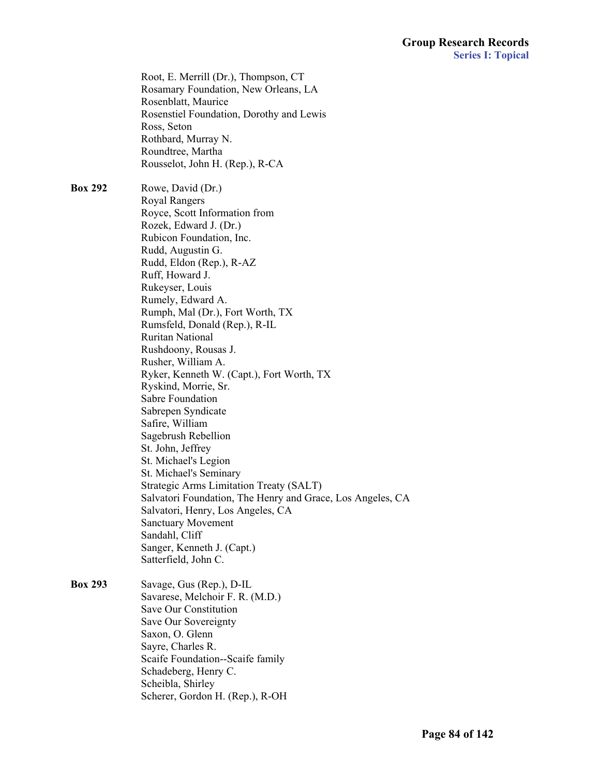Root, E. Merrill (Dr.), Thompson, CT Rosamary Foundation, New Orleans, LA Rosenblatt, Maurice Rosenstiel Foundation, Dorothy and Lewis Ross, Seton Rothbard, Murray N. Roundtree, Martha Rousselot, John H. (Rep.), R-CA

**Box 292** Rowe, David (Dr.) Royal Rangers Royce, Scott Information from Rozek, Edward J. (Dr.) Rubicon Foundation, Inc. Rudd, Augustin G. Rudd, Eldon (Rep.), R-AZ Ruff, Howard J. Rukeyser, Louis Rumely, Edward A. Rumph, Mal (Dr.), Fort Worth, TX Rumsfeld, Donald (Rep.), R-IL Ruritan National Rushdoony, Rousas J. Rusher, William A. Ryker, Kenneth W. (Capt.), Fort Worth, TX Ryskind, Morrie, Sr. Sabre Foundation Sabrepen Syndicate Safire, William Sagebrush Rebellion St. John, Jeffrey St. Michael's Legion St. Michael's Seminary Strategic Arms Limitation Treaty (SALT) Salvatori Foundation, The Henry and Grace, Los Angeles, CA Salvatori, Henry, Los Angeles, CA Sanctuary Movement Sandahl, Cliff Sanger, Kenneth J. (Capt.) Satterfield, John C.

**Box 293** Savage, Gus (Rep.), D-IL Savarese, Melchoir F. R. (M.D.) Save Our Constitution Save Our Sovereignty Saxon, O. Glenn Sayre, Charles R. Scaife Foundation--Scaife family Schadeberg, Henry C. Scheibla, Shirley Scherer, Gordon H. (Rep.), R-OH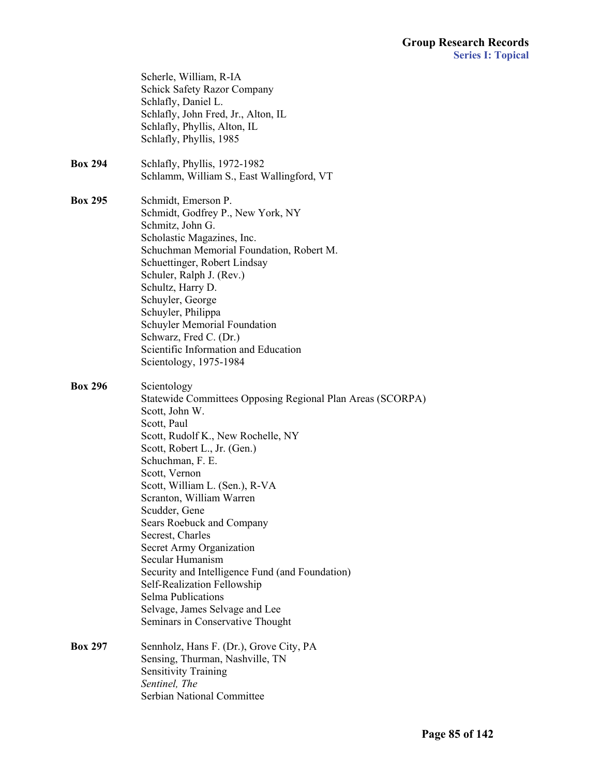|                | Scherle, William, R-IA<br><b>Schick Safety Razor Company</b><br>Schlafly, Daniel L.<br>Schlafly, John Fred, Jr., Alton, IL<br>Schlafly, Phyllis, Alton, IL<br>Schlafly, Phyllis, 1985                                                                                                                                                                                                                                                                                                                                                                                                      |
|----------------|--------------------------------------------------------------------------------------------------------------------------------------------------------------------------------------------------------------------------------------------------------------------------------------------------------------------------------------------------------------------------------------------------------------------------------------------------------------------------------------------------------------------------------------------------------------------------------------------|
| <b>Box 294</b> | Schlafly, Phyllis, 1972-1982<br>Schlamm, William S., East Wallingford, VT                                                                                                                                                                                                                                                                                                                                                                                                                                                                                                                  |
| <b>Box 295</b> | Schmidt, Emerson P.<br>Schmidt, Godfrey P., New York, NY<br>Schmitz, John G.<br>Scholastic Magazines, Inc.<br>Schuchman Memorial Foundation, Robert M.<br>Schuettinger, Robert Lindsay<br>Schuler, Ralph J. (Rev.)<br>Schultz, Harry D.<br>Schuyler, George<br>Schuyler, Philippa<br>Schuyler Memorial Foundation<br>Schwarz, Fred C. (Dr.)<br>Scientific Information and Education<br>Scientology, 1975-1984                                                                                                                                                                              |
| <b>Box 296</b> | Scientology<br>Statewide Committees Opposing Regional Plan Areas (SCORPA)<br>Scott, John W.<br>Scott, Paul<br>Scott, Rudolf K., New Rochelle, NY<br>Scott, Robert L., Jr. (Gen.)<br>Schuchman, F. E.<br>Scott, Vernon<br>Scott, William L. (Sen.), R-VA<br>Scranton, William Warren<br>Scudder, Gene<br>Sears Roebuck and Company<br>Secrest, Charles<br>Secret Army Organization<br>Secular Humanism<br>Security and Intelligence Fund (and Foundation)<br>Self-Realization Fellowship<br><b>Selma Publications</b><br>Selvage, James Selvage and Lee<br>Seminars in Conservative Thought |
| <b>Box 297</b> | Sennholz, Hans F. (Dr.), Grove City, PA<br>Sensing, Thurman, Nashville, TN<br><b>Sensitivity Training</b><br>Sentinel, The<br><b>Serbian National Committee</b>                                                                                                                                                                                                                                                                                                                                                                                                                            |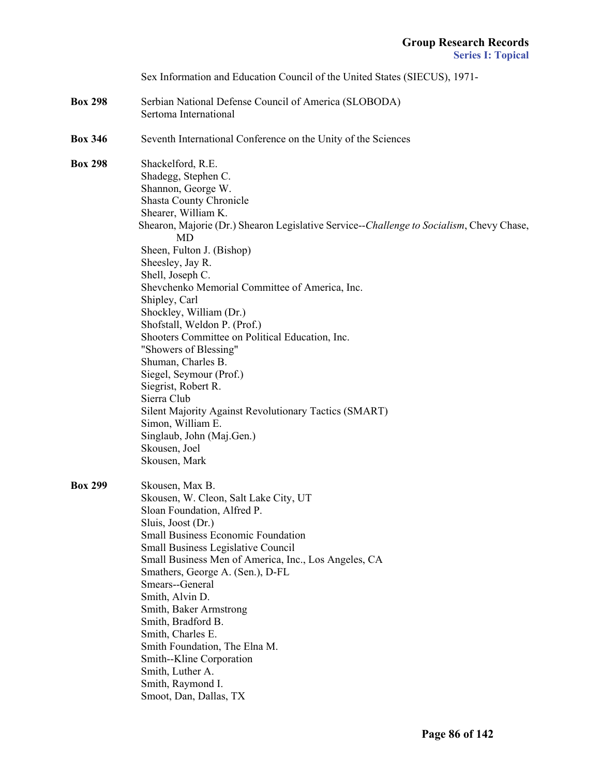|                | Sex Information and Education Council of the United States (SIECUS), 1971-                                                                                                                                                                                                                                                                                                                                                                                                                                                                                                                                                                                                                                                                          |
|----------------|-----------------------------------------------------------------------------------------------------------------------------------------------------------------------------------------------------------------------------------------------------------------------------------------------------------------------------------------------------------------------------------------------------------------------------------------------------------------------------------------------------------------------------------------------------------------------------------------------------------------------------------------------------------------------------------------------------------------------------------------------------|
| <b>Box 298</b> | Serbian National Defense Council of America (SLOBODA)<br>Sertoma International                                                                                                                                                                                                                                                                                                                                                                                                                                                                                                                                                                                                                                                                      |
| <b>Box 346</b> | Seventh International Conference on the Unity of the Sciences                                                                                                                                                                                                                                                                                                                                                                                                                                                                                                                                                                                                                                                                                       |
| <b>Box 298</b> | Shackelford, R.E.<br>Shadegg, Stephen C.<br>Shannon, George W.<br><b>Shasta County Chronicle</b><br>Shearer, William K.<br>Shearon, Majorie (Dr.) Shearon Legislative Service--Challenge to Socialism, Chevy Chase,<br><b>MD</b><br>Sheen, Fulton J. (Bishop)<br>Sheesley, Jay R.<br>Shell, Joseph C.<br>Shevchenko Memorial Committee of America, Inc.<br>Shipley, Carl<br>Shockley, William (Dr.)<br>Shofstall, Weldon P. (Prof.)<br>Shooters Committee on Political Education, Inc.<br>"Showers of Blessing"<br>Shuman, Charles B.<br>Siegel, Seymour (Prof.)<br>Siegrist, Robert R.<br>Sierra Club<br>Silent Majority Against Revolutionary Tactics (SMART)<br>Simon, William E.<br>Singlaub, John (Maj.Gen.)<br>Skousen, Joel<br>Skousen, Mark |
| <b>Box 299</b> | Skousen, Max B.<br>Skousen, W. Cleon, Salt Lake City, UT<br>Sloan Foundation, Alfred P.<br>Sluis, Joost (Dr.)<br><b>Small Business Economic Foundation</b><br><b>Small Business Legislative Council</b><br>Small Business Men of America, Inc., Los Angeles, CA<br>Smathers, George A. (Sen.), D-FL<br>Smears--General<br>Smith, Alvin D.<br>Smith, Baker Armstrong<br>Smith, Bradford B.<br>Smith, Charles E.<br>Smith Foundation, The Elna M.<br>Smith--Kline Corporation<br>Smith, Luther A.<br>Smith, Raymond I.<br>Smoot, Dan, Dallas, TX                                                                                                                                                                                                      |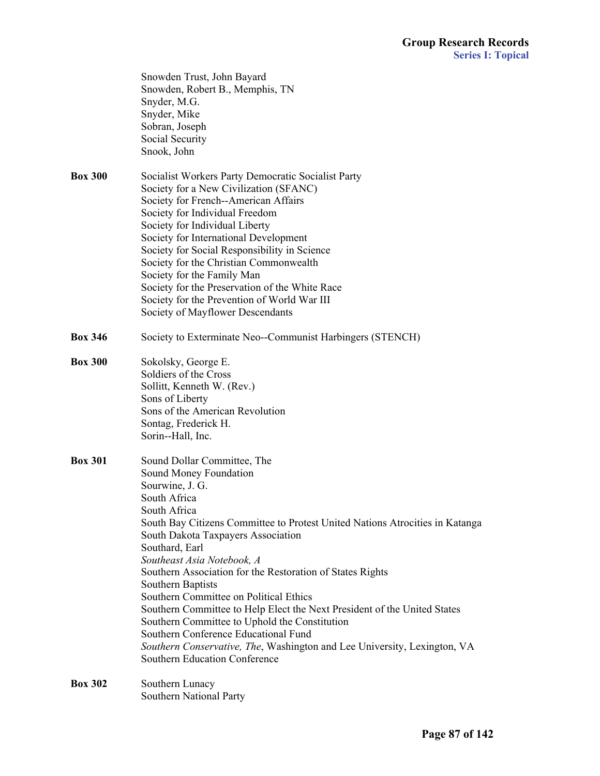|                | Snowden Trust, John Bayard<br>Snowden, Robert B., Memphis, TN<br>Snyder, M.G.<br>Snyder, Mike<br>Sobran, Joseph<br>Social Security<br>Snook, John                                                                                                                                                                                                                                                                                                                                                                                                                                                                                                                                            |
|----------------|----------------------------------------------------------------------------------------------------------------------------------------------------------------------------------------------------------------------------------------------------------------------------------------------------------------------------------------------------------------------------------------------------------------------------------------------------------------------------------------------------------------------------------------------------------------------------------------------------------------------------------------------------------------------------------------------|
| <b>Box 300</b> | Socialist Workers Party Democratic Socialist Party<br>Society for a New Civilization (SFANC)<br>Society for French--American Affairs<br>Society for Individual Freedom<br>Society for Individual Liberty<br>Society for International Development<br>Society for Social Responsibility in Science<br>Society for the Christian Commonwealth<br>Society for the Family Man<br>Society for the Preservation of the White Race<br>Society for the Prevention of World War III<br>Society of Mayflower Descendants                                                                                                                                                                               |
| <b>Box 346</b> | Society to Exterminate Neo--Communist Harbingers (STENCH)                                                                                                                                                                                                                                                                                                                                                                                                                                                                                                                                                                                                                                    |
| <b>Box 300</b> | Sokolsky, George E.<br>Soldiers of the Cross<br>Sollitt, Kenneth W. (Rev.)<br>Sons of Liberty<br>Sons of the American Revolution<br>Sontag, Frederick H.<br>Sorin--Hall, Inc.                                                                                                                                                                                                                                                                                                                                                                                                                                                                                                                |
| <b>Box 301</b> | Sound Dollar Committee, The<br>Sound Money Foundation<br>Sourwine, J. G.<br>South Africa<br>South Africa<br>South Bay Citizens Committee to Protest United Nations Atrocities in Katanga<br>South Dakota Taxpayers Association<br>Southard, Earl<br>Southeast Asia Notebook, A<br>Southern Association for the Restoration of States Rights<br>Southern Baptists<br>Southern Committee on Political Ethics<br>Southern Committee to Help Elect the Next President of the United States<br>Southern Committee to Uphold the Constitution<br>Southern Conference Educational Fund<br>Southern Conservative, The, Washington and Lee University, Lexington, VA<br>Southern Education Conference |
| <b>Box 302</b> | Southern Lunacy<br>Southern National Party                                                                                                                                                                                                                                                                                                                                                                                                                                                                                                                                                                                                                                                   |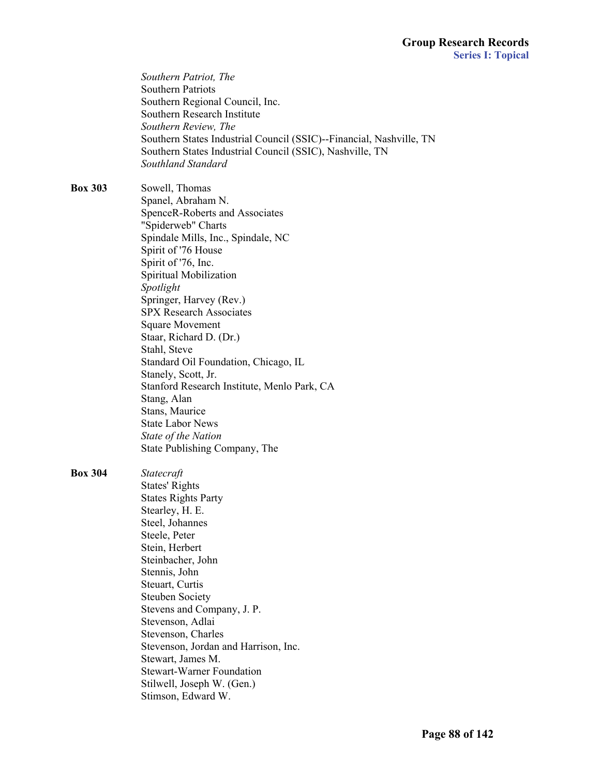|                | Southern Patriot, The<br><b>Southern Patriots</b><br>Southern Regional Council, Inc.<br>Southern Research Institute<br>Southern Review, The<br>Southern States Industrial Council (SSIC)--Financial, Nashville, TN<br>Southern States Industrial Council (SSIC), Nashville, TN<br>Southland Standard                                                                                                                                                                                                                                                                                        |
|----------------|---------------------------------------------------------------------------------------------------------------------------------------------------------------------------------------------------------------------------------------------------------------------------------------------------------------------------------------------------------------------------------------------------------------------------------------------------------------------------------------------------------------------------------------------------------------------------------------------|
| <b>Box 303</b> | Sowell, Thomas<br>Spanel, Abraham N.<br>SpenceR-Roberts and Associates<br>"Spiderweb" Charts<br>Spindale Mills, Inc., Spindale, NC<br>Spirit of '76 House<br>Spirit of '76, Inc.<br>Spiritual Mobilization<br>Spotlight<br>Springer, Harvey (Rev.)<br><b>SPX Research Associates</b><br><b>Square Movement</b><br>Staar, Richard D. (Dr.)<br>Stahl, Steve<br>Standard Oil Foundation, Chicago, IL<br>Stanely, Scott, Jr.<br>Stanford Research Institute, Menlo Park, CA<br>Stang, Alan<br>Stans, Maurice<br><b>State Labor News</b><br>State of the Nation<br>State Publishing Company, The |
| <b>Box 304</b> | Statecraft<br><b>States' Rights</b><br><b>States Rights Party</b><br>Stearley, H. E.<br>Steel, Johannes<br>Steele, Peter<br>Stein, Herbert<br>Steinbacher, John<br>Stennis, John<br>Steuart, Curtis<br><b>Steuben Society</b><br>Stevens and Company, J. P.<br>Stevenson, Adlai<br>Stevenson, Charles<br>Stevenson, Jordan and Harrison, Inc.<br>Stewart, James M.<br><b>Stewart-Warner Foundation</b><br>Stilwell, Joseph W. (Gen.)<br>Stimson, Edward W.                                                                                                                                  |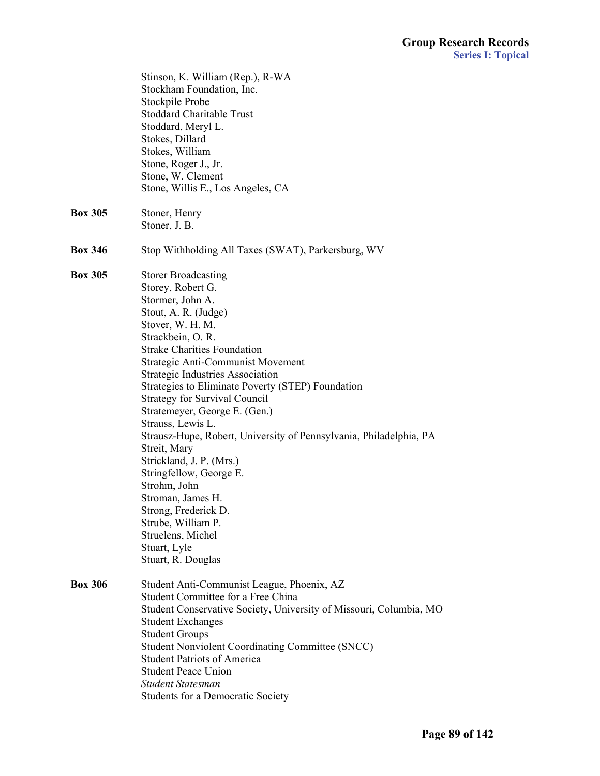|                | Stinson, K. William (Rep.), R-WA<br>Stockham Foundation, Inc.<br>Stockpile Probe<br><b>Stoddard Charitable Trust</b><br>Stoddard, Meryl L.<br>Stokes, Dillard<br>Stokes, William                                                                                                                                                                                                                                                                                                                                                                                                                                                                                                                         |
|----------------|----------------------------------------------------------------------------------------------------------------------------------------------------------------------------------------------------------------------------------------------------------------------------------------------------------------------------------------------------------------------------------------------------------------------------------------------------------------------------------------------------------------------------------------------------------------------------------------------------------------------------------------------------------------------------------------------------------|
|                | Stone, Roger J., Jr.<br>Stone, W. Clement<br>Stone, Willis E., Los Angeles, CA                                                                                                                                                                                                                                                                                                                                                                                                                                                                                                                                                                                                                           |
| <b>Box 305</b> | Stoner, Henry<br>Stoner, J. B.                                                                                                                                                                                                                                                                                                                                                                                                                                                                                                                                                                                                                                                                           |
| <b>Box 346</b> | Stop Withholding All Taxes (SWAT), Parkersburg, WV                                                                                                                                                                                                                                                                                                                                                                                                                                                                                                                                                                                                                                                       |
| <b>Box 305</b> | <b>Storer Broadcasting</b><br>Storey, Robert G.<br>Stormer, John A.<br>Stout, A. R. (Judge)<br>Stover, W. H. M.<br>Strackbein, O. R.<br><b>Strake Charities Foundation</b><br>Strategic Anti-Communist Movement<br><b>Strategic Industries Association</b><br>Strategies to Eliminate Poverty (STEP) Foundation<br><b>Strategy for Survival Council</b><br>Stratemeyer, George E. (Gen.)<br>Strauss, Lewis L.<br>Strausz-Hupe, Robert, University of Pennsylvania, Philadelphia, PA<br>Streit, Mary<br>Strickland, J. P. (Mrs.)<br>Stringfellow, George E.<br>Strohm, John<br>Stroman, James H.<br>Strong, Frederick D.<br>Strube, William P.<br>Struelens, Michel<br>Stuart, Lyle<br>Stuart, R. Douglas |
| <b>Box 306</b> | Student Anti-Communist League, Phoenix, AZ<br>Student Committee for a Free China<br>Student Conservative Society, University of Missouri, Columbia, MO<br><b>Student Exchanges</b><br><b>Student Groups</b><br><b>Student Nonviolent Coordinating Committee (SNCC)</b><br><b>Student Patriots of America</b><br><b>Student Peace Union</b><br><b>Student Statesman</b><br><b>Students for a Democratic Society</b>                                                                                                                                                                                                                                                                                       |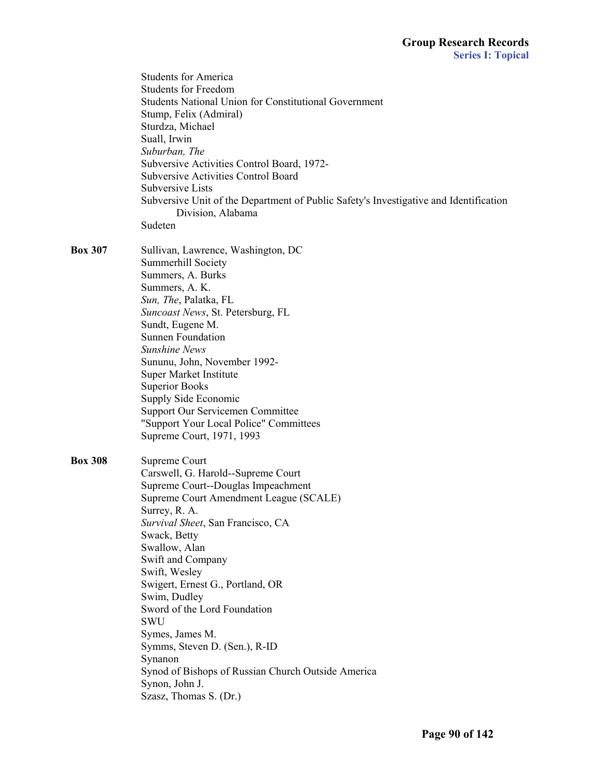|                | <b>Students for America</b><br><b>Students for Freedom</b><br><b>Students National Union for Constitutional Government</b><br>Stump, Felix (Admiral)<br>Sturdza, Michael<br>Suall, Irwin<br>Suburban, The<br>Subversive Activities Control Board, 1972-<br><b>Subversive Activities Control Board</b><br>Subversive Lists<br>Subversive Unit of the Department of Public Safety's Investigative and Identification<br>Division, Alabama<br>Sudeten                                                                                  |
|----------------|-------------------------------------------------------------------------------------------------------------------------------------------------------------------------------------------------------------------------------------------------------------------------------------------------------------------------------------------------------------------------------------------------------------------------------------------------------------------------------------------------------------------------------------|
| <b>Box 307</b> | Sullivan, Lawrence, Washington, DC<br>Summerhill Society<br>Summers, A. Burks<br>Summers, A. K.<br>Sun, The, Palatka, FL<br>Suncoast News, St. Petersburg, FL<br>Sundt, Eugene M.<br><b>Sunnen Foundation</b><br><b>Sunshine News</b><br>Sununu, John, November 1992-<br>Super Market Institute<br><b>Superior Books</b><br>Supply Side Economic<br><b>Support Our Servicemen Committee</b><br>"Support Your Local Police" Committees<br>Supreme Court, 1971, 1993                                                                  |
| <b>Box 308</b> | Supreme Court<br>Carswell, G. Harold--Supreme Court<br>Supreme Court--Douglas Impeachment<br>Supreme Court Amendment League (SCALE)<br>Surrey, R. A.<br>Survival Sheet, San Francisco, CA<br>Swack, Betty<br>Swallow, Alan<br>Swift and Company<br>Swift, Wesley<br>Swigert, Ernest G., Portland, OR<br>Swim, Dudley<br>Sword of the Lord Foundation<br><b>SWU</b><br>Symes, James M.<br>Symms, Steven D. (Sen.), R-ID<br>Synanon<br>Synod of Bishops of Russian Church Outside America<br>Synon, John J.<br>Szasz, Thomas S. (Dr.) |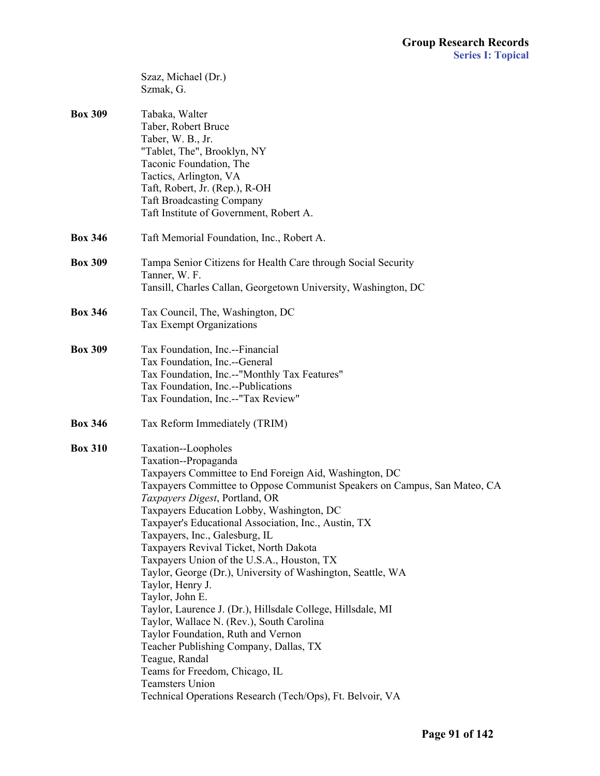|                | Szaz, Michael (Dr.)<br>Szmak, G.                                                                                                                                                                                                                                                                                                                                                                                                                                                                                                                                                                                                                                                                                                                                                                                                                                                                 |
|----------------|--------------------------------------------------------------------------------------------------------------------------------------------------------------------------------------------------------------------------------------------------------------------------------------------------------------------------------------------------------------------------------------------------------------------------------------------------------------------------------------------------------------------------------------------------------------------------------------------------------------------------------------------------------------------------------------------------------------------------------------------------------------------------------------------------------------------------------------------------------------------------------------------------|
| <b>Box 309</b> | Tabaka, Walter<br>Taber, Robert Bruce<br>Taber, W. B., Jr.<br>"Tablet, The", Brooklyn, NY<br>Taconic Foundation, The<br>Tactics, Arlington, VA<br>Taft, Robert, Jr. (Rep.), R-OH<br><b>Taft Broadcasting Company</b><br>Taft Institute of Government, Robert A.                                                                                                                                                                                                                                                                                                                                                                                                                                                                                                                                                                                                                                  |
| <b>Box 346</b> | Taft Memorial Foundation, Inc., Robert A.                                                                                                                                                                                                                                                                                                                                                                                                                                                                                                                                                                                                                                                                                                                                                                                                                                                        |
| <b>Box 309</b> | Tampa Senior Citizens for Health Care through Social Security<br>Tanner, W. F.<br>Tansill, Charles Callan, Georgetown University, Washington, DC                                                                                                                                                                                                                                                                                                                                                                                                                                                                                                                                                                                                                                                                                                                                                 |
| <b>Box 346</b> | Tax Council, The, Washington, DC<br>Tax Exempt Organizations                                                                                                                                                                                                                                                                                                                                                                                                                                                                                                                                                                                                                                                                                                                                                                                                                                     |
| <b>Box 309</b> | Tax Foundation, Inc.--Financial<br>Tax Foundation, Inc.--General<br>Tax Foundation, Inc.--"Monthly Tax Features"<br>Tax Foundation, Inc.--Publications<br>Tax Foundation, Inc.--"Tax Review"                                                                                                                                                                                                                                                                                                                                                                                                                                                                                                                                                                                                                                                                                                     |
| <b>Box 346</b> | Tax Reform Immediately (TRIM)                                                                                                                                                                                                                                                                                                                                                                                                                                                                                                                                                                                                                                                                                                                                                                                                                                                                    |
| <b>Box 310</b> | Taxation--Loopholes<br>Taxation--Propaganda<br>Taxpayers Committee to End Foreign Aid, Washington, DC<br>Taxpayers Committee to Oppose Communist Speakers on Campus, San Mateo, CA<br>Taxpayers Digest, Portland, OR<br>Taxpayers Education Lobby, Washington, DC<br>Taxpayer's Educational Association, Inc., Austin, TX<br>Taxpayers, Inc., Galesburg, IL<br>Taxpayers Revival Ticket, North Dakota<br>Taxpayers Union of the U.S.A., Houston, TX<br>Taylor, George (Dr.), University of Washington, Seattle, WA<br>Taylor, Henry J.<br>Taylor, John E.<br>Taylor, Laurence J. (Dr.), Hillsdale College, Hillsdale, MI<br>Taylor, Wallace N. (Rev.), South Carolina<br>Taylor Foundation, Ruth and Vernon<br>Teacher Publishing Company, Dallas, TX<br>Teague, Randal<br>Teams for Freedom, Chicago, IL<br><b>Teamsters Union</b><br>Technical Operations Research (Tech/Ops), Ft. Belvoir, VA |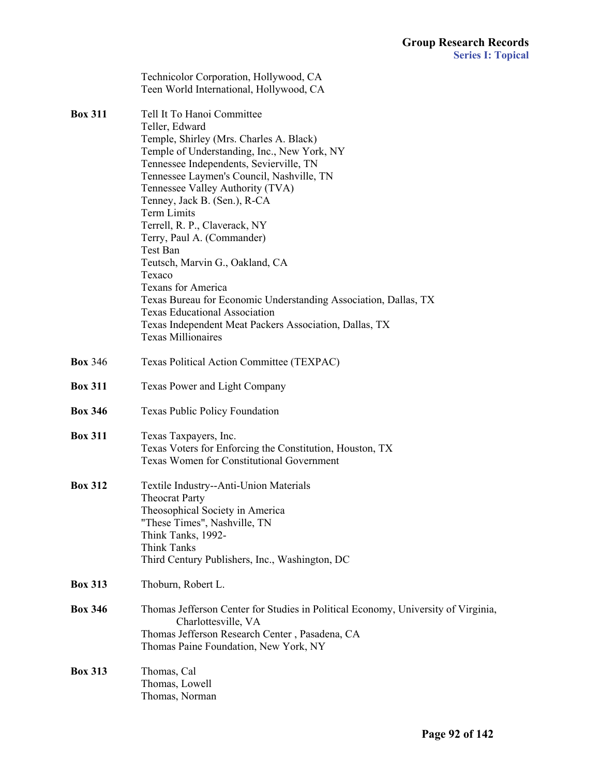|                | Technicolor Corporation, Hollywood, CA<br>Teen World International, Hollywood, CA                                                                                                                                                                                                                                                                                                                                                                                                                                                                                                                                                                                        |
|----------------|--------------------------------------------------------------------------------------------------------------------------------------------------------------------------------------------------------------------------------------------------------------------------------------------------------------------------------------------------------------------------------------------------------------------------------------------------------------------------------------------------------------------------------------------------------------------------------------------------------------------------------------------------------------------------|
| <b>Box 311</b> | Tell It To Hanoi Committee<br>Teller, Edward<br>Temple, Shirley (Mrs. Charles A. Black)<br>Temple of Understanding, Inc., New York, NY<br>Tennessee Independents, Sevierville, TN<br>Tennessee Laymen's Council, Nashville, TN<br>Tennessee Valley Authority (TVA)<br>Tenney, Jack B. (Sen.), R-CA<br>Term Limits<br>Terrell, R. P., Claverack, NY<br>Terry, Paul A. (Commander)<br>Test Ban<br>Teutsch, Marvin G., Oakland, CA<br>Texaco<br><b>Texans for America</b><br>Texas Bureau for Economic Understanding Association, Dallas, TX<br><b>Texas Educational Association</b><br>Texas Independent Meat Packers Association, Dallas, TX<br><b>Texas Millionaires</b> |
| <b>Box 346</b> | Texas Political Action Committee (TEXPAC)                                                                                                                                                                                                                                                                                                                                                                                                                                                                                                                                                                                                                                |
| <b>Box 311</b> | Texas Power and Light Company                                                                                                                                                                                                                                                                                                                                                                                                                                                                                                                                                                                                                                            |
| <b>Box 346</b> | <b>Texas Public Policy Foundation</b>                                                                                                                                                                                                                                                                                                                                                                                                                                                                                                                                                                                                                                    |
| <b>Box 311</b> | Texas Taxpayers, Inc.<br>Texas Voters for Enforcing the Constitution, Houston, TX<br><b>Texas Women for Constitutional Government</b>                                                                                                                                                                                                                                                                                                                                                                                                                                                                                                                                    |
| <b>Box 312</b> | Textile Industry--Anti-Union Materials<br><b>Theocrat Party</b><br>Theosophical Society in America<br>"These Times", Nashville, TN<br>Think Tanks, 1992-<br>Think Tanks<br>Third Century Publishers, Inc., Washington, DC                                                                                                                                                                                                                                                                                                                                                                                                                                                |
| <b>Box 313</b> | Thoburn, Robert L.                                                                                                                                                                                                                                                                                                                                                                                                                                                                                                                                                                                                                                                       |
| <b>Box 346</b> | Thomas Jefferson Center for Studies in Political Economy, University of Virginia,<br>Charlottesville, VA<br>Thomas Jefferson Research Center, Pasadena, CA<br>Thomas Paine Foundation, New York, NY                                                                                                                                                                                                                                                                                                                                                                                                                                                                      |
| <b>Box 313</b> | Thomas, Cal<br>Thomas, Lowell<br>Thomas, Norman                                                                                                                                                                                                                                                                                                                                                                                                                                                                                                                                                                                                                          |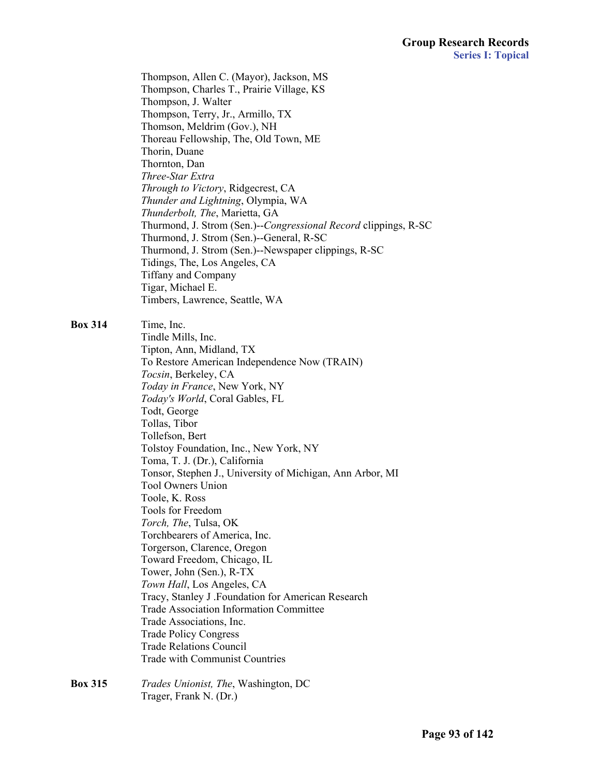Thompson, Allen C. (Mayor), Jackson, MS Thompson, Charles T., Prairie Village, KS Thompson, J. Walter Thompson, Terry, Jr., Armillo, TX Thomson, Meldrim (Gov.), NH Thoreau Fellowship, The, Old Town, ME Thorin, Duane Thornton, Dan *Three-Star Extra Through to Victory*, Ridgecrest, CA *Thunder and Lightning*, Olympia, WA *Thunderbolt, The*, Marietta, GA Thurmond, J. Strom (Sen.)--*Congressional Record* clippings, R-SC Thurmond, J. Strom (Sen.)--General, R-SC Thurmond, J. Strom (Sen.)--Newspaper clippings, R-SC Tidings, The, Los Angeles, CA Tiffany and Company Tigar, Michael E. Timbers, Lawrence, Seattle, WA

**Box 314** Time, Inc.

 Tindle Mills, Inc. Tipton, Ann, Midland, TX To Restore American Independence Now (TRAIN) *Tocsin*, Berkeley, CA *Today in France*, New York, NY *Today's World*, Coral Gables, FL Todt, George Tollas, Tibor Tollefson, Bert Tolstoy Foundation, Inc., New York, NY Toma, T. J. (Dr.), California Tonsor, Stephen J., University of Michigan, Ann Arbor, MI Tool Owners Union Toole, K. Ross Tools for Freedom *Torch, The*, Tulsa, OK Torchbearers of America, Inc. Torgerson, Clarence, Oregon Toward Freedom, Chicago, IL Tower, John (Sen.), R-TX *Town Hall*, Los Angeles, CA Tracy, Stanley J .Foundation for American Research Trade Association Information Committee Trade Associations, Inc. Trade Policy Congress Trade Relations Council Trade with Communist Countries

**Box 315** *Trades Unionist, The*, Washington, DC Trager, Frank N. (Dr.)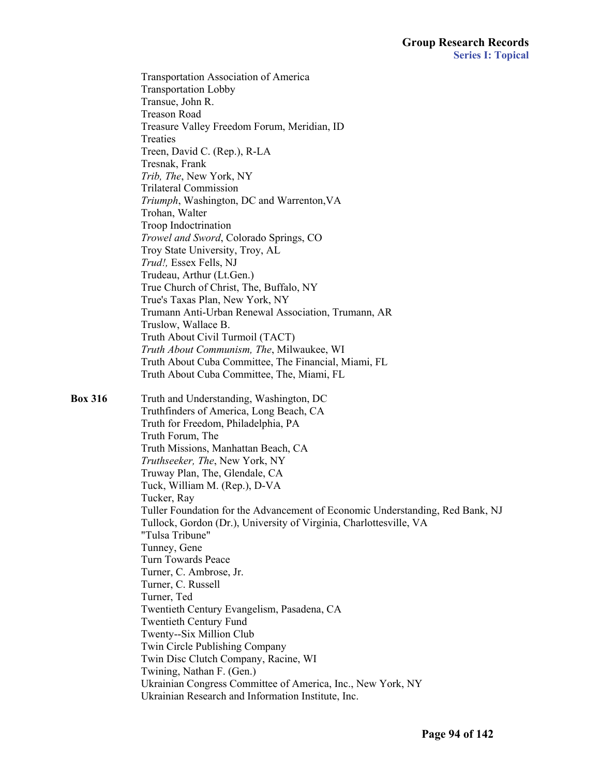Transportation Association of America Transportation Lobby Transue, John R. Treason Road Treasure Valley Freedom Forum, Meridian, ID Treaties Treen, David C. (Rep.), R-LA Tresnak, Frank *Trib, The*, New York, NY Trilateral Commission *Triumph*, Washington, DC and Warrenton,VA Trohan, Walter Troop Indoctrination *Trowel and Sword*, Colorado Springs, CO Troy State University, Troy, AL *Trud!,* Essex Fells, NJ Trudeau, Arthur (Lt.Gen.) True Church of Christ, The, Buffalo, NY True's Taxas Plan, New York, NY Trumann Anti-Urban Renewal Association, Trumann, AR Truslow, Wallace B. Truth About Civil Turmoil (TACT) *Truth About Communism, The*, Milwaukee, WI Truth About Cuba Committee, The Financial, Miami, FL Truth About Cuba Committee, The, Miami, FL **Box 316** Truth and Understanding, Washington, DC Truthfinders of America, Long Beach, CA Truth for Freedom, Philadelphia, PA Truth Forum, The Truth Missions, Manhattan Beach, CA *Truthseeker, The*, New York, NY Truway Plan, The, Glendale, CA Tuck, William M. (Rep.), D-VA Tucker, Ray Tuller Foundation for the Advancement of Economic Understanding, Red Bank, NJ Tullock, Gordon (Dr.), University of Virginia, Charlottesville, VA "Tulsa Tribune" Tunney, Gene Turn Towards Peace Turner, C. Ambrose, Jr. Turner, C. Russell Turner, Ted Twentieth Century Evangelism, Pasadena, CA Twentieth Century Fund Twenty--Six Million Club Twin Circle Publishing Company Twin Disc Clutch Company, Racine, WI Twining, Nathan F. (Gen.) Ukrainian Congress Committee of America, Inc., New York, NY Ukrainian Research and Information Institute, Inc.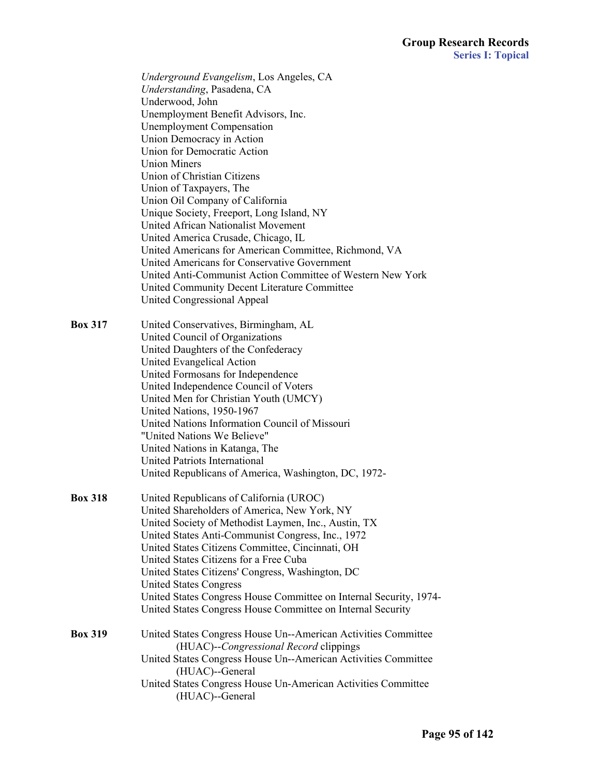*Underground Evangelism*, Los Angeles, CA *Understanding*, Pasadena, CA Underwood, John Unemployment Benefit Advisors, Inc. Unemployment Compensation Union Democracy in Action Union for Democratic Action Union Miners Union of Christian Citizens Union of Taxpayers, The Union Oil Company of California Unique Society, Freeport, Long Island, NY United African Nationalist Movement United America Crusade, Chicago, IL United Americans for American Committee, Richmond, VA United Americans for Conservative Government United Anti-Communist Action Committee of Western New York United Community Decent Literature Committee United Congressional Appeal

**Box 317** United Conservatives, Birmingham, AL United Council of Organizations United Daughters of the Confederacy United Evangelical Action United Formosans for Independence United Independence Council of Voters United Men for Christian Youth (UMCY) United Nations, 1950-1967 United Nations Information Council of Missouri "United Nations We Believe" United Nations in Katanga, The United Patriots International United Republicans of America, Washington, DC, 1972-

- **Box 318** United Republicans of California (UROC) United Shareholders of America, New York, NY United Society of Methodist Laymen, Inc., Austin, TX United States Anti-Communist Congress, Inc., 1972 United States Citizens Committee, Cincinnati, OH United States Citizens for a Free Cuba United States Citizens' Congress, Washington, DC United States Congress United States Congress House Committee on Internal Security, 1974- United States Congress House Committee on Internal Security **Box 319** United States Congress House Un--American Activities Committee (HUAC)--*Congressional Record* clippings United States Congress House Un--American Activities Committee
	- (HUAC)--General United States Congress House Un-American Activities Committee (HUAC)--General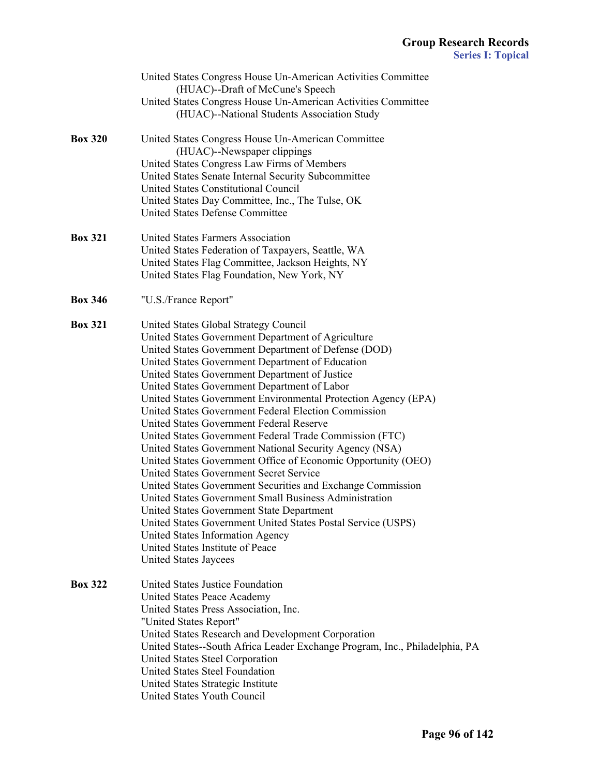|                | United States Congress House Un-American Activities Committee<br>(HUAC)--Draft of McCune's Speech            |
|----------------|--------------------------------------------------------------------------------------------------------------|
|                | United States Congress House Un-American Activities Committee<br>(HUAC)--National Students Association Study |
| <b>Box 320</b> | United States Congress House Un-American Committee                                                           |
|                | (HUAC)--Newspaper clippings                                                                                  |
|                | United States Congress Law Firms of Members                                                                  |
|                | United States Senate Internal Security Subcommittee                                                          |
|                | <b>United States Constitutional Council</b>                                                                  |
|                | United States Day Committee, Inc., The Tulse, OK<br><b>United States Defense Committee</b>                   |
|                |                                                                                                              |
| <b>Box 321</b> | United States Farmers Association                                                                            |
|                | United States Federation of Taxpayers, Seattle, WA                                                           |
|                | United States Flag Committee, Jackson Heights, NY<br>United States Flag Foundation, New York, NY             |
| <b>Box 346</b> | "U.S./France Report"                                                                                         |
|                |                                                                                                              |
| <b>Box 321</b> | United States Global Strategy Council                                                                        |
|                | United States Government Department of Agriculture                                                           |
|                | United States Government Department of Defense (DOD)                                                         |
|                | United States Government Department of Education                                                             |
|                | United States Government Department of Justice                                                               |
|                | United States Government Department of Labor                                                                 |
|                | United States Government Environmental Protection Agency (EPA)                                               |
|                | United States Government Federal Election Commission                                                         |
|                | United States Government Federal Reserve                                                                     |
|                | United States Government Federal Trade Commission (FTC)                                                      |
|                | United States Government National Security Agency (NSA)                                                      |
|                | United States Government Office of Economic Opportunity (OEO)                                                |
|                | United States Government Secret Service                                                                      |
|                | United States Government Securities and Exchange Commission                                                  |
|                | United States Government Small Business Administration                                                       |
|                | United States Government State Department                                                                    |
|                | United States Government United States Postal Service (USPS)<br>United States Information Agency             |
|                | United States Institute of Peace                                                                             |
|                | <b>United States Jaycees</b>                                                                                 |
| <b>Box 322</b> | United States Justice Foundation                                                                             |
|                | United States Peace Academy                                                                                  |
|                | United States Press Association, Inc.                                                                        |
|                | "United States Report"                                                                                       |
|                | United States Research and Development Corporation                                                           |
|                | United States--South Africa Leader Exchange Program, Inc., Philadelphia, PA                                  |
|                | United States Steel Corporation                                                                              |
|                | United States Steel Foundation                                                                               |
|                | United States Strategic Institute                                                                            |
|                | United States Youth Council                                                                                  |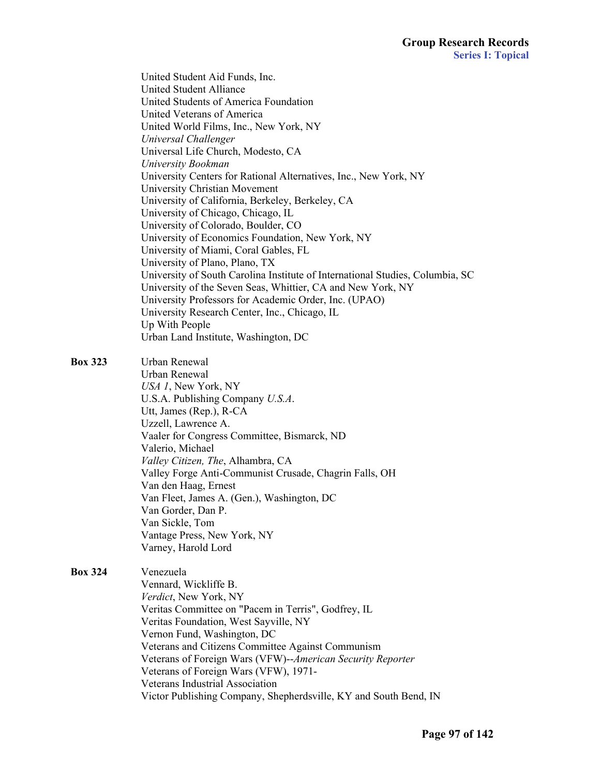United Student Aid Funds, Inc. United Student Alliance United Students of America Foundation United Veterans of America United World Films, Inc., New York, NY *Universal Challenger* Universal Life Church, Modesto, CA *University Bookman* University Centers for Rational Alternatives, Inc., New York, NY University Christian Movement University of California, Berkeley, Berkeley, CA University of Chicago, Chicago, IL University of Colorado, Boulder, CO University of Economics Foundation, New York, NY University of Miami, Coral Gables, FL University of Plano, Plano, TX University of South Carolina Institute of International Studies, Columbia, SC University of the Seven Seas, Whittier, CA and New York, NY University Professors for Academic Order, Inc. (UPAO) University Research Center, Inc., Chicago, IL Up With People Urban Land Institute, Washington, DC **Box 323** Urban Renewal Urban Renewal *USA 1*, New York, NY U.S.A. Publishing Company *U.S.A*. Utt, James (Rep.), R-CA Uzzell, Lawrence A. Vaaler for Congress Committee, Bismarck, ND Valerio, Michael *Valley Citizen, The*, Alhambra, CA Valley Forge Anti-Communist Crusade, Chagrin Falls, OH Van den Haag, Ernest Van Fleet, James A. (Gen.), Washington, DC Van Gorder, Dan P.

 Van Sickle, Tom Vantage Press, New York, NY

Varney, Harold Lord

**Box 324** Venezuela Vennard, Wickliffe B. *Verdict*, New York, NY Veritas Committee on "Pacem in Terris", Godfrey, IL Veritas Foundation, West Sayville, NY Vernon Fund, Washington, DC Veterans and Citizens Committee Against Communism Veterans of Foreign Wars (VFW)--*American Security Reporter* Veterans of Foreign Wars (VFW), 1971- Veterans Industrial Association Victor Publishing Company, Shepherdsville, KY and South Bend, IN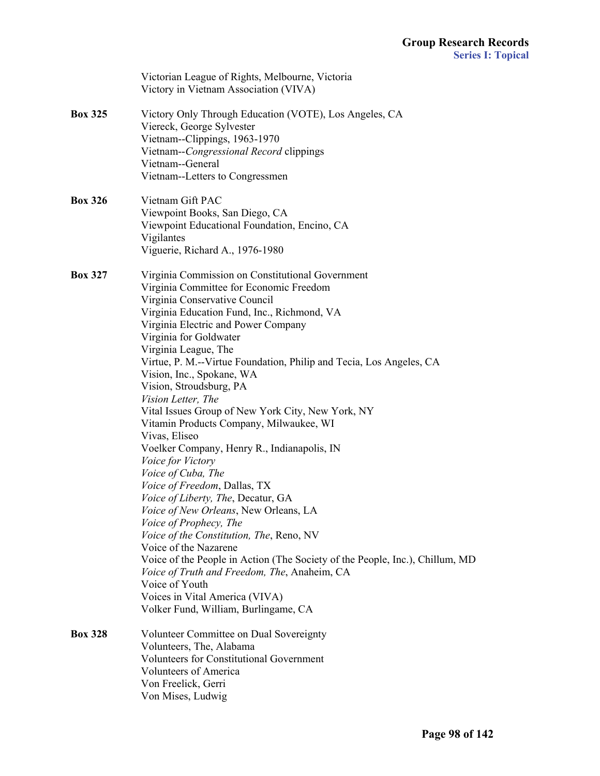|                | Victorian League of Rights, Melbourne, Victoria<br>Victory in Vietnam Association (VIVA)                                                                                                                                                                                                                                                                                                                                                                                                                                                                                                                                                                                                                                                                                                                                                                                                                                                                                                                                                                                       |
|----------------|--------------------------------------------------------------------------------------------------------------------------------------------------------------------------------------------------------------------------------------------------------------------------------------------------------------------------------------------------------------------------------------------------------------------------------------------------------------------------------------------------------------------------------------------------------------------------------------------------------------------------------------------------------------------------------------------------------------------------------------------------------------------------------------------------------------------------------------------------------------------------------------------------------------------------------------------------------------------------------------------------------------------------------------------------------------------------------|
| <b>Box 325</b> | Victory Only Through Education (VOTE), Los Angeles, CA<br>Viereck, George Sylvester<br>Vietnam--Clippings, 1963-1970<br>Vietnam--Congressional Record clippings<br>Vietnam--General<br>Vietnam--Letters to Congressmen                                                                                                                                                                                                                                                                                                                                                                                                                                                                                                                                                                                                                                                                                                                                                                                                                                                         |
| <b>Box 326</b> | Vietnam Gift PAC<br>Viewpoint Books, San Diego, CA<br>Viewpoint Educational Foundation, Encino, CA<br>Vigilantes<br>Viguerie, Richard A., 1976-1980                                                                                                                                                                                                                                                                                                                                                                                                                                                                                                                                                                                                                                                                                                                                                                                                                                                                                                                            |
| <b>Box 327</b> | Virginia Commission on Constitutional Government<br>Virginia Committee for Economic Freedom<br>Virginia Conservative Council<br>Virginia Education Fund, Inc., Richmond, VA<br>Virginia Electric and Power Company<br>Virginia for Goldwater<br>Virginia League, The<br>Virtue, P. M.--Virtue Foundation, Philip and Tecia, Los Angeles, CA<br>Vision, Inc., Spokane, WA<br>Vision, Stroudsburg, PA<br>Vision Letter, The<br>Vital Issues Group of New York City, New York, NY<br>Vitamin Products Company, Milwaukee, WI<br>Vivas, Eliseo<br>Voelker Company, Henry R., Indianapolis, IN<br>Voice for Victory<br>Voice of Cuba, The<br>Voice of Freedom, Dallas, TX<br>Voice of Liberty, The, Decatur, GA<br>Voice of New Orleans, New Orleans, LA<br>Voice of Prophecy, The<br>Voice of the Constitution, The, Reno, NV<br>Voice of the Nazarene<br>Voice of the People in Action (The Society of the People, Inc.), Chillum, MD<br>Voice of Truth and Freedom, The, Anaheim, CA<br>Voice of Youth<br>Voices in Vital America (VIVA)<br>Volker Fund, William, Burlingame, CA |
| <b>Box 328</b> | Volunteer Committee on Dual Sovereignty<br>Volunteers, The, Alabama<br><b>Volunteers for Constitutional Government</b><br><b>Volunteers of America</b><br>Von Freelick, Gerri<br>Von Mises, Ludwig                                                                                                                                                                                                                                                                                                                                                                                                                                                                                                                                                                                                                                                                                                                                                                                                                                                                             |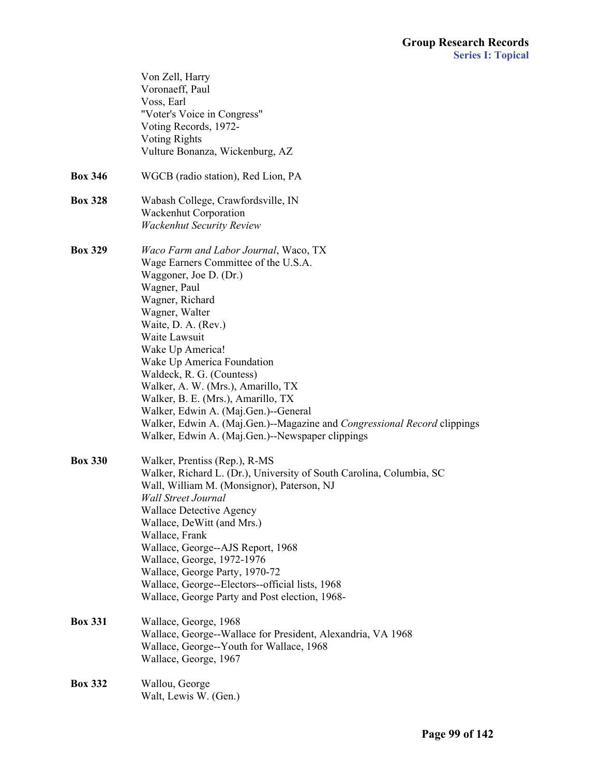|                | Von Zell, Harry<br>Voronaeff, Paul                                         |
|----------------|----------------------------------------------------------------------------|
|                | Voss, Earl                                                                 |
|                | "Voter's Voice in Congress"                                                |
|                | Voting Records, 1972-                                                      |
|                | <b>Voting Rights</b>                                                       |
|                | Vulture Bonanza, Wickenburg, AZ                                            |
| <b>Box 346</b> | WGCB (radio station), Red Lion, PA                                         |
| <b>Box 328</b> | Wabash College, Crawfordsville, IN                                         |
|                | <b>Wackenhut Corporation</b>                                               |
|                | <b>Wackenhut Security Review</b>                                           |
| <b>Box 329</b> | Waco Farm and Labor Journal, Waco, TX                                      |
|                | Wage Earners Committee of the U.S.A.                                       |
|                | Waggoner, Joe D. (Dr.)                                                     |
|                | Wagner, Paul                                                               |
|                | Wagner, Richard                                                            |
|                | Wagner, Walter                                                             |
|                | Waite, D. A. (Rev.)                                                        |
|                | Waite Lawsuit                                                              |
|                | Wake Up America!                                                           |
|                | Wake Up America Foundation                                                 |
|                | Waldeck, R. G. (Countess)                                                  |
|                | Walker, A. W. (Mrs.), Amarillo, TX                                         |
|                | Walker, B. E. (Mrs.), Amarillo, TX<br>Walker, Edwin A. (Maj.Gen.)--General |
|                | Walker, Edwin A. (Maj.Gen.)--Magazine and Congressional Record clippings   |
|                | Walker, Edwin A. (Maj.Gen.)--Newspaper clippings                           |
|                |                                                                            |
| <b>Box 330</b> | Walker, Prentiss (Rep.), R-MS                                              |
|                | Walker, Richard L. (Dr.), University of South Carolina, Columbia, SC       |
|                | Wall, William M. (Monsignor), Paterson, NJ                                 |
|                | <b>Wall Street Journal</b>                                                 |
|                | <b>Wallace Detective Agency</b>                                            |
|                | Wallace, DeWitt (and Mrs.)                                                 |
|                | Wallace, Frank                                                             |
|                | Wallace, George--AJS Report, 1968                                          |
|                | Wallace, George, 1972-1976                                                 |
|                | Wallace, George Party, 1970-72                                             |
|                | Wallace, George--Electors--official lists, 1968                            |
|                | Wallace, George Party and Post election, 1968-                             |
| <b>Box 331</b> | Wallace, George, 1968                                                      |
|                | Wallace, George--Wallace for President, Alexandria, VA 1968                |
|                | Wallace, George--Youth for Wallace, 1968                                   |
|                | Wallace, George, 1967                                                      |
| <b>Box 332</b> | Wallou, George                                                             |
|                | Walt, Lewis W. (Gen.)                                                      |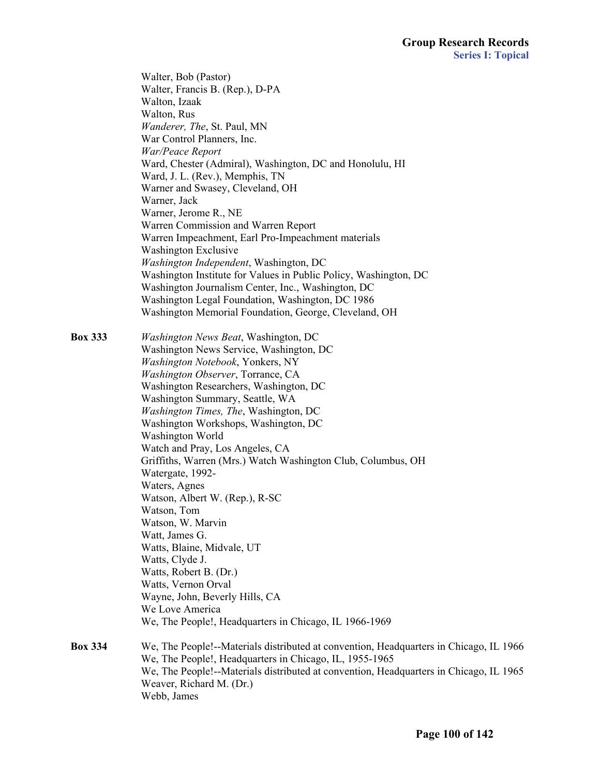Walter, Bob (Pastor) Walter, Francis B. (Rep.), D-PA Walton, Izaak Walton, Rus *Wanderer, The*, St. Paul, MN War Control Planners, Inc. *War/Peace Report* Ward, Chester (Admiral), Washington, DC and Honolulu, HI Ward, J. L. (Rev.), Memphis, TN Warner and Swasey, Cleveland, OH Warner, Jack Warner, Jerome R., NE Warren Commission and Warren Report Warren Impeachment, Earl Pro-Impeachment materials Washington Exclusive *Washington Independent*, Washington, DC Washington Institute for Values in Public Policy, Washington, DC Washington Journalism Center, Inc., Washington, DC Washington Legal Foundation, Washington, DC 1986 Washington Memorial Foundation, George, Cleveland, OH

**Box 333** *Washington News Beat*, Washington, DC Washington News Service, Washington, DC *Washington Notebook*, Yonkers, NY *Washington Observer*, Torrance, CA Washington Researchers, Washington, DC Washington Summary, Seattle, WA *Washington Times, The*, Washington, DC Washington Workshops, Washington, DC Washington World Watch and Pray, Los Angeles, CA Griffiths, Warren (Mrs.) Watch Washington Club, Columbus, OH Watergate, 1992- Waters, Agnes Watson, Albert W. (Rep.), R-SC Watson, Tom Watson, W. Marvin Watt, James G. Watts, Blaine, Midvale, UT Watts, Clyde J. Watts, Robert B. (Dr.) Watts, Vernon Orval Wayne, John, Beverly Hills, CA We Love America We, The People!, Headquarters in Chicago, IL 1966-1969 **Box 334** We, The People!--Materials distributed at convention, Headquarters in Chicago, IL 1966 We, The People!, Headquarters in Chicago, IL, 1955-1965 We, The People!--Materials distributed at convention, Headquarters in Chicago, IL 1965 Weaver, Richard M. (Dr.) Webb, James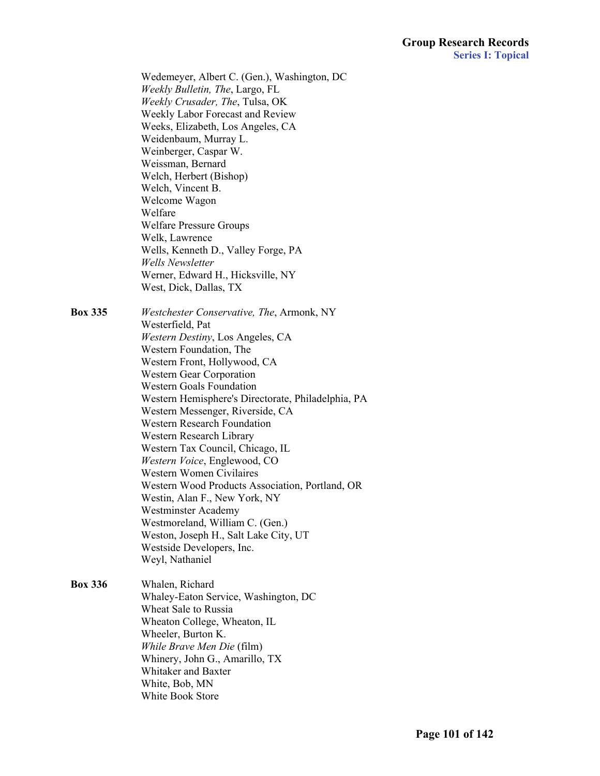Wedemeyer, Albert C. (Gen.), Washington, DC *Weekly Bulletin, The*, Largo, FL *Weekly Crusader, The*, Tulsa, OK Weekly Labor Forecast and Review Weeks, Elizabeth, Los Angeles, CA Weidenbaum, Murray L. Weinberger, Caspar W. Weissman, Bernard Welch, Herbert (Bishop) Welch, Vincent B. Welcome Wagon Welfare Welfare Pressure Groups Welk, Lawrence Wells, Kenneth D., Valley Forge, PA *Wells Newsletter* Werner, Edward H., Hicksville, NY West, Dick, Dallas, TX

**Box 335** *Westchester Conservative, The*, Armonk, NY Westerfield, Pat *Western Destiny*, Los Angeles, CA Western Foundation, The Western Front, Hollywood, CA Western Gear Corporation Western Goals Foundation Western Hemisphere's Directorate, Philadelphia, PA Western Messenger, Riverside, CA Western Research Foundation Western Research Library Western Tax Council, Chicago, IL *Western Voice*, Englewood, CO Western Women Civilaires Western Wood Products Association, Portland, OR Westin, Alan F., New York, NY Westminster Academy Westmoreland, William C. (Gen.) Weston, Joseph H., Salt Lake City, UT Westside Developers, Inc. Weyl, Nathaniel

**Box 336** Whalen, Richard Whaley-Eaton Service, Washington, DC Wheat Sale to Russia Wheaton College, Wheaton, IL Wheeler, Burton K. *While Brave Men Die* (film) Whinery, John G., Amarillo, TX Whitaker and Baxter White, Bob, MN White Book Store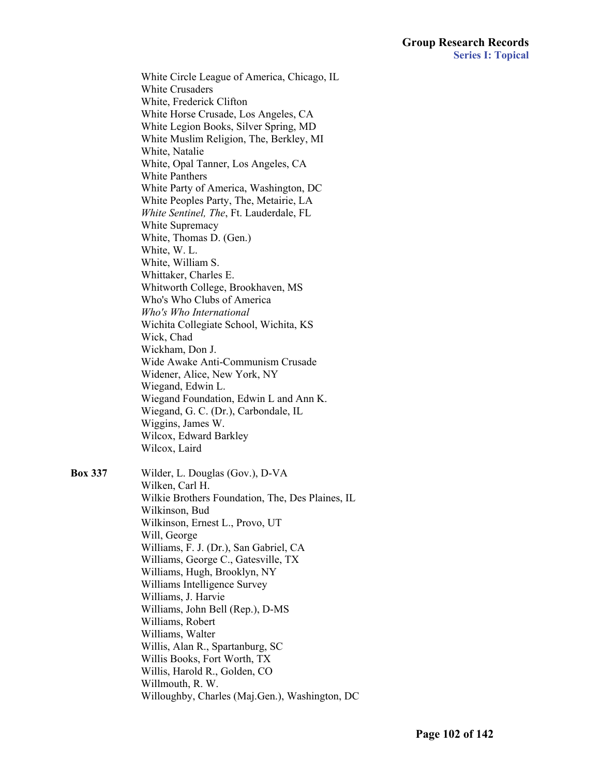White Circle League of America, Chicago, IL White Crusaders White, Frederick Clifton White Horse Crusade, Los Angeles, CA White Legion Books, Silver Spring, MD White Muslim Religion, The, Berkley, MI White, Natalie White, Opal Tanner, Los Angeles, CA White Panthers White Party of America, Washington, DC White Peoples Party, The, Metairie, LA *White Sentinel, The*, Ft. Lauderdale, FL White Supremacy White, Thomas D. (Gen.) White, W. L. White, William S. Whittaker, Charles E. Whitworth College, Brookhaven, MS Who's Who Clubs of America *Who's Who International* Wichita Collegiate School, Wichita, KS Wick, Chad Wickham, Don J. Wide Awake Anti-Communism Crusade Widener, Alice, New York, NY Wiegand, Edwin L. Wiegand Foundation, Edwin L and Ann K. Wiegand, G. C. (Dr.), Carbondale, IL Wiggins, James W. Wilcox, Edward Barkley Wilcox, Laird **Box 337** Wilder, L. Douglas (Gov.), D-VA Wilken, Carl H. Wilkinson, Bud Wilkinson, Ernest L., Provo, UT Will, George Williams, F. J. (Dr.), San Gabriel, CA Williams, George C., Gatesville, TX Williams, Hugh, Brooklyn, NY Williams Intelligence Survey

 Wilkie Brothers Foundation, The, Des Plaines, IL Williams, J. Harvie Williams, John Bell (Rep.), D-MS Williams, Robert Williams, Walter Willis, Alan R., Spartanburg, SC Willis Books, Fort Worth, TX Willis, Harold R., Golden, CO Willmouth, R. W. Willoughby, Charles (Maj.Gen.), Washington, DC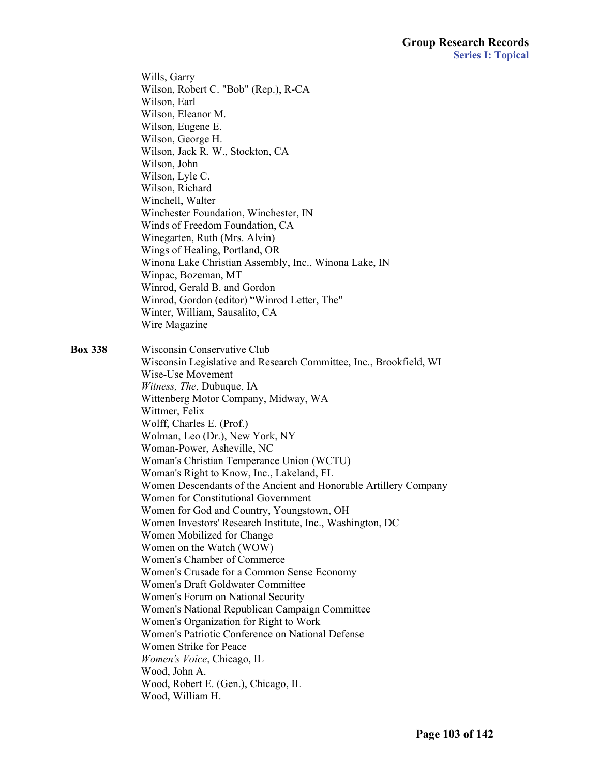Wills, Garry Wilson, Robert C. "Bob" (Rep.), R-CA Wilson, Earl Wilson, Eleanor M. Wilson, Eugene E. Wilson, George H. Wilson, Jack R. W., Stockton, CA Wilson, John Wilson, Lyle C. Wilson, Richard Winchell, Walter Winchester Foundation, Winchester, IN Winds of Freedom Foundation, CA Winegarten, Ruth (Mrs. Alvin) Wings of Healing, Portland, OR Winona Lake Christian Assembly, Inc., Winona Lake, IN Winpac, Bozeman, MT Winrod, Gerald B. and Gordon Winrod, Gordon (editor) "Winrod Letter, The" Winter, William, Sausalito, CA Wire Magazine **Box 338** Wisconsin Conservative Club Wisconsin Legislative and Research Committee, Inc., Brookfield, WI Wise-Use Movement *Witness, The*, Dubuque, IA Wittenberg Motor Company, Midway, WA Wittmer, Felix Wolff, Charles E. (Prof.) Wolman, Leo (Dr.), New York, NY Woman-Power, Asheville, NC Woman's Christian Temperance Union (WCTU) Woman's Right to Know, Inc., Lakeland, FL Women Descendants of the Ancient and Honorable Artillery Company Women for Constitutional Government Women for God and Country, Youngstown, OH Women Investors' Research Institute, Inc., Washington, DC Women Mobilized for Change Women on the Watch (WOW) Women's Chamber of Commerce Women's Crusade for a Common Sense Economy Women's Draft Goldwater Committee Women's Forum on National Security Women's National Republican Campaign Committee Women's Organization for Right to Work Women's Patriotic Conference on National Defense Women Strike for Peace *Women's Voice*, Chicago, IL Wood, John A. Wood, Robert E. (Gen.), Chicago, IL Wood, William H.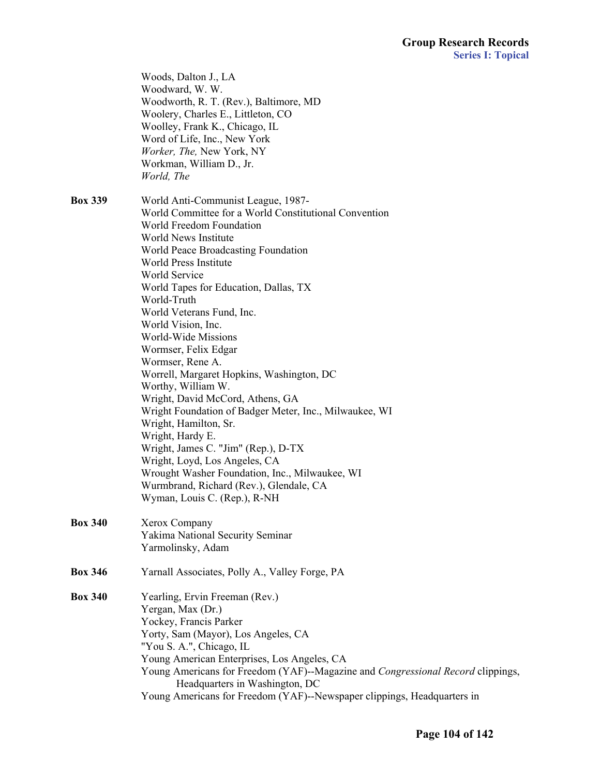|                | Woods, Dalton J., LA<br>Woodward, W. W.<br>Woodworth, R. T. (Rev.), Baltimore, MD<br>Woolery, Charles E., Littleton, CO<br>Woolley, Frank K., Chicago, IL<br>Word of Life, Inc., New York<br>Worker, The, New York, NY<br>Workman, William D., Jr.<br>World, The                                                                                                                                                                                                                                                                                                                                                                                                                                                                                                                                                                  |
|----------------|-----------------------------------------------------------------------------------------------------------------------------------------------------------------------------------------------------------------------------------------------------------------------------------------------------------------------------------------------------------------------------------------------------------------------------------------------------------------------------------------------------------------------------------------------------------------------------------------------------------------------------------------------------------------------------------------------------------------------------------------------------------------------------------------------------------------------------------|
| <b>Box 339</b> | World Anti-Communist League, 1987-<br>World Committee for a World Constitutional Convention<br>World Freedom Foundation<br>World News Institute<br>World Peace Broadcasting Foundation<br>World Press Institute<br>World Service<br>World Tapes for Education, Dallas, TX<br>World-Truth<br>World Veterans Fund, Inc.<br>World Vision, Inc.<br>World-Wide Missions<br>Wormser, Felix Edgar<br>Wormser, Rene A.<br>Worrell, Margaret Hopkins, Washington, DC<br>Worthy, William W.<br>Wright, David McCord, Athens, GA<br>Wright Foundation of Badger Meter, Inc., Milwaukee, WI<br>Wright, Hamilton, Sr.<br>Wright, Hardy E.<br>Wright, James C. "Jim" (Rep.), D-TX<br>Wright, Loyd, Los Angeles, CA<br>Wrought Washer Foundation, Inc., Milwaukee, WI<br>Wurmbrand, Richard (Rev.), Glendale, CA<br>Wyman, Louis C. (Rep.), R-NH |
| <b>Box 340</b> | Xerox Company<br>Yakima National Security Seminar<br>Yarmolinsky, Adam                                                                                                                                                                                                                                                                                                                                                                                                                                                                                                                                                                                                                                                                                                                                                            |
| <b>Box 346</b> | Yarnall Associates, Polly A., Valley Forge, PA                                                                                                                                                                                                                                                                                                                                                                                                                                                                                                                                                                                                                                                                                                                                                                                    |
| <b>Box 340</b> | Yearling, Ervin Freeman (Rev.)<br>Yergan, Max (Dr.)<br>Yockey, Francis Parker<br>Yorty, Sam (Mayor), Los Angeles, CA<br>"You S. A.", Chicago, IL<br>Young American Enterprises, Los Angeles, CA<br>Young Americans for Freedom (YAF)--Magazine and Congressional Record clippings,<br>Headquarters in Washington, DC<br>Young Americans for Freedom (YAF)--Newspaper clippings, Headquarters in                                                                                                                                                                                                                                                                                                                                                                                                                                   |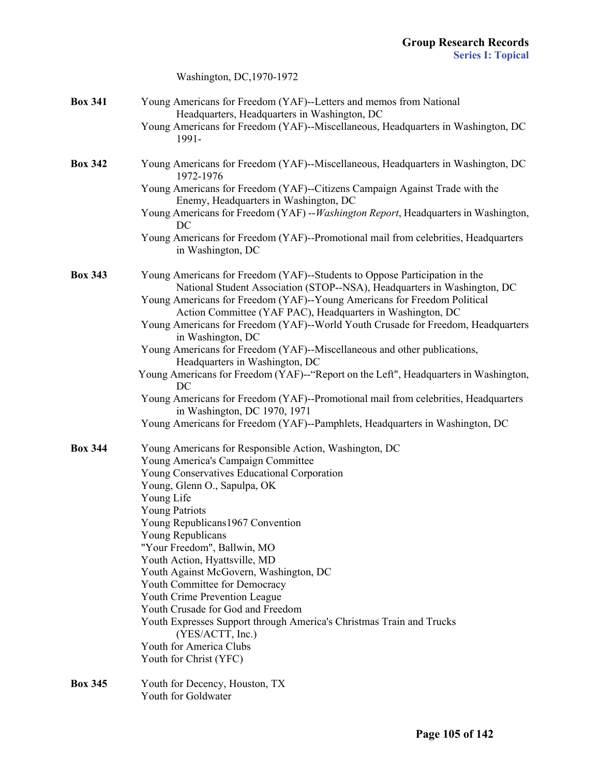|                | Washington, DC, 1970-1972                                                                                                                              |
|----------------|--------------------------------------------------------------------------------------------------------------------------------------------------------|
| <b>Box 341</b> | Young Americans for Freedom (YAF)--Letters and memos from National<br>Headquarters, Headquarters in Washington, DC                                     |
|                | Young Americans for Freedom (YAF)--Miscellaneous, Headquarters in Washington, DC<br>1991-                                                              |
| <b>Box 342</b> | Young Americans for Freedom (YAF)--Miscellaneous, Headquarters in Washington, DC<br>1972-1976                                                          |
|                | Young Americans for Freedom (YAF)--Citizens Campaign Against Trade with the<br>Enemy, Headquarters in Washington, DC                                   |
|                | Young Americans for Freedom (YAF) -- Washington Report, Headquarters in Washington,<br>DC                                                              |
|                | Young Americans for Freedom (YAF)--Promotional mail from celebrities, Headquarters<br>in Washington, DC                                                |
| <b>Box 343</b> | Young Americans for Freedom (YAF)--Students to Oppose Participation in the<br>National Student Association (STOP--NSA), Headquarters in Washington, DC |
|                | Young Americans for Freedom (YAF)--Young Americans for Freedom Political<br>Action Committee (YAF PAC), Headquarters in Washington, DC                 |
|                | Young Americans for Freedom (YAF)--World Youth Crusade for Freedom, Headquarters<br>in Washington, DC                                                  |
|                | Young Americans for Freedom (YAF)--Miscellaneous and other publications,<br>Headquarters in Washington, DC                                             |
|                | Young Americans for Freedom (YAF)--"Report on the Left", Headquarters in Washington,<br>DC                                                             |
|                | Young Americans for Freedom (YAF)--Promotional mail from celebrities, Headquarters<br>in Washington, DC 1970, 1971                                     |
|                | Young Americans for Freedom (YAF)--Pamphlets, Headquarters in Washington, DC                                                                           |
| <b>Box 344</b> | Young Americans for Responsible Action, Washington, DC                                                                                                 |
|                | Young America's Campaign Committee<br>Young Conservatives Educational Corporation                                                                      |
|                | Young, Glenn O., Sapulpa, OK                                                                                                                           |
|                | Young Life                                                                                                                                             |
|                | <b>Young Patriots</b>                                                                                                                                  |
|                | Young Republicans 1967 Convention                                                                                                                      |
|                | Young Republicans                                                                                                                                      |
|                | "Your Freedom", Ballwin, MO                                                                                                                            |
|                | Youth Action, Hyattsville, MD                                                                                                                          |
|                | Youth Against McGovern, Washington, DC                                                                                                                 |
|                | Youth Committee for Democracy<br>Youth Crime Prevention League                                                                                         |
|                | Youth Crusade for God and Freedom                                                                                                                      |
|                | Youth Expresses Support through America's Christmas Train and Trucks<br>(YES/ACTT, Inc.)                                                               |
|                | Youth for America Clubs                                                                                                                                |
|                | Youth for Christ (YFC)                                                                                                                                 |
| <b>Box 345</b> | Youth for Decency, Houston, TX<br>Youth for Goldwater                                                                                                  |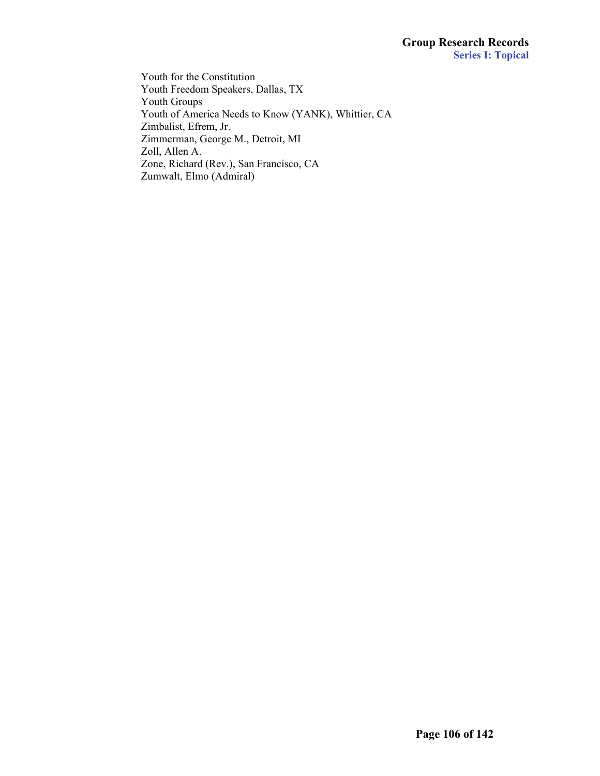Youth for the Constitution Youth Freedom Speakers, Dallas, TX Youth Groups Youth of America Needs to Know (YANK), Whittier, CA Zimbalist, Efrem, Jr. Zimmerman, George M., Detroit, MI Zoll, Allen A. Zone, Richard (Rev.), San Francisco, CA Zumwalt, Elmo (Admiral)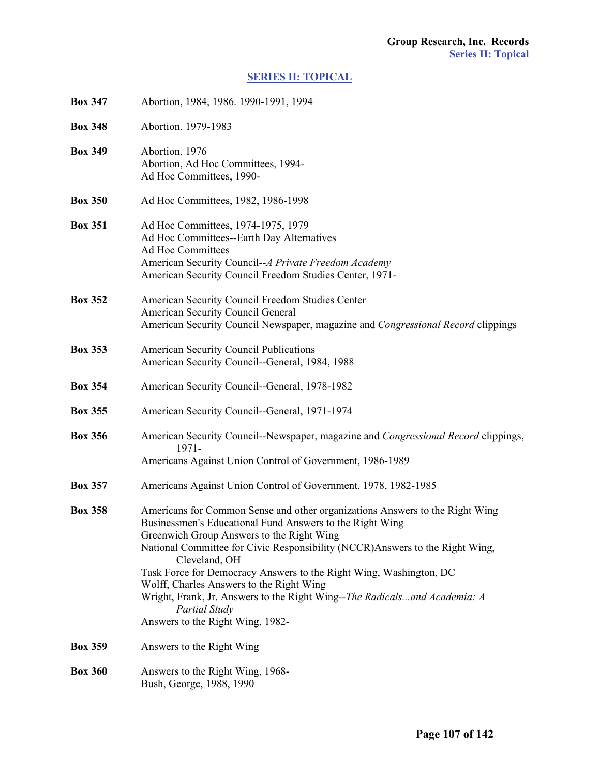## **[SERIES II: TOPICAL](#page-1-0)**

| <b>Box 347</b> | Abortion, 1984, 1986. 1990-1991, 1994                                                                                                                                                                                                                                                                                                                                                                                                                                                                                                              |
|----------------|----------------------------------------------------------------------------------------------------------------------------------------------------------------------------------------------------------------------------------------------------------------------------------------------------------------------------------------------------------------------------------------------------------------------------------------------------------------------------------------------------------------------------------------------------|
| <b>Box 348</b> | Abortion, 1979-1983                                                                                                                                                                                                                                                                                                                                                                                                                                                                                                                                |
| <b>Box 349</b> | Abortion, 1976<br>Abortion, Ad Hoc Committees, 1994-<br>Ad Hoc Committees, 1990-                                                                                                                                                                                                                                                                                                                                                                                                                                                                   |
| <b>Box 350</b> | Ad Hoc Committees, 1982, 1986-1998                                                                                                                                                                                                                                                                                                                                                                                                                                                                                                                 |
| <b>Box 351</b> | Ad Hoc Committees, 1974-1975, 1979<br>Ad Hoc Committees--Earth Day Alternatives<br><b>Ad Hoc Committees</b><br>American Security Council--A Private Freedom Academy<br>American Security Council Freedom Studies Center, 1971-                                                                                                                                                                                                                                                                                                                     |
| <b>Box 352</b> | American Security Council Freedom Studies Center<br>American Security Council General<br>American Security Council Newspaper, magazine and Congressional Record clippings                                                                                                                                                                                                                                                                                                                                                                          |
| <b>Box 353</b> | <b>American Security Council Publications</b><br>American Security Council--General, 1984, 1988                                                                                                                                                                                                                                                                                                                                                                                                                                                    |
| <b>Box 354</b> | American Security Council--General, 1978-1982                                                                                                                                                                                                                                                                                                                                                                                                                                                                                                      |
| <b>Box 355</b> | American Security Council--General, 1971-1974                                                                                                                                                                                                                                                                                                                                                                                                                                                                                                      |
| <b>Box 356</b> | American Security Council--Newspaper, magazine and <i>Congressional Record</i> clippings,<br>$1971 -$<br>Americans Against Union Control of Government, 1986-1989                                                                                                                                                                                                                                                                                                                                                                                  |
| <b>Box 357</b> | Americans Against Union Control of Government, 1978, 1982-1985                                                                                                                                                                                                                                                                                                                                                                                                                                                                                     |
| <b>Box 358</b> | Americans for Common Sense and other organizations Answers to the Right Wing<br>Businessmen's Educational Fund Answers to the Right Wing<br>Greenwich Group Answers to the Right Wing<br>National Committee for Civic Responsibility (NCCR) Answers to the Right Wing,<br>Cleveland, OH<br>Task Force for Democracy Answers to the Right Wing, Washington, DC<br>Wolff, Charles Answers to the Right Wing<br>Wright, Frank, Jr. Answers to the Right Wing--The Radicalsand Academia: A<br><b>Partial Study</b><br>Answers to the Right Wing, 1982- |
| <b>Box 359</b> | Answers to the Right Wing                                                                                                                                                                                                                                                                                                                                                                                                                                                                                                                          |
| <b>Box 360</b> | Answers to the Right Wing, 1968-<br>Bush, George, 1988, 1990                                                                                                                                                                                                                                                                                                                                                                                                                                                                                       |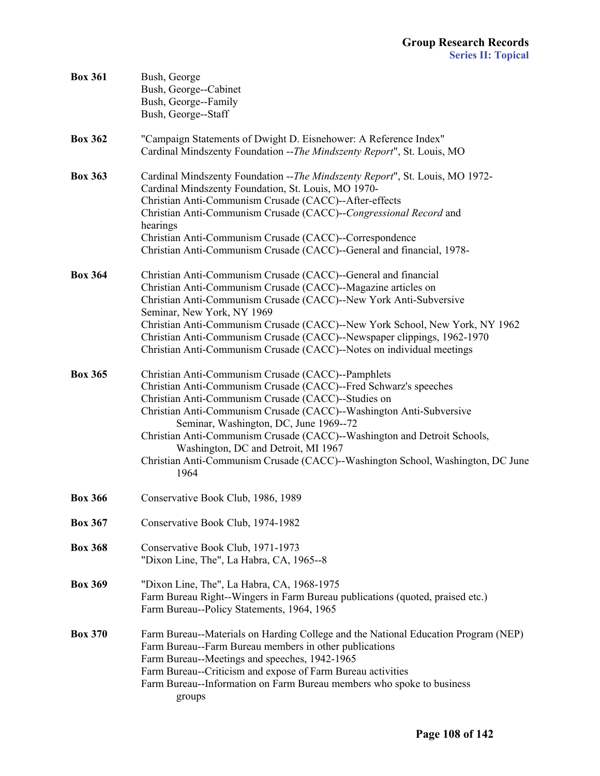| <b>Box 361</b> | Bush, George<br>Bush, George--Cabinet<br>Bush, George--Family<br>Bush, George--Staff                                                                                                                                                                                                                                                                                                                                                                                                                         |
|----------------|--------------------------------------------------------------------------------------------------------------------------------------------------------------------------------------------------------------------------------------------------------------------------------------------------------------------------------------------------------------------------------------------------------------------------------------------------------------------------------------------------------------|
| <b>Box 362</b> | "Campaign Statements of Dwight D. Eisnehower: A Reference Index"<br>Cardinal Mindszenty Foundation -- The Mindszenty Report", St. Louis, MO                                                                                                                                                                                                                                                                                                                                                                  |
| <b>Box 363</b> | Cardinal Mindszenty Foundation -- The Mindszenty Report", St. Louis, MO 1972-<br>Cardinal Mindszenty Foundation, St. Louis, MO 1970-<br>Christian Anti-Communism Crusade (CACC)--After-effects<br>Christian Anti-Communism Crusade (CACC)--Congressional Record and<br>hearings<br>Christian Anti-Communism Crusade (CACC)--Correspondence<br>Christian Anti-Communism Crusade (CACC)--General and financial, 1978-                                                                                          |
| <b>Box 364</b> | Christian Anti-Communism Crusade (CACC)--General and financial<br>Christian Anti-Communism Crusade (CACC)--Magazine articles on<br>Christian Anti-Communism Crusade (CACC)--New York Anti-Subversive<br>Seminar, New York, NY 1969<br>Christian Anti-Communism Crusade (CACC)--New York School, New York, NY 1962<br>Christian Anti-Communism Crusade (CACC)--Newspaper clippings, 1962-1970<br>Christian Anti-Communism Crusade (CACC)--Notes on individual meetings                                        |
| <b>Box 365</b> | Christian Anti-Communism Crusade (CACC)--Pamphlets<br>Christian Anti-Communism Crusade (CACC)--Fred Schwarz's speeches<br>Christian Anti-Communism Crusade (CACC)--Studies on<br>Christian Anti-Communism Crusade (CACC)--Washington Anti-Subversive<br>Seminar, Washington, DC, June 1969--72<br>Christian Anti-Communism Crusade (CACC)--Washington and Detroit Schools,<br>Washington, DC and Detroit, MI 1967<br>Christian Anti-Communism Crusade (CACC)--Washington School, Washington, DC June<br>1964 |
| <b>Box 366</b> | Conservative Book Club, 1986, 1989                                                                                                                                                                                                                                                                                                                                                                                                                                                                           |
| <b>Box 367</b> | Conservative Book Club, 1974-1982                                                                                                                                                                                                                                                                                                                                                                                                                                                                            |
| <b>Box 368</b> | Conservative Book Club, 1971-1973<br>"Dixon Line, The", La Habra, CA, 1965--8                                                                                                                                                                                                                                                                                                                                                                                                                                |
| <b>Box 369</b> | "Dixon Line, The", La Habra, CA, 1968-1975<br>Farm Bureau Right--Wingers in Farm Bureau publications (quoted, praised etc.)<br>Farm Bureau--Policy Statements, 1964, 1965                                                                                                                                                                                                                                                                                                                                    |
| <b>Box 370</b> | Farm Bureau--Materials on Harding College and the National Education Program (NEP)<br>Farm Bureau--Farm Bureau members in other publications<br>Farm Bureau--Meetings and speeches, 1942-1965<br>Farm Bureau--Criticism and expose of Farm Bureau activities<br>Farm Bureau--Information on Farm Bureau members who spoke to business<br>groups                                                                                                                                                              |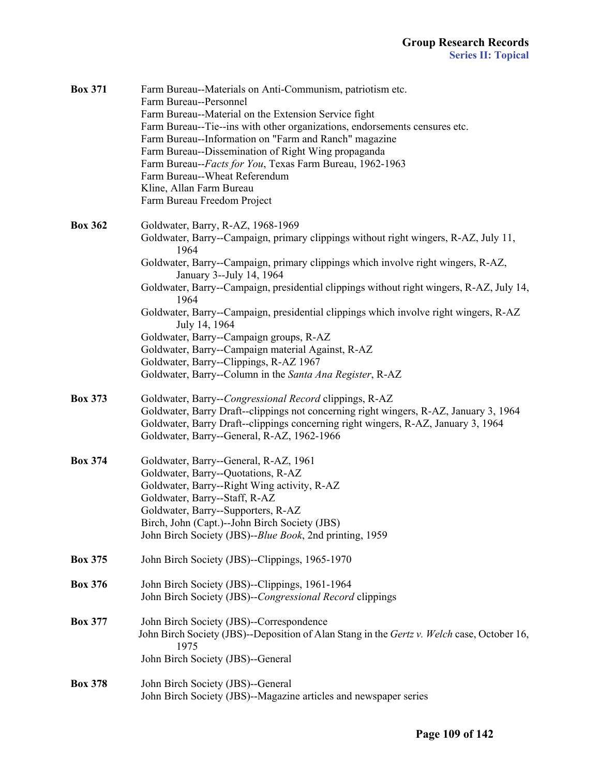| <b>Box 371</b> | Farm Bureau--Materials on Anti-Communism, patriotism etc.<br>Farm Bureau--Personnel                          |
|----------------|--------------------------------------------------------------------------------------------------------------|
|                | Farm Bureau--Material on the Extension Service fight                                                         |
|                | Farm Bureau--Tie--ins with other organizations, endorsements censures etc.                                   |
|                | Farm Bureau--Information on "Farm and Ranch" magazine                                                        |
|                | Farm Bureau--Dissemination of Right Wing propaganda                                                          |
|                | Farm Bureau--Facts for You, Texas Farm Bureau, 1962-1963                                                     |
|                | Farm Bureau--Wheat Referendum                                                                                |
|                | Kline, Allan Farm Bureau                                                                                     |
|                | Farm Bureau Freedom Project                                                                                  |
| <b>Box 362</b> | Goldwater, Barry, R-AZ, 1968-1969                                                                            |
|                | Goldwater, Barry--Campaign, primary clippings without right wingers, R-AZ, July 11,<br>1964                  |
|                | Goldwater, Barry--Campaign, primary clippings which involve right wingers, R-AZ,<br>January 3--July 14, 1964 |
|                | Goldwater, Barry--Campaign, presidential clippings without right wingers, R-AZ, July 14,<br>1964             |
|                | Goldwater, Barry--Campaign, presidential clippings which involve right wingers, R-AZ<br>July 14, 1964        |
|                | Goldwater, Barry--Campaign groups, R-AZ                                                                      |
|                | Goldwater, Barry--Campaign material Against, R-AZ                                                            |
|                | Goldwater, Barry--Clippings, R-AZ 1967                                                                       |
|                | Goldwater, Barry--Column in the Santa Ana Register, R-AZ                                                     |
| <b>Box 373</b> | Goldwater, Barry--Congressional Record clippings, R-AZ                                                       |
|                | Goldwater, Barry Draft--clippings not concerning right wingers, R-AZ, January 3, 1964                        |
|                | Goldwater, Barry Draft--clippings concerning right wingers, R-AZ, January 3, 1964                            |
|                | Goldwater, Barry--General, R-AZ, 1962-1966                                                                   |
| <b>Box 374</b> | Goldwater, Barry--General, R-AZ, 1961                                                                        |
|                | Goldwater, Barry--Quotations, R-AZ                                                                           |
|                | Goldwater, Barry--Right Wing activity, R-AZ                                                                  |
|                | Goldwater, Barry--Staff, R-AZ                                                                                |
|                | Goldwater, Barry--Supporters, R-AZ                                                                           |
|                | Birch, John (Capt.)--John Birch Society (JBS)                                                                |
|                | John Birch Society (JBS)--Blue Book, 2nd printing, 1959                                                      |
| <b>Box 375</b> | John Birch Society (JBS)--Clippings, 1965-1970                                                               |
| <b>Box 376</b> | John Birch Society (JBS)--Clippings, 1961-1964                                                               |
|                | John Birch Society (JBS)--Congressional Record clippings                                                     |
| <b>Box 377</b> | John Birch Society (JBS)--Correspondence                                                                     |
|                | John Birch Society (JBS)--Deposition of Alan Stang in the Gertz v. Welch case, October 16,<br>1975           |
|                | John Birch Society (JBS)--General                                                                            |
| <b>Box 378</b> | John Birch Society (JBS)--General                                                                            |
|                | John Birch Society (JBS)--Magazine articles and newspaper series                                             |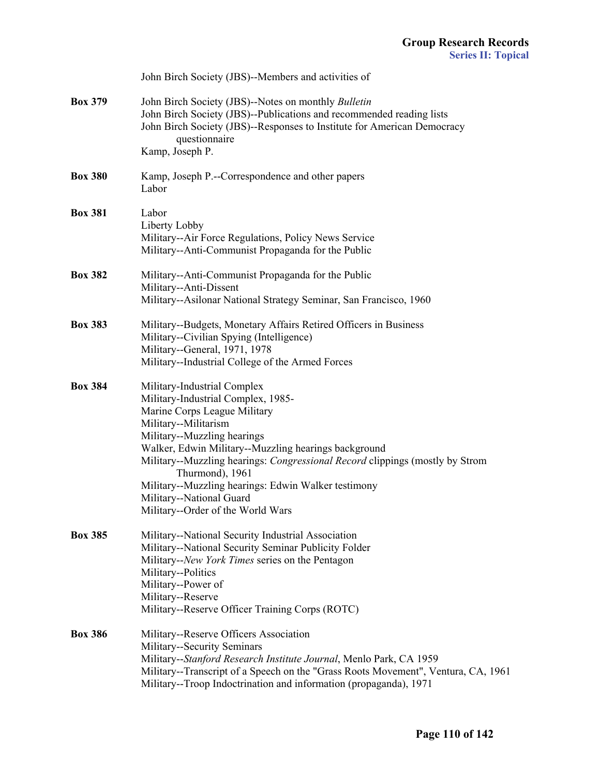|                | John Birch Society (JBS)--Members and activities of                                                                                                                                                                                                                                                                                                                                                                                         |
|----------------|---------------------------------------------------------------------------------------------------------------------------------------------------------------------------------------------------------------------------------------------------------------------------------------------------------------------------------------------------------------------------------------------------------------------------------------------|
| <b>Box 379</b> | John Birch Society (JBS)--Notes on monthly Bulletin<br>John Birch Society (JBS)--Publications and recommended reading lists<br>John Birch Society (JBS)--Responses to Institute for American Democracy<br>questionnaire<br>Kamp, Joseph P.                                                                                                                                                                                                  |
| <b>Box 380</b> | Kamp, Joseph P.--Correspondence and other papers<br>Labor                                                                                                                                                                                                                                                                                                                                                                                   |
| <b>Box 381</b> | Labor<br>Liberty Lobby<br>Military--Air Force Regulations, Policy News Service<br>Military--Anti-Communist Propaganda for the Public                                                                                                                                                                                                                                                                                                        |
| <b>Box 382</b> | Military--Anti-Communist Propaganda for the Public<br>Military--Anti-Dissent<br>Military--Asilonar National Strategy Seminar, San Francisco, 1960                                                                                                                                                                                                                                                                                           |
| <b>Box 383</b> | Military--Budgets, Monetary Affairs Retired Officers in Business<br>Military--Civilian Spying (Intelligence)<br>Military--General, 1971, 1978<br>Military--Industrial College of the Armed Forces                                                                                                                                                                                                                                           |
| <b>Box 384</b> | Military-Industrial Complex<br>Military-Industrial Complex, 1985-<br>Marine Corps League Military<br>Military--Militarism<br>Military--Muzzling hearings<br>Walker, Edwin Military--Muzzling hearings background<br>Military--Muzzling hearings: Congressional Record clippings (mostly by Strom<br>Thurmond), 1961<br>Military--Muzzling hearings: Edwin Walker testimony<br>Military--National Guard<br>Military--Order of the World Wars |
| <b>Box 385</b> | Military--National Security Industrial Association<br>Military--National Security Seminar Publicity Folder<br>Military--New York Times series on the Pentagon<br>Military--Politics<br>Military--Power of<br>Military--Reserve<br>Military--Reserve Officer Training Corps (ROTC)                                                                                                                                                           |
| <b>Box 386</b> | Military--Reserve Officers Association<br>Military--Security Seminars<br>Military--Stanford Research Institute Journal, Menlo Park, CA 1959<br>Military--Transcript of a Speech on the "Grass Roots Movement", Ventura, CA, 1961<br>Military--Troop Indoctrination and information (propaganda), 1971                                                                                                                                       |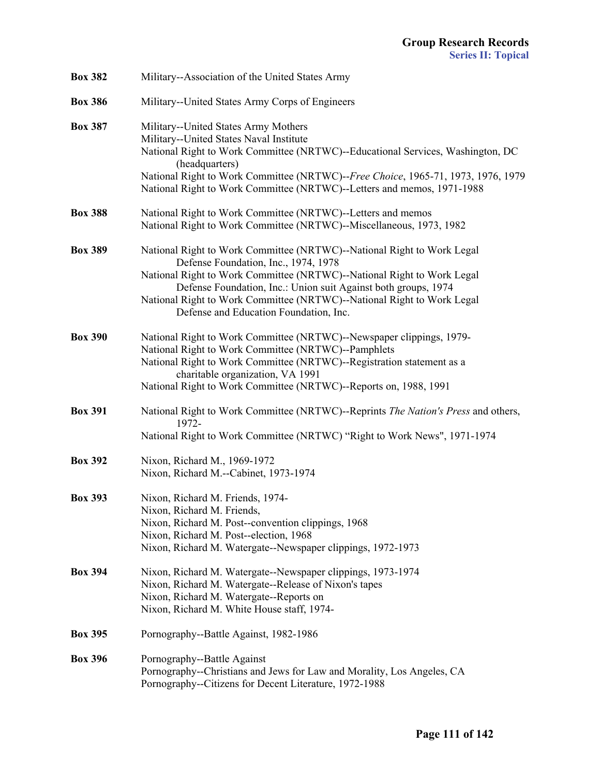| <b>Box 382</b> | Military--Association of the United States Army                                                                                                                                                                                                                                                                                                                                |
|----------------|--------------------------------------------------------------------------------------------------------------------------------------------------------------------------------------------------------------------------------------------------------------------------------------------------------------------------------------------------------------------------------|
| <b>Box 386</b> | Military--United States Army Corps of Engineers                                                                                                                                                                                                                                                                                                                                |
| <b>Box 387</b> | Military--United States Army Mothers<br>Military--United States Naval Institute<br>National Right to Work Committee (NRTWC)--Educational Services, Washington, DC<br>(headquarters)<br>National Right to Work Committee (NRTWC)--Free Choice, 1965-71, 1973, 1976, 1979<br>National Right to Work Committee (NRTWC)--Letters and memos, 1971-1988                              |
| <b>Box 388</b> | National Right to Work Committee (NRTWC)--Letters and memos<br>National Right to Work Committee (NRTWC)--Miscellaneous, 1973, 1982                                                                                                                                                                                                                                             |
| <b>Box 389</b> | National Right to Work Committee (NRTWC)--National Right to Work Legal<br>Defense Foundation, Inc., 1974, 1978<br>National Right to Work Committee (NRTWC)--National Right to Work Legal<br>Defense Foundation, Inc.: Union suit Against both groups, 1974<br>National Right to Work Committee (NRTWC)--National Right to Work Legal<br>Defense and Education Foundation, Inc. |
| <b>Box 390</b> | National Right to Work Committee (NRTWC)--Newspaper clippings, 1979-<br>National Right to Work Committee (NRTWC)--Pamphlets<br>National Right to Work Committee (NRTWC)--Registration statement as a<br>charitable organization, VA 1991<br>National Right to Work Committee (NRTWC)--Reports on, 1988, 1991                                                                   |
| <b>Box 391</b> | National Right to Work Committee (NRTWC)--Reprints The Nation's Press and others,<br>1972-<br>National Right to Work Committee (NRTWC) "Right to Work News", 1971-1974                                                                                                                                                                                                         |
| <b>Box 392</b> | Nixon, Richard M., 1969-1972<br>Nixon, Richard M.--Cabinet, 1973-1974                                                                                                                                                                                                                                                                                                          |
| <b>Box 393</b> | Nixon, Richard M. Friends, 1974-<br>Nixon, Richard M. Friends,<br>Nixon, Richard M. Post--convention clippings, 1968<br>Nixon, Richard M. Post--election, 1968<br>Nixon, Richard M. Watergate--Newspaper clippings, 1972-1973                                                                                                                                                  |
| <b>Box 394</b> | Nixon, Richard M. Watergate--Newspaper clippings, 1973-1974<br>Nixon, Richard M. Watergate--Release of Nixon's tapes<br>Nixon, Richard M. Watergate--Reports on<br>Nixon, Richard M. White House staff, 1974-                                                                                                                                                                  |
| <b>Box 395</b> | Pornography--Battle Against, 1982-1986                                                                                                                                                                                                                                                                                                                                         |
| <b>Box 396</b> | Pornography--Battle Against<br>Pornography--Christians and Jews for Law and Morality, Los Angeles, CA<br>Pornography--Citizens for Decent Literature, 1972-1988                                                                                                                                                                                                                |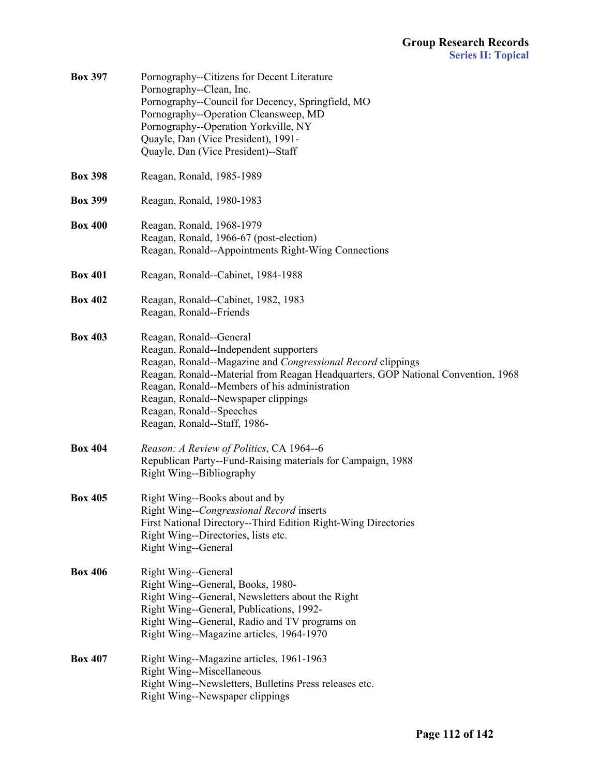| <b>Box 397</b> | Pornography--Citizens for Decent Literature<br>Pornography--Clean, Inc.<br>Pornography--Council for Decency, Springfield, MO<br>Pornography--Operation Cleansweep, MD<br>Pornography--Operation Yorkville, NY<br>Quayle, Dan (Vice President), 1991-<br>Quayle, Dan (Vice President)--Staff                                                                              |
|----------------|--------------------------------------------------------------------------------------------------------------------------------------------------------------------------------------------------------------------------------------------------------------------------------------------------------------------------------------------------------------------------|
| <b>Box 398</b> | Reagan, Ronald, 1985-1989                                                                                                                                                                                                                                                                                                                                                |
| <b>Box 399</b> | Reagan, Ronald, 1980-1983                                                                                                                                                                                                                                                                                                                                                |
| <b>Box 400</b> | Reagan, Ronald, 1968-1979<br>Reagan, Ronald, 1966-67 (post-election)<br>Reagan, Ronald--Appointments Right-Wing Connections                                                                                                                                                                                                                                              |
| <b>Box 401</b> | Reagan, Ronald--Cabinet, 1984-1988                                                                                                                                                                                                                                                                                                                                       |
| <b>Box 402</b> | Reagan, Ronald--Cabinet, 1982, 1983<br>Reagan, Ronald--Friends                                                                                                                                                                                                                                                                                                           |
| <b>Box 403</b> | Reagan, Ronald--General<br>Reagan, Ronald--Independent supporters<br>Reagan, Ronald--Magazine and Congressional Record clippings<br>Reagan, Ronald--Material from Reagan Headquarters, GOP National Convention, 1968<br>Reagan, Ronald--Members of his administration<br>Reagan, Ronald--Newspaper clippings<br>Reagan, Ronald--Speeches<br>Reagan, Ronald--Staff, 1986- |
| <b>Box 404</b> | Reason: A Review of Politics, CA 1964--6<br>Republican Party--Fund-Raising materials for Campaign, 1988<br>Right Wing--Bibliography                                                                                                                                                                                                                                      |
| <b>Box 405</b> | Right Wing--Books about and by<br>Right Wing--Congressional Record inserts<br>First National Directory--Third Edition Right-Wing Directories<br>Right Wing--Directories, lists etc.<br><b>Right Wing--General</b>                                                                                                                                                        |
| <b>Box 406</b> | <b>Right Wing--General</b><br>Right Wing--General, Books, 1980-<br>Right Wing--General, Newsletters about the Right<br>Right Wing--General, Publications, 1992-<br>Right Wing--General, Radio and TV programs on<br>Right Wing--Magazine articles, 1964-1970                                                                                                             |
| <b>Box 407</b> | Right Wing--Magazine articles, 1961-1963<br>Right Wing--Miscellaneous<br>Right Wing--Newsletters, Bulletins Press releases etc.<br>Right Wing--Newspaper clippings                                                                                                                                                                                                       |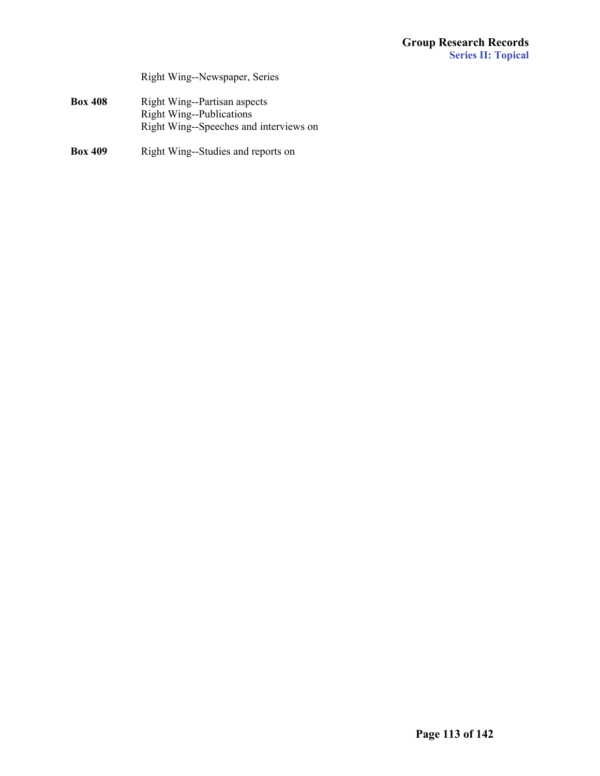Right Wing--Newspaper, Series

- **Box 408** Right Wing--Partisan aspects Right Wing--Publications Right Wing--Speeches and interviews on
- **Box 409** Right Wing--Studies and reports on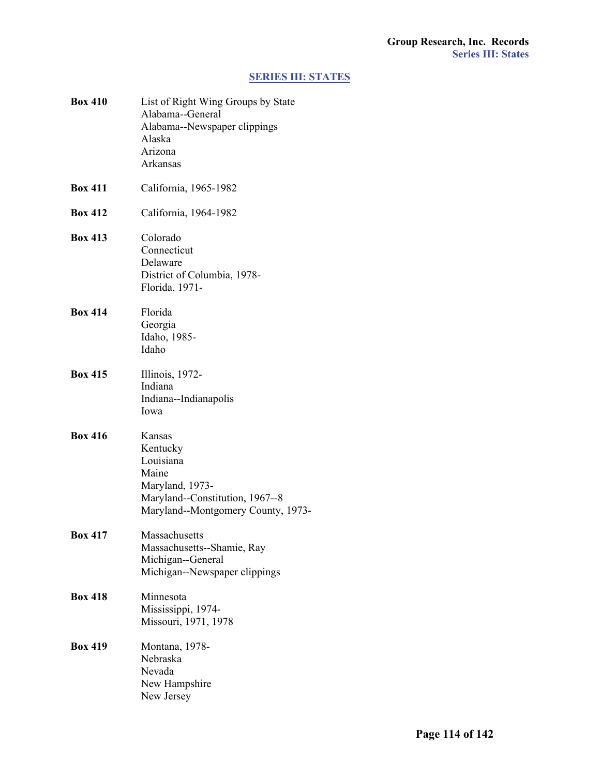# **[SERIES III: STATES](#page-1-0)**

| <b>Box 410</b> | List of Right Wing Groups by State<br>Alabama--General<br>Alabama--Newspaper clippings<br>Alaska<br>Arizona<br>Arkansas              |
|----------------|--------------------------------------------------------------------------------------------------------------------------------------|
| <b>Box 411</b> | California, 1965-1982                                                                                                                |
| <b>Box 412</b> | California, 1964-1982                                                                                                                |
| <b>Box 413</b> | Colorado<br>Connecticut<br>Delaware<br>District of Columbia, 1978-<br>Florida, 1971-                                                 |
| <b>Box 414</b> | Florida<br>Georgia<br>Idaho, 1985-<br>Idaho                                                                                          |
| <b>Box 415</b> | Illinois, 1972-<br>Indiana<br>Indiana--Indianapolis<br>Iowa                                                                          |
| <b>Box 416</b> | Kansas<br>Kentucky<br>Louisiana<br>Maine<br>Maryland, 1973-<br>Maryland--Constitution, 1967--8<br>Maryland--Montgomery County, 1973- |
| <b>Box 417</b> | Massachusetts<br>Massachusetts--Shamie, Ray<br>Michigan--General<br>Michigan--Newspaper clippings                                    |
| <b>Box 418</b> | Minnesota<br>Mississippi, 1974-<br>Missouri, 1971, 1978                                                                              |
| <b>Box 419</b> | Montana, 1978-<br>Nebraska<br>Nevada<br>New Hampshire<br>New Jersey                                                                  |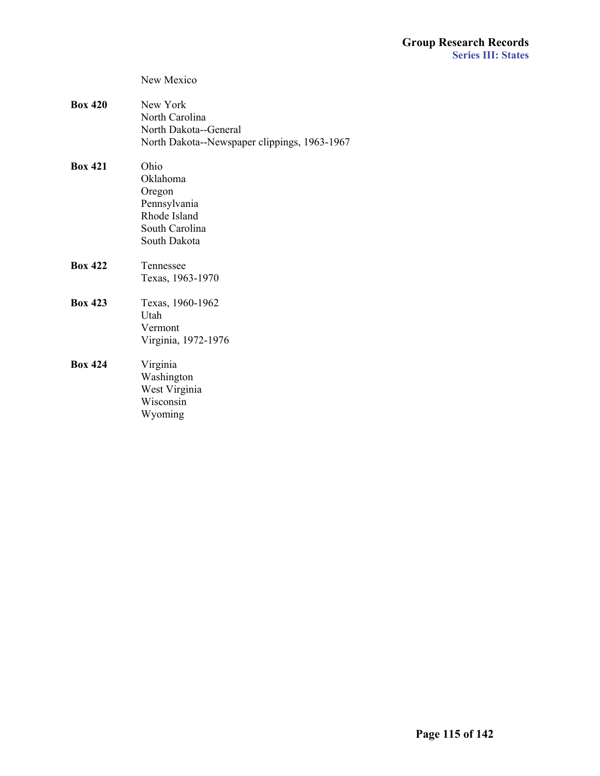|                | New Mexico                                                                                          |
|----------------|-----------------------------------------------------------------------------------------------------|
| <b>Box 420</b> | New York<br>North Carolina<br>North Dakota--General<br>North Dakota--Newspaper clippings, 1963-1967 |
| <b>Box 421</b> | Ohio<br>Oklahoma<br>Oregon<br>Pennsylvania<br>Rhode Island<br>South Carolina<br>South Dakota        |
| <b>Box 422</b> | Tennessee<br>Texas, 1963-1970                                                                       |
| <b>Box 423</b> | Texas, 1960-1962<br>Utah<br>Vermont<br>Virginia, 1972-1976                                          |
| <b>Box 424</b> | Virginia<br>Washington<br>West Virginia<br>Wisconsin<br>Wyoming                                     |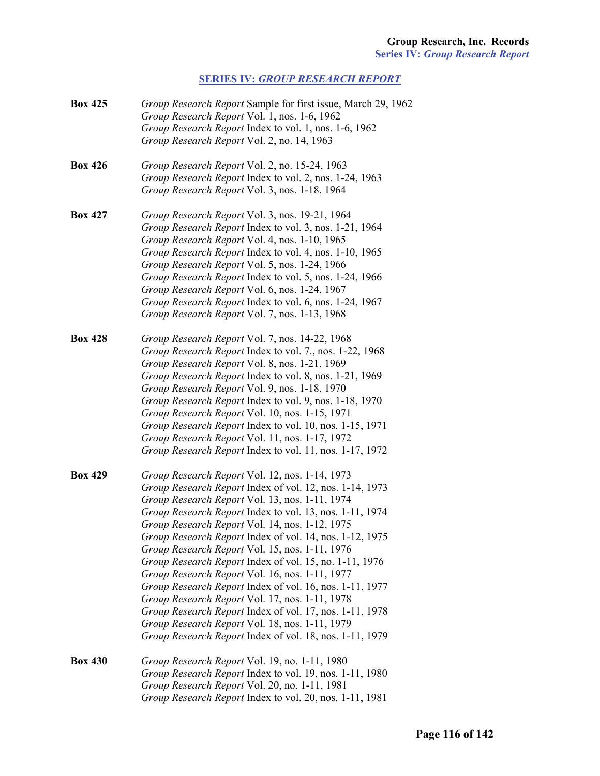# **SERIES IV:** *[GROUP RESEARCH REPORT](#page-1-0)*

| <b>Box 425</b> | Group Research Report Sample for first issue, March 29, 1962 |
|----------------|--------------------------------------------------------------|
|                | Group Research Report Vol. 1, nos. 1-6, 1962                 |
|                | Group Research Report Index to vol. 1, nos. 1-6, 1962        |
|                | Group Research Report Vol. 2, no. 14, 1963                   |
| <b>Box 426</b> | Group Research Report Vol. 2, no. 15-24, 1963                |
|                | Group Research Report Index to vol. 2, nos. 1-24, 1963       |
|                | Group Research Report Vol. 3, nos. 1-18, 1964                |
| <b>Box 427</b> | Group Research Report Vol. 3, nos. 19-21, 1964               |
|                | Group Research Report Index to vol. 3, nos. 1-21, 1964       |
|                | Group Research Report Vol. 4, nos. 1-10, 1965                |
|                | Group Research Report Index to vol. 4, nos. 1-10, 1965       |
|                | Group Research Report Vol. 5, nos. 1-24, 1966                |
|                | Group Research Report Index to vol. 5, nos. 1-24, 1966       |
|                | Group Research Report Vol. 6, nos. 1-24, 1967                |
|                | Group Research Report Index to vol. 6, nos. 1-24, 1967       |
|                | Group Research Report Vol. 7, nos. 1-13, 1968                |
| <b>Box 428</b> | Group Research Report Vol. 7, nos. 14-22, 1968               |
|                | Group Research Report Index to vol. 7., nos. 1-22, 1968      |
|                | Group Research Report Vol. 8, nos. 1-21, 1969                |
|                | Group Research Report Index to vol. 8, nos. 1-21, 1969       |
|                | Group Research Report Vol. 9, nos. 1-18, 1970                |
|                | Group Research Report Index to vol. 9, nos. 1-18, 1970       |
|                | Group Research Report Vol. 10, nos. 1-15, 1971               |
|                | Group Research Report Index to vol. 10, nos. 1-15, 1971      |
|                | Group Research Report Vol. 11, nos. 1-17, 1972               |
|                | Group Research Report Index to vol. 11, nos. 1-17, 1972      |
| <b>Box 429</b> | Group Research Report Vol. 12, nos. 1-14, 1973               |
|                | Group Research Report Index of vol. 12, nos. 1-14, 1973      |
|                | Group Research Report Vol. 13, nos. 1-11, 1974               |
|                | Group Research Report Index to vol. 13, nos. 1-11, 1974      |
|                | Group Research Report Vol. 14, nos. 1-12, 1975               |
|                | Group Research Report Index of vol. 14, nos. 1-12, 1975      |
|                | Group Research Report Vol. 15, nos. 1-11, 1976               |
|                | Group Research Report Index of vol. 15, no. 1-11, 1976       |
|                | Group Research Report Vol. 16, nos. 1-11, 1977               |
|                | Group Research Report Index of vol. 16, nos. 1-11, 1977      |
|                | Group Research Report Vol. 17, nos. 1-11, 1978               |
|                | Group Research Report Index of vol. 17, nos. 1-11, 1978      |
|                | Group Research Report Vol. 18, nos. 1-11, 1979               |
|                | Group Research Report Index of vol. 18, nos. 1-11, 1979      |
| <b>Box 430</b> | Group Research Report Vol. 19, no. 1-11, 1980                |
|                | Group Research Report Index to vol. 19, nos. 1-11, 1980      |
|                | Group Research Report Vol. 20, no. 1-11, 1981                |
|                | Group Research Report Index to vol. 20, nos. 1-11, 1981      |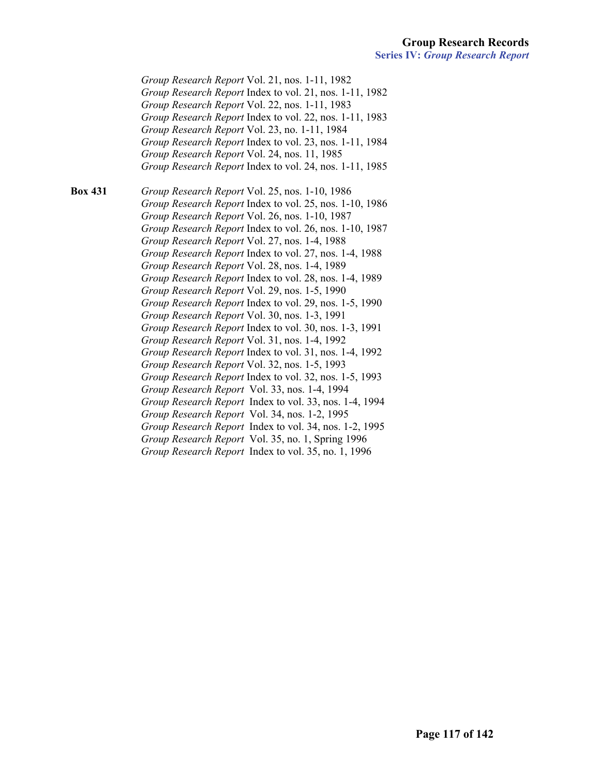*Group Research Report* Vol. 21, nos. 1-11, 1982 *Group Research Report* Index to vol. 21, nos. 1-11, 1982 *Group Research Report* Vol. 22, nos. 1-11, 1983 *Group Research Report* Index to vol. 22, nos. 1-11, 1983 *Group Research Report* Vol. 23, no. 1-11, 1984 *Group Research Report* Index to vol. 23, nos. 1-11, 1984 *Group Research Report* Vol. 24, nos. 11, 1985 *Group Research Report* Index to vol. 24, nos. 1-11, 1985

**Box 431** *Group Research Report* Vol. 25, nos. 1-10, 1986 *Group Research Report* Index to vol. 25, nos. 1-10, 1986 *Group Research Report* Vol. 26, nos. 1-10, 1987 *Group Research Report* Index to vol. 26, nos. 1-10, 1987 *Group Research Report* Vol. 27, nos. 1-4, 1988 *Group Research Report* Index to vol. 27, nos. 1-4, 1988 *Group Research Report* Vol. 28, nos. 1-4, 1989 *Group Research Report* Index to vol. 28, nos. 1-4, 1989 *Group Research Report* Vol. 29, nos. 1-5, 1990 *Group Research Report* Index to vol. 29, nos. 1-5, 1990 *Group Research Report* Vol. 30, nos. 1-3, 1991 *Group Research Report* Index to vol. 30, nos. 1-3, 1991 *Group Research Report* Vol. 31, nos. 1-4, 1992 *Group Research Report* Index to vol. 31, nos. 1-4, 1992 *Group Research Report* Vol. 32, nos. 1-5, 1993 *Group Research Report* Index to vol. 32, nos. 1-5, 1993  *Group Research Report* Vol. 33, nos. 1-4, 1994  *Group Research Report* Index to vol. 33, nos. 1-4, 1994  *Group Research Report* Vol. 34, nos. 1-2, 1995  *Group Research Report* Index to vol. 34, nos. 1-2, 1995  *Group Research Report* Vol. 35, no. 1, Spring 1996  *Group Research Report* Index to vol. 35, no. 1, 1996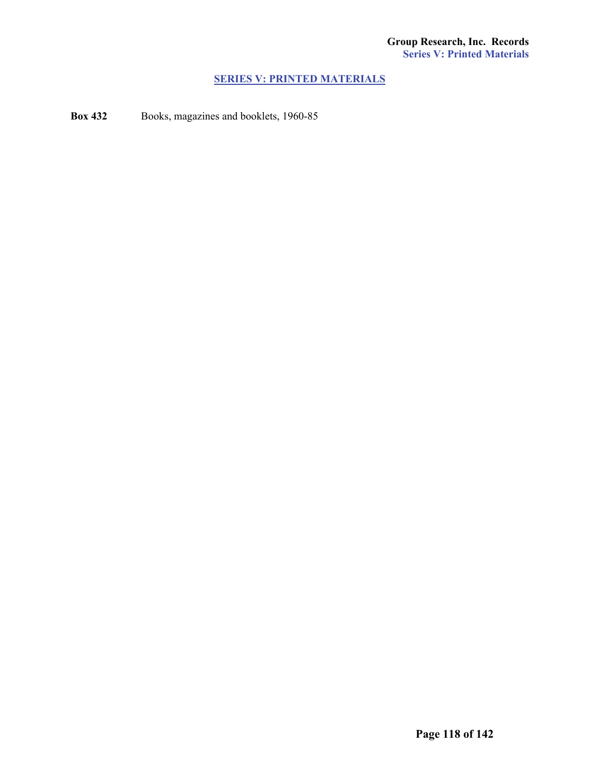### **[SERIES V: PRINTED MATERIALS](#page-1-0)**

**Box 432** Books, magazines and booklets, 1960-85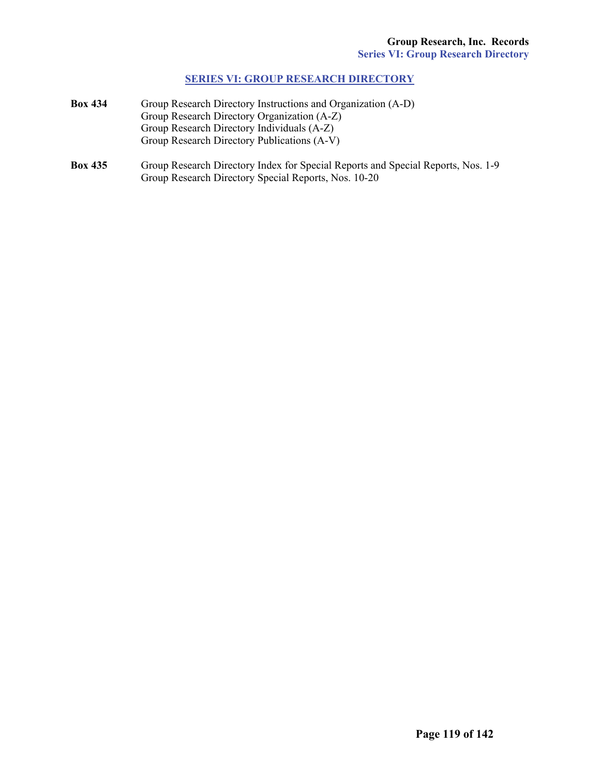### **[SERIES VI: GROUP RESEARCH DIRECTORY](#page-1-0)**

- **Box 434** Group Research Directory Instructions and Organization (A-D) Group Research Directory Organization (A-Z) Group Research Directory Individuals (A-Z) Group Research Directory Publications (A-V)
- **Box 435** Group Research Directory Index for Special Reports and Special Reports, Nos. 1-9 Group Research Directory Special Reports, Nos. 10-20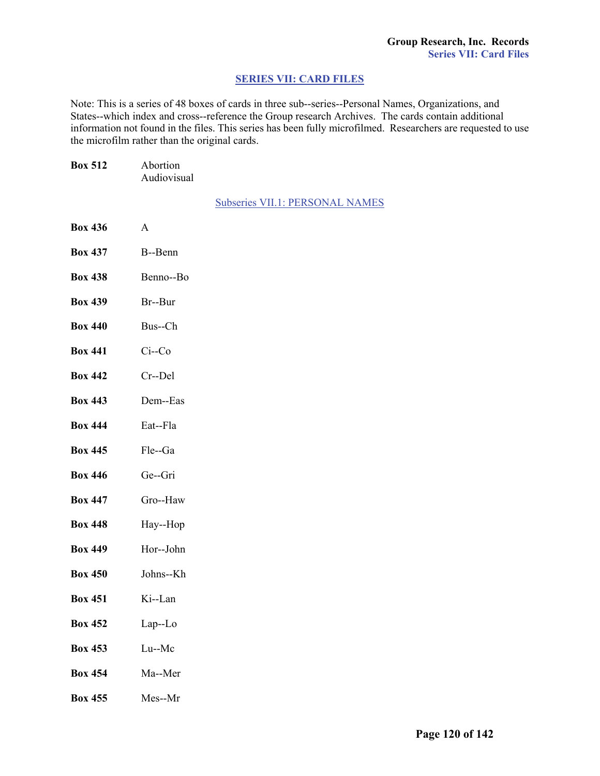### **SERIES [VII: CARD FILES](#page-1-0)**

Note: This is a series of 48 boxes of cards in three sub--series--Personal Names, Organizations, and States--which index and cross--reference the Group research Archives. The cards contain additional information not found in the files. This series has been fully microfilmed. Researchers are requested to use the microfilm rather than the original cards.

| <b>Box 512</b> | Abortion<br>Audiovisual |                                        |
|----------------|-------------------------|----------------------------------------|
|                |                         | <b>Subseries VII.1: PERSONAL NAMES</b> |
| <b>Box 436</b> | A                       |                                        |
| <b>Box 437</b> | B--Benn                 |                                        |
| <b>Box 438</b> | Benno--Bo               |                                        |
| <b>Box 439</b> | Br--Bur                 |                                        |
| <b>Box 440</b> | Bus--Ch                 |                                        |
| <b>Box 441</b> | $Ci$ - $Co$             |                                        |
| <b>Box 442</b> | Cr--Del                 |                                        |
| <b>Box 443</b> | Dem--Eas                |                                        |
| <b>Box 444</b> | Eat--Fla                |                                        |
| <b>Box 445</b> | Fle--Ga                 |                                        |
| <b>Box 446</b> | Ge--Gri                 |                                        |
| <b>Box 447</b> | Gro--Haw                |                                        |
| <b>Box 448</b> | Hay--Hop                |                                        |
| <b>Box 449</b> | Hor--John               |                                        |
| <b>Box 450</b> | Johns--Kh               |                                        |
| <b>Box 451</b> | Ki--Lan                 |                                        |
| <b>Box 452</b> | Lap--Lo                 |                                        |
| <b>Box 453</b> | Lu--Mc                  |                                        |
| <b>Box 454</b> | Ma--Mer                 |                                        |
| <b>Box 455</b> | Mes--Mr                 |                                        |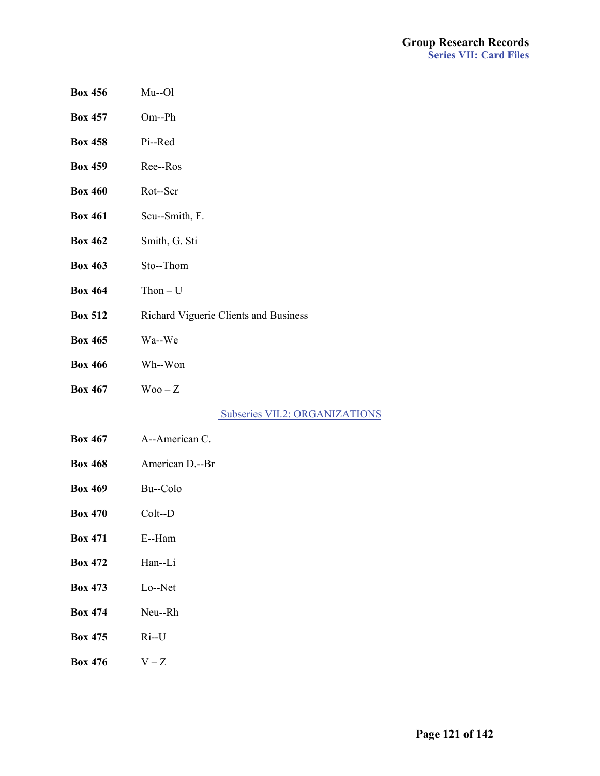- **Box 456** Mu--Ol
- **Box 457** Om--Ph
- **Box 458** Pi--Red
- **Box 459** Ree--Ros
- **Box 460** Rot--Scr
- **Box 461** Scu--Smith, F.
- **Box 462** Smith, G. Sti
- **Box 463** Sto--Thom
- **Box 464** Thon U
- **Box 512** Richard Viguerie Clients and Business
- **Box 465** Wa--We
- **Box 466** Wh--Won
- **Box 467**  $\text{Woo}-Z$

 [Subseries VII.2: ORGANIZATIONS](#page-1-0)

- **Box 467** A--American C.
- **Box 468** American D.--Br
- **Box 469** Bu--Colo
- **Box 470** Colt--D
- **Box 471** E--Ham
- **Box 472** Han--Li
- **Box 473** Lo--Net
- **Box 474** Neu--Rh
- **Box 475** Ri--U
- **Box 476**  $V Z$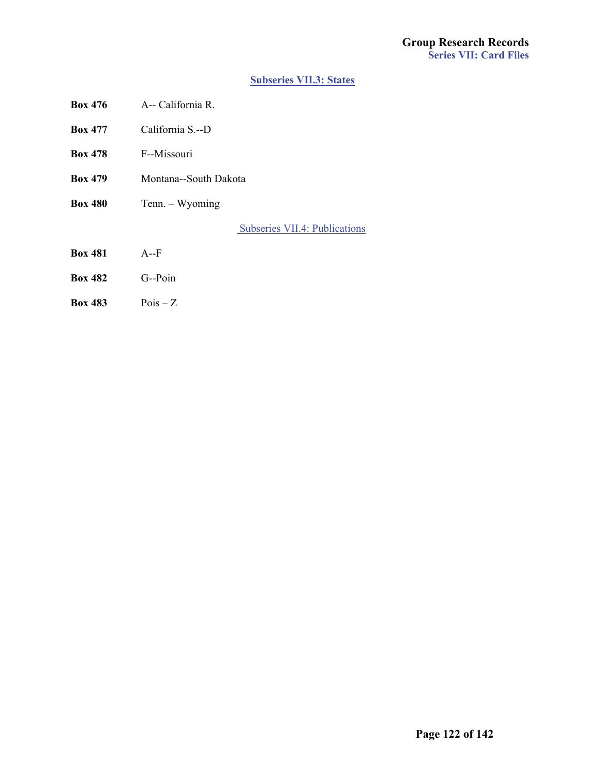### **[Subseries VII.3: States](#page-1-0)**

- **Box 476** A-- California R.
- **Box 477** California S.--D
- **Box 478** F--Missouri
- **Box 479** Montana--South Dakota
- **Box 480** Tenn. Wyoming

 [Subseries VII.4: Publications](#page-1-0)

- **Box 481** A--F
- **Box 482** G--Poin
- **Box 483** Pois Z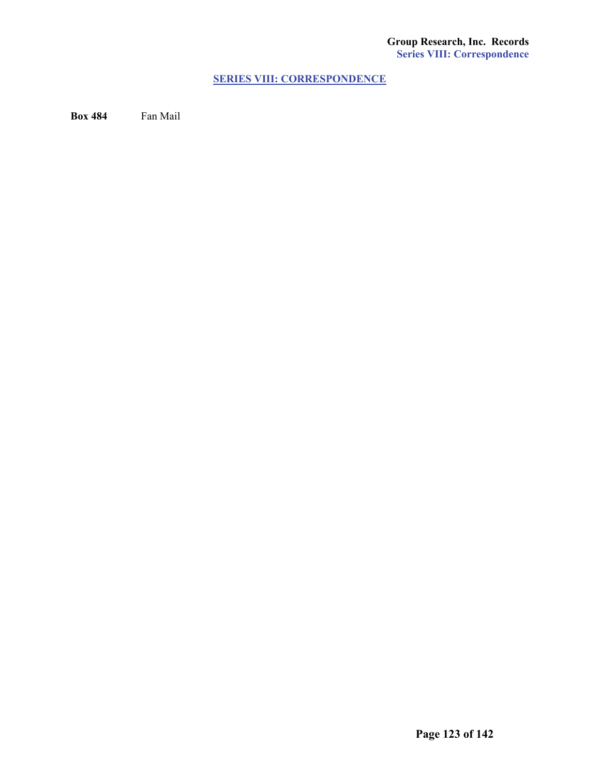# **[SERIES VIII: CORRESPONDENCE](#page-1-0)**

**Box 484** Fan Mail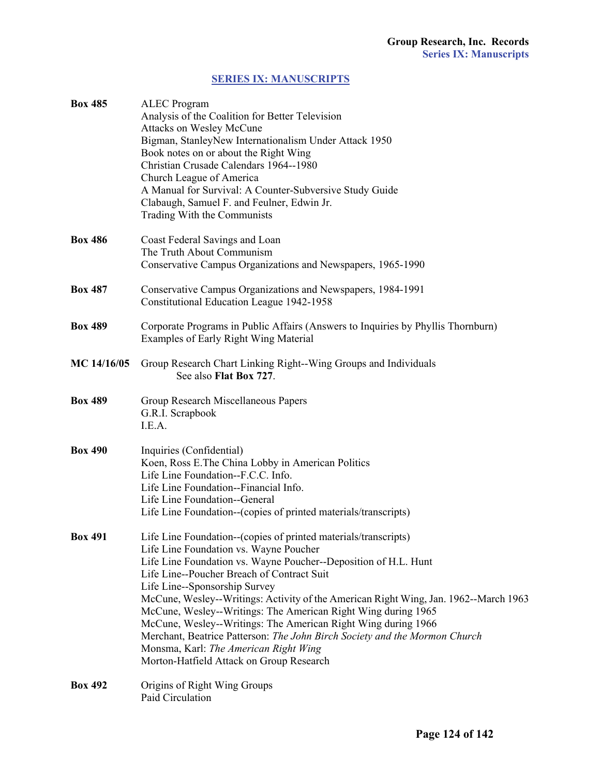# **[SERIES IX: MANUSCRIPTS](#page-1-0)**

| <b>Box 485</b> | <b>ALEC</b> Program<br>Analysis of the Coalition for Better Television<br><b>Attacks on Wesley McCune</b><br>Bigman, StanleyNew Internationalism Under Attack 1950<br>Book notes on or about the Right Wing<br>Christian Crusade Calendars 1964--1980<br>Church League of America<br>A Manual for Survival: A Counter-Subversive Study Guide<br>Clabaugh, Samuel F. and Feulner, Edwin Jr.<br>Trading With the Communists                                                                                                                                                                                                                                |
|----------------|----------------------------------------------------------------------------------------------------------------------------------------------------------------------------------------------------------------------------------------------------------------------------------------------------------------------------------------------------------------------------------------------------------------------------------------------------------------------------------------------------------------------------------------------------------------------------------------------------------------------------------------------------------|
| <b>Box 486</b> | Coast Federal Savings and Loan<br>The Truth About Communism<br>Conservative Campus Organizations and Newspapers, 1965-1990                                                                                                                                                                                                                                                                                                                                                                                                                                                                                                                               |
| <b>Box 487</b> | Conservative Campus Organizations and Newspapers, 1984-1991<br>Constitutional Education League 1942-1958                                                                                                                                                                                                                                                                                                                                                                                                                                                                                                                                                 |
| <b>Box 489</b> | Corporate Programs in Public Affairs (Answers to Inquiries by Phyllis Thornburn)<br>Examples of Early Right Wing Material                                                                                                                                                                                                                                                                                                                                                                                                                                                                                                                                |
| MC 14/16/05    | Group Research Chart Linking Right--Wing Groups and Individuals<br>See also Flat Box 727.                                                                                                                                                                                                                                                                                                                                                                                                                                                                                                                                                                |
| <b>Box 489</b> | Group Research Miscellaneous Papers<br>G.R.I. Scrapbook<br>I.E.A.                                                                                                                                                                                                                                                                                                                                                                                                                                                                                                                                                                                        |
| <b>Box 490</b> | Inquiries (Confidential)<br>Koen, Ross E.The China Lobby in American Politics<br>Life Line Foundation--F.C.C. Info.<br>Life Line Foundation--Financial Info.<br>Life Line Foundation--General<br>Life Line Foundation--(copies of printed materials/transcripts)                                                                                                                                                                                                                                                                                                                                                                                         |
| <b>Box 491</b> | Life Line Foundation--(copies of printed materials/transcripts)<br>Life Line Foundation vs. Wayne Poucher<br>Life Line Foundation vs. Wayne Poucher--Deposition of H.L. Hunt<br>Life Line--Poucher Breach of Contract Suit<br>Life Line--Sponsorship Survey<br>McCune, Wesley--Writings: Activity of the American Right Wing, Jan. 1962--March 1963<br>McCune, Wesley--Writings: The American Right Wing during 1965<br>McCune, Wesley--Writings: The American Right Wing during 1966<br>Merchant, Beatrice Patterson: The John Birch Society and the Mormon Church<br>Monsma, Karl: The American Right Wing<br>Morton-Hatfield Attack on Group Research |
| <b>Box 492</b> | Origins of Right Wing Groups<br>Paid Circulation                                                                                                                                                                                                                                                                                                                                                                                                                                                                                                                                                                                                         |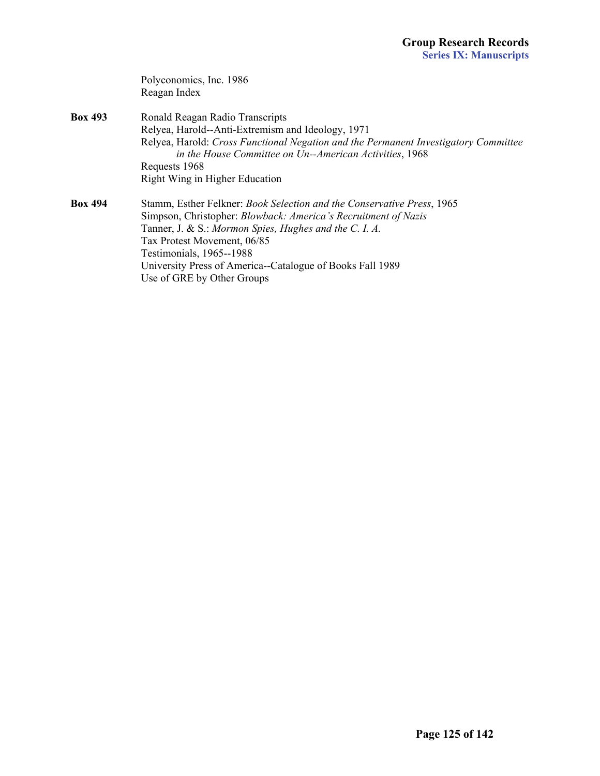|                | Polyconomics, Inc. 1986                                                                                                                        |
|----------------|------------------------------------------------------------------------------------------------------------------------------------------------|
|                | Reagan Index                                                                                                                                   |
| <b>Box 493</b> | Ronald Reagan Radio Transcripts                                                                                                                |
|                | Relyea, Harold--Anti-Extremism and Ideology, 1971                                                                                              |
|                | Relyea, Harold: Cross Functional Negation and the Permanent Investigatory Committee<br>in the House Committee on Un--American Activities, 1968 |
|                | Requests 1968                                                                                                                                  |
|                | Right Wing in Higher Education                                                                                                                 |
| Box 494        | Stamm, Esther Felkner: Book Selection and the Conservative Press, 1965                                                                         |
|                | Simpson, Christopher: Blowback: America's Recruitment of Nazis                                                                                 |
|                | Tanner, J. & S.: Mormon Spies, Hughes and the C. I. A.                                                                                         |
|                | Tax Protest Movement, 06/85                                                                                                                    |
|                | Testimonials, 1965--1988                                                                                                                       |
|                | University Press of America--Catalogue of Books Fall 1989                                                                                      |
|                | Use of GRE by Other Groups                                                                                                                     |
|                |                                                                                                                                                |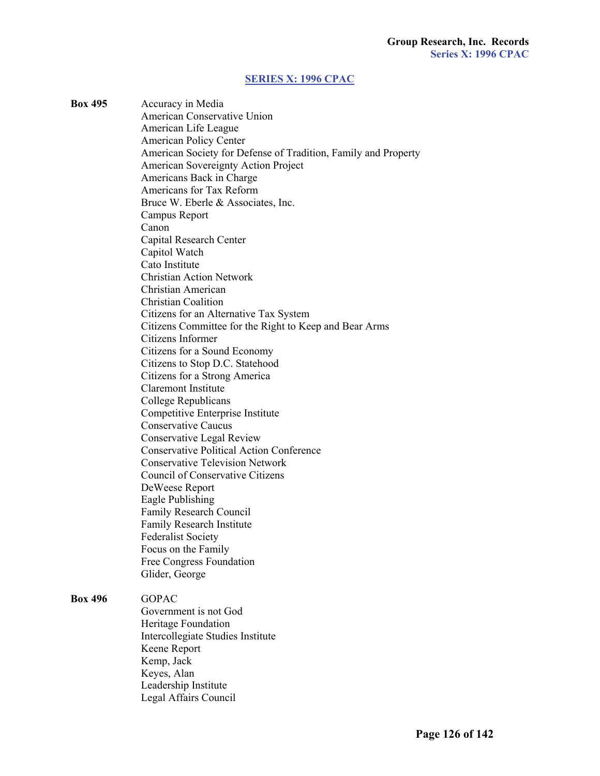### **[SERIES X: 1996 CPAC](#page-1-0)**

**Box 495** Accuracy in Media American Conservative Union American Life League American Policy Center American Society for Defense of Tradition, Family and Property American Sovereignty Action Project Americans Back in Charge Americans for Tax Reform Bruce W. Eberle & Associates, Inc. Campus Report Canon Capital Research Center Capitol Watch Cato Institute Christian Action Network Christian American Christian Coalition Citizens for an Alternative Tax System Citizens Committee for the Right to Keep and Bear Arms Citizens Informer Citizens for a Sound Economy Citizens to Stop D.C. Statehood Citizens for a Strong America Claremont Institute College Republicans Competitive Enterprise Institute Conservative Caucus Conservative Legal Review Conservative Political Action Conference Conservative Television Network Council of Conservative Citizens DeWeese Report Eagle Publishing Family Research Council Family Research Institute Federalist Society Focus on the Family Free Congress Foundation Glider, George **Box 496** GOPAC Government is not God

> Heritage Foundation Intercollegiate Studies Institute Keene Report Kemp, Jack Keyes, Alan Leadership Institute Legal Affairs Council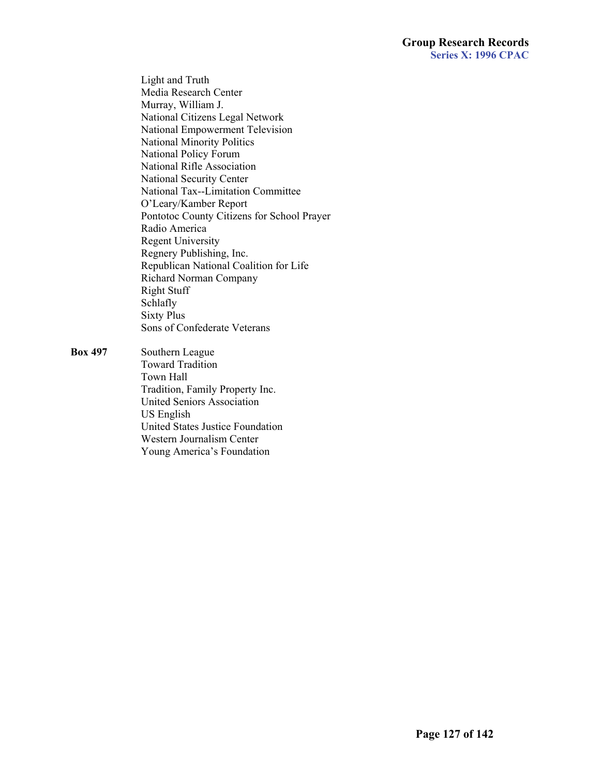Light and Truth Media Research Center Murray, William J. National Citizens Legal Network National Empowerment Television National Minority Politics National Policy Forum National Rifle Association National Security Center National Tax--Limitation Committee O'Leary/Kamber Report Pontotoc County Citizens for School Prayer Radio America Regent University Regnery Publishing, Inc. Republican National Coalition for Life Richard Norman Company Right Stuff Schlafly Sixty Plus Sons of Confederate Veterans

**Box 497** Southern League Toward Tradition Town Hall Tradition, Family Property Inc. United Seniors Association US English United States Justice Foundation Western Journalism Center Young America's Foundation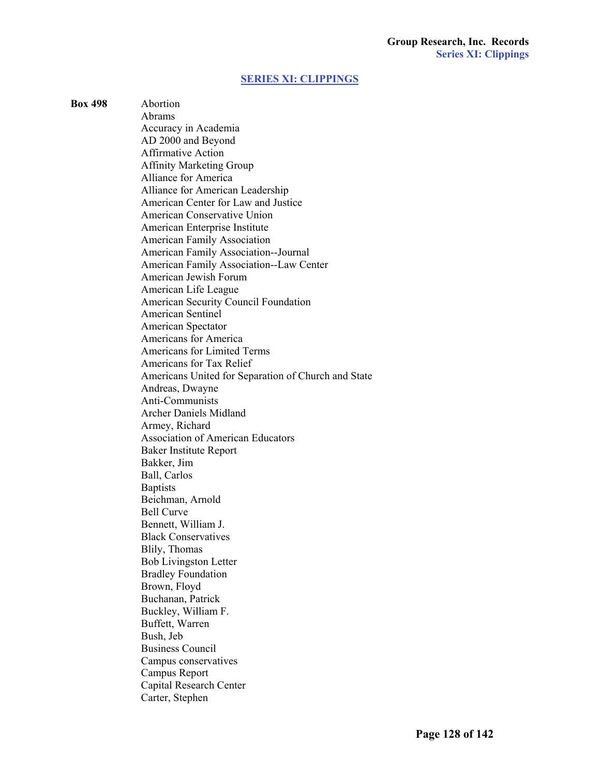### **[SERIES XI: CLIPPINGS](#page-1-0)**

**Box 498** Abortion Abrams Accuracy in Academia AD 2000 and Beyond Affirmative Action Affinity Marketing Group Alliance for America Alliance for American Leadership American Center for Law and Justice American Conservative Union American Enterprise Institute American Family Association American Family Association--Journal American Family Association--Law Center American Jewish Forum American Life League American Security Council Foundation American Sentinel American Spectator Americans for America Americans for Limited Terms Americans for Tax Relief Americans United for Separation of Church and State Andreas, Dwayne Anti-Communists Archer Daniels Midland Armey, Richard Association of American Educators Baker Institute Report Bakker, Jim Ball, Carlos **Baptists**  Beichman, Arnold Bell Curve Bennett, William J. Black Conservatives Blily, Thomas Bob Livingston Letter Bradley Foundation Brown, Floyd Buchanan, Patrick Buckley, William F. Buffett, Warren Bush, Jeb Business Council Campus conservatives Campus Report Capital Research Center Carter, Stephen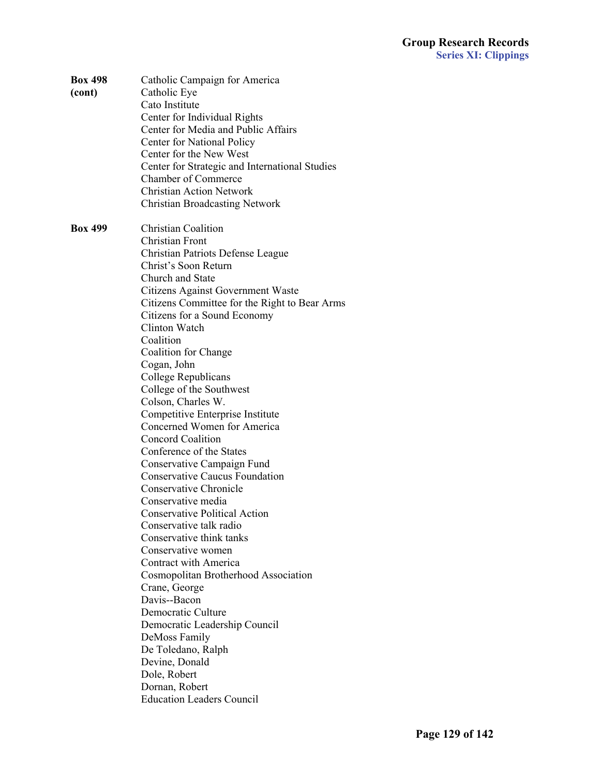| <b>Box 498</b><br>(cont) | Catholic Campaign for America<br>Catholic Eye<br>Cato Institute<br>Center for Individual Rights<br>Center for Media and Public Affairs<br>Center for National Policy<br>Center for the New West<br>Center for Strategic and International Studies<br><b>Chamber of Commerce</b><br><b>Christian Action Network</b><br><b>Christian Broadcasting Network</b>                                                                                                                                                                                                                                                                                                                                                                                                                             |
|--------------------------|-----------------------------------------------------------------------------------------------------------------------------------------------------------------------------------------------------------------------------------------------------------------------------------------------------------------------------------------------------------------------------------------------------------------------------------------------------------------------------------------------------------------------------------------------------------------------------------------------------------------------------------------------------------------------------------------------------------------------------------------------------------------------------------------|
| <b>Box 499</b>           | <b>Christian Coalition</b><br>Christian Front<br><b>Christian Patriots Defense League</b><br>Christ's Soon Return<br>Church and State<br>Citizens Against Government Waste<br>Citizens Committee for the Right to Bear Arms<br>Citizens for a Sound Economy<br>Clinton Watch<br>Coalition<br>Coalition for Change<br>Cogan, John<br>College Republicans<br>College of the Southwest<br>Colson, Charles W.<br>Competitive Enterprise Institute<br>Concerned Women for America<br><b>Concord Coalition</b><br>Conference of the States<br>Conservative Campaign Fund<br><b>Conservative Caucus Foundation</b><br><b>Conservative Chronicle</b><br>Conservative media<br><b>Conservative Political Action</b><br>Conservative talk radio<br>Conservative think tanks<br>Conservative women |
|                          | Contract with America<br>Cosmopolitan Brotherhood Association<br>Crane, George<br>Davis--Bacon<br>Democratic Culture<br>Democratic Leadership Council<br>DeMoss Family<br>De Toledano, Ralph<br>Devine, Donald<br>Dole, Robert<br>Dornan, Robert<br><b>Education Leaders Council</b>                                                                                                                                                                                                                                                                                                                                                                                                                                                                                                    |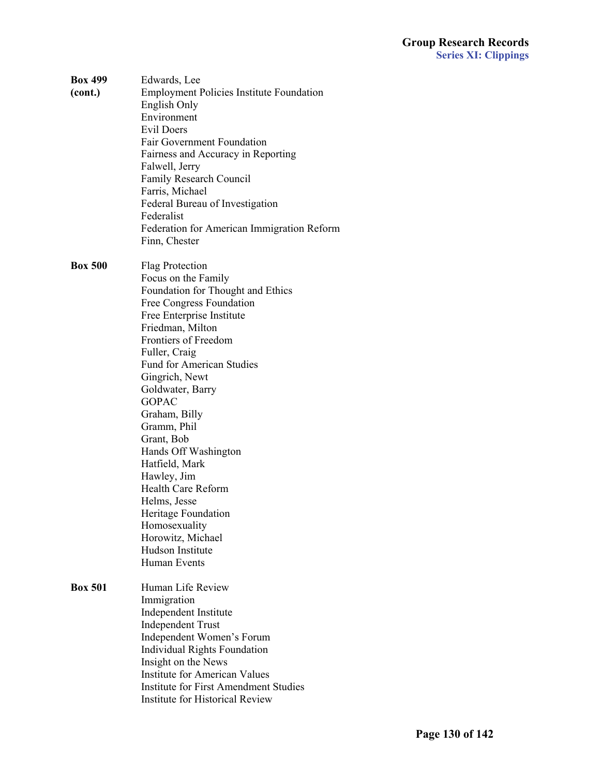| <b>Box 499</b><br>(cont.) | Edwards, Lee<br><b>Employment Policies Institute Foundation</b><br>English Only<br>Environment<br><b>Evil Doers</b><br><b>Fair Government Foundation</b><br>Fairness and Accuracy in Reporting<br>Falwell, Jerry<br>Family Research Council<br>Farris, Michael<br>Federal Bureau of Investigation<br>Federalist<br>Federation for American Immigration Reform<br>Finn, Chester                                                                                                                                                                          |
|---------------------------|---------------------------------------------------------------------------------------------------------------------------------------------------------------------------------------------------------------------------------------------------------------------------------------------------------------------------------------------------------------------------------------------------------------------------------------------------------------------------------------------------------------------------------------------------------|
| <b>Box 500</b>            | Flag Protection<br>Focus on the Family<br>Foundation for Thought and Ethics<br><b>Free Congress Foundation</b><br>Free Enterprise Institute<br>Friedman, Milton<br>Frontiers of Freedom<br>Fuller, Craig<br><b>Fund for American Studies</b><br>Gingrich, Newt<br>Goldwater, Barry<br><b>GOPAC</b><br>Graham, Billy<br>Gramm, Phil<br>Grant, Bob<br>Hands Off Washington<br>Hatfield, Mark<br>Hawley, Jim<br><b>Health Care Reform</b><br>Helms, Jesse<br>Heritage Foundation<br>Homosexuality<br>Horowitz, Michael<br>Hudson Institute<br>Human Events |
| <b>Box 501</b>            | Human Life Review<br>Immigration<br>Independent Institute<br><b>Independent Trust</b><br>Independent Women's Forum<br><b>Individual Rights Foundation</b><br>Insight on the News<br><b>Institute for American Values</b><br><b>Institute for First Amendment Studies</b><br><b>Institute for Historical Review</b>                                                                                                                                                                                                                                      |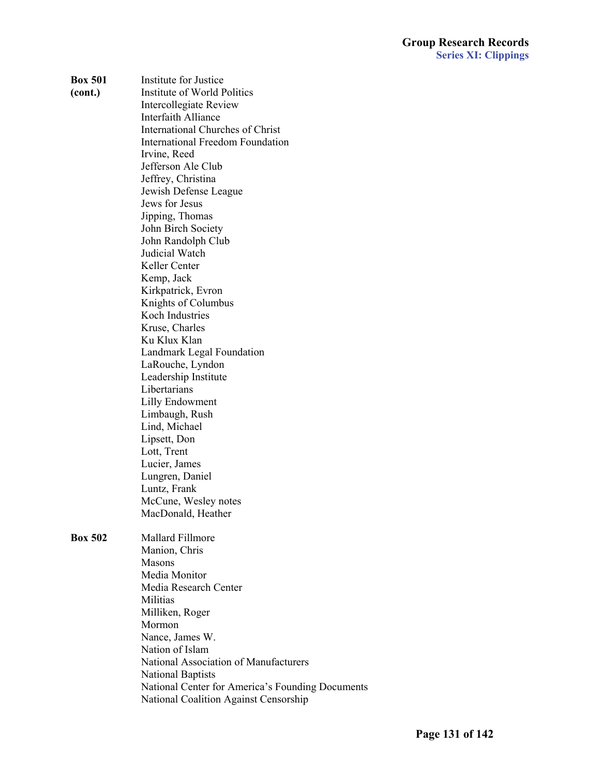| <b>Box 501</b> | Institute for Justice                        |
|----------------|----------------------------------------------|
| (cont.)        | Institute of World Politics                  |
|                | <b>Intercollegiate Review</b>                |
|                | <b>Interfaith Alliance</b>                   |
|                | <b>International Churches of Christ</b>      |
|                | <b>International Freedom Foundation</b>      |
|                | Irvine, Reed                                 |
|                | Jefferson Ale Club                           |
|                | Jeffrey, Christina                           |
|                | Jewish Defense League                        |
|                | Jews for Jesus                               |
|                | Jipping, Thomas                              |
|                | John Birch Society                           |
|                | John Randolph Club                           |
|                | Judicial Watch                               |
|                | Keller Center                                |
|                | Kemp, Jack                                   |
|                | Kirkpatrick, Evron                           |
|                | Knights of Columbus                          |
|                | Koch Industries                              |
|                | Kruse, Charles                               |
|                | Ku Klux Klan                                 |
|                | <b>Landmark Legal Foundation</b>             |
|                | LaRouche, Lyndon                             |
|                | Leadership Institute                         |
|                | Libertarians                                 |
|                | <b>Lilly Endowment</b>                       |
|                | Limbaugh, Rush                               |
|                | Lind, Michael                                |
|                | Lipsett, Don                                 |
|                | Lott, Trent                                  |
|                | Lucier, James                                |
|                | Lungren, Daniel                              |
|                | Luntz, Frank                                 |
|                | McCune, Wesley notes                         |
|                | MacDonald, Heather                           |
|                |                                              |
| <b>Box 502</b> | <b>Mallard Fillmore</b>                      |
|                | Manion, Chris                                |
|                | <b>Masons</b>                                |
|                | Media Monitor                                |
|                | Media Research Center                        |
|                | Militias                                     |
|                | Milliken, Roger                              |
|                | Mormon                                       |
|                | Nance, James W.                              |
|                | Nation of Islam                              |
|                | <b>National Association of Manufacturers</b> |
|                | <b>National Baptists</b>                     |

**National Center for America's Founding Documents** 

**National Coalition Against Censorship**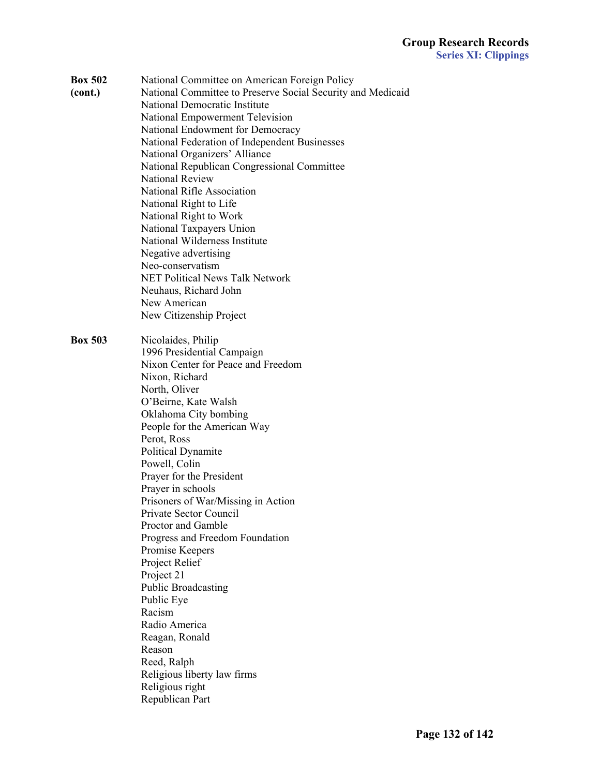- **Box 502** National Committee on American Foreign Policy
- 

**(cont.)**National Committee to Preserve Social Security and Medicaid **National Democratic Institute** National Empowerment Television **National Endowment for Democracy** National Federation of Independent Businesses **National Organizers' Alliance** National Republican Congressional Committee National Review National Rifle Association National Right to Life National Right to Work National Taxpayers Union **National Wilderness Institute** Negative advertising Neo-conservatism **NET Political News Talk Network** Neuhaus, Richard John New American New Citizenship Project

**Box 503** Nicolaides, Philip 1996 Presidential Campaign **Nixon Center for Peace and Freedom** Nixon, Richard North, Oliver O'Beirne, Kate Walsh Oklahoma City bombing People for the American Way Perot, Ross Political Dynamite Powell, Colin Prayer for the President Prayer in schools Prisoners of War/Missing in Action **Private Sector Council** Proctor and Gamble Progress and Freedom Foundation Promise Keepers Project Relief Project 21 Public Broadcasting Public Eye Racism Radio America Reagan, Ronald Reason Reed, Ralph Religious liberty law firms Religious right Republican Part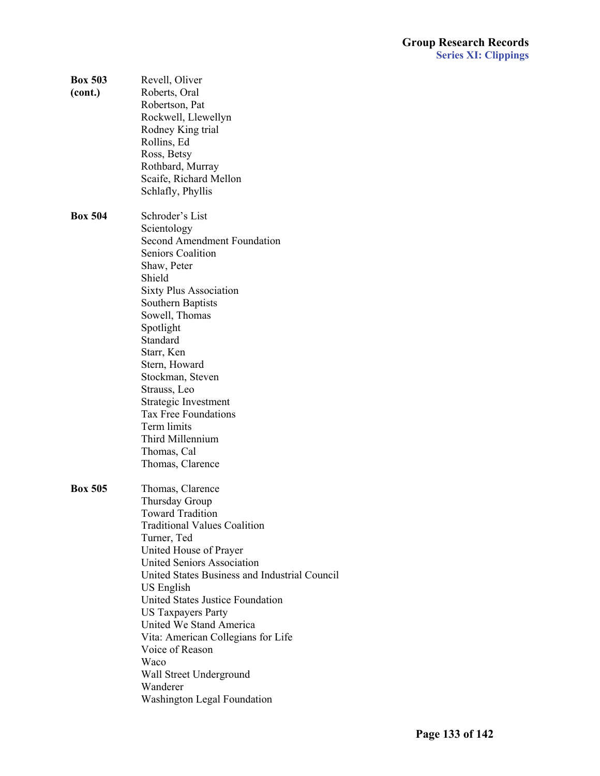| <b>Box 503</b><br>(cont.) | Revell, Oliver<br>Roberts, Oral<br>Robertson, Pat<br>Rockwell, Llewellyn<br>Rodney King trial<br>Rollins, Ed<br>Ross, Betsy<br>Rothbard, Murray<br>Scaife, Richard Mellon<br>Schlafly, Phyllis                                                                                                                                                                                                                                                                                       |  |
|---------------------------|--------------------------------------------------------------------------------------------------------------------------------------------------------------------------------------------------------------------------------------------------------------------------------------------------------------------------------------------------------------------------------------------------------------------------------------------------------------------------------------|--|
| <b>Box 504</b>            | Schroder's List<br>Scientology<br><b>Second Amendment Foundation</b><br><b>Seniors Coalition</b><br>Shaw, Peter<br>Shield<br><b>Sixty Plus Association</b><br>Southern Baptists<br>Sowell, Thomas<br>Spotlight<br>Standard<br>Starr, Ken<br>Stern, Howard<br>Stockman, Steven<br>Strauss, Leo<br>Strategic Investment<br><b>Tax Free Foundations</b><br>Term limits<br>Third Millennium<br>Thomas, Cal<br>Thomas, Clarence                                                           |  |
| <b>Box 505</b>            | Thomas, Clarence<br>Thursday Group<br><b>Toward Tradition</b><br><b>Traditional Values Coalition</b><br>Turner, Ted<br>United House of Prayer<br><b>United Seniors Association</b><br>United States Business and Industrial Council<br>US English<br>United States Justice Foundation<br><b>US Taxpayers Party</b><br>United We Stand America<br>Vita: American Collegians for Life<br>Voice of Reason<br>Waco<br>Wall Street Underground<br>Wanderer<br>Washington Legal Foundation |  |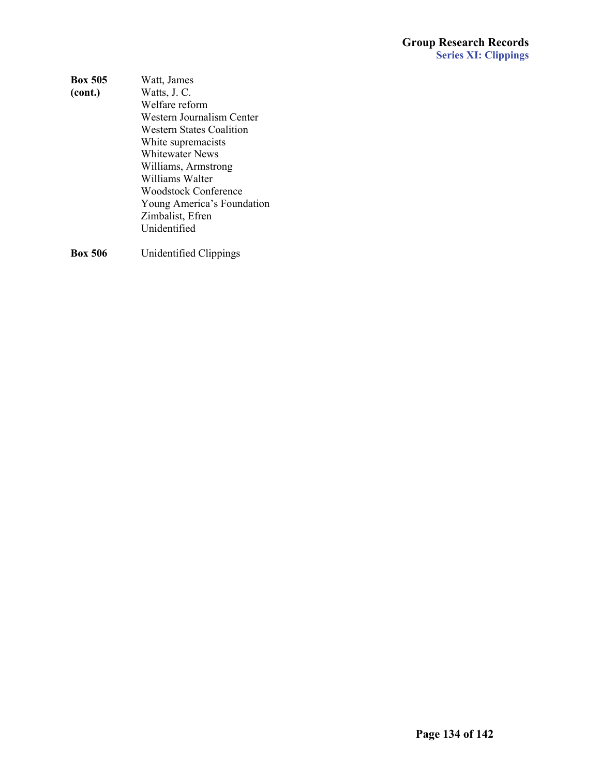### **Group Research Records Series XI: Clippings**

| <b>Box 505</b> | Watt, James                |
|----------------|----------------------------|
| (cont.)        | Watts, J. C.               |
|                | Welfare reform             |
|                | Western Journalism Center  |
|                | Western States Coalition   |
|                | White supremacists         |
|                | Whitewater News            |
|                | Williams, Armstrong        |
|                | Williams Walter            |
|                | Woodstock Conference       |
|                | Young America's Foundation |
|                | Zimbalist, Efren           |
|                | Unidentified               |
|                |                            |

**Box 506** Unidentified Clippings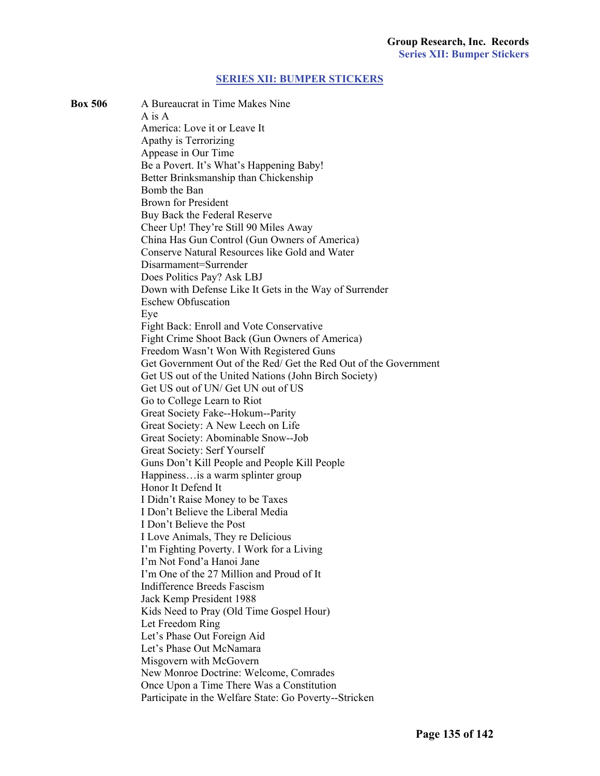#### **[SERIES XII: BUMPER STICKERS](#page-2-0)**

**Box 506** A Bureaucrat in Time Makes Nine  $A$  is  $A$ America: Love it or Leave It Apathy is Terrorizing Appease in Our Time Be a Povert. It's What's Happening Baby! Better Brinksmanship than Chickenship Bomb the Ban **Brown for President** Buy Back the Federal Reserve Cheer Up! They're Still 90 Miles Away China Has Gun Control (Gun Owners of America) Conserve Natural Resources like Gold and Water Disarmament=Surrender Does Politics Pay? Ask LBJ Down with Defense Like It Gets in the Way of Surrender **Eschew Obfuscation** Eve Fight Back: Enroll and Vote Conservative Fight Crime Shoot Back (Gun Owners of America) Freedom Wasn't Won With Registered Guns Get Government Out of the Red/ Get the Red Out of the Government Get US out of the United Nations (John Birch Society) Get US out of UN/ Get UN out of US Go to College Learn to Riot Great Society Fake--Hokum--Parity Great Society: A New Leech on Life Great Society: Abominable Snow--Job **Great Society: Serf Yourself** Guns Don't Kill People and People Kill People Happiness…is a warm splinter group Honor It Defend It I Didn't Raise Money to be Taxes I Don't Believe the Liberal Media I Don't Believe the Post I Love Animals, They re Delicious I'm Fighting Poverty. I Work for a Living I'm Not Fond'a Hanoi Jane I'm One of the 27 Million and Proud of It **Indifference Breeds Fascism** Jack Kemp President 1988 Kids Need to Pray (Old Time Gospel Hour) Let Freedom Ring Let's Phase Out Foreign Aid Let's Phase Out McNamara Misgovern with McGovern New Monroe Doctrine: Welcome, Comrades Once Upon a Time There Was a Constitution Participate in the Welfare State: Go Poverty--Stricken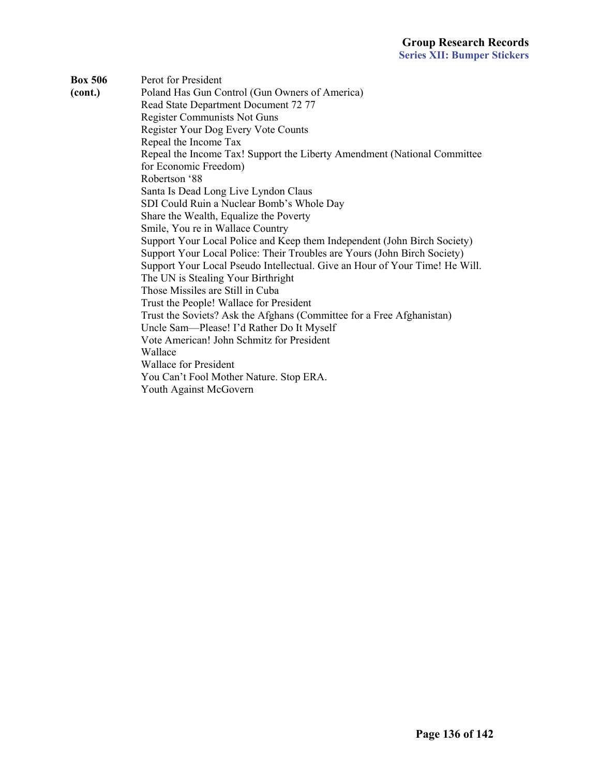**Box 506** Perot for President **(cont.)**Poland Has Gun Control (Gun Owners of America) Read State Department Document 72 77 Register Communists Not Guns **Register Your Dog Every Vote Counts** Repeal the Income Tax Repeal the Income Tax! Support the Liberty Amendment (National Committee for Economic Freedom) Robertson '88 Santa Is Dead Long Live Lyndon Claus SDI Could Ruin a Nuclear Bomb's Whole Day Share the Wealth, Equalize the Poverty Smile, You re in Wallace Country Support Your Local Police and Keep them Independent (John Birch Society) Support Your Local Police: Their Troubles are Yours (John Birch Society) Support Your Local Pseudo Intellectual. Give an Hour of Your Time! He Will. The UN is Stealing Your Birthright Those Missiles are Still in Cuba Trust the People! Wallace for President Trust the Soviets? Ask the Afghans (Committee for a Free Afghanistan) Uncle Sam—Please! I'd Rather Do It Myself Vote American! John Schmitz for President Wallace Wallace for President You Can't Fool Mother Nature. Stop ERA. Youth Against McGovern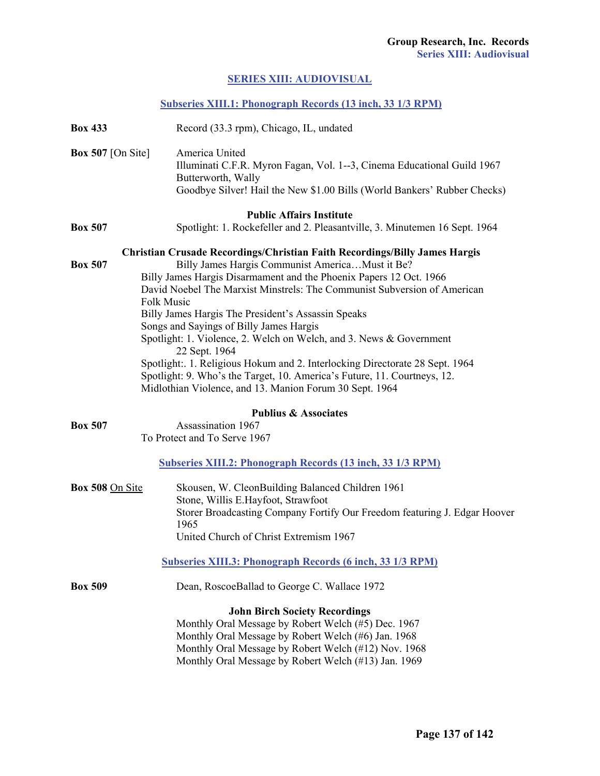# **[SERIES XIII: AUDIOVISUAL](#page-2-0)**

| Subseries XIII.1: Phonograph Records (13 inch, 33 1/3 RPM) |  |  |
|------------------------------------------------------------|--|--|
|                                                            |  |  |

| <b>Box 433</b>                      | Record (33.3 rpm), Chicago, IL, undated                                                                                                                                                                                                                                                                                                                                                                                                                                                                                                                                                                                                                                                        |
|-------------------------------------|------------------------------------------------------------------------------------------------------------------------------------------------------------------------------------------------------------------------------------------------------------------------------------------------------------------------------------------------------------------------------------------------------------------------------------------------------------------------------------------------------------------------------------------------------------------------------------------------------------------------------------------------------------------------------------------------|
| <b>Box 507</b> [On Site]            | America United<br>Illuminati C.F.R. Myron Fagan, Vol. 1--3, Cinema Educational Guild 1967<br>Butterworth, Wally<br>Goodbye Silver! Hail the New \$1.00 Bills (World Bankers' Rubber Checks)                                                                                                                                                                                                                                                                                                                                                                                                                                                                                                    |
| <b>Box 507</b>                      | <b>Public Affairs Institute</b><br>Spotlight: 1. Rockefeller and 2. Pleasantville, 3. Minutemen 16 Sept. 1964                                                                                                                                                                                                                                                                                                                                                                                                                                                                                                                                                                                  |
| <b>Box 507</b><br><b>Folk Music</b> | Christian Crusade Recordings/Christian Faith Recordings/Billy James Hargis<br>Billy James Hargis Communist AmericaMust it Be?<br>Billy James Hargis Disarmament and the Phoenix Papers 12 Oct. 1966<br>David Noebel The Marxist Minstrels: The Communist Subversion of American<br>Billy James Hargis The President's Assassin Speaks<br>Songs and Sayings of Billy James Hargis<br>Spotlight: 1. Violence, 2. Welch on Welch, and 3. News & Government<br>22 Sept. 1964<br>Spotlight: 1. Religious Hokum and 2. Interlocking Directorate 28 Sept. 1964<br>Spotlight: 9. Who's the Target, 10. America's Future, 11. Courtneys, 12.<br>Midlothian Violence, and 13. Manion Forum 30 Sept. 1964 |
|                                     | <b>Publius &amp; Associates</b>                                                                                                                                                                                                                                                                                                                                                                                                                                                                                                                                                                                                                                                                |
| <b>Box 507</b>                      | Assassination 1967<br>To Protect and To Serve 1967                                                                                                                                                                                                                                                                                                                                                                                                                                                                                                                                                                                                                                             |
|                                     | <b>Subseries XIII.2: Phonograph Records (13 inch, 33 1/3 RPM)</b>                                                                                                                                                                                                                                                                                                                                                                                                                                                                                                                                                                                                                              |
| Box 508 On Site                     | Skousen, W. CleonBuilding Balanced Children 1961<br>Stone, Willis E.Hayfoot, Strawfoot<br>Storer Broadcasting Company Fortify Our Freedom featuring J. Edgar Hoover<br>1965<br>United Church of Christ Extremism 1967                                                                                                                                                                                                                                                                                                                                                                                                                                                                          |
|                                     | <b>Subseries XIII.3: Phonograph Records (6 inch, 33 1/3 RPM)</b>                                                                                                                                                                                                                                                                                                                                                                                                                                                                                                                                                                                                                               |
| <b>Box 509</b>                      | Dean, RoscoeBallad to George C. Wallace 1972                                                                                                                                                                                                                                                                                                                                                                                                                                                                                                                                                                                                                                                   |
|                                     | <b>John Birch Society Recordings</b><br>Monthly Oral Message by Robert Welch (#5) Dec. 1967<br>Monthly Oral Message by Robert Welch (#6) Jan. 1968<br>Monthly Oral Message by Robert Welch (#12) Nov. 1968<br>Monthly Oral Message by Robert Welch (#13) Jan. 1969                                                                                                                                                                                                                                                                                                                                                                                                                             |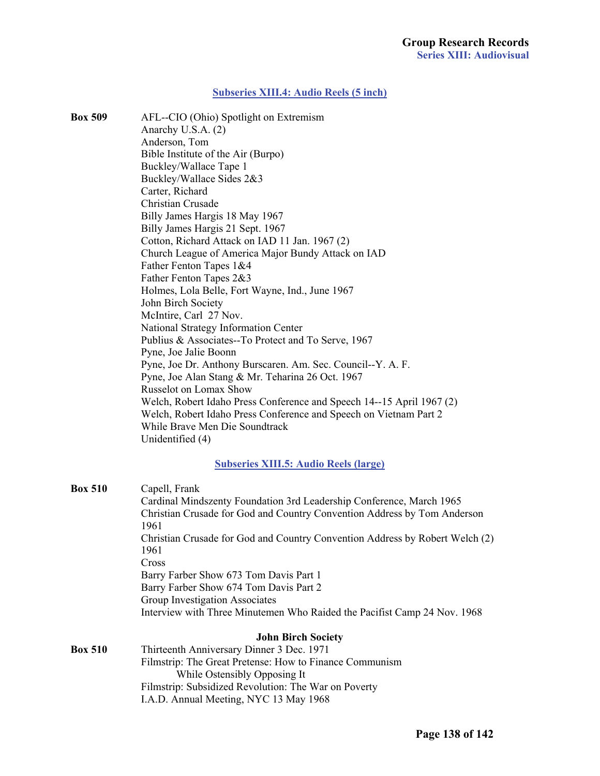#### **[Subseries XIII.4: Audio Reels \(5 inch\)](#page-2-0)**

**Box 509** AFL--CIO (Ohio) Spotlight on Extremism Anarchy U.S.A. (2) Anderson, Tom Bible Institute of the Air (Burpo) Buckley/Wallace Tape 1 Buckley/Wallace Sides  $2&3$ Carter, Richard Christian Crusade **Billy James Hargis 18 May 1967 Billy James Hargis 21 Sept. 1967** Cotton, Richard Attack on IAD 11 Jan. 1967 (2) Church League of America Major Bundy Attack on IAD Father Fenton Tapes 1&4 Father Fenton Tapes 2&3 Holmes, Lola Belle, Fort Wayne, Ind., June 1967 John Birch Society *McIntire, Carl 27 Nov.* National Strategy Information Center Publius & Associates--To Protect and To Serve, 1967 Pyne, Joe Jalie Boonn Pyne, Joe Dr. Anthony Burscaren. Am. Sec. Council--Y. A. F. Pyne, Joe Alan Stang & Mr. Teharina 26 Oct. 1967 Russelot on Lomax Show Welch, Robert Idaho Press Conference and Speech 14--15 April 1967 (2) Welch, Robert Idaho Press Conference and Speech on Vietnam Part 2 While Brave Men Die Soundtrack Unidentified (4)

### **[Subseries XIII.5: Audio Reels \(large\)](#page-2-0)**

| <b>Box 510</b> | Capell, Frank                                                                |  |
|----------------|------------------------------------------------------------------------------|--|
|                | Cardinal Mindszenty Foundation 3rd Leadership Conference, March 1965         |  |
|                | Christian Crusade for God and Country Convention Address by Tom Anderson     |  |
|                | 1961                                                                         |  |
|                | Christian Crusade for God and Country Convention Address by Robert Welch (2) |  |
|                | 1961                                                                         |  |
|                | Cross                                                                        |  |
|                | Barry Farber Show 673 Tom Davis Part 1                                       |  |
|                | Barry Farber Show 674 Tom Davis Part 2                                       |  |
|                | Group Investigation Associates                                               |  |
|                | Interview with Three Minutemen Who Raided the Pacifist Camp 24 Nov. 1968     |  |
|                | <b>John Birch Society</b>                                                    |  |
| <b>Box 510</b> | Thirteenth Anniversary Dinner 3 Dec. 1971                                    |  |
|                | Filmstrip: The Great Pretense: How to Finance Communism                      |  |
|                | While Ostensibly Opposing It                                                 |  |
|                | Filmstrip: Subsidized Revolution: The War on Poverty                         |  |

I.A.D. Annual Meeting, NYC 13 May 1968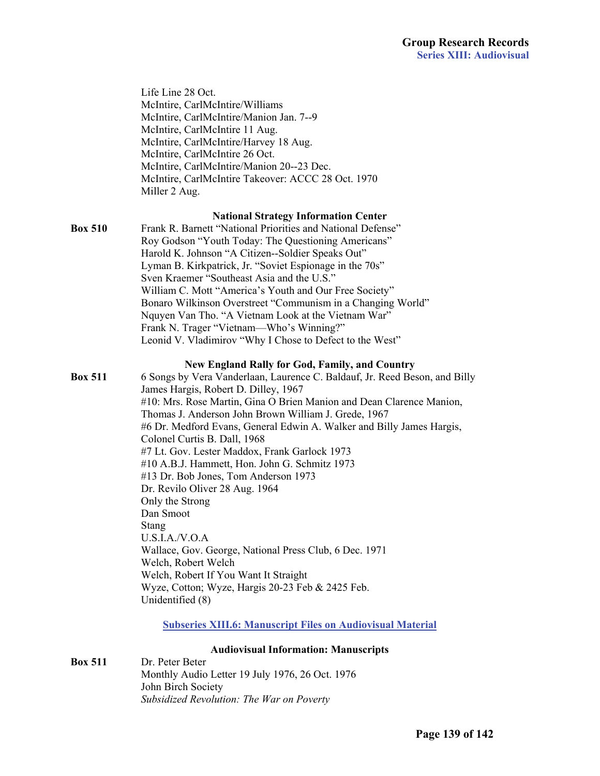|                | <b>Audiovisual Information: Manuscripts</b><br>. D. 1                                                              |
|----------------|--------------------------------------------------------------------------------------------------------------------|
|                | <b>Subseries XIII.6: Manuscript Files on Audiovisual Material</b>                                                  |
|                | Unidentified (8)                                                                                                   |
|                | Wyze, Cotton; Wyze, Hargis 20-23 Feb & 2425 Feb.                                                                   |
|                | Welch, Robert Welch<br>Welch, Robert If You Want It Straight                                                       |
|                | Wallace, Gov. George, National Press Club, 6 Dec. 1971                                                             |
|                | U.S.I.A./V.O.A                                                                                                     |
|                | Stang                                                                                                              |
|                | Dan Smoot                                                                                                          |
|                | Only the Strong                                                                                                    |
|                | #13 Dr. Bob Jones, Tom Anderson 1973<br>Dr. Revilo Oliver 28 Aug. 1964                                             |
|                | #10 A.B.J. Hammett, Hon. John G. Schmitz 1973                                                                      |
|                | #7 Lt. Gov. Lester Maddox, Frank Garlock 1973                                                                      |
|                | Colonel Curtis B. Dall, 1968                                                                                       |
|                | #6 Dr. Medford Evans, General Edwin A. Walker and Billy James Hargis,                                              |
|                | Thomas J. Anderson John Brown William J. Grede, 1967                                                               |
|                | #10: Mrs. Rose Martin, Gina O Brien Manion and Dean Clarence Manion,                                               |
| <b>Box 511</b> | 6 Songs by Vera Vanderlaan, Laurence C. Baldauf, Jr. Reed Beson, and Billy<br>James Hargis, Robert D. Dilley, 1967 |
|                | <b>New England Rally for God, Family, and Country</b>                                                              |
|                |                                                                                                                    |
|                | Frank N. Trager "Vietnam-Who's Winning?"<br>Leonid V. Vladimirov "Why I Chose to Defect to the West"               |
|                | Nquyen Van Tho. "A Vietnam Look at the Vietnam War"                                                                |
|                | Bonaro Wilkinson Overstreet "Communism in a Changing World"                                                        |
|                | William C. Mott "America's Youth and Our Free Society"                                                             |
|                | Sven Kraemer "Southeast Asia and the U.S."                                                                         |
|                | Lyman B. Kirkpatrick, Jr. "Soviet Espionage in the 70s"                                                            |
|                | Roy Godson "Youth Today: The Questioning Americans"<br>Harold K. Johnson "A Citizen--Soldier Speaks Out"           |
| <b>Box 510</b> | Frank R. Barnett "National Priorities and National Defense"                                                        |
|                | <b>National Strategy Information Center</b>                                                                        |
|                |                                                                                                                    |
|                | McIntire, CarlMcIntire Takeover: ACCC 28 Oct. 1970<br>Miller 2 Aug.                                                |
|                | McIntire, CarlMcIntire/Manion 20--23 Dec.                                                                          |
|                | McIntire, CarlMcIntire 26 Oct.                                                                                     |
|                | McIntire, CarlMcIntire/Harvey 18 Aug.                                                                              |
|                | McIntire, CarlMcIntire 11 Aug.                                                                                     |
|                | McIntire, CarlMcIntire/Manion Jan. 7--9                                                                            |
|                | McIntire, CarlMcIntire/Williams                                                                                    |
|                | Life Line 28 Oct.                                                                                                  |

**Box 511** Dr. Peter Beter Monthly Audio Letter 19 July 1976, 26 Oct. 1976 John Birch Society  *Subsidized Revolution: The War on Poverty*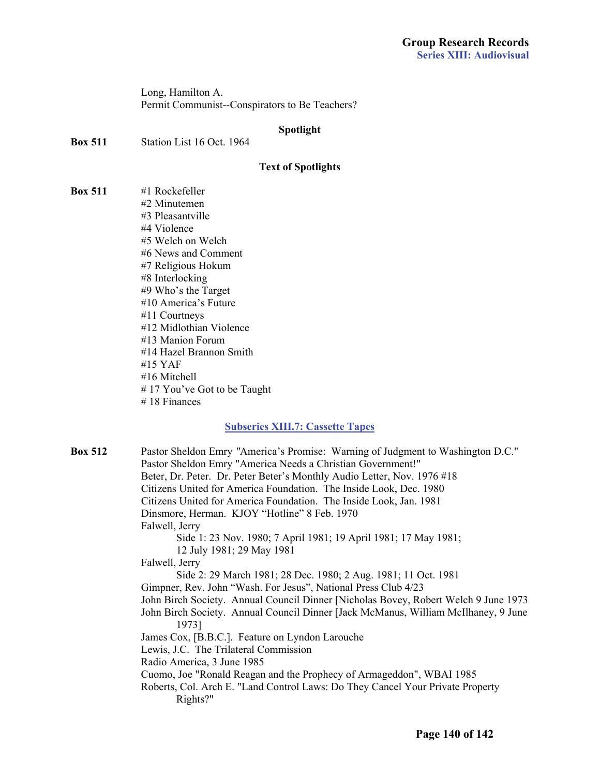Long, Hamilton A. Permit Communist--Conspirators to Be Teachers?

#### **Spotlight**

**Box 511** Station List 16 Oct. 1964

#### **Text of Spotlights**

**Box 511** #1 Rockefeller #2 Minutemen #3 Pleasantville #4 Violence #5 Welch on Welch #6 News and Comment #7 Religious Hokum #8 Interlocking #9 Who's the Target #10 America's Future #11 Courtneys #12 Midlothian Violence #13 Manion Forum #14 Hazel Brannon Smith #15 YAF #16 Mitchell # 17 You've Got to be Taught #18 Finances

#### **[Subseries XIII.7: Cassette Tapes](#page-2-0)**

**Box 512** Pastor Sheldon Emry *"*America's Promise: Warning of Judgment to Washington D.C." Pastor Sheldon Emry "America Needs a Christian Government!" Beter, Dr. Peter. Dr. Peter Beter's Monthly Audio Letter, Nov. 1976 #18 Citizens United for America Foundation. The Inside Look, Dec. 1980 Citizens United for America Foundation. The Inside Look, Jan. 1981 Dinsmore, Herman. KJOY "Hotline" 8 Feb. 1970 Falwell, Jerry Side 1: 23 Nov. 1980; 7 April 1981; 19 April 1981; 17 May 1981; 12 July 1981; 29 May 1981 Falwell, Jerry Side 2: 29 March 1981; 28 Dec. 1980; 2 Aug. 1981; 11 Oct. 1981 Gimpner, Rev. John "Wash. For Jesus", National Press Club 4/23 John Birch Society. Annual Council Dinner [Nicholas Bovey, Robert Welch 9 June 1973 John Birch Society. Annual Council Dinner [Jack McManus, William McIlhaney, 9 June 1973] James Cox, [B.B.C.]. Feature on Lyndon Larouche Lewis, J.C. The Trilateral Commission Radio America, 3 June 1985 Cuomo, Joe "Ronald Reagan and the Prophecy of Armageddon", WBAI 1985 Roberts, Col. Arch E. "Land Control Laws: Do They Cancel Your Private Property Rights?"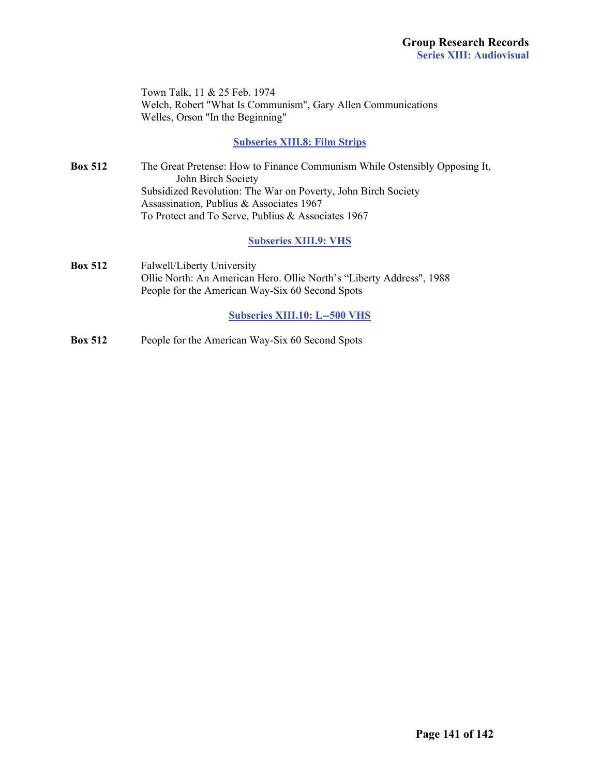|                | Town Talk, 11 & 25 Feb. 1974<br>Welch, Robert "What Is Communism", Gary Allen Communications<br>Welles, Orson "In the Beginning"                                                                                                                                    |
|----------------|---------------------------------------------------------------------------------------------------------------------------------------------------------------------------------------------------------------------------------------------------------------------|
|                | <b>Subseries XIII.8: Film Strips</b>                                                                                                                                                                                                                                |
| <b>Box 512</b> | The Great Pretense: How to Finance Communism While Ostensibly Opposing It,<br>John Birch Society<br>Subsidized Revolution: The War on Poverty, John Birch Society<br>Assassination, Publius & Associates 1967<br>To Protect and To Serve, Publius & Associates 1967 |
|                | <b>Subseries XIII.9: VHS</b>                                                                                                                                                                                                                                        |
| <b>Box 512</b> | Falwell/Liberty University<br>Ollie North: An American Hero. Ollie North's "Liberty Address", 1988<br>People for the American Way-Six 60 Second Spots                                                                                                               |
|                | <b>Subseries XIII.10: L--500 VHS</b>                                                                                                                                                                                                                                |
| <b>Box 512</b> | People for the American Way-Six 60 Second Spots                                                                                                                                                                                                                     |